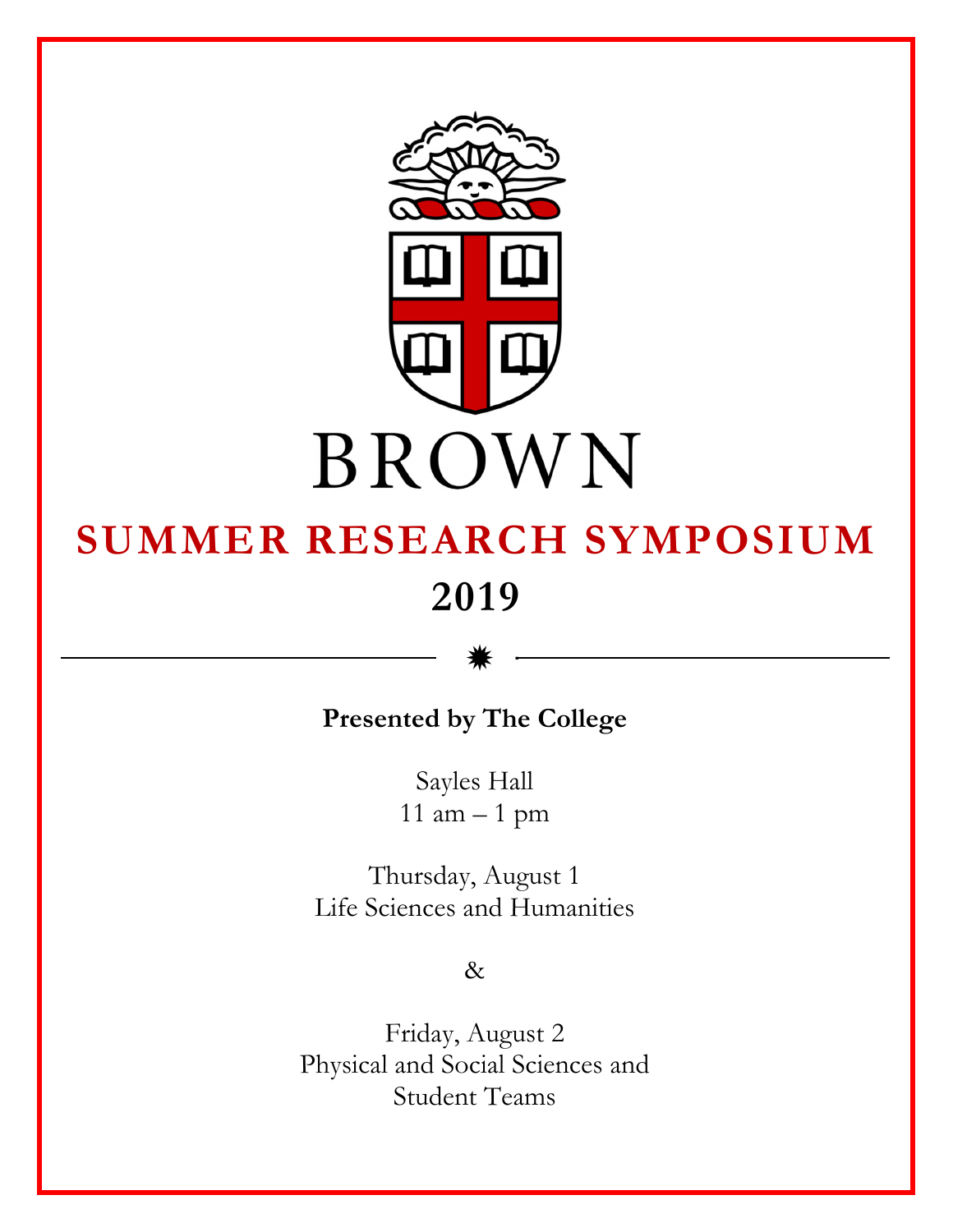

# **SUMMER RESEARCH SYMPOSIUM 2019**

**Presented by The College** 

\*

Sayles Hall 11 am – 1 pm

Thursday, August 1 Life Sciences and Humanities

&

Friday, August 2 Physical and Social Sciences and Student Teams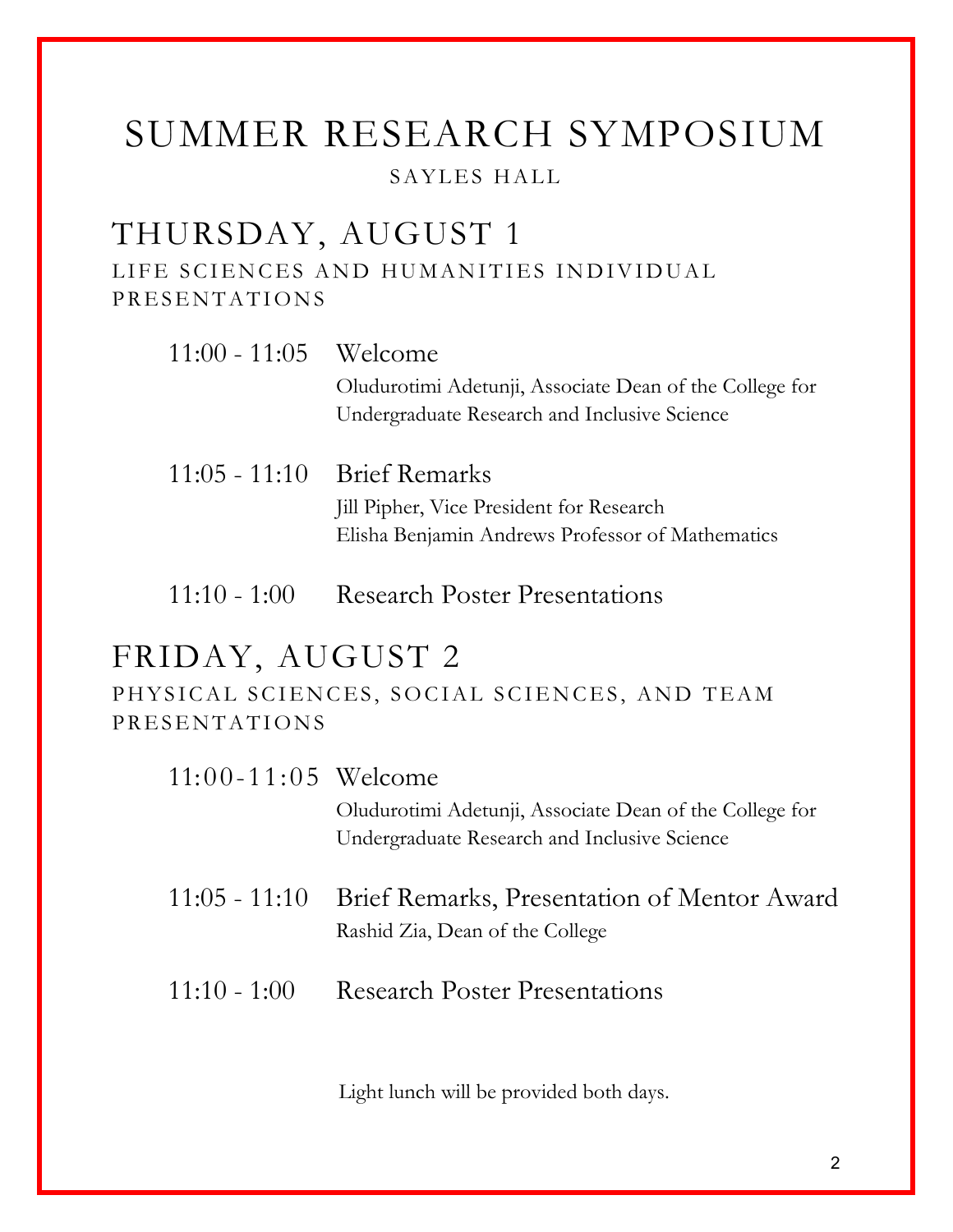# SUMMER RESEARCH SYMPOSIUM SAYLES HALL

# THURSDAY, AUGUST 1

LIFE SCIENCES AND HUMANITIES INDIVIDUAL PRESENTATIONS

| $11:00 - 11:05$ Welcome |                                                         |
|-------------------------|---------------------------------------------------------|
|                         | Oludurotimi Adetunji, Associate Dean of the College for |
|                         | Undergraduate Research and Inclusive Science            |
|                         |                                                         |
|                         | $11:05 - 11:10$ Brief Remarks                           |
|                         | Jill Pipher, Vice President for Research                |
|                         | Elisha Benjamin Andrews Professor of Mathematics        |
|                         |                                                         |
| $11:10 - 1:00$          | <b>Research Poster Presentations</b>                    |

# FRIDAY, AUGUST 2

PHYSICAL SCIENCES, SOCIAL SCIENCES, AND TEAM PRESENTATIONS

| $11:00 - 11:05$ Welcome |                                                                                              |
|-------------------------|----------------------------------------------------------------------------------------------|
|                         | Oludurotimi Adetunji, Associate Dean of the College for                                      |
|                         | Undergraduate Research and Inclusive Science                                                 |
|                         | 11:05 - 11:10 Brief Remarks, Presentation of Mentor Award<br>Rashid Zia, Dean of the College |
| $11:10 - 1:00$          | <b>Research Poster Presentations</b>                                                         |

Light lunch will be provided both days.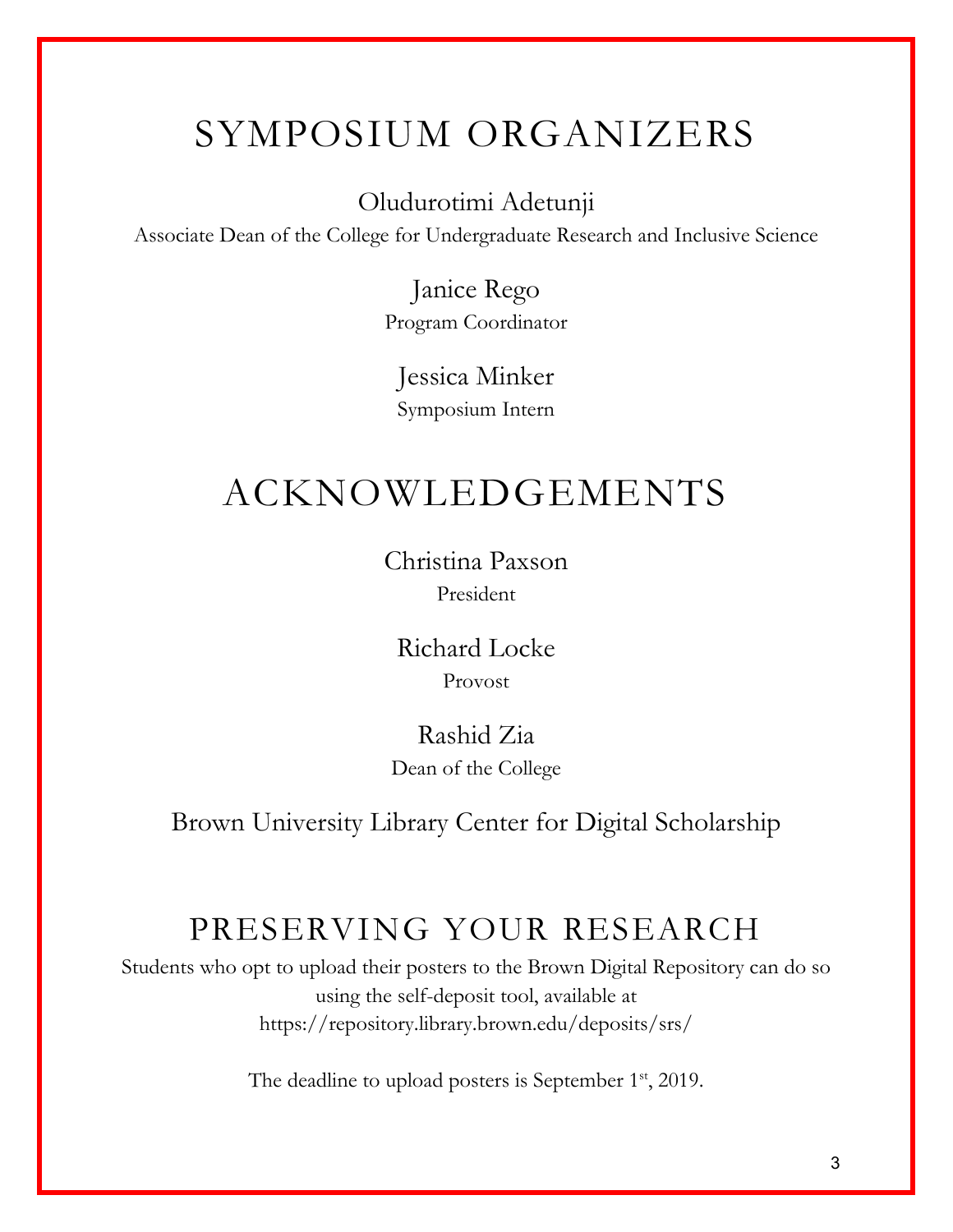# SYMPOSIUM ORGANIZERS

Oludurotimi Adetunji

Associate Dean of the College for Undergraduate Research and Inclusive Science

Janice Rego Program Coordinator

Jessica Minker Symposium Intern

# ACKNOWLEDGEMENTS

Christina Paxson President

Richard Locke Provost

Rashid Zia Dean of the College

Brown University Library Center for Digital Scholarship

# PRESERVING YOUR RESEARCH

Students who opt to upload their posters to the Brown Digital Repository can do so using the self-deposit tool, available at https://repository.library.brown.edu/deposits/srs/

The deadline to upload posters is September 1<sup>st</sup>, 2019.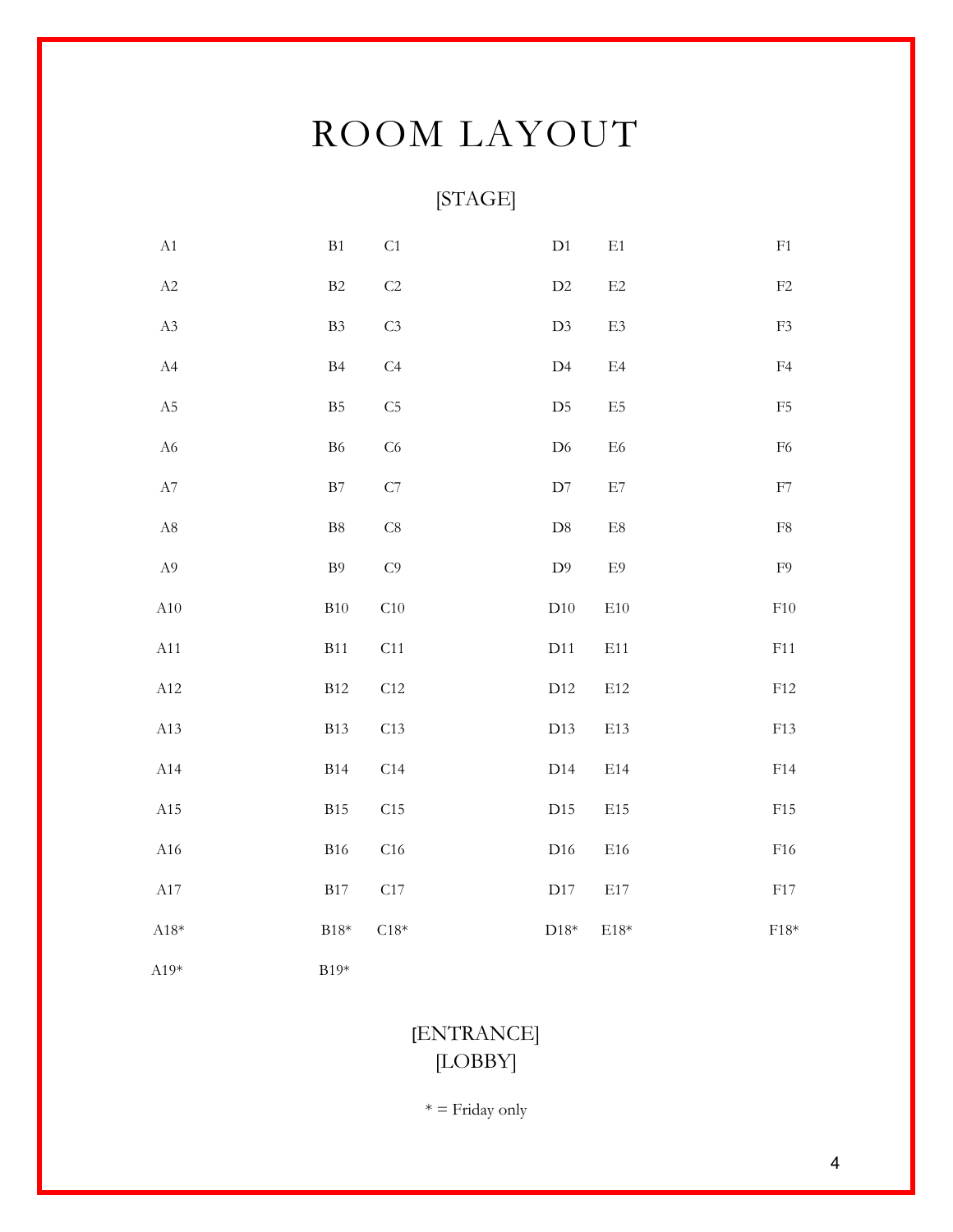# ROOM LAYOUT

# [STAGE]

| A1          | B1             | C <sub>1</sub> | D1             | $\rm E1$         | ${\rm F1}$    |
|-------------|----------------|----------------|----------------|------------------|---------------|
| A2          | $\rm B2$       | C <sub>2</sub> | $\rm{D}2$      | $\mathrm{E}2$    | ${\rm F2}$    |
| $\rm A3$    | B3             | C <sub>3</sub> | D3             | $\mathrm{E}3$    | ${\rm F3}$    |
| A4          | B4             | C <sub>4</sub> | $\rm D4$       | $\mathrm{E}4$    | F4            |
| $\rm A5$    | B <sub>5</sub> | C <sub>5</sub> | D <sub>5</sub> | E5               | ${\rm F}5$    |
| ${\rm A6}$  | ${\rm B6}$     | C6             | $\mathrm{D}6$  | ${\rm E6}$       | ${\rm F6}$    |
| ${\rm A}7$  | $\mathbf{B}7$  | ${\cal C}7$    | $\mathbf{D}7$  | $\rm E7$         | ${\rm F}7$    |
| $\rm A8$    | $\mbox{B}8$    | C8             | $\mathbf{D}8$  | $\rm E8$         | ${\rm F}8$    |
| $\rm A9$    | $\rm B9$       | C <sub>0</sub> | $\rm D9$       | $\mathrm{E}9$    | ${\rm F}9$    |
| A10         | B10            | C10            | D10            | $\rm E10$        | ${\rm F10}$   |
| A11         | <b>B11</b>     | C11            | D11            | E11              | ${\rm F}11$   |
| A12         | B12            | C12            | D12            | E12              | ${\rm F}12$   |
| A13         | <b>B13</b>     | C13            | D13            | E13              | F13           |
| A14         | <b>B14</b>     | C14            | D14            | E14              | F14           |
| A15         | <b>B15</b>     | $\rm C15$      | D15            | E15              | F15           |
| $\rm A16$   | <b>B16</b>     | ${\rm C}16$    | D16            | E16              | F16           |
| $\rm A17$   | $\rm B17$      | C17            | D17            | $\rm E17$        | F17           |
| $\rm A18^*$ | $B18*$         | $C18*$         | ${\rm D}18^*$  | $\mathrm{E}18^*$ | ${\rm F18^*}$ |
| $A19*$      | $B19*$         |                |                |                  |               |

# [ENTRANCE] [LOBBY]

 $* =$  Friday only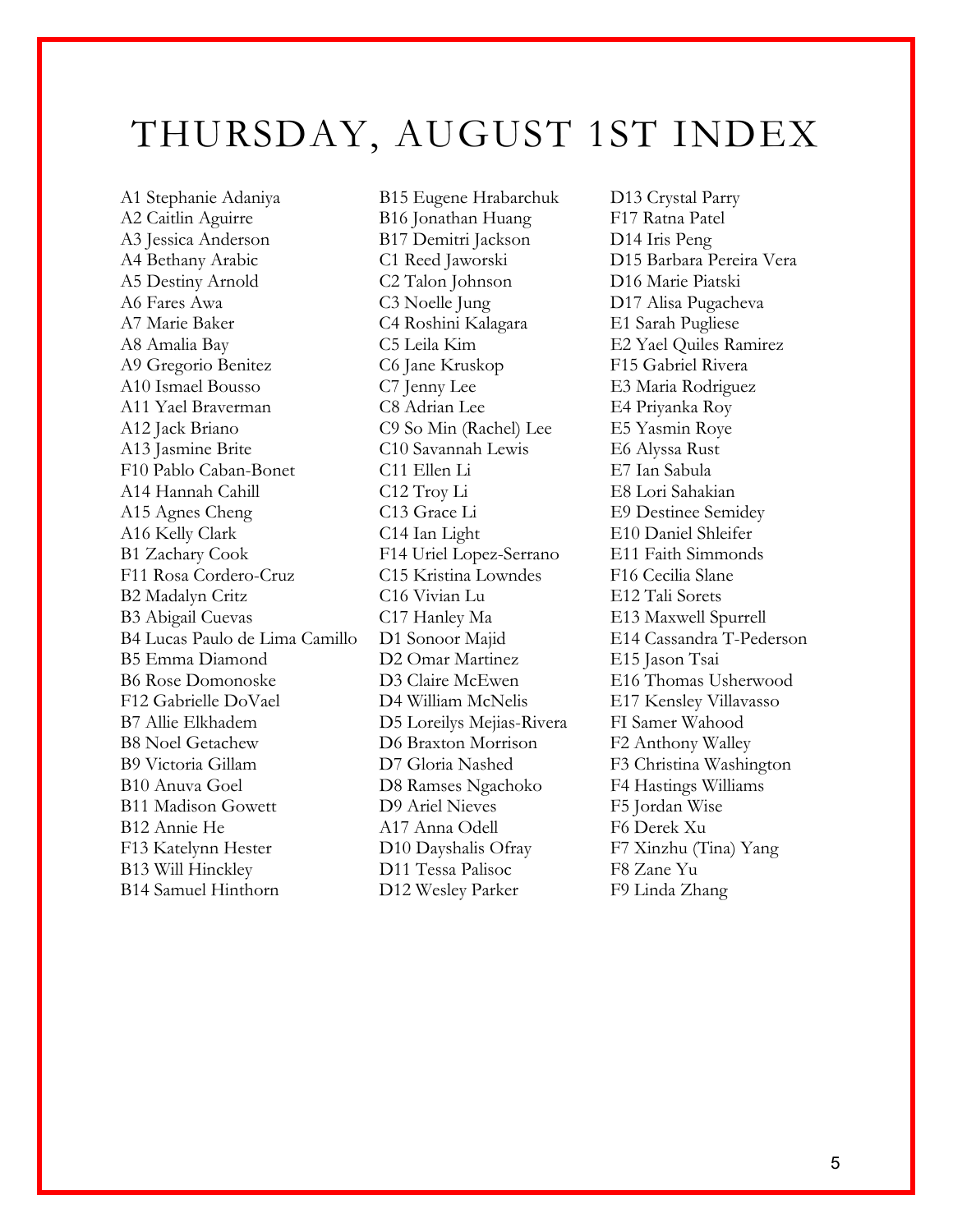# THURSDAY, AUGUST 1ST INDEX

A1 Stephanie Adaniya B15 Eugene Hrabarchuk D13 Crystal Parry A2 Caitlin Aguirre B16 Jonathan Huang F17 Ratna Patel A3 Jessica Anderson B17 Demitri Jackson D14 Iris Peng A4 Bethany Arabic C1 Reed Jaworski D15 Barbara Pereira Vera A5 Destiny Arnold C2 Talon Johnson D16 Marie Piatski A6 Fares Awa C3 Noelle Jung D17 Alisa Pugacheva A7 Marie Baker C4 Roshini Kalagara E1 Sarah Pugliese A8 Amalia Bay C5 Leila Kim E2 Yael Quiles Ramirez A9 Gregorio Benitez C6 Jane Kruskop F15 Gabriel Rivera A10 Ismael Bousso C7 Jenny Lee E3 Maria Rodriguez A11 Yael Braverman C8 Adrian Lee E4 Priyanka Roy A12 Jack Briano C9 So Min (Rachel) Lee E5 Yasmin Roye A13 Jasmine Brite C10 Savannah Lewis E6 Alyssa Rust F10 Pablo Caban-Bonet C11 Ellen Li E7 Ian Sabula A14 Hannah Cahill C12 Troy Li E8 Lori Sahakian A15 Agnes Cheng C13 Grace Li E9 Destinee Semidey A16 Kelly Clark C14 Ian Light E10 Daniel Shleifer B1 Zachary Cook F14 Uriel Lopez-Serrano E11 Faith Simmonds F11 Rosa Cordero-Cruz C15 Kristina Lowndes F16 Cecilia Slane B2 Madalyn Critz C16 Vivian Lu E12 Tali Sorets B3 Abigail Cuevas C17 Hanley Ma E13 Maxwell Spurrell B4 Lucas Paulo de Lima Camillo D1 Sonoor Majid E14 Cassandra T-Pederson B5 Emma Diamond D2 Omar Martinez E15 Jason Tsai B6 Rose Domonoske D3 Claire McEwen E16 Thomas Usherwood F12 Gabrielle DoVael D4 William McNelis E17 Kensley Villavasso B7 Allie Elkhadem D5 Loreilys Mejias-Rivera FI Samer Wahood B8 Noel Getachew D6 Braxton Morrison F2 Anthony Walley B9 Victoria Gillam D7 Gloria Nashed F3 Christina Washington B10 Anuva Goel D8 Ramses Ngachoko F4 Hastings Williams B11 Madison Gowett D9 Ariel Nieves F5 Jordan Wise B12 Annie He A17 Anna Odell F6 Derek Xu F13 Katelynn Hester D10 Dayshalis Ofray F7 Xinzhu (Tina) Yang B13 Will Hinckley D11 Tessa Palisoc F8 Zane Yu B14 Samuel Hinthorn D12 Wesley Parker F9 Linda Zhang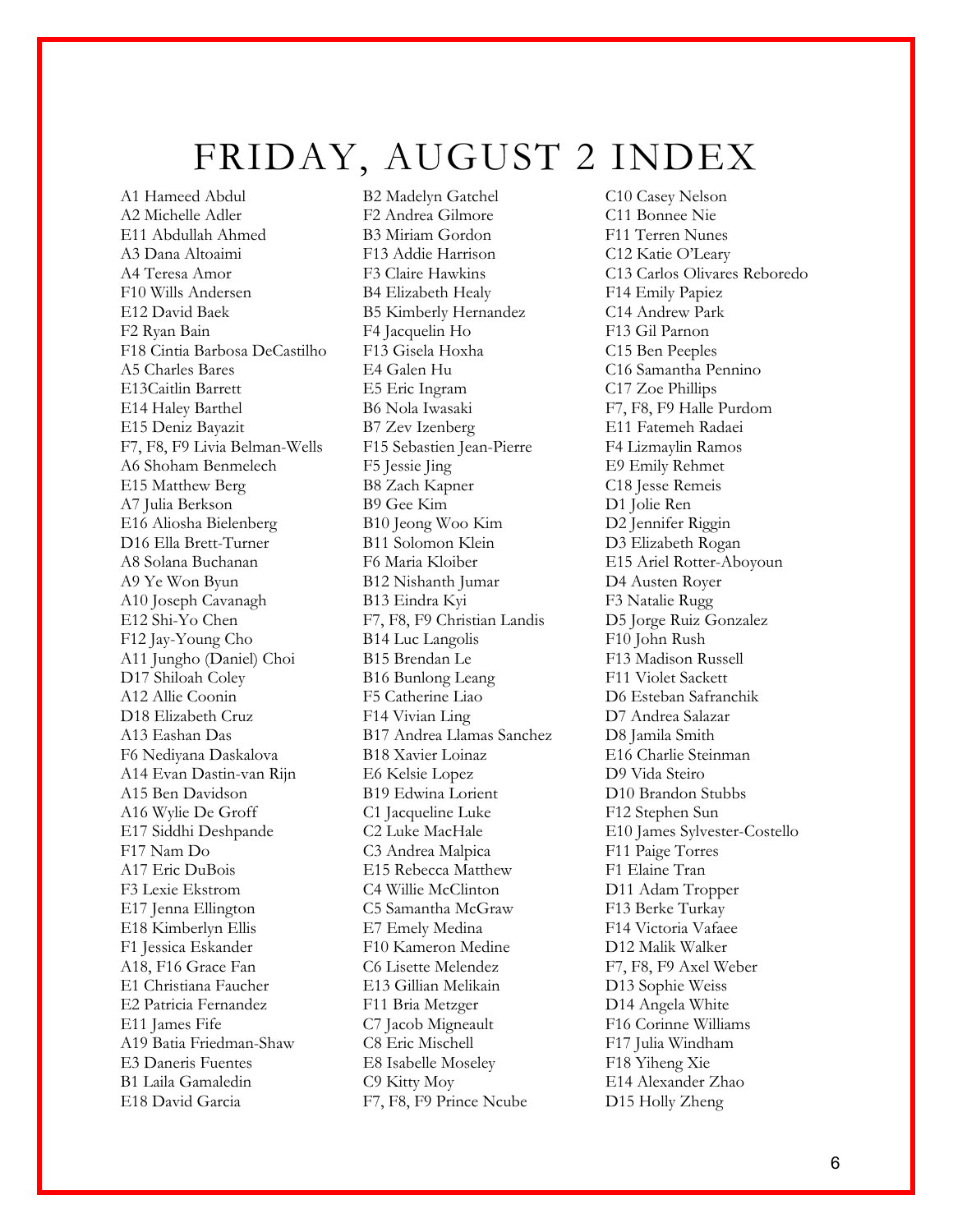# FRIDAY, AUGUST 2 INDEX

A1 Hameed Abdul B2 Madelyn Gatchel C10 Casey Nelson<br>A2 Michelle Adler F2 Andrea Gilmore C11 Bonnee Nie A2 Michelle Adler F2 Andrea Gilmore E11 Abdullah Ahmed B3 Miriam Gordon F11 Terren Nunes A3 Dana Altoaimi F13 Addie Harrison C12 Katie O'Leary A4 Teresa Amor F3 Claire Hawkins C13 Carlos Olivares Reboredo F10 Wills Andersen B4 Elizabeth Healy F14 Emily Papiez E12 David Baek B5 Kimberly Hernandez C14 Andrew Park F2 Ryan Bain F4 Jacquelin Ho F13 Gil Parnon F18 Cintia Barbosa DeCastilho F13 Gisela Hoxha C15 Ben Peeples A5 Charles Bares E4 Galen Hu C16 Samantha Pennino E13Caitlin Barrett E5 Eric Ingram C17 Zoe Phillips E14 Haley Barthel B6 Nola Iwasaki F7, F8, F9 Halle Purdom E15 Deniz Bayazit B7 Zev Izenberg E11 Fatemeh Radaei F7, F8, F9 Livia Belman-Wells F15 Sebastien Jean-Pierre F4 Lizmaylin Ramos A6 Shoham Benmelech F5 Jessie Jing E9 Emily Rehmet E15 Matthew Berg B8 Zach Kapner C18 Jesse Remeis A7 Julia Berkson B9 Gee Kim D1 Jolie Ren E16 Aliosha Bielenberg B10 Jeong Woo Kim D2 Jennifer Riggin D16 Ella Brett-Turner B11 Solomon Klein D3 Elizabeth Rogan A8 Solana Buchanan F6 Maria Kloiber E15 Ariel Rotter-Aboyoun A9 Ye Won Byun B12 Nishanth Jumar D4 Austen Royer A10 Joseph Cavanagh B13 Eindra Kyi F3 Natalie Rugg E12 Shi-Yo Chen F7, F8, F9 Christian Landis D5 Jorge Ruiz Gonzalez F12 Jay-Young Cho B14 Luc Langolis F10 John Rush A11 Jungho (Daniel) Choi B15 Brendan Le F13 Madison Russell D17 Shiloah Coley B16 Bunlong Leang F11 Violet Sackett A12 Allie Coonin F5 Catherine Liao D6 Esteban Safranchik D18 Elizabeth Cruz F14 Vivian Ling D7 Andrea Salazar A13 Eashan Das B17 Andrea Llamas Sanchez D8 Jamila Smith F6 Nediyana Daskalova B18 Xavier Loinaz A14 Evan Dastin-van Rijn E6 Kelsie Lopez D9 Vida Steiro A15 Ben Davidson B19 Edwina Lorient D10 Brandon Stubbs A16 Wylie De Groff C1 Jacqueline Luke F12 Stephen Sun E17 Siddhi Deshpande C2 Luke MacHale E10 James Sylvester-Costello F17 Nam Do C3 Andrea Malpica F11 Paige Torres A17 Eric DuBois E15 Rebecca Matthew F1 Elaine Tran F3 Lexie Ekstrom C4 Willie McClinton D11 Adam Tropper E17 Jenna Ellington C5 Samantha McGraw F13 Berke Turkay E18 Kimberlyn Ellis E7 Emely Medina F14 Victoria Vafaee F1 Jessica Eskander F10 Kameron Medine D12 Malik Walker A18, F16 Grace Fan C6 Lisette Melendez F7, F8, F9 Axel Weber E1 Christiana Faucher E13 Gillian Melikain D13 Sophie Weiss E2 Patricia Fernandez F11 Bria Metzger D14 Angela White E11 James Fife C7 Jacob Migneault F16 Corinne Williams A19 Batia Friedman-Shaw C8 Eric Mischell F17 Julia Windham<br>E3 Daneris Fuentes E8 Isabelle Moselev F18 Yiheng Xie B1 Laila Gamaledin C9 Kitty Moy E14 Alexander Zhao E18 David Garcia F7, F8, F9 Prince Ncube D15 Holly Zheng

E8 Isabelle Moseley F18 Yiheng Xie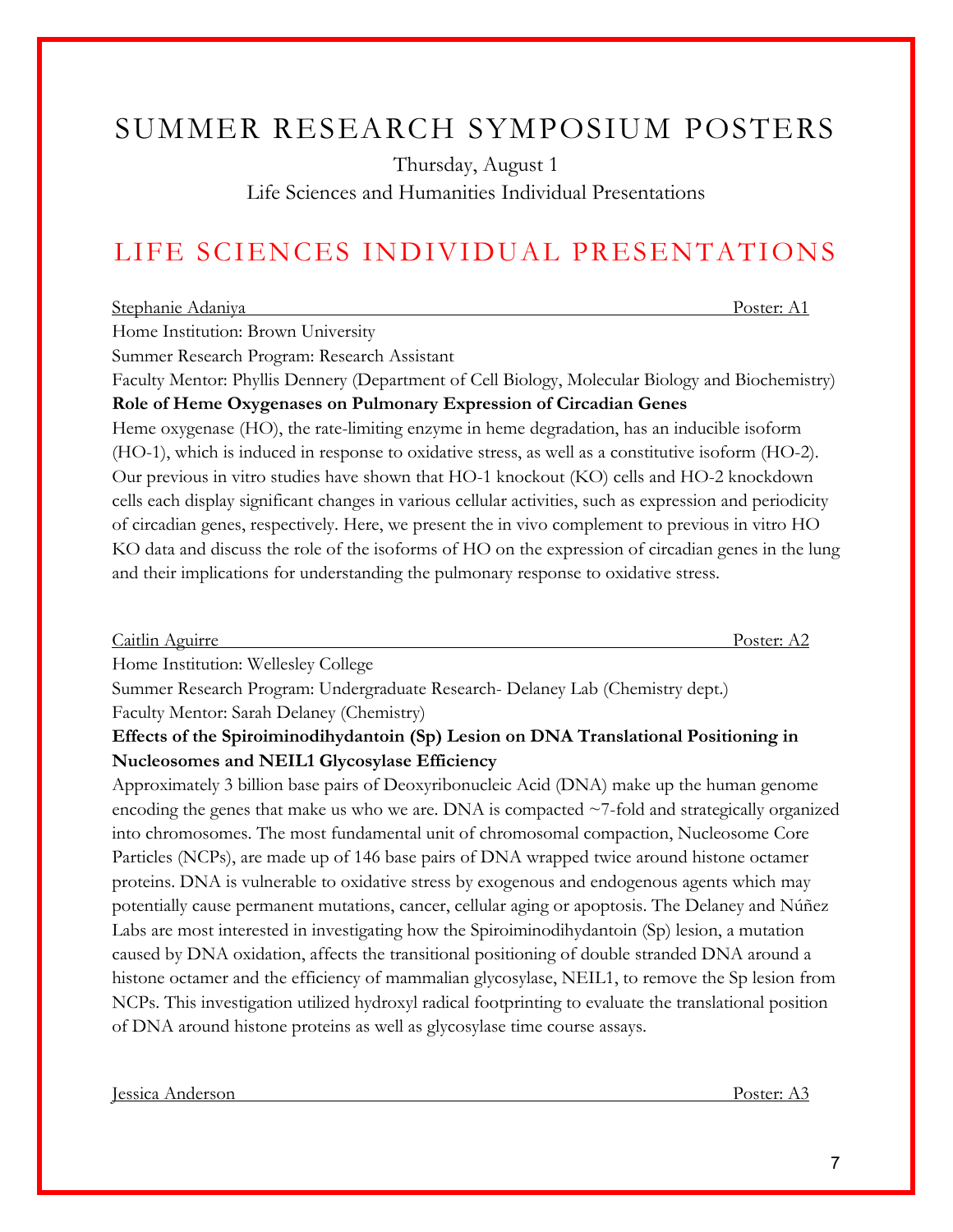# SUMMER RESEARCH SYMPOSIUM POSTERS

Thursday, August 1

Life Sciences and Humanities Individual Presentations

# LIFE SCIENCES INDIVIDUAL PRESENTATIONS

### Stephanie Adaniya Poster: A1

Home Institution: Brown University

Summer Research Program: Research Assistant

Faculty Mentor: Phyllis Dennery (Department of Cell Biology, Molecular Biology and Biochemistry) **Role of Heme Oxygenases on Pulmonary Expression of Circadian Genes** 

Heme oxygenase (HO), the rate-limiting enzyme in heme degradation, has an inducible isoform (HO-1), which is induced in response to oxidative stress, as well as a constitutive isoform (HO-2). Our previous in vitro studies have shown that HO-1 knockout (KO) cells and HO-2 knockdown cells each display significant changes in various cellular activities, such as expression and periodicity of circadian genes, respectively. Here, we present the in vivo complement to previous in vitro HO KO data and discuss the role of the isoforms of HO on the expression of circadian genes in the lung and their implications for understanding the pulmonary response to oxidative stress.

Caitlin Aguirre Poster: A2 Home Institution: Wellesley College Summer Research Program: Undergraduate Research- Delaney Lab (Chemistry dept.)

Faculty Mentor: Sarah Delaney (Chemistry)

# **Effects of the Spiroiminodihydantoin (Sp) Lesion on DNA Translational Positioning in Nucleosomes and NEIL1 Glycosylase Efficiency**

Approximately 3 billion base pairs of Deoxyribonucleic Acid (DNA) make up the human genome encoding the genes that make us who we are. DNA is compacted  $\sim$ 7-fold and strategically organized into chromosomes. The most fundamental unit of chromosomal compaction, Nucleosome Core Particles (NCPs), are made up of 146 base pairs of DNA wrapped twice around histone octamer proteins. DNA is vulnerable to oxidative stress by exogenous and endogenous agents which may potentially cause permanent mutations, cancer, cellular aging or apoptosis. The Delaney and Núñez Labs are most interested in investigating how the Spiroiminodihydantoin (Sp) lesion, a mutation caused by DNA oxidation, affects the transitional positioning of double stranded DNA around a histone octamer and the efficiency of mammalian glycosylase, NEIL1, to remove the Sp lesion from NCPs. This investigation utilized hydroxyl radical footprinting to evaluate the translational position of DNA around histone proteins as well as glycosylase time course assays.

Jessica Anderson Poster: A3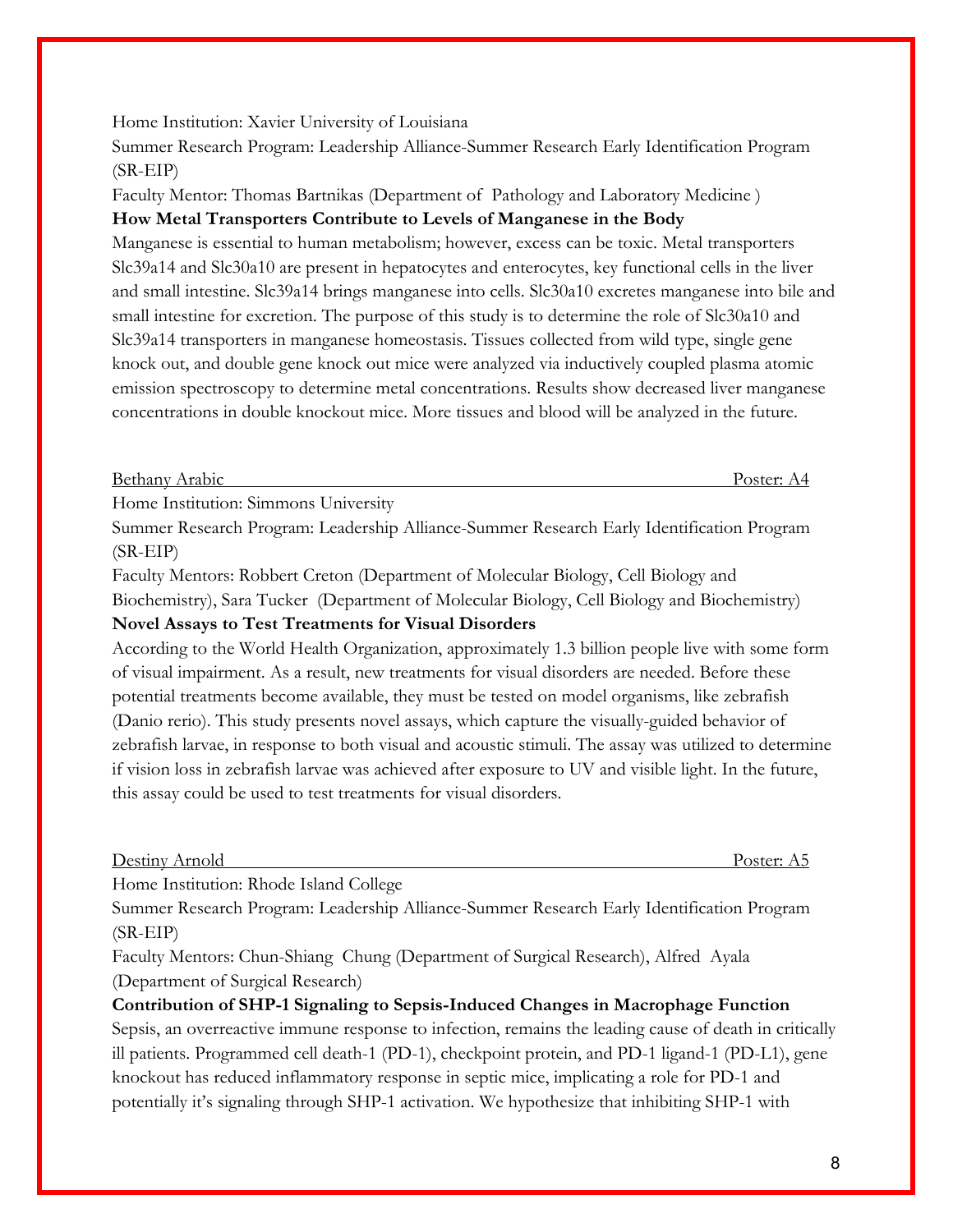Home Institution: Xavier University of Louisiana

Summer Research Program: Leadership Alliance-Summer Research Early Identification Program (SR-EIP)

Faculty Mentor: Thomas Bartnikas (Department of Pathology and Laboratory Medicine )

# **How Metal Transporters Contribute to Levels of Manganese in the Body**

Manganese is essential to human metabolism; however, excess can be toxic. Metal transporters Slc39a14 and Slc30a10 are present in hepatocytes and enterocytes, key functional cells in the liver and small intestine. Slc39a14 brings manganese into cells. Slc30a10 excretes manganese into bile and small intestine for excretion. The purpose of this study is to determine the role of Slc30a10 and Slc39a14 transporters in manganese homeostasis. Tissues collected from wild type, single gene knock out, and double gene knock out mice were analyzed via inductively coupled plasma atomic emission spectroscopy to determine metal concentrations. Results show decreased liver manganese concentrations in double knockout mice. More tissues and blood will be analyzed in the future.

Bethany Arabic Poster: A4

Home Institution: Simmons University

Summer Research Program: Leadership Alliance-Summer Research Early Identification Program (SR-EIP)

Faculty Mentors: Robbert Creton (Department of Molecular Biology, Cell Biology and Biochemistry), Sara Tucker (Department of Molecular Biology, Cell Biology and Biochemistry) **Novel Assays to Test Treatments for Visual Disorders** 

According to the World Health Organization, approximately 1.3 billion people live with some form of visual impairment. As a result, new treatments for visual disorders are needed. Before these potential treatments become available, they must be tested on model organisms, like zebrafish (Danio rerio). This study presents novel assays, which capture the visually-guided behavior of zebrafish larvae, in response to both visual and acoustic stimuli. The assay was utilized to determine if vision loss in zebrafish larvae was achieved after exposure to UV and visible light. In the future, this assay could be used to test treatments for visual disorders.

| Destiny | Arnold | Poster: A5 |  |
|---------|--------|------------|--|
|         |        |            |  |

Home Institution: Rhode Island College

Summer Research Program: Leadership Alliance-Summer Research Early Identification Program (SR-EIP)

Faculty Mentors: Chun-Shiang Chung (Department of Surgical Research), Alfred Ayala (Department of Surgical Research)

**Contribution of SHP-1 Signaling to Sepsis-Induced Changes in Macrophage Function**

Sepsis, an overreactive immune response to infection, remains the leading cause of death in critically ill patients. Programmed cell death-1 (PD-1), checkpoint protein, and PD-1 ligand-1 (PD-L1), gene knockout has reduced inflammatory response in septic mice, implicating a role for PD-1 and potentially it's signaling through SHP-1 activation. We hypothesize that inhibiting SHP-1 with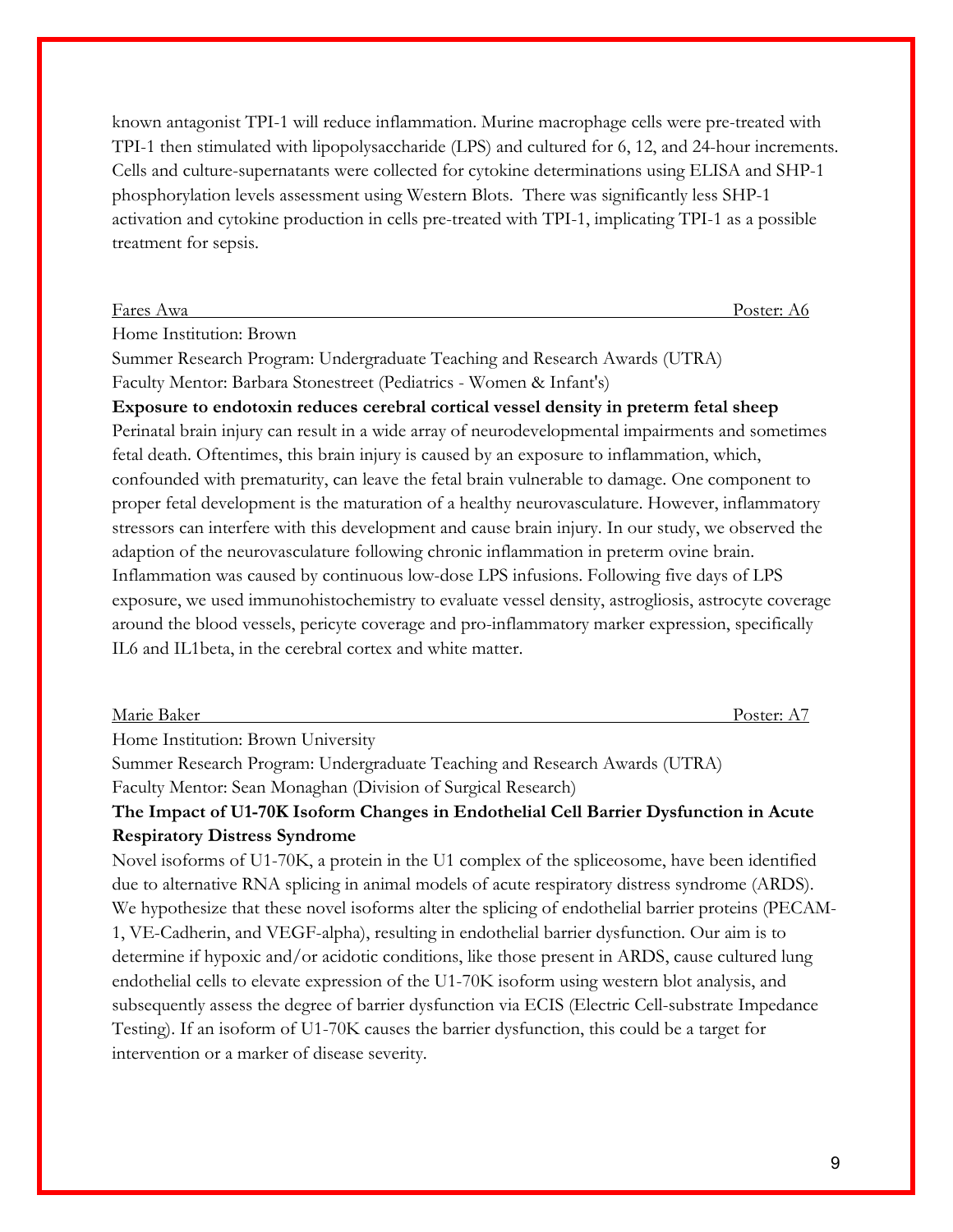known antagonist TPI-1 will reduce inflammation. Murine macrophage cells were pre-treated with TPI-1 then stimulated with lipopolysaccharide (LPS) and cultured for 6, 12, and 24-hour increments. Cells and culture-supernatants were collected for cytokine determinations using ELISA and SHP-1 phosphorylation levels assessment using Western Blots. There was significantly less SHP-1 activation and cytokine production in cells pre-treated with TPI-1, implicating TPI-1 as a possible treatment for sepsis.

Fares Awa Poster: A6

Home Institution: Brown

Summer Research Program: Undergraduate Teaching and Research Awards (UTRA) Faculty Mentor: Barbara Stonestreet (Pediatrics - Women & Infant's)

**Exposure to endotoxin reduces cerebral cortical vessel density in preterm fetal sheep** Perinatal brain injury can result in a wide array of neurodevelopmental impairments and sometimes fetal death. Oftentimes, this brain injury is caused by an exposure to inflammation, which, confounded with prematurity, can leave the fetal brain vulnerable to damage. One component to proper fetal development is the maturation of a healthy neurovasculature. However, inflammatory stressors can interfere with this development and cause brain injury. In our study, we observed the adaption of the neurovasculature following chronic inflammation in preterm ovine brain. Inflammation was caused by continuous low-dose LPS infusions. Following five days of LPS exposure, we used immunohistochemistry to evaluate vessel density, astrogliosis, astrocyte coverage around the blood vessels, pericyte coverage and pro-inflammatory marker expression, specifically IL6 and IL1beta, in the cerebral cortex and white matter.

| Marie Baker | Poster.<br>.<br>1 L L L<br><b>.</b> |
|-------------|-------------------------------------|
|             |                                     |

Home Institution: Brown University

Summer Research Program: Undergraduate Teaching and Research Awards (UTRA) Faculty Mentor: Sean Monaghan (Division of Surgical Research)

# **The Impact of U1-70K Isoform Changes in Endothelial Cell Barrier Dysfunction in Acute Respiratory Distress Syndrome**

Novel isoforms of U1-70K, a protein in the U1 complex of the spliceosome, have been identified due to alternative RNA splicing in animal models of acute respiratory distress syndrome (ARDS). We hypothesize that these novel isoforms alter the splicing of endothelial barrier proteins (PECAM-1, VE-Cadherin, and VEGF-alpha), resulting in endothelial barrier dysfunction. Our aim is to determine if hypoxic and/or acidotic conditions, like those present in ARDS, cause cultured lung endothelial cells to elevate expression of the U1-70K isoform using western blot analysis, and subsequently assess the degree of barrier dysfunction via ECIS (Electric Cell-substrate Impedance Testing). If an isoform of U1-70K causes the barrier dysfunction, this could be a target for intervention or a marker of disease severity.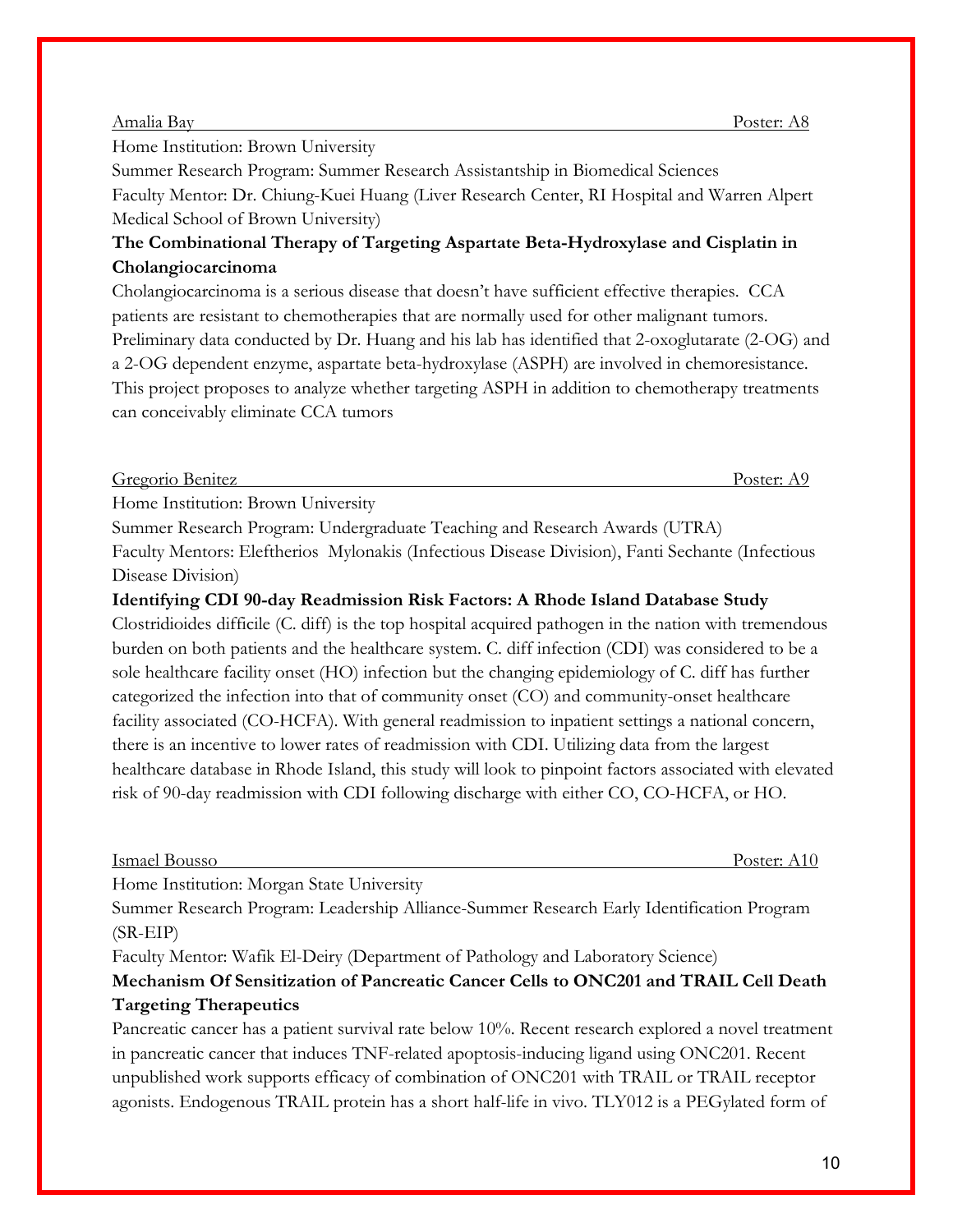#### Amalia Bay Poster: A8

Home Institution: Brown University

Summer Research Program: Summer Research Assistantship in Biomedical Sciences Faculty Mentor: Dr. Chiung-Kuei Huang (Liver Research Center, RI Hospital and Warren Alpert Medical School of Brown University)

# **The Combinational Therapy of Targeting Aspartate Beta-Hydroxylase and Cisplatin in Cholangiocarcinoma**

Cholangiocarcinoma is a serious disease that doesn't have sufficient effective therapies. CCA patients are resistant to chemotherapies that are normally used for other malignant tumors. Preliminary data conducted by Dr. Huang and his lab has identified that 2-oxoglutarate (2-OG) and a 2-OG dependent enzyme, aspartate beta-hydroxylase (ASPH) are involved in chemoresistance. This project proposes to analyze whether targeting ASPH in addition to chemotherapy treatments can conceivably eliminate CCA tumors

| $\sqrt{2}$<br>Gregorio Benitez | Poster: AS |
|--------------------------------|------------|
|                                |            |

Home Institution: Brown University

Summer Research Program: Undergraduate Teaching and Research Awards (UTRA) Faculty Mentors: Eleftherios Mylonakis (Infectious Disease Division), Fanti Sechante (Infectious Disease Division)

**Identifying CDI 90-day Readmission Risk Factors: A Rhode Island Database Study**

Clostridioides difficile (C. diff) is the top hospital acquired pathogen in the nation with tremendous burden on both patients and the healthcare system. C. diff infection (CDI) was considered to be a sole healthcare facility onset (HO) infection but the changing epidemiology of C. diff has further categorized the infection into that of community onset (CO) and community-onset healthcare facility associated (CO-HCFA). With general readmission to inpatient settings a national concern, there is an incentive to lower rates of readmission with CDI. Utilizing data from the largest healthcare database in Rhode Island, this study will look to pinpoint factors associated with elevated risk of 90-day readmission with CDI following discharge with either CO, CO-HCFA, or HO.

|--|

Poster: A10

Home Institution: Morgan State University

Summer Research Program: Leadership Alliance-Summer Research Early Identification Program (SR-EIP)

Faculty Mentor: Wafik El-Deiry (Department of Pathology and Laboratory Science)

# **Mechanism Of Sensitization of Pancreatic Cancer Cells to ONC201 and TRAIL Cell Death Targeting Therapeutics**

Pancreatic cancer has a patient survival rate below 10%. Recent research explored a novel treatment in pancreatic cancer that induces TNF-related apoptosis-inducing ligand using ONC201. Recent unpublished work supports efficacy of combination of ONC201 with TRAIL or TRAIL receptor agonists. Endogenous TRAIL protein has a short half-life in vivo. TLY012 is a PEGylated form of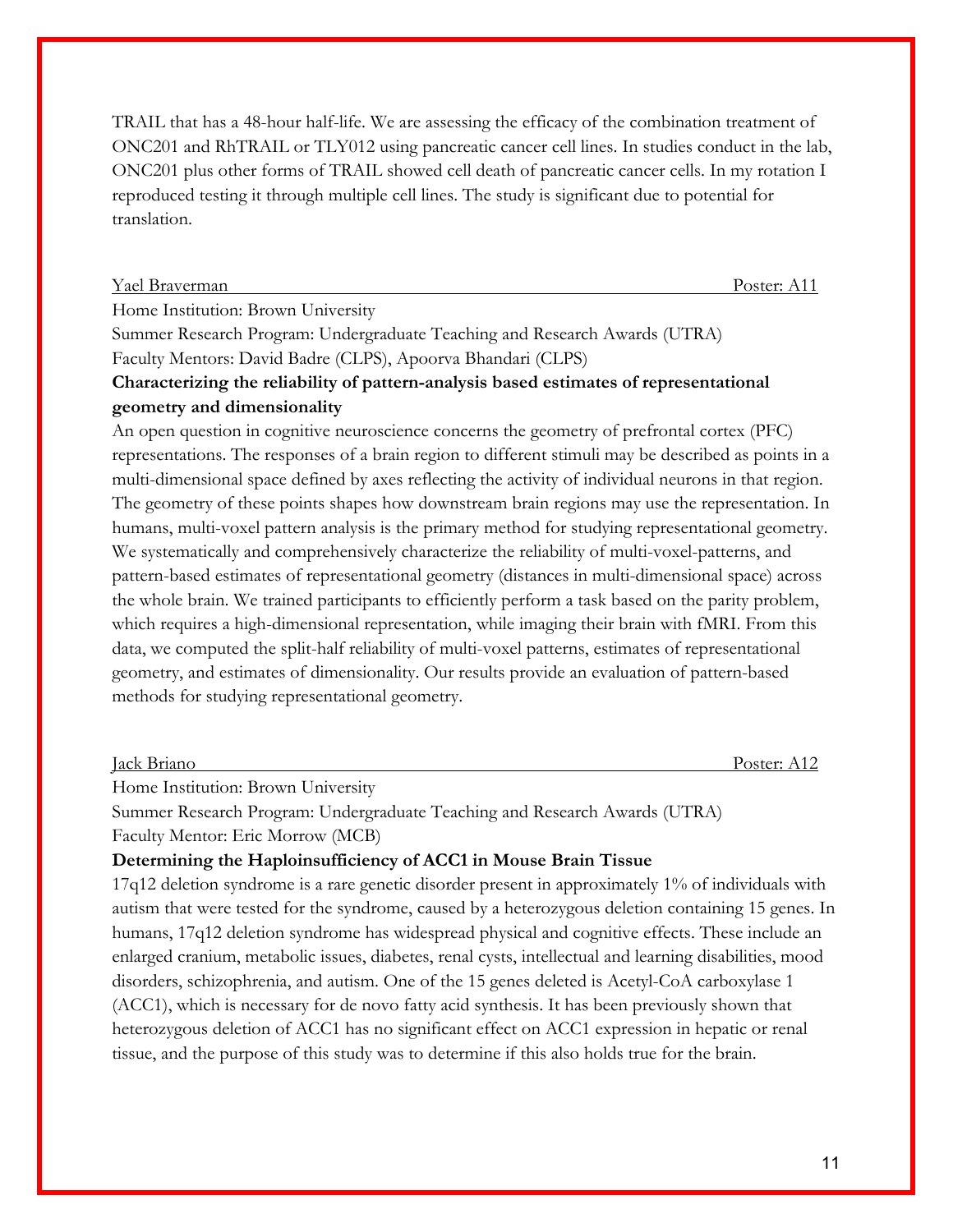TRAIL that has a 48-hour half-life. We are assessing the efficacy of the combination treatment of ONC201 and RhTRAIL or TLY012 using pancreatic cancer cell lines. In studies conduct in the lab, ONC201 plus other forms of TRAIL showed cell death of pancreatic cancer cells. In my rotation I reproduced testing it through multiple cell lines. The study is significant due to potential for translation.

#### Yael Braverman Poster: A11

Home Institution: Brown University

Summer Research Program: Undergraduate Teaching and Research Awards (UTRA) Faculty Mentors: David Badre (CLPS), Apoorva Bhandari (CLPS)

# **Characterizing the reliability of pattern-analysis based estimates of representational geometry and dimensionality**

An open question in cognitive neuroscience concerns the geometry of prefrontal cortex (PFC) representations. The responses of a brain region to different stimuli may be described as points in a multi-dimensional space defined by axes reflecting the activity of individual neurons in that region. The geometry of these points shapes how downstream brain regions may use the representation. In humans, multi-voxel pattern analysis is the primary method for studying representational geometry. We systematically and comprehensively characterize the reliability of multi-voxel-patterns, and pattern-based estimates of representational geometry (distances in multi-dimensional space) across the whole brain. We trained participants to efficiently perform a task based on the parity problem, which requires a high-dimensional representation, while imaging their brain with fMRI. From this data, we computed the split-half reliability of multi-voxel patterns, estimates of representational geometry, and estimates of dimensionality. Our results provide an evaluation of pattern-based methods for studying representational geometry.

Home Institution: Brown University

Summer Research Program: Undergraduate Teaching and Research Awards (UTRA) Faculty Mentor: Eric Morrow (MCB)

### **Determining the Haploinsufficiency of ACC1 in Mouse Brain Tissue**

17q12 deletion syndrome is a rare genetic disorder present in approximately 1% of individuals with autism that were tested for the syndrome, caused by a heterozygous deletion containing 15 genes. In humans, 17q12 deletion syndrome has widespread physical and cognitive effects. These include an enlarged cranium, metabolic issues, diabetes, renal cysts, intellectual and learning disabilities, mood disorders, schizophrenia, and autism. One of the 15 genes deleted is Acetyl-CoA carboxylase 1 (ACC1), which is necessary for de novo fatty acid synthesis. It has been previously shown that heterozygous deletion of ACC1 has no significant effect on ACC1 expression in hepatic or renal tissue, and the purpose of this study was to determine if this also holds true for the brain.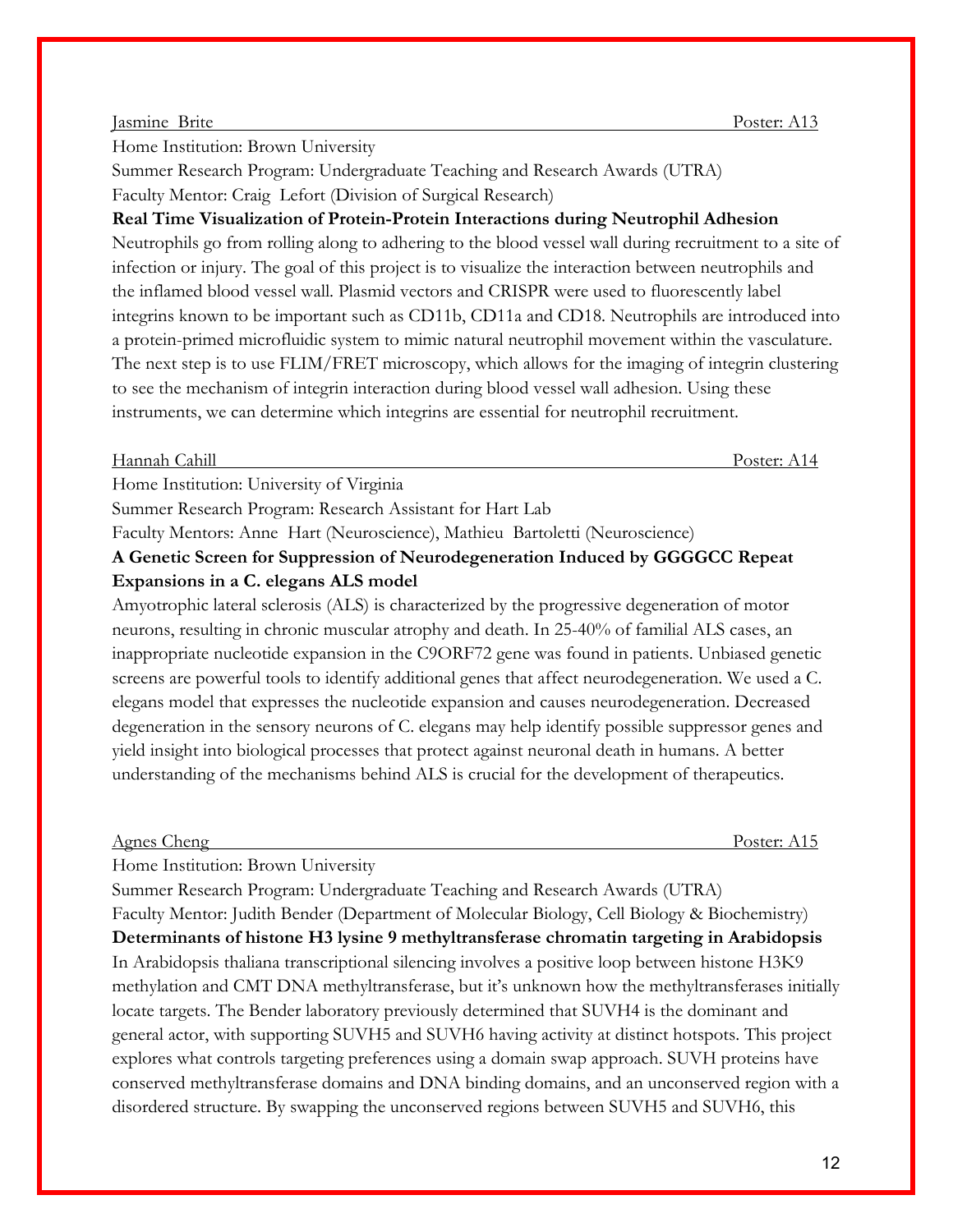#### Jasmine Brite Poster: A13

Home Institution: Brown University

Summer Research Program: Undergraduate Teaching and Research Awards (UTRA) Faculty Mentor: Craig Lefort (Division of Surgical Research)

# **Real Time Visualization of Protein-Protein Interactions during Neutrophil Adhesion**

Neutrophils go from rolling along to adhering to the blood vessel wall during recruitment to a site of infection or injury. The goal of this project is to visualize the interaction between neutrophils and the inflamed blood vessel wall. Plasmid vectors and CRISPR were used to fluorescently label integrins known to be important such as CD11b, CD11a and CD18. Neutrophils are introduced into a protein-primed microfluidic system to mimic natural neutrophil movement within the vasculature. The next step is to use FLIM/FRET microscopy, which allows for the imaging of integrin clustering to see the mechanism of integrin interaction during blood vessel wall adhesion. Using these instruments, we can determine which integrins are essential for neutrophil recruitment.

#### Hannah Cahill Poster: A14

Home Institution: University of Virginia

Summer Research Program: Research Assistant for Hart Lab

Faculty Mentors: Anne Hart (Neuroscience), Mathieu Bartoletti (Neuroscience) **A Genetic Screen for Suppression of Neurodegeneration Induced by GGGGCC Repeat Expansions in a C. elegans ALS model**

Amyotrophic lateral sclerosis (ALS) is characterized by the progressive degeneration of motor neurons, resulting in chronic muscular atrophy and death. In 25-40% of familial ALS cases, an inappropriate nucleotide expansion in the C9ORF72 gene was found in patients. Unbiased genetic screens are powerful tools to identify additional genes that affect neurodegeneration. We used a C. elegans model that expresses the nucleotide expansion and causes neurodegeneration. Decreased degeneration in the sensory neurons of C. elegans may help identify possible suppressor genes and yield insight into biological processes that protect against neuronal death in humans. A better understanding of the mechanisms behind ALS is crucial for the development of therapeutics.

#### Agnes Cheng Poster: A15

Home Institution: Brown University

Summer Research Program: Undergraduate Teaching and Research Awards (UTRA) Faculty Mentor: Judith Bender (Department of Molecular Biology, Cell Biology & Biochemistry) **Determinants of histone H3 lysine 9 methyltransferase chromatin targeting in Arabidopsis** In Arabidopsis thaliana transcriptional silencing involves a positive loop between histone H3K9 methylation and CMT DNA methyltransferase, but it's unknown how the methyltransferases initially locate targets. The Bender laboratory previously determined that SUVH4 is the dominant and general actor, with supporting SUVH5 and SUVH6 having activity at distinct hotspots. This project explores what controls targeting preferences using a domain swap approach. SUVH proteins have conserved methyltransferase domains and DNA binding domains, and an unconserved region with a disordered structure. By swapping the unconserved regions between SUVH5 and SUVH6, this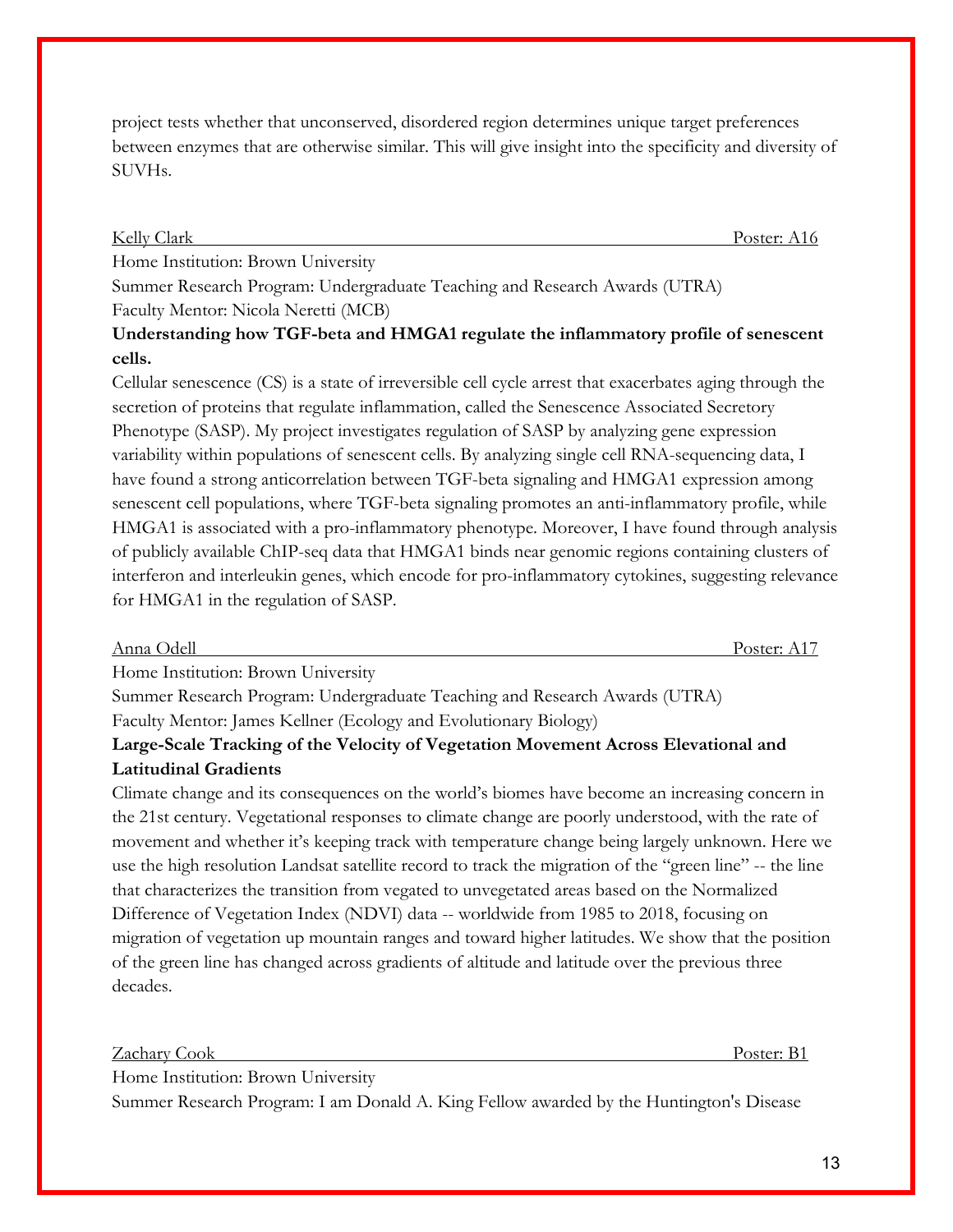project tests whether that unconserved, disordered region determines unique target preferences between enzymes that are otherwise similar. This will give insight into the specificity and diversity of SUVHs.

Kelly Clark Poster: A16

Home Institution: Brown University

Summer Research Program: Undergraduate Teaching and Research Awards (UTRA) Faculty Mentor: Nicola Neretti (MCB)

**Understanding how TGF-beta and HMGA1 regulate the inflammatory profile of senescent cells.**

Cellular senescence (CS) is a state of irreversible cell cycle arrest that exacerbates aging through the secretion of proteins that regulate inflammation, called the Senescence Associated Secretory Phenotype (SASP). My project investigates regulation of SASP by analyzing gene expression variability within populations of senescent cells. By analyzing single cell RNA-sequencing data, I have found a strong anticorrelation between TGF-beta signaling and HMGA1 expression among senescent cell populations, where TGF-beta signaling promotes an anti-inflammatory profile, while HMGA1 is associated with a pro-inflammatory phenotype. Moreover, I have found through analysis of publicly available ChIP-seq data that HMGA1 binds near genomic regions containing clusters of interferon and interleukin genes, which encode for pro-inflammatory cytokines, suggesting relevance for HMGA1 in the regulation of SASP.

| Anna Odell                                                                           | ⊉oster∙ |
|--------------------------------------------------------------------------------------|---------|
| $H_{\text{max}}$ $L_{\text{sub}}$ $L_{\text{min}}$ $D_{\text{max}}$ $H_{\text{min}}$ |         |

Home Institution: Brown University

Summer Research Program: Undergraduate Teaching and Research Awards (UTRA) Faculty Mentor: James Kellner (Ecology and Evolutionary Biology)

# **Large-Scale Tracking of the Velocity of Vegetation Movement Across Elevational and Latitudinal Gradients**

Climate change and its consequences on the world's biomes have become an increasing concern in the 21st century. Vegetational responses to climate change are poorly understood, with the rate of movement and whether it's keeping track with temperature change being largely unknown. Here we use the high resolution Landsat satellite record to track the migration of the "green line" -- the line that characterizes the transition from vegated to unvegetated areas based on the Normalized Difference of Vegetation Index (NDVI) data -- worldwide from 1985 to 2018, focusing on migration of vegetation up mountain ranges and toward higher latitudes. We show that the position of the green line has changed across gradients of altitude and latitude over the previous three decades.

Zachary Cook Poster: B1

Home Institution: Brown University

Summer Research Program: I am Donald A. King Fellow awarded by the Huntington's Disease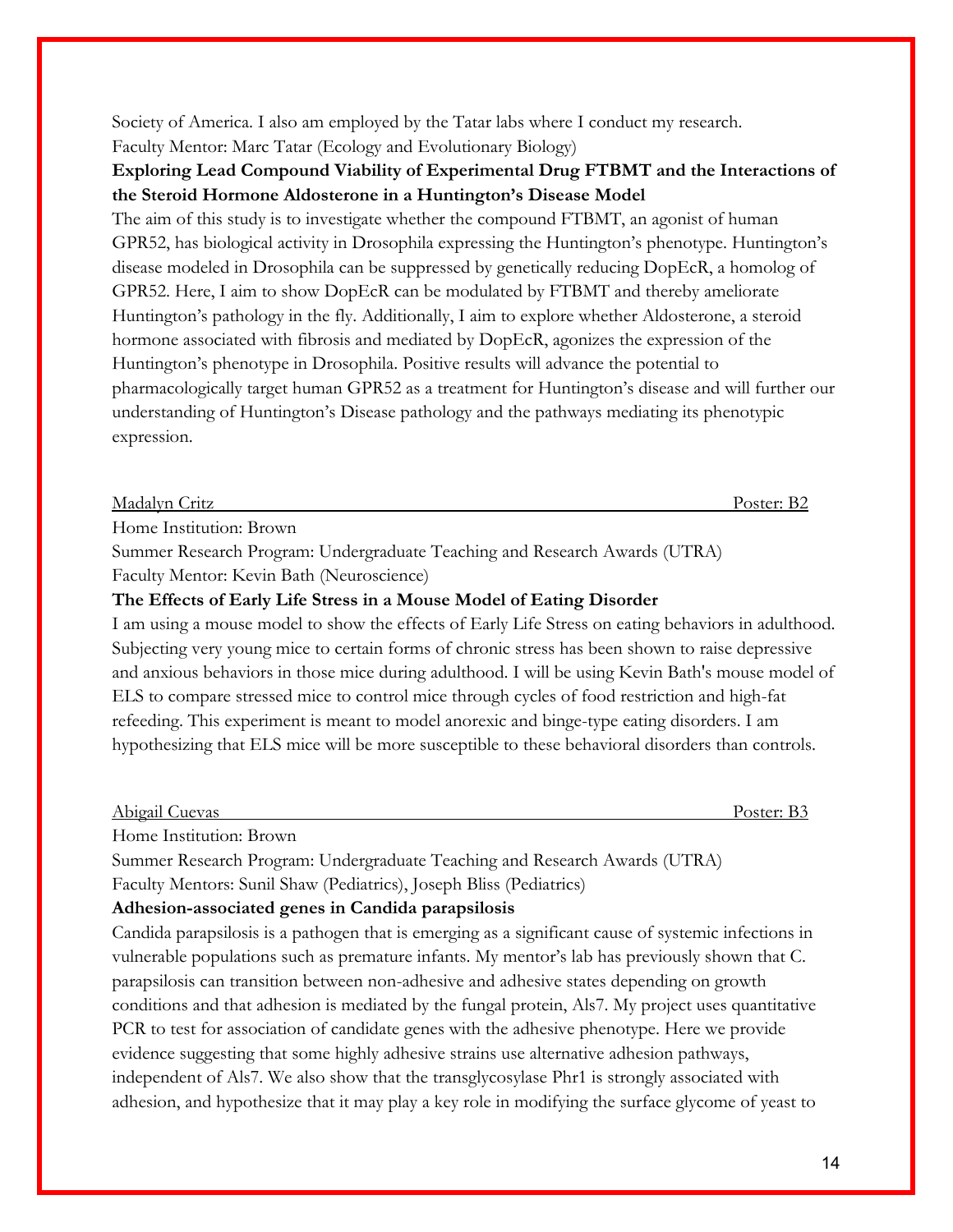Society of America. I also am employed by the Tatar labs where I conduct my research. Faculty Mentor: Marc Tatar (Ecology and Evolutionary Biology)

# **Exploring Lead Compound Viability of Experimental Drug FTBMT and the Interactions of the Steroid Hormone Aldosterone in a Huntington's Disease Model**

The aim of this study is to investigate whether the compound FTBMT, an agonist of human GPR52, has biological activity in Drosophila expressing the Huntington's phenotype. Huntington's disease modeled in Drosophila can be suppressed by genetically reducing DopEcR, a homolog of GPR52. Here, I aim to show DopEcR can be modulated by FTBMT and thereby ameliorate Huntington's pathology in the fly. Additionally, I aim to explore whether Aldosterone, a steroid hormone associated with fibrosis and mediated by DopEcR, agonizes the expression of the Huntington's phenotype in Drosophila. Positive results will advance the potential to pharmacologically target human GPR52 as a treatment for Huntington's disease and will further our understanding of Huntington's Disease pathology and the pathways mediating its phenotypic expression.

#### Madalyn Critz Poster: B2

Home Institution: Brown

Summer Research Program: Undergraduate Teaching and Research Awards (UTRA) Faculty Mentor: Kevin Bath (Neuroscience)

## **The Effects of Early Life Stress in a Mouse Model of Eating Disorder**

I am using a mouse model to show the effects of Early Life Stress on eating behaviors in adulthood. Subjecting very young mice to certain forms of chronic stress has been shown to raise depressive and anxious behaviors in those mice during adulthood. I will be using Kevin Bath's mouse model of ELS to compare stressed mice to control mice through cycles of food restriction and high-fat refeeding. This experiment is meant to model anorexic and binge-type eating disorders. I am hypothesizing that ELS mice will be more susceptible to these behavioral disorders than controls.

| Abigail (<br><b>Cuevas</b> | Poster: |
|----------------------------|---------|
|                            |         |

Home Institution: Brown

Summer Research Program: Undergraduate Teaching and Research Awards (UTRA)

Faculty Mentors: Sunil Shaw (Pediatrics), Joseph Bliss (Pediatrics)

### **Adhesion-associated genes in Candida parapsilosis**

Candida parapsilosis is a pathogen that is emerging as a significant cause of systemic infections in vulnerable populations such as premature infants. My mentor's lab has previously shown that C. parapsilosis can transition between non-adhesive and adhesive states depending on growth conditions and that adhesion is mediated by the fungal protein, Als7. My project uses quantitative PCR to test for association of candidate genes with the adhesive phenotype. Here we provide evidence suggesting that some highly adhesive strains use alternative adhesion pathways, independent of Als7. We also show that the transglycosylase Phr1 is strongly associated with adhesion, and hypothesize that it may play a key role in modifying the surface glycome of yeast to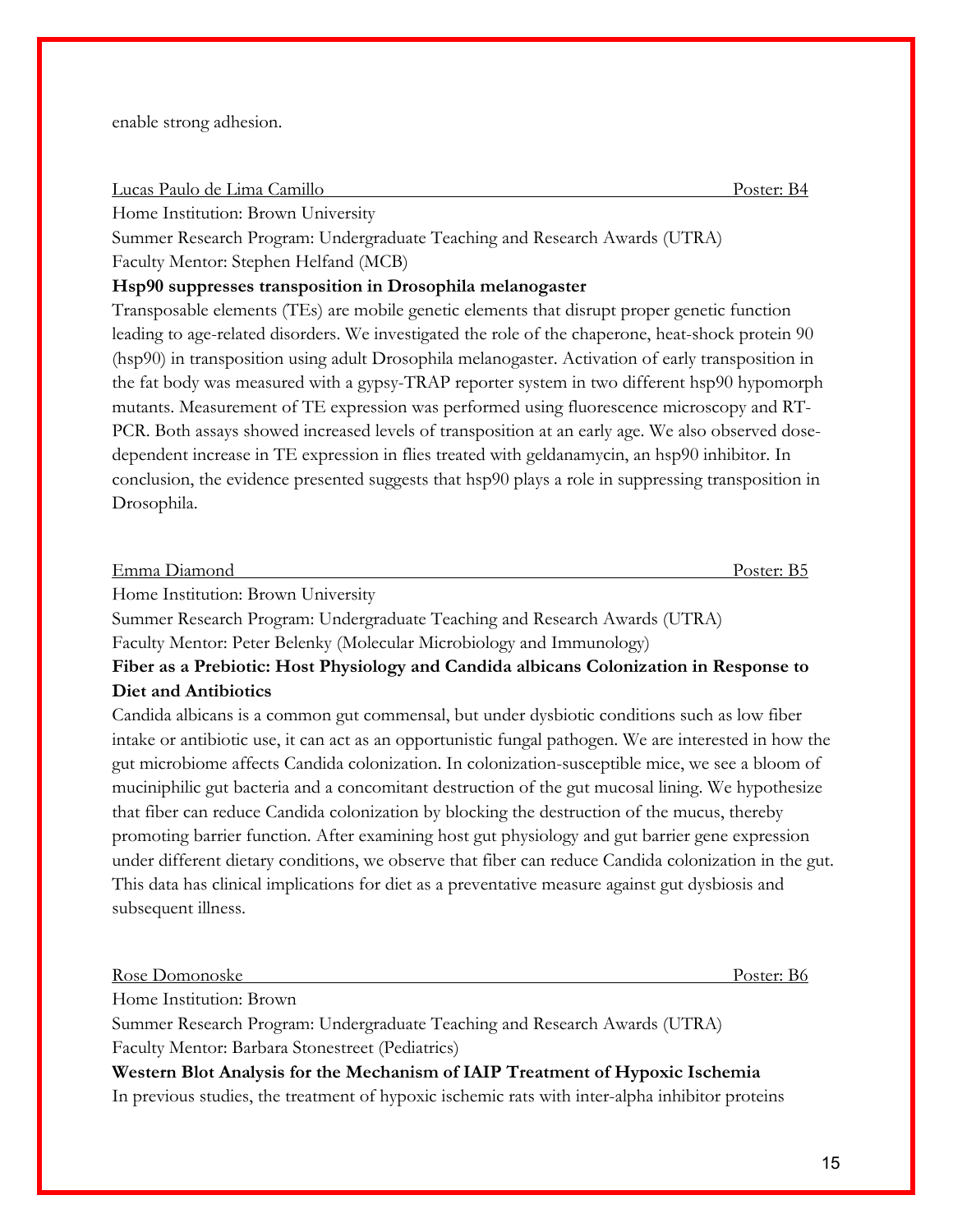enable strong adhesion.

Lucas Paulo de Lima Camillo Poster: B4

Home Institution: Brown University

Summer Research Program: Undergraduate Teaching and Research Awards (UTRA) Faculty Mentor: Stephen Helfand (MCB)

#### **Hsp90 suppresses transposition in Drosophila melanogaster**

Transposable elements (TEs) are mobile genetic elements that disrupt proper genetic function leading to age-related disorders. We investigated the role of the chaperone, heat-shock protein 90 (hsp90) in transposition using adult Drosophila melanogaster. Activation of early transposition in the fat body was measured with a gypsy-TRAP reporter system in two different hsp90 hypomorph mutants. Measurement of TE expression was performed using fluorescence microscopy and RT-PCR. Both assays showed increased levels of transposition at an early age. We also observed dosedependent increase in TE expression in flies treated with geldanamycin, an hsp90 inhibitor. In conclusion, the evidence presented suggests that hsp90 plays a role in suppressing transposition in Drosophila.

| Emma Diamond                       | Poster: B5 |
|------------------------------------|------------|
| Home Institution: Brown University |            |

Summer Research Program: Undergraduate Teaching and Research Awards (UTRA) Faculty Mentor: Peter Belenky (Molecular Microbiology and Immunology)

**Fiber as a Prebiotic: Host Physiology and Candida albicans Colonization in Response to Diet and Antibiotics**

Candida albicans is a common gut commensal, but under dysbiotic conditions such as low fiber intake or antibiotic use, it can act as an opportunistic fungal pathogen. We are interested in how the gut microbiome affects Candida colonization. In colonization-susceptible mice, we see a bloom of muciniphilic gut bacteria and a concomitant destruction of the gut mucosal lining. We hypothesize that fiber can reduce Candida colonization by blocking the destruction of the mucus, thereby promoting barrier function. After examining host gut physiology and gut barrier gene expression under different dietary conditions, we observe that fiber can reduce Candida colonization in the gut. This data has clinical implications for diet as a preventative measure against gut dysbiosis and subsequent illness.

| Rose Domonoske                                                                                  | Poster: B <sub>6</sub> |
|-------------------------------------------------------------------------------------------------|------------------------|
| Home Institution: Brown                                                                         |                        |
| Summer Research Program: Undergraduate Teaching and Research Awards (UTRA)                      |                        |
| Faculty Mentor: Barbara Stonestreet (Pediatrics)                                                |                        |
| Western Blot Analysis for the Mechanism of IAIP Treatment of Hypoxic Ischemia                   |                        |
| In previous studies, the treatment of hypoxic ischemic rats with inter-alpha inhibitor proteins |                        |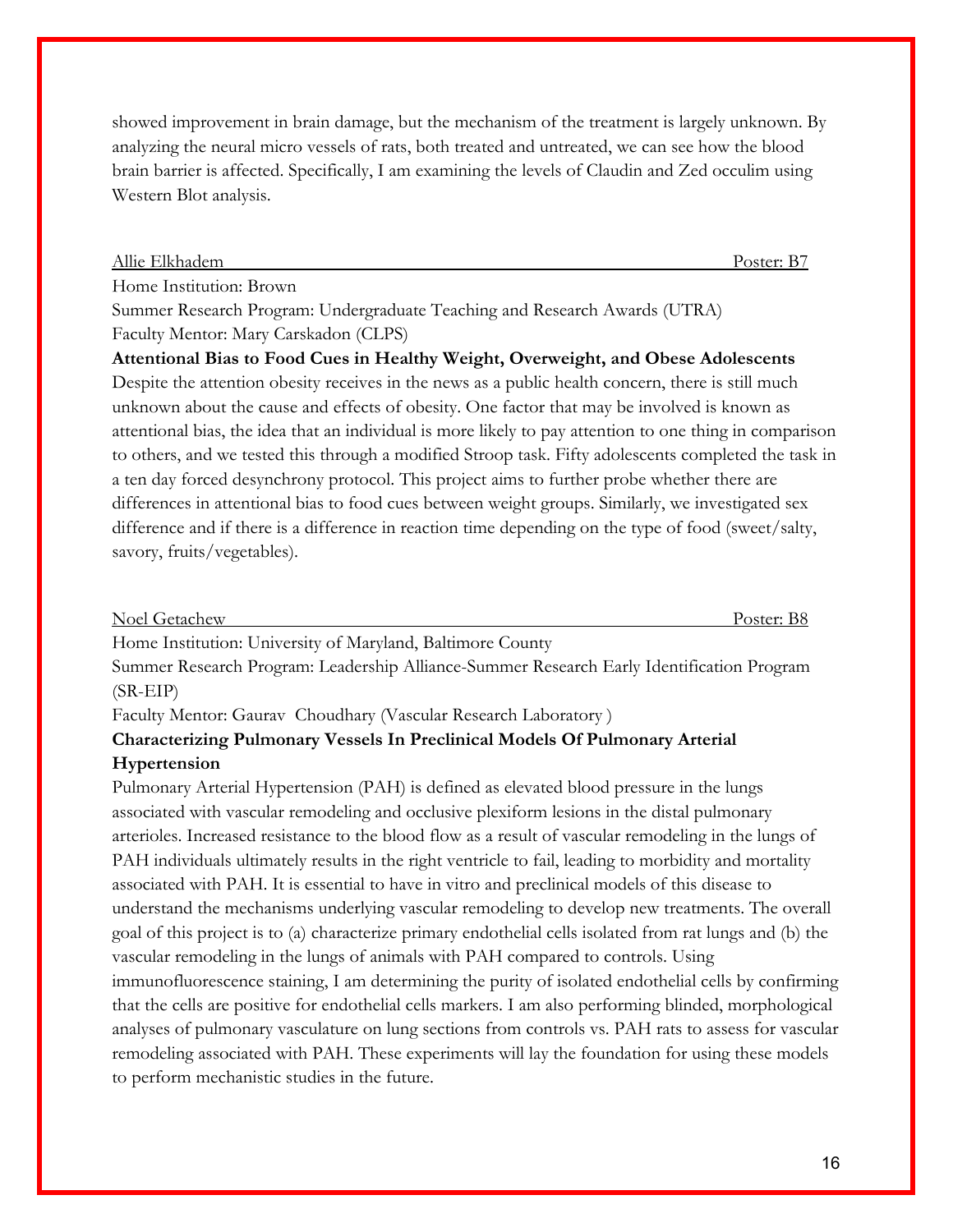showed improvement in brain damage, but the mechanism of the treatment is largely unknown. By analyzing the neural micro vessels of rats, both treated and untreated, we can see how the blood brain barrier is affected. Specifically, I am examining the levels of Claudin and Zed occulim using Western Blot analysis.

#### Allie Elkhadem Poster: B7

Home Institution: Brown

Summer Research Program: Undergraduate Teaching and Research Awards (UTRA) Faculty Mentor: Mary Carskadon (CLPS)

**Attentional Bias to Food Cues in Healthy Weight, Overweight, and Obese Adolescents** Despite the attention obesity receives in the news as a public health concern, there is still much unknown about the cause and effects of obesity. One factor that may be involved is known as attentional bias, the idea that an individual is more likely to pay attention to one thing in comparison to others, and we tested this through a modified Stroop task. Fifty adolescents completed the task in a ten day forced desynchrony protocol. This project aims to further probe whether there are differences in attentional bias to food cues between weight groups. Similarly, we investigated sex difference and if there is a difference in reaction time depending on the type of food (sweet/salty, savory, fruits/vegetables).

| Noel Getachew |  |   |        |  | $\mathrm{^{D}Oster:}$ $\mathrm{.}$ |
|---------------|--|---|--------|--|------------------------------------|
|               |  | . | $\sim$ |  |                                    |

Home Institution: University of Maryland, Baltimore County

Summer Research Program: Leadership Alliance-Summer Research Early Identification Program (SR-EIP)

Faculty Mentor: Gaurav Choudhary (Vascular Research Laboratory )

# **Characterizing Pulmonary Vessels In Preclinical Models Of Pulmonary Arterial Hypertension**

Pulmonary Arterial Hypertension (PAH) is defined as elevated blood pressure in the lungs associated with vascular remodeling and occlusive plexiform lesions in the distal pulmonary arterioles. Increased resistance to the blood flow as a result of vascular remodeling in the lungs of PAH individuals ultimately results in the right ventricle to fail, leading to morbidity and mortality associated with PAH. It is essential to have in vitro and preclinical models of this disease to understand the mechanisms underlying vascular remodeling to develop new treatments. The overall goal of this project is to (a) characterize primary endothelial cells isolated from rat lungs and (b) the vascular remodeling in the lungs of animals with PAH compared to controls. Using immunofluorescence staining, I am determining the purity of isolated endothelial cells by confirming that the cells are positive for endothelial cells markers. I am also performing blinded, morphological analyses of pulmonary vasculature on lung sections from controls vs. PAH rats to assess for vascular remodeling associated with PAH. These experiments will lay the foundation for using these models to perform mechanistic studies in the future.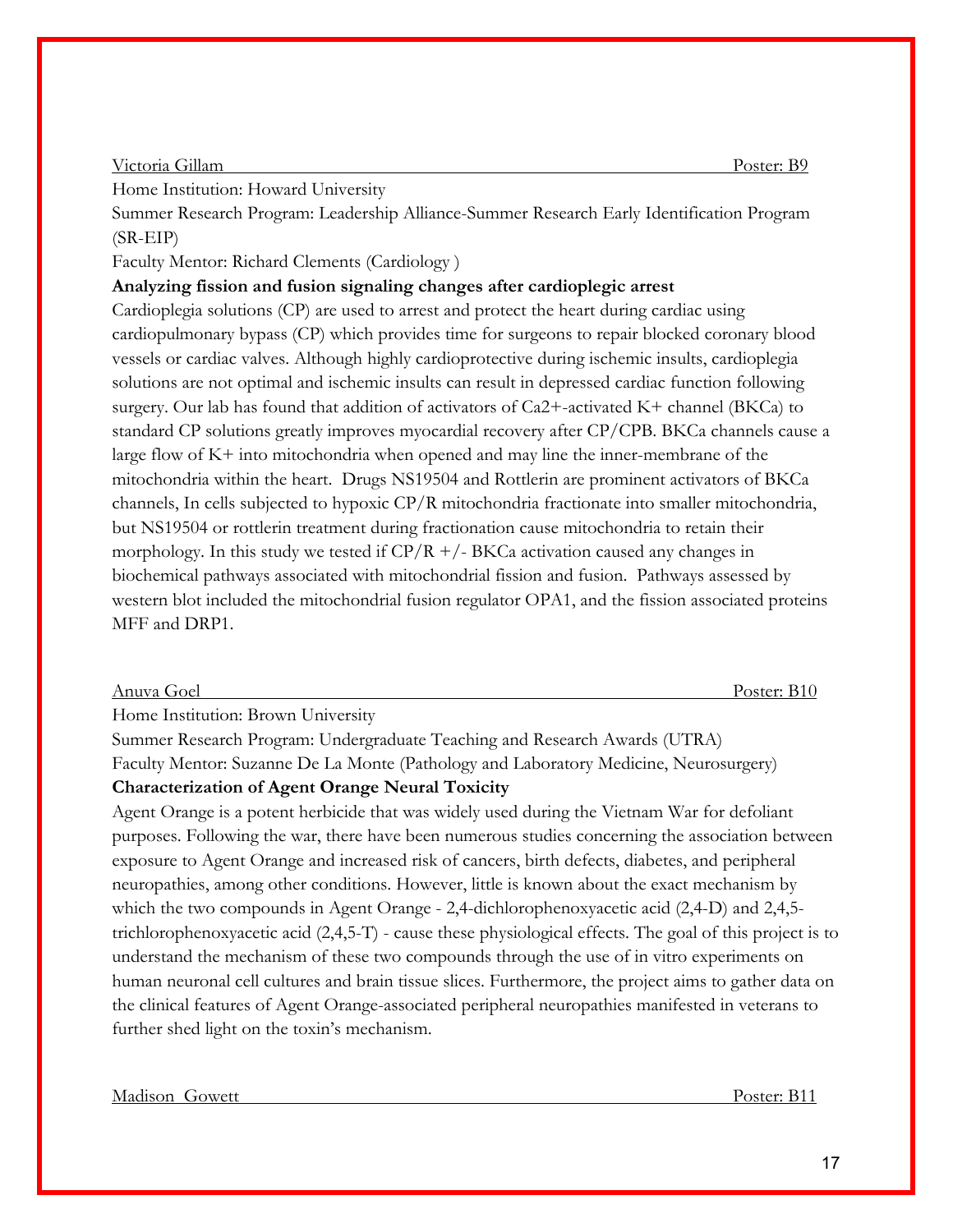#### Victoria Gillam Poster: B9

Home Institution: Howard University

Summer Research Program: Leadership Alliance-Summer Research Early Identification Program (SR-EIP)

Faculty Mentor: Richard Clements (Cardiology )

**Analyzing fission and fusion signaling changes after cardioplegic arrest**

Cardioplegia solutions (CP) are used to arrest and protect the heart during cardiac using cardiopulmonary bypass (CP) which provides time for surgeons to repair blocked coronary blood vessels or cardiac valves. Although highly cardioprotective during ischemic insults, cardioplegia solutions are not optimal and ischemic insults can result in depressed cardiac function following surgery. Our lab has found that addition of activators of Ca2+-activated K+ channel (BKCa) to standard CP solutions greatly improves myocardial recovery after CP/CPB. BKCa channels cause a large flow of K+ into mitochondria when opened and may line the inner-membrane of the mitochondria within the heart. Drugs NS19504 and Rottlerin are prominent activators of BKCa channels, In cells subjected to hypoxic CP/R mitochondria fractionate into smaller mitochondria, but NS19504 or rottlerin treatment during fractionation cause mitochondria to retain their morphology. In this study we tested if  $CP/R +/- BKG$  activation caused any changes in biochemical pathways associated with mitochondrial fission and fusion. Pathways assessed by western blot included the mitochondrial fusion regulator OPA1, and the fission associated proteins MFF and DRP1.

#### Anuva Goel Poster: B10

Home Institution: Brown University

Summer Research Program: Undergraduate Teaching and Research Awards (UTRA) Faculty Mentor: Suzanne De La Monte (Pathology and Laboratory Medicine, Neurosurgery) **Characterization of Agent Orange Neural Toxicity**

Agent Orange is a potent herbicide that was widely used during the Vietnam War for defoliant purposes. Following the war, there have been numerous studies concerning the association between exposure to Agent Orange and increased risk of cancers, birth defects, diabetes, and peripheral neuropathies, among other conditions. However, little is known about the exact mechanism by which the two compounds in Agent Orange - 2,4-dichlorophenoxyacetic acid (2,4-D) and 2,4,5trichlorophenoxyacetic acid (2,4,5-T) - cause these physiological effects. The goal of this project is to understand the mechanism of these two compounds through the use of in vitro experiments on human neuronal cell cultures and brain tissue slices. Furthermore, the project aims to gather data on the clinical features of Agent Orange-associated peripheral neuropathies manifested in veterans to further shed light on the toxin's mechanism.

Madison Gowett Poster: B11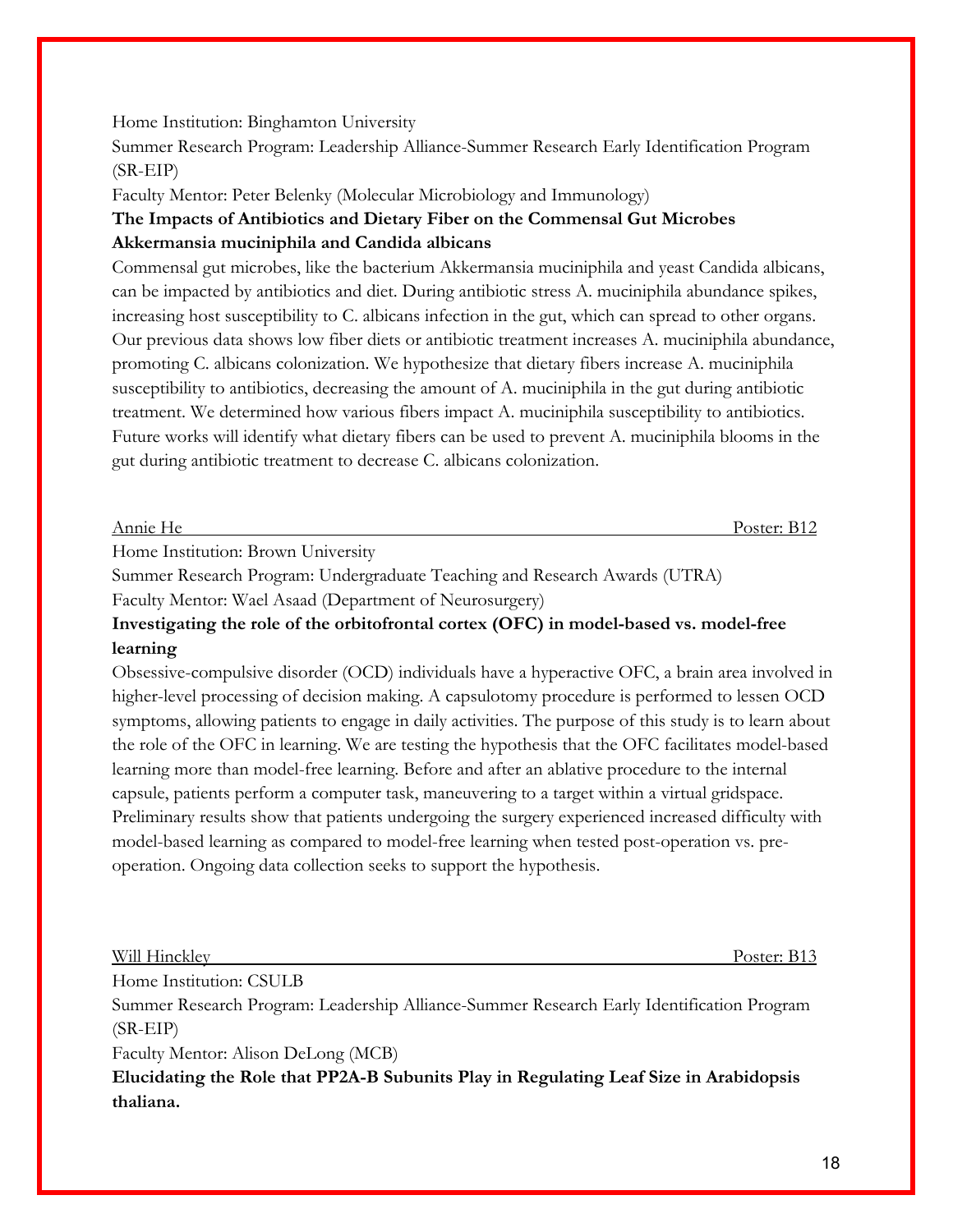## Home Institution: Binghamton University

Summer Research Program: Leadership Alliance-Summer Research Early Identification Program (SR-EIP)

Faculty Mentor: Peter Belenky (Molecular Microbiology and Immunology)

# **The Impacts of Antibiotics and Dietary Fiber on the Commensal Gut Microbes Akkermansia muciniphila and Candida albicans**

Commensal gut microbes, like the bacterium Akkermansia muciniphila and yeast Candida albicans, can be impacted by antibiotics and diet. During antibiotic stress A. muciniphila abundance spikes, increasing host susceptibility to C. albicans infection in the gut, which can spread to other organs. Our previous data shows low fiber diets or antibiotic treatment increases A. muciniphila abundance, promoting C. albicans colonization. We hypothesize that dietary fibers increase A. muciniphila susceptibility to antibiotics, decreasing the amount of A. muciniphila in the gut during antibiotic treatment. We determined how various fibers impact A. muciniphila susceptibility to antibiotics. Future works will identify what dietary fibers can be used to prevent A. muciniphila blooms in the gut during antibiotic treatment to decrease C. albicans colonization.

Annie He Poster: B12

Home Institution: Brown University

Summer Research Program: Undergraduate Teaching and Research Awards (UTRA)

Faculty Mentor: Wael Asaad (Department of Neurosurgery)

# **Investigating the role of the orbitofrontal cortex (OFC) in model-based vs. model-free learning**

Obsessive-compulsive disorder (OCD) individuals have a hyperactive OFC, a brain area involved in higher-level processing of decision making. A capsulotomy procedure is performed to lessen OCD symptoms, allowing patients to engage in daily activities. The purpose of this study is to learn about the role of the OFC in learning. We are testing the hypothesis that the OFC facilitates model-based learning more than model-free learning. Before and after an ablative procedure to the internal capsule, patients perform a computer task, maneuvering to a target within a virtual gridspace. Preliminary results show that patients undergoing the surgery experienced increased difficulty with model-based learning as compared to model-free learning when tested post-operation vs. preoperation. Ongoing data collection seeks to support the hypothesis.

Will Hinckley Poster: B13

Home Institution: CSULB

Summer Research Program: Leadership Alliance-Summer Research Early Identification Program (SR-EIP)

Faculty Mentor: Alison DeLong (MCB)

**Elucidating the Role that PP2A-B Subunits Play in Regulating Leaf Size in Arabidopsis thaliana.**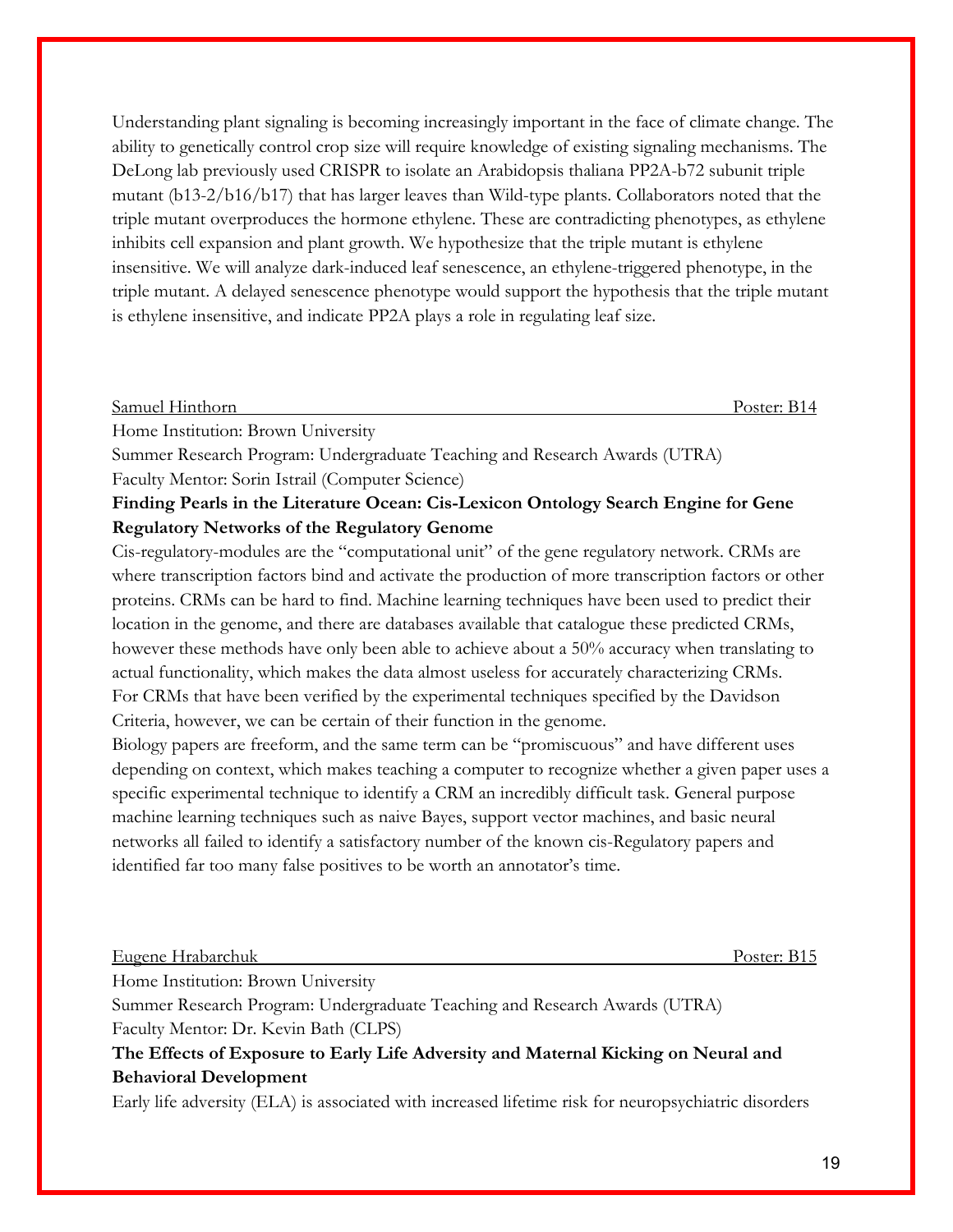Understanding plant signaling is becoming increasingly important in the face of climate change. The ability to genetically control crop size will require knowledge of existing signaling mechanisms. The DeLong lab previously used CRISPR to isolate an Arabidopsis thaliana PP2A-b72 subunit triple mutant (b13-2/b16/b17) that has larger leaves than Wild-type plants. Collaborators noted that the triple mutant overproduces the hormone ethylene. These are contradicting phenotypes, as ethylene inhibits cell expansion and plant growth. We hypothesize that the triple mutant is ethylene insensitive. We will analyze dark-induced leaf senescence, an ethylene-triggered phenotype, in the triple mutant. A delayed senescence phenotype would support the hypothesis that the triple mutant is ethylene insensitive, and indicate PP2A plays a role in regulating leaf size.

#### Samuel Hinthorn Poster: B14

Home Institution: Brown University

Summer Research Program: Undergraduate Teaching and Research Awards (UTRA) Faculty Mentor: Sorin Istrail (Computer Science)

# **Finding Pearls in the Literature Ocean: Cis-Lexicon Ontology Search Engine for Gene Regulatory Networks of the Regulatory Genome**

Cis-regulatory-modules are the "computational unit" of the gene regulatory network. CRMs are where transcription factors bind and activate the production of more transcription factors or other proteins. CRMs can be hard to find. Machine learning techniques have been used to predict their location in the genome, and there are databases available that catalogue these predicted CRMs, however these methods have only been able to achieve about a 50% accuracy when translating to actual functionality, which makes the data almost useless for accurately characterizing CRMs. For CRMs that have been verified by the experimental techniques specified by the Davidson Criteria, however, we can be certain of their function in the genome.

Biology papers are freeform, and the same term can be "promiscuous" and have different uses depending on context, which makes teaching a computer to recognize whether a given paper uses a specific experimental technique to identify a CRM an incredibly difficult task. General purpose machine learning techniques such as naive Bayes, support vector machines, and basic neural networks all failed to identify a satisfactory number of the known cis-Regulatory papers and identified far too many false positives to be worth an annotator's time.

#### Eugene Hrabarchuk Poster: B15

Home Institution: Brown University

Summer Research Program: Undergraduate Teaching and Research Awards (UTRA) Faculty Mentor: Dr. Kevin Bath (CLPS)

**The Effects of Exposure to Early Life Adversity and Maternal Kicking on Neural and Behavioral Development**

Early life adversity (ELA) is associated with increased lifetime risk for neuropsychiatric disorders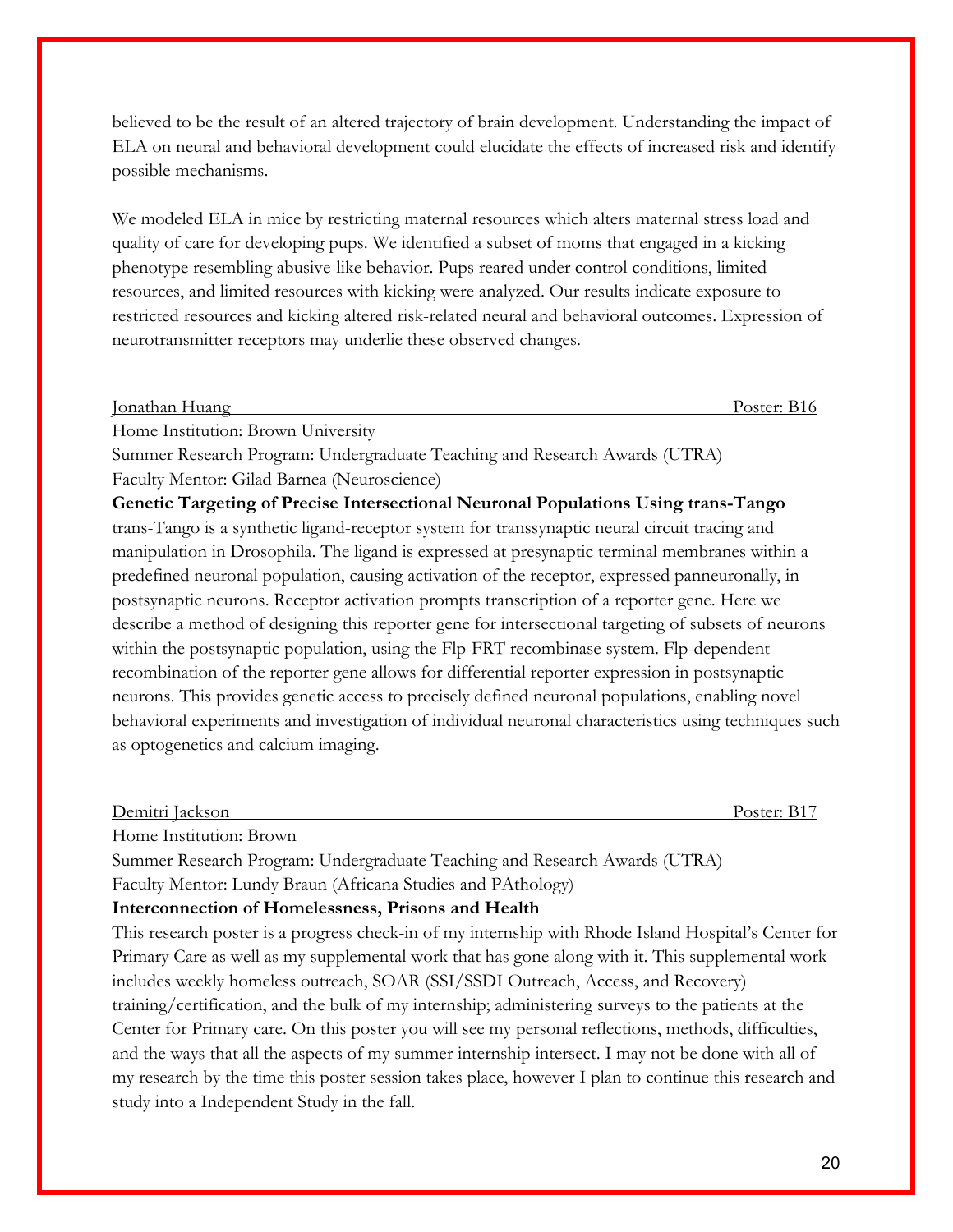believed to be the result of an altered trajectory of brain development. Understanding the impact of ELA on neural and behavioral development could elucidate the effects of increased risk and identify possible mechanisms.

We modeled ELA in mice by restricting maternal resources which alters maternal stress load and quality of care for developing pups. We identified a subset of moms that engaged in a kicking phenotype resembling abusive-like behavior. Pups reared under control conditions, limited resources, and limited resources with kicking were analyzed. Our results indicate exposure to restricted resources and kicking altered risk-related neural and behavioral outcomes. Expression of neurotransmitter receptors may underlie these observed changes.

Jonathan Huang Poster: B16

Home Institution: Brown University

Summer Research Program: Undergraduate Teaching and Research Awards (UTRA) Faculty Mentor: Gilad Barnea (Neuroscience)

**Genetic Targeting of Precise Intersectional Neuronal Populations Using trans-Tango** trans-Tango is a synthetic ligand-receptor system for transsynaptic neural circuit tracing and manipulation in Drosophila. The ligand is expressed at presynaptic terminal membranes within a predefined neuronal population, causing activation of the receptor, expressed panneuronally, in postsynaptic neurons. Receptor activation prompts transcription of a reporter gene. Here we describe a method of designing this reporter gene for intersectional targeting of subsets of neurons within the postsynaptic population, using the Flp-FRT recombinase system. Flp-dependent recombination of the reporter gene allows for differential reporter expression in postsynaptic neurons. This provides genetic access to precisely defined neuronal populations, enabling novel behavioral experiments and investigation of individual neuronal characteristics using techniques such as optogenetics and calcium imaging.

Demitri Jackson Poster: B17

Home Institution: Brown

Summer Research Program: Undergraduate Teaching and Research Awards (UTRA)

Faculty Mentor: Lundy Braun (Africana Studies and PAthology)

#### **Interconnection of Homelessness, Prisons and Health**

This research poster is a progress check-in of my internship with Rhode Island Hospital's Center for Primary Care as well as my supplemental work that has gone along with it. This supplemental work includes weekly homeless outreach, SOAR (SSI/SSDI Outreach, Access, and Recovery) training/certification, and the bulk of my internship; administering surveys to the patients at the Center for Primary care. On this poster you will see my personal reflections, methods, difficulties, and the ways that all the aspects of my summer internship intersect. I may not be done with all of my research by the time this poster session takes place, however I plan to continue this research and study into a Independent Study in the fall.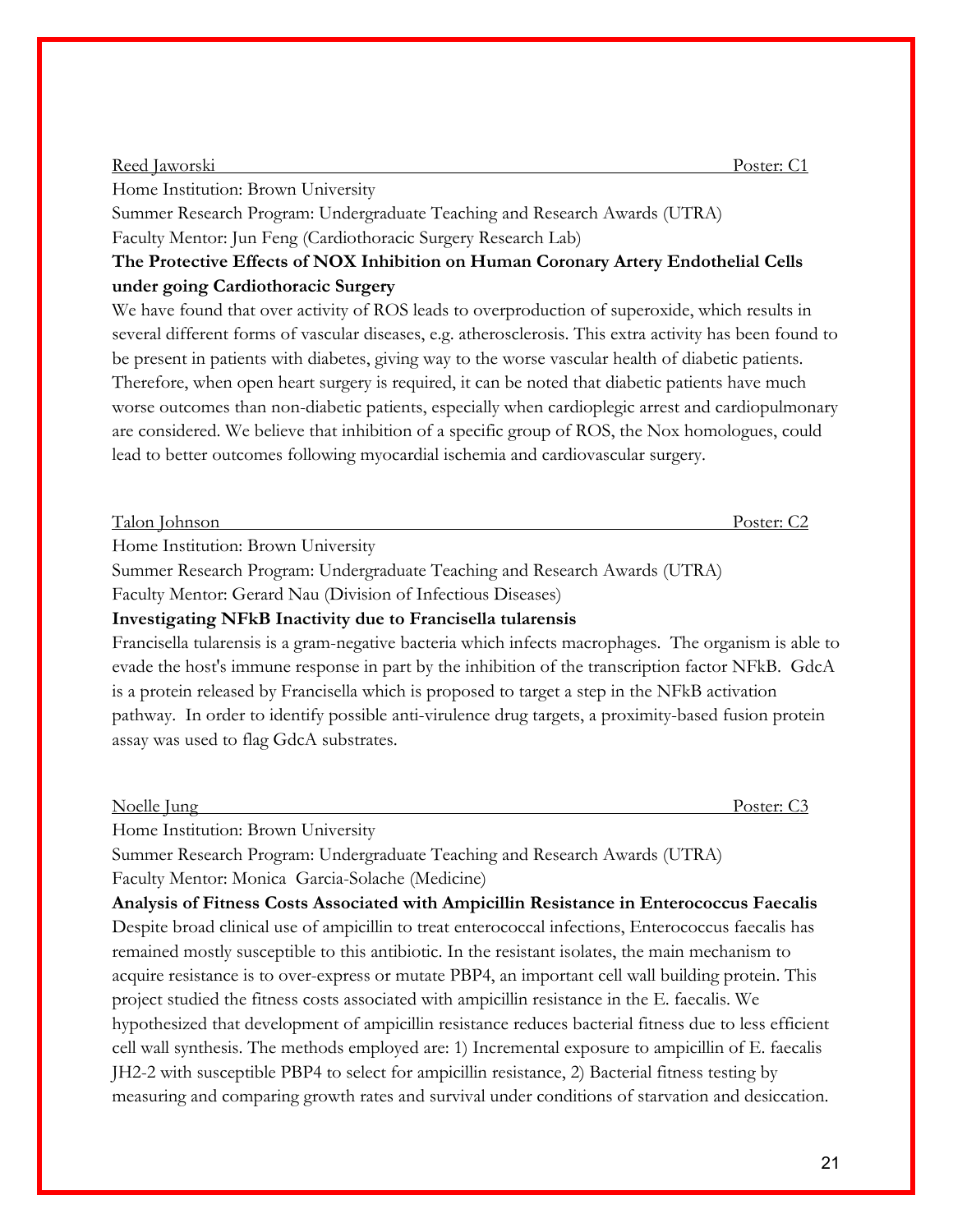#### Reed Jaworski Poster: C1

Home Institution: Brown University

Summer Research Program: Undergraduate Teaching and Research Awards (UTRA) Faculty Mentor: Jun Feng (Cardiothoracic Surgery Research Lab)

# **The Protective Effects of NOX Inhibition on Human Coronary Artery Endothelial Cells under going Cardiothoracic Surgery**

We have found that over activity of ROS leads to overproduction of superoxide, which results in several different forms of vascular diseases, e.g. atherosclerosis. This extra activity has been found to be present in patients with diabetes, giving way to the worse vascular health of diabetic patients. Therefore, when open heart surgery is required, it can be noted that diabetic patients have much worse outcomes than non-diabetic patients, especially when cardioplegic arrest and cardiopulmonary are considered. We believe that inhibition of a specific group of ROS, the Nox homologues, could lead to better outcomes following myocardial ischemia and cardiovascular surgery.

Home Institution: Brown University

Summer Research Program: Undergraduate Teaching and Research Awards (UTRA)

Faculty Mentor: Gerard Nau (Division of Infectious Diseases)

# **Investigating NFkB Inactivity due to Francisella tularensis**

Francisella tularensis is a gram-negative bacteria which infects macrophages. The organism is able to evade the host's immune response in part by the inhibition of the transcription factor NFkB. GdcA is a protein released by Francisella which is proposed to target a step in the NFkB activation pathway. In order to identify possible anti-virulence drug targets, a proximity-based fusion protein assay was used to flag GdcA substrates.

| Noelle | Jung | warter.<br>$\widetilde{\phantom{a}}$ |
|--------|------|--------------------------------------|
|        |      |                                      |

Home Institution: Brown University

Summer Research Program: Undergraduate Teaching and Research Awards (UTRA)

Faculty Mentor: Monica Garcia-Solache (Medicine) **Analysis of Fitness Costs Associated with Ampicillin Resistance in Enterococcus Faecalis** Despite broad clinical use of ampicillin to treat enterococcal infections, Enterococcus faecalis has remained mostly susceptible to this antibiotic. In the resistant isolates, the main mechanism to acquire resistance is to over-express or mutate PBP4, an important cell wall building protein. This project studied the fitness costs associated with ampicillin resistance in the E. faecalis. We hypothesized that development of ampicillin resistance reduces bacterial fitness due to less efficient cell wall synthesis. The methods employed are: 1) Incremental exposure to ampicillin of E. faecalis JH2-2 with susceptible PBP4 to select for ampicillin resistance, 2) Bacterial fitness testing by measuring and comparing growth rates and survival under conditions of starvation and desiccation.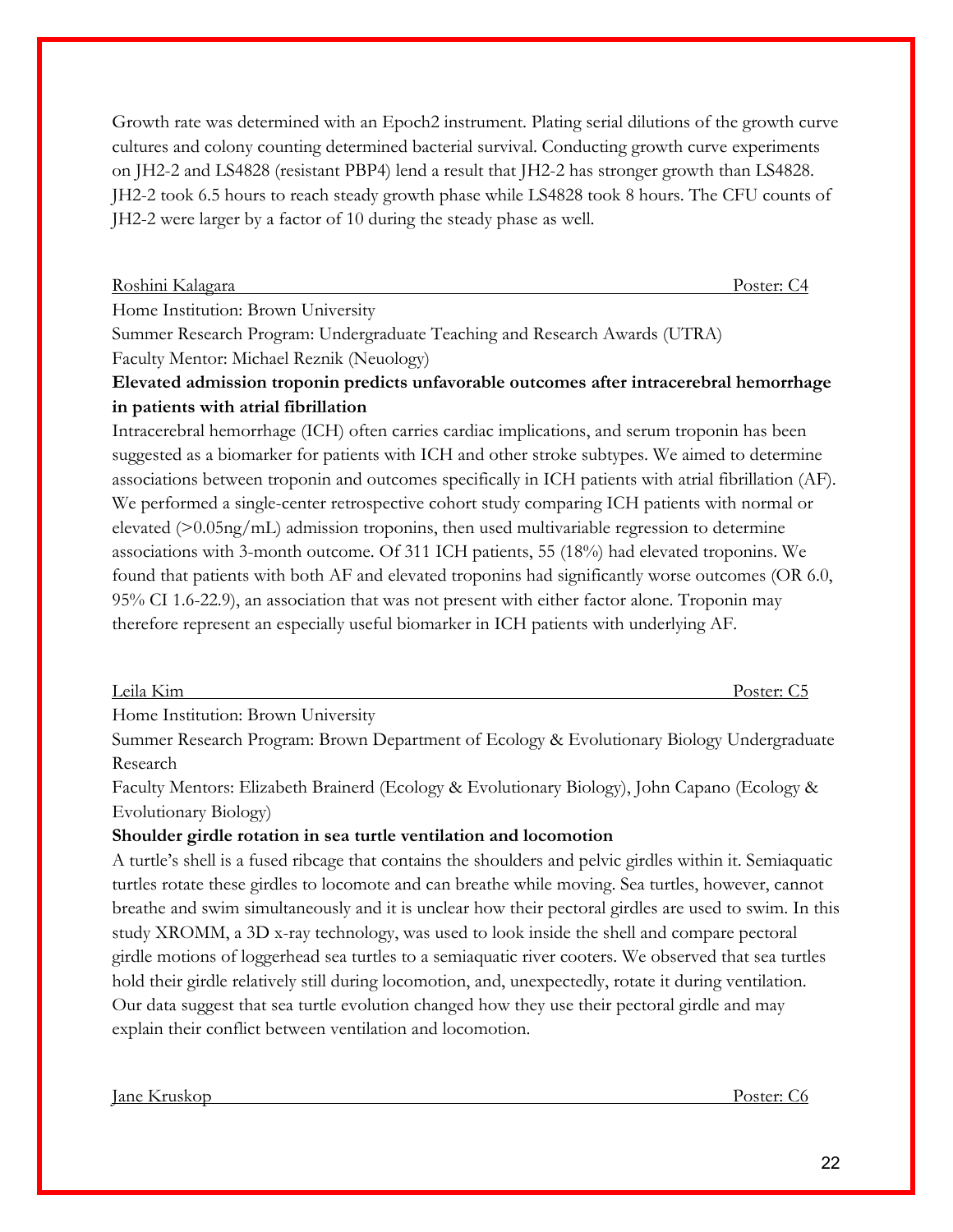Growth rate was determined with an Epoch2 instrument. Plating serial dilutions of the growth curve cultures and colony counting determined bacterial survival. Conducting growth curve experiments on JH2-2 and LS4828 (resistant PBP4) lend a result that JH2-2 has stronger growth than LS4828. JH2-2 took 6.5 hours to reach steady growth phase while LS4828 took 8 hours. The CFU counts of JH2-2 were larger by a factor of 10 during the steady phase as well.

Roshini Kalagara Poster: C4

Home Institution: Brown University

Summer Research Program: Undergraduate Teaching and Research Awards (UTRA)

Faculty Mentor: Michael Reznik (Neuology)

# **Elevated admission troponin predicts unfavorable outcomes after intracerebral hemorrhage in patients with atrial fibrillation**

Intracerebral hemorrhage (ICH) often carries cardiac implications, and serum troponin has been suggested as a biomarker for patients with ICH and other stroke subtypes. We aimed to determine associations between troponin and outcomes specifically in ICH patients with atrial fibrillation (AF). We performed a single-center retrospective cohort study comparing ICH patients with normal or elevated (>0.05ng/mL) admission troponins, then used multivariable regression to determine associations with 3-month outcome. Of 311 ICH patients, 55 (18%) had elevated troponins. We found that patients with both AF and elevated troponins had significantly worse outcomes (OR 6.0, 95% CI 1.6-22.9), an association that was not present with either factor alone. Troponin may therefore represent an especially useful biomarker in ICH patients with underlying AF.

Leila Kim Poster: C5

Home Institution: Brown University

Summer Research Program: Brown Department of Ecology & Evolutionary Biology Undergraduate Research

Faculty Mentors: Elizabeth Brainerd (Ecology & Evolutionary Biology), John Capano (Ecology & Evolutionary Biology)

# **Shoulder girdle rotation in sea turtle ventilation and locomotion**

A turtle's shell is a fused ribcage that contains the shoulders and pelvic girdles within it. Semiaquatic turtles rotate these girdles to locomote and can breathe while moving. Sea turtles, however, cannot breathe and swim simultaneously and it is unclear how their pectoral girdles are used to swim. In this study XROMM, a 3D x-ray technology, was used to look inside the shell and compare pectoral girdle motions of loggerhead sea turtles to a semiaquatic river cooters. We observed that sea turtles hold their girdle relatively still during locomotion, and, unexpectedly, rotate it during ventilation. Our data suggest that sea turtle evolution changed how they use their pectoral girdle and may explain their conflict between ventilation and locomotion.

Jane Kruskop Poster: C6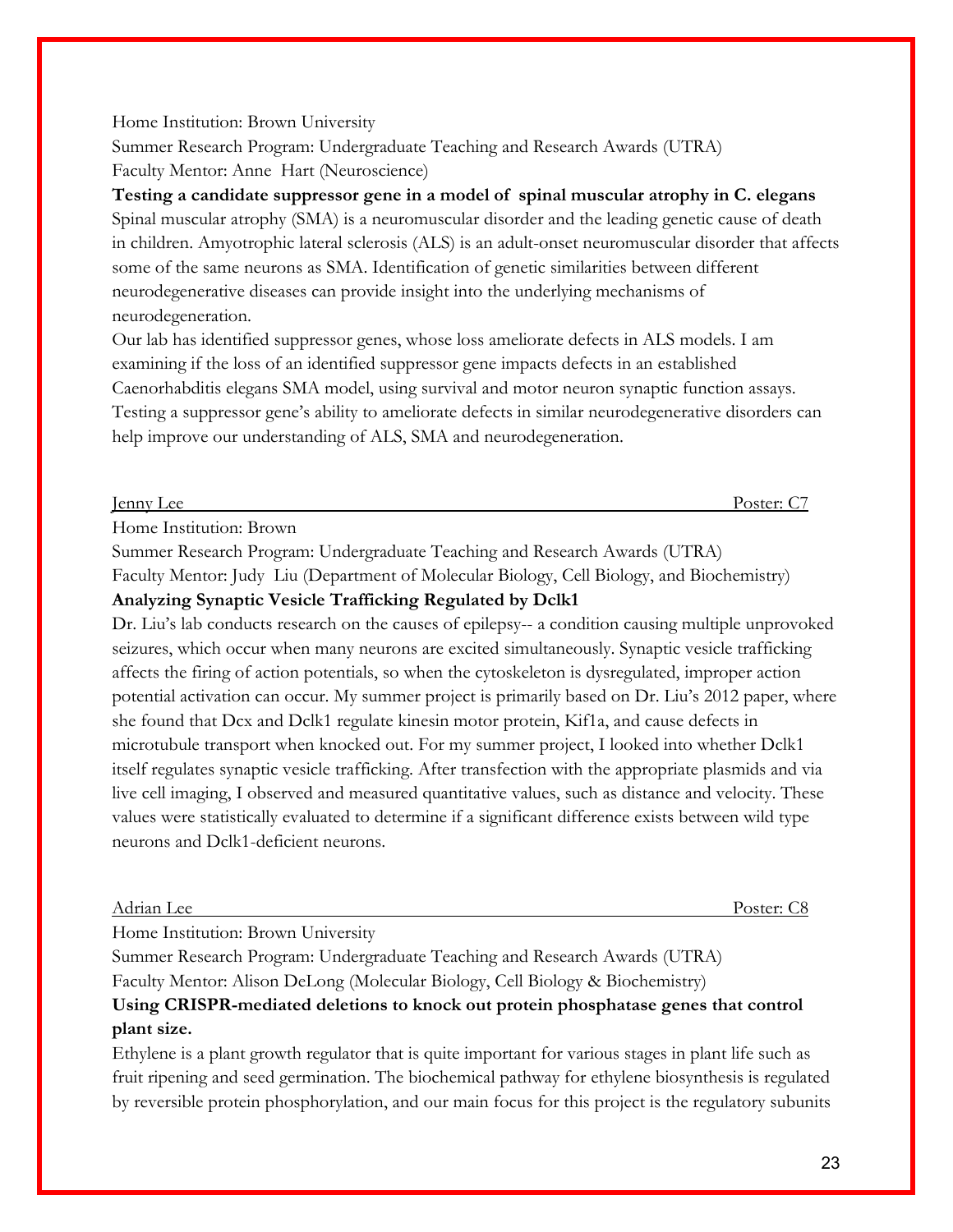# Home Institution: Brown University

Summer Research Program: Undergraduate Teaching and Research Awards (UTRA) Faculty Mentor: Anne Hart (Neuroscience)

**Testing a candidate suppressor gene in a model of spinal muscular atrophy in C. elegans** Spinal muscular atrophy (SMA) is a neuromuscular disorder and the leading genetic cause of death in children. Amyotrophic lateral sclerosis (ALS) is an adult-onset neuromuscular disorder that affects some of the same neurons as SMA. Identification of genetic similarities between different neurodegenerative diseases can provide insight into the underlying mechanisms of neurodegeneration.

Our lab has identified suppressor genes, whose loss ameliorate defects in ALS models. I am examining if the loss of an identified suppressor gene impacts defects in an established Caenorhabditis elegans SMA model, using survival and motor neuron synaptic function assays. Testing a suppressor gene's ability to ameliorate defects in similar neurodegenerative disorders can help improve our understanding of ALS, SMA and neurodegeneration.

**Jenny Lee** Poster: C7

Home Institution: Brown

Summer Research Program: Undergraduate Teaching and Research Awards (UTRA)

Faculty Mentor: Judy Liu (Department of Molecular Biology, Cell Biology, and Biochemistry) **Analyzing Synaptic Vesicle Trafficking Regulated by Dclk1**

Dr. Liu's lab conducts research on the causes of epilepsy-- a condition causing multiple unprovoked seizures, which occur when many neurons are excited simultaneously. Synaptic vesicle trafficking affects the firing of action potentials, so when the cytoskeleton is dysregulated, improper action potential activation can occur. My summer project is primarily based on Dr. Liu's 2012 paper, where she found that Dcx and Dclk1 regulate kinesin motor protein, Kif1a, and cause defects in microtubule transport when knocked out. For my summer project, I looked into whether Dclk1 itself regulates synaptic vesicle trafficking. After transfection with the appropriate plasmids and via live cell imaging, I observed and measured quantitative values, such as distance and velocity. These values were statistically evaluated to determine if a significant difference exists between wild type neurons and Dclk1-deficient neurons.

# Adrian Lee Poster: C8

Home Institution: Brown University

Summer Research Program: Undergraduate Teaching and Research Awards (UTRA) Faculty Mentor: Alison DeLong (Molecular Biology, Cell Biology & Biochemistry)

# **Using CRISPR-mediated deletions to knock out protein phosphatase genes that control plant size.**

Ethylene is a plant growth regulator that is quite important for various stages in plant life such as fruit ripening and seed germination. The biochemical pathway for ethylene biosynthesis is regulated by reversible protein phosphorylation, and our main focus for this project is the regulatory subunits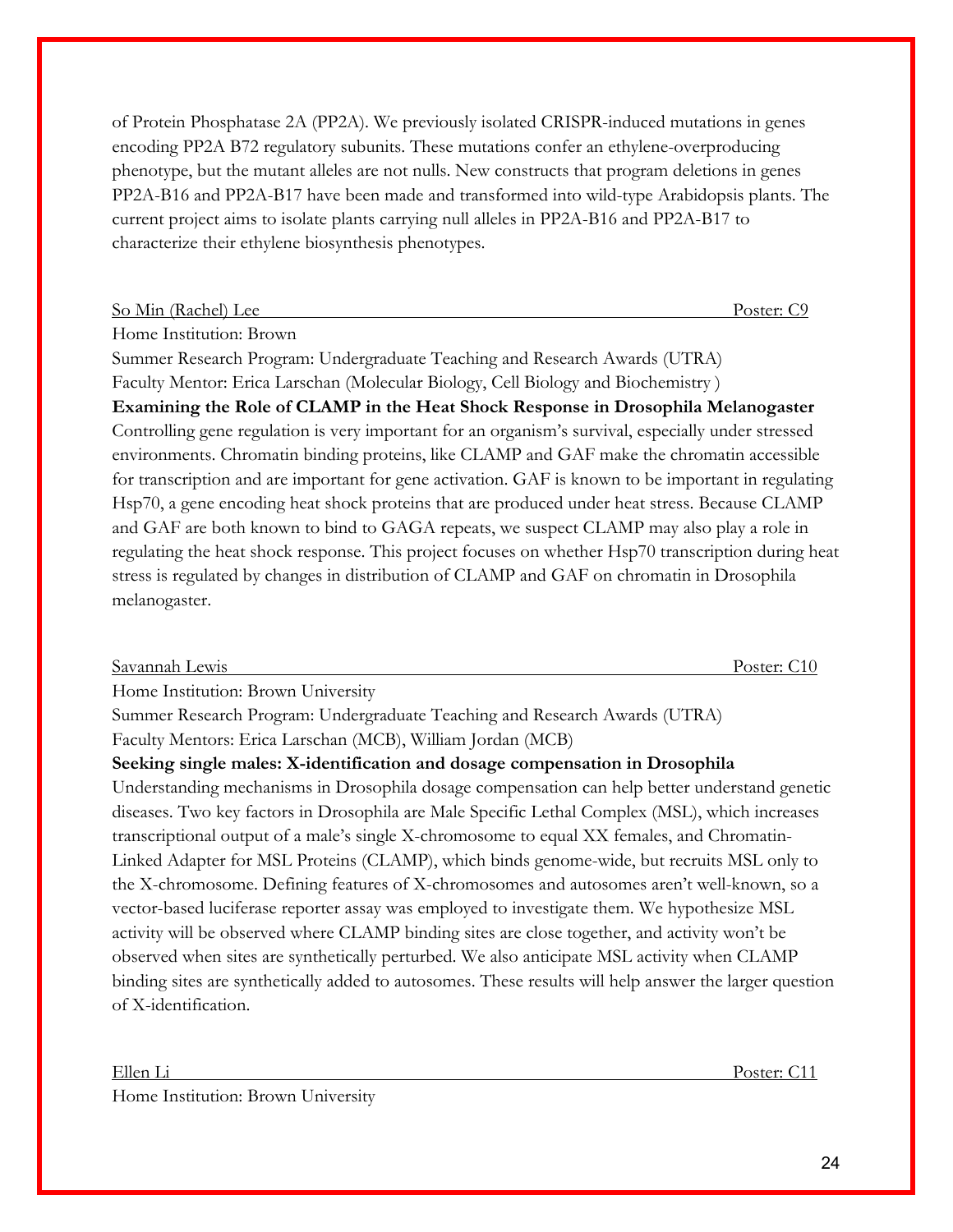of Protein Phosphatase 2A (PP2A). We previously isolated CRISPR-induced mutations in genes encoding PP2A B72 regulatory subunits. These mutations confer an ethylene-overproducing phenotype, but the mutant alleles are not nulls. New constructs that program deletions in genes PP2A-B16 and PP2A-B17 have been made and transformed into wild-type Arabidopsis plants. The current project aims to isolate plants carrying null alleles in PP2A-B16 and PP2A-B17 to characterize their ethylene biosynthesis phenotypes.

#### So Min (Rachel) Lee Poster: C9

Home Institution: Brown

Summer Research Program: Undergraduate Teaching and Research Awards (UTRA) Faculty Mentor: Erica Larschan (Molecular Biology, Cell Biology and Biochemistry ) **Examining the Role of CLAMP in the Heat Shock Response in Drosophila Melanogaster**  Controlling gene regulation is very important for an organism's survival, especially under stressed environments. Chromatin binding proteins, like CLAMP and GAF make the chromatin accessible for transcription and are important for gene activation. GAF is known to be important in regulating Hsp70, a gene encoding heat shock proteins that are produced under heat stress. Because CLAMP and GAF are both known to bind to GAGA repeats, we suspect CLAMP may also play a role in regulating the heat shock response. This project focuses on whether Hsp70 transcription during heat stress is regulated by changes in distribution of CLAMP and GAF on chromatin in Drosophila melanogaster.

| Savannah Lewis                                                                                         | Poster: C10 |
|--------------------------------------------------------------------------------------------------------|-------------|
| Home Institution: Brown University                                                                     |             |
| Summer Research Program: Undergraduate Teaching and Research Awards (UTRA)                             |             |
| Faculty Mentors: Erica Larschan (MCB), William Jordan (MCB)                                            |             |
| Seeking single males: X-identification and dosage compensation in Drosophila                           |             |
| Understanding mechanisms in Drosophila dosage compensation can help better understand genetic          |             |
| diseases. Two key factors in Drosophila are Male Specific Lethal Complex (MSL), which increases        |             |
| transcriptional output of a male's single X-chromosome to equal XX females, and Chromatin-             |             |
| Linked Adapter for MSL Proteins (CLAMP), which binds genome-wide, but recruits MSL only to             |             |
| the X-chromosome. Defining features of X-chromosomes and autosomes aren't well-known, so a             |             |
| vector-based luciferase reporter assay was employed to investigate them. We hypothesize MSL            |             |
| activity will be observed where CLAMP binding sites are close together, and activity won't be          |             |
| observed when sites are synthetically perturbed. We also anticipate MSL activity when CLAMP            |             |
| binding sites are synthetically added to autosomes. These results will help answer the larger question |             |
| of X-identification.                                                                                   |             |
|                                                                                                        |             |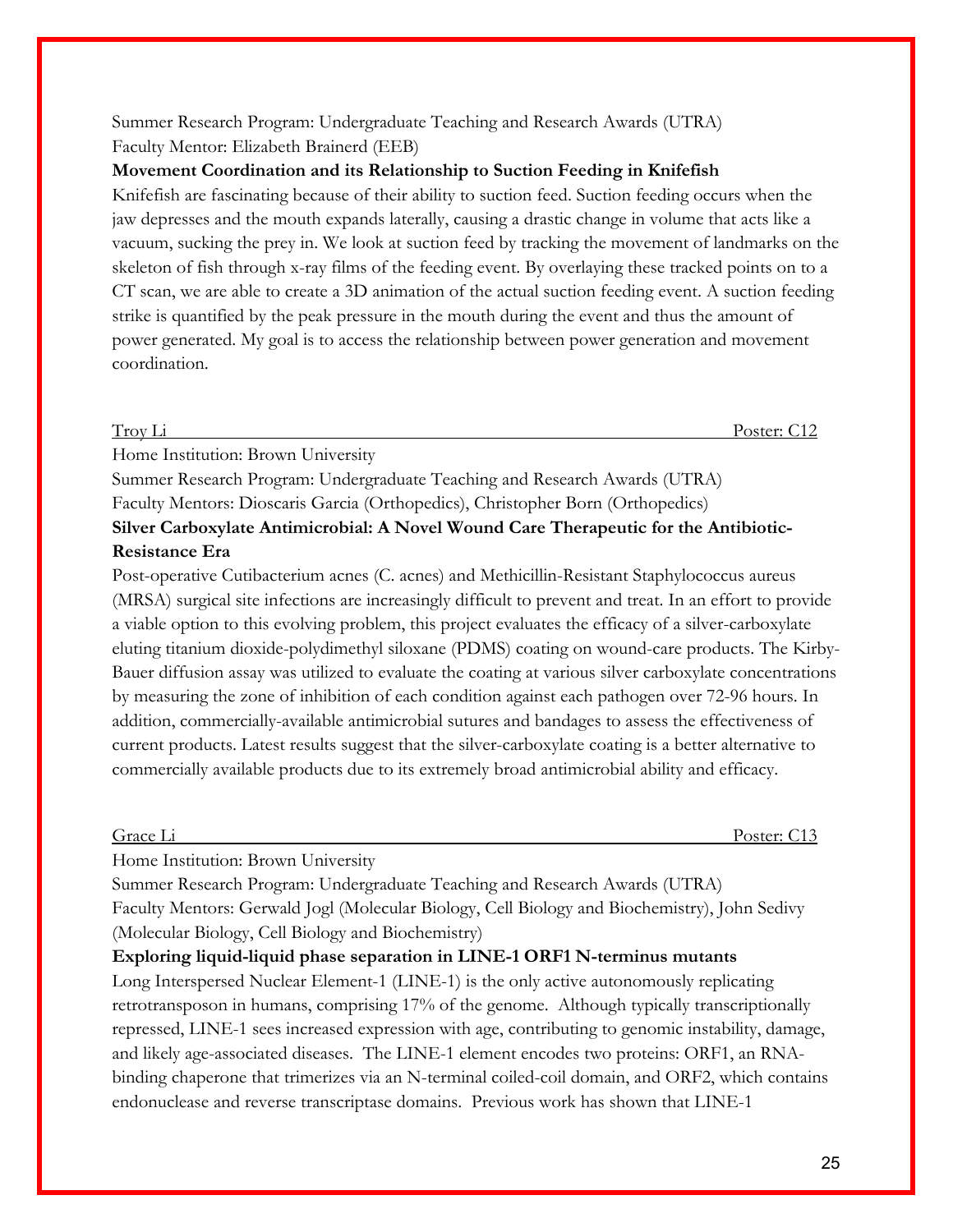# Summer Research Program: Undergraduate Teaching and Research Awards (UTRA) Faculty Mentor: Elizabeth Brainerd (EEB)

# **Movement Coordination and its Relationship to Suction Feeding in Knifefish**

Knifefish are fascinating because of their ability to suction feed. Suction feeding occurs when the jaw depresses and the mouth expands laterally, causing a drastic change in volume that acts like a vacuum, sucking the prey in. We look at suction feed by tracking the movement of landmarks on the skeleton of fish through x-ray films of the feeding event. By overlaying these tracked points on to a CT scan, we are able to create a 3D animation of the actual suction feeding event. A suction feeding strike is quantified by the peak pressure in the mouth during the event and thus the amount of power generated. My goal is to access the relationship between power generation and movement coordination.

Troy Li Poster: C12

Home Institution: Brown University

Summer Research Program: Undergraduate Teaching and Research Awards (UTRA) Faculty Mentors: Dioscaris Garcia (Orthopedics), Christopher Born (Orthopedics) **Silver Carboxylate Antimicrobial: A Novel Wound Care Therapeutic for the Antibiotic-**

## **Resistance Era**

Post-operative Cutibacterium acnes (C. acnes) and Methicillin-Resistant Staphylococcus aureus (MRSA) surgical site infections are increasingly difficult to prevent and treat. In an effort to provide a viable option to this evolving problem, this project evaluates the efficacy of a silver-carboxylate eluting titanium dioxide-polydimethyl siloxane (PDMS) coating on wound-care products. The Kirby-Bauer diffusion assay was utilized to evaluate the coating at various silver carboxylate concentrations by measuring the zone of inhibition of each condition against each pathogen over 72-96 hours. In addition, commercially-available antimicrobial sutures and bandages to assess the effectiveness of current products. Latest results suggest that the silver-carboxylate coating is a better alternative to commercially available products due to its extremely broad antimicrobial ability and efficacy.

Grace Li Poster: C13

Home Institution: Brown University

Summer Research Program: Undergraduate Teaching and Research Awards (UTRA) Faculty Mentors: Gerwald Jogl (Molecular Biology, Cell Biology and Biochemistry), John Sedivy (Molecular Biology, Cell Biology and Biochemistry)

# **Exploring liquid-liquid phase separation in LINE-1 ORF1 N-terminus mutants**

Long Interspersed Nuclear Element-1 (LINE-1) is the only active autonomously replicating retrotransposon in humans, comprising 17% of the genome. Although typically transcriptionally repressed, LINE-1 sees increased expression with age, contributing to genomic instability, damage, and likely age-associated diseases. The LINE-1 element encodes two proteins: ORF1, an RNAbinding chaperone that trimerizes via an N-terminal coiled-coil domain, and ORF2, which contains endonuclease and reverse transcriptase domains. Previous work has shown that LINE-1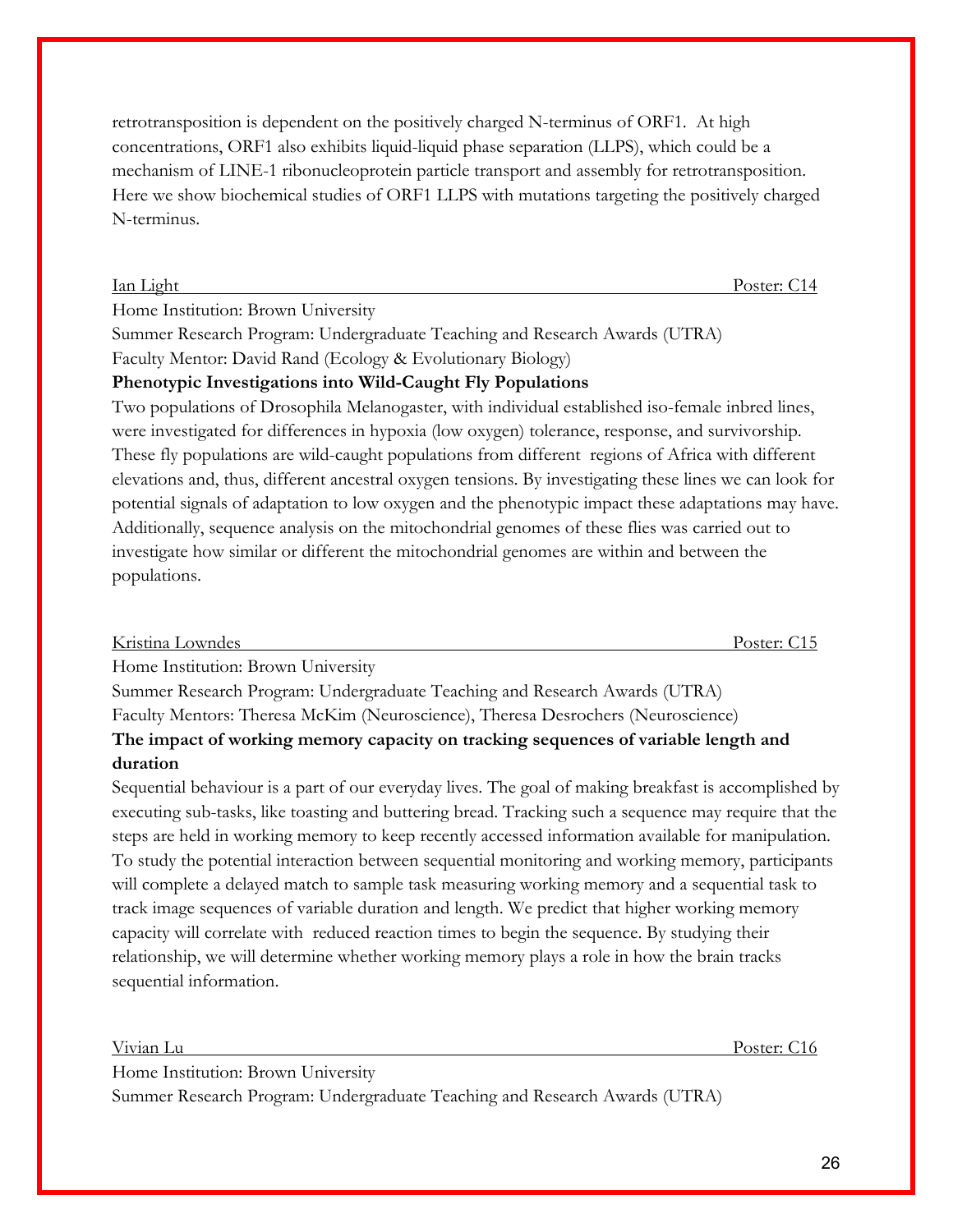retrotransposition is dependent on the positively charged N-terminus of ORF1. At high concentrations, ORF1 also exhibits liquid-liquid phase separation (LLPS), which could be a mechanism of LINE-1 ribonucleoprotein particle transport and assembly for retrotransposition. Here we show biochemical studies of ORF1 LLPS with mutations targeting the positively charged N-terminus.

Home Institution: Brown University

Summer Research Program: Undergraduate Teaching and Research Awards (UTRA) Faculty Mentor: David Rand (Ecology & Evolutionary Biology)

# **Phenotypic Investigations into Wild-Caught Fly Populations**

Two populations of Drosophila Melanogaster, with individual established iso-female inbred lines, were investigated for differences in hypoxia (low oxygen) tolerance, response, and survivorship. These fly populations are wild-caught populations from different regions of Africa with different elevations and, thus, different ancestral oxygen tensions. By investigating these lines we can look for potential signals of adaptation to low oxygen and the phenotypic impact these adaptations may have. Additionally, sequence analysis on the mitochondrial genomes of these flies was carried out to investigate how similar or different the mitochondrial genomes are within and between the populations.

| Kristina Lowndes                    | Poster: C15 |
|-------------------------------------|-------------|
| Hama Institution Dearen Hairragetre |             |

Home Institution: Brown University

Summer Research Program: Undergraduate Teaching and Research Awards (UTRA)

Faculty Mentors: Theresa McKim (Neuroscience), Theresa Desrochers (Neuroscience)

# **The impact of working memory capacity on tracking sequences of variable length and duration**

Sequential behaviour is a part of our everyday lives. The goal of making breakfast is accomplished by executing sub-tasks, like toasting and buttering bread. Tracking such a sequence may require that the steps are held in working memory to keep recently accessed information available for manipulation. To study the potential interaction between sequential monitoring and working memory, participants will complete a delayed match to sample task measuring working memory and a sequential task to track image sequences of variable duration and length. We predict that higher working memory capacity will correlate with reduced reaction times to begin the sequence. By studying their relationship, we will determine whether working memory plays a role in how the brain tracks sequential information.

Vivian Lu Poster: C16 Home Institution: Brown University Summer Research Program: Undergraduate Teaching and Research Awards (UTRA)

Ian Light Poster: C14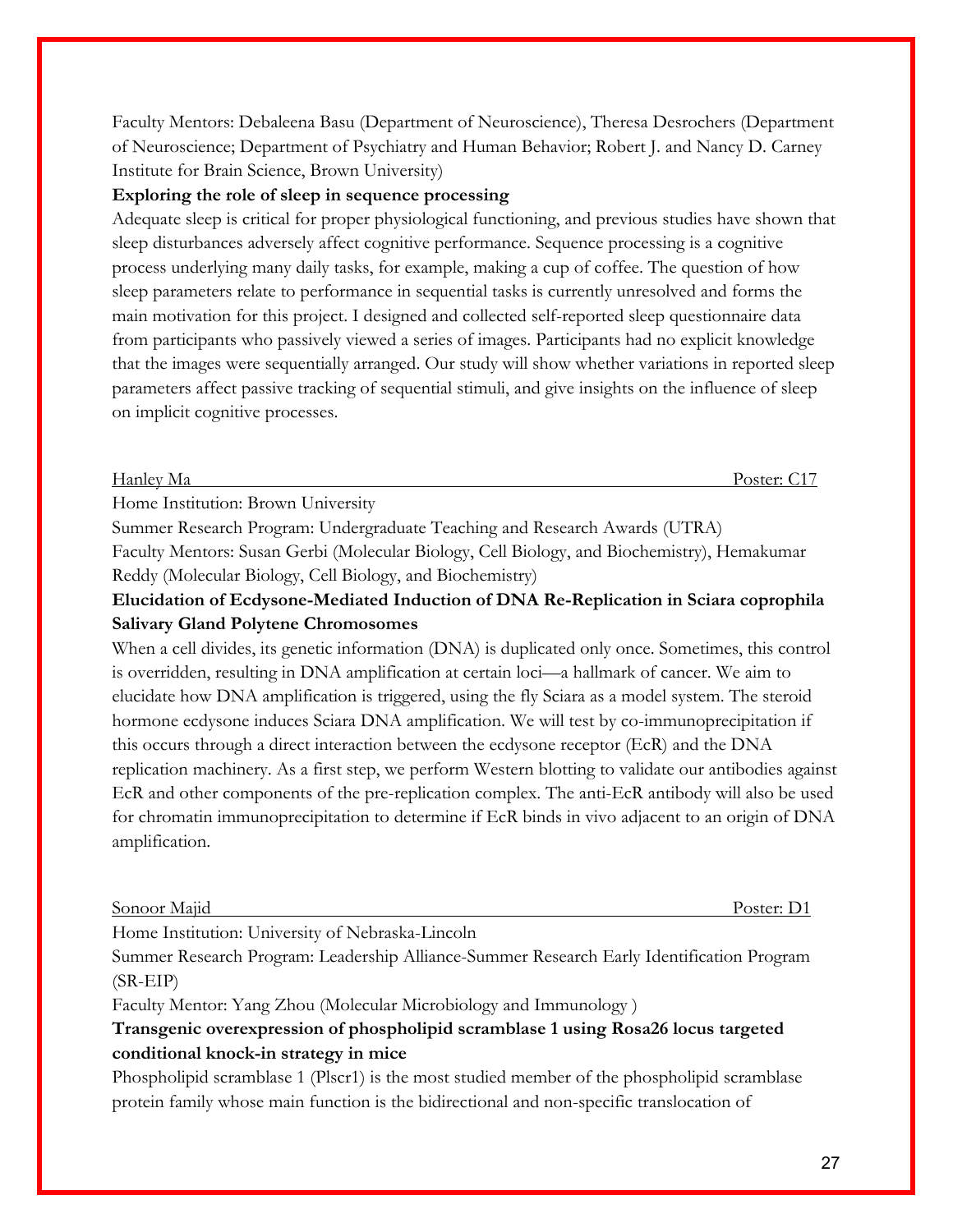Faculty Mentors: Debaleena Basu (Department of Neuroscience), Theresa Desrochers (Department of Neuroscience; Department of Psychiatry and Human Behavior; Robert J. and Nancy D. Carney Institute for Brain Science, Brown University)

### **Exploring the role of sleep in sequence processing**

Adequate sleep is critical for proper physiological functioning, and previous studies have shown that sleep disturbances adversely affect cognitive performance. Sequence processing is a cognitive process underlying many daily tasks, for example, making a cup of coffee. The question of how sleep parameters relate to performance in sequential tasks is currently unresolved and forms the main motivation for this project. I designed and collected self-reported sleep questionnaire data from participants who passively viewed a series of images. Participants had no explicit knowledge that the images were sequentially arranged. Our study will show whether variations in reported sleep parameters affect passive tracking of sequential stimuli, and give insights on the influence of sleep on implicit cognitive processes.

#### Hanley Ma Poster: C17

Home Institution: Brown University

Summer Research Program: Undergraduate Teaching and Research Awards (UTRA) Faculty Mentors: Susan Gerbi (Molecular Biology, Cell Biology, and Biochemistry), Hemakumar

Reddy (Molecular Biology, Cell Biology, and Biochemistry)

# **Elucidation of Ecdysone-Mediated Induction of DNA Re-Replication in Sciara coprophila Salivary Gland Polytene Chromosomes**

When a cell divides, its genetic information (DNA) is duplicated only once. Sometimes, this control is overridden, resulting in DNA amplification at certain loci—a hallmark of cancer. We aim to elucidate how DNA amplification is triggered, using the fly Sciara as a model system. The steroid hormone ecdysone induces Sciara DNA amplification. We will test by co-immunoprecipitation if this occurs through a direct interaction between the ecdysone receptor (EcR) and the DNA replication machinery. As a first step, we perform Western blotting to validate our antibodies against EcR and other components of the pre-replication complex. The anti-EcR antibody will also be used for chromatin immunoprecipitation to determine if EcR binds in vivo adjacent to an origin of DNA amplification.

#### Sonoor Majid Poster: D1

Home Institution: University of Nebraska-Lincoln

Summer Research Program: Leadership Alliance-Summer Research Early Identification Program (SR-EIP)

Faculty Mentor: Yang Zhou (Molecular Microbiology and Immunology )

# **Transgenic overexpression of phospholipid scramblase 1 using Rosa26 locus targeted conditional knock-in strategy in mice**

Phospholipid scramblase 1 (Plscr1) is the most studied member of the phospholipid scramblase protein family whose main function is the bidirectional and non-specific translocation of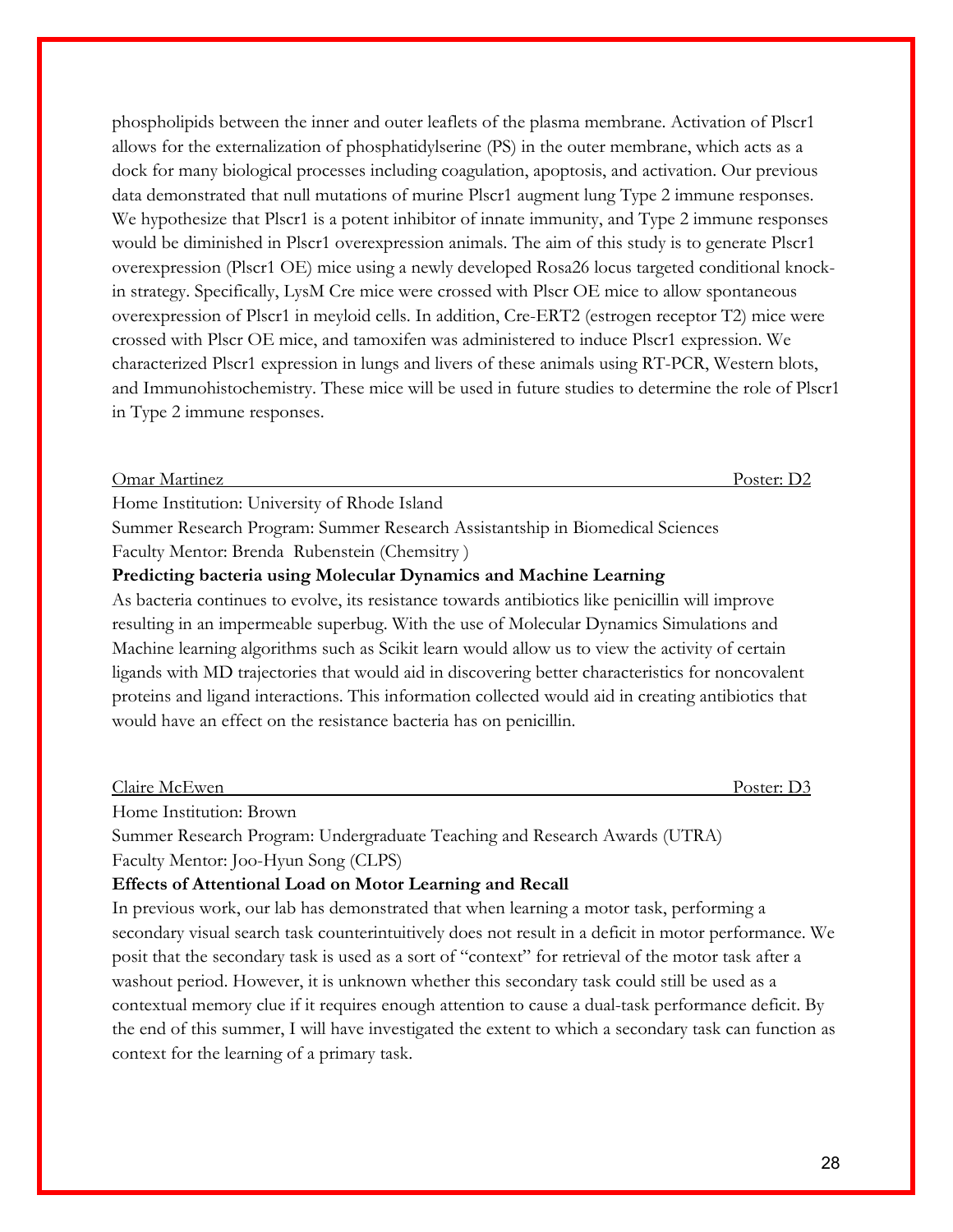phospholipids between the inner and outer leaflets of the plasma membrane. Activation of Plscr1 allows for the externalization of phosphatidylserine (PS) in the outer membrane, which acts as a dock for many biological processes including coagulation, apoptosis, and activation. Our previous data demonstrated that null mutations of murine Plscr1 augment lung Type 2 immune responses. We hypothesize that Plscr1 is a potent inhibitor of innate immunity, and Type 2 immune responses would be diminished in Plscr1 overexpression animals. The aim of this study is to generate Plscr1 overexpression (Plscr1 OE) mice using a newly developed Rosa26 locus targeted conditional knockin strategy. Specifically, LysM Cre mice were crossed with Plscr OE mice to allow spontaneous overexpression of Plscr1 in meyloid cells. In addition, Cre-ERT2 (estrogen receptor T2) mice were crossed with Plscr OE mice, and tamoxifen was administered to induce Plscr1 expression. We characterized Plscr1 expression in lungs and livers of these animals using RT-PCR, Western blots, and Immunohistochemistry. These mice will be used in future studies to determine the role of Plscr1 in Type 2 immune responses.

#### Omar Martinez Poster: D2

Home Institution: University of Rhode Island

Summer Research Program: Summer Research Assistantship in Biomedical Sciences Faculty Mentor: Brenda Rubenstein (Chemsitry )

#### **Predicting bacteria using Molecular Dynamics and Machine Learning**

As bacteria continues to evolve, its resistance towards antibiotics like penicillin will improve resulting in an impermeable superbug. With the use of Molecular Dynamics Simulations and Machine learning algorithms such as Scikit learn would allow us to view the activity of certain ligands with MD trajectories that would aid in discovering better characteristics for noncovalent proteins and ligand interactions. This information collected would aid in creating antibiotics that would have an effect on the resistance bacteria has on penicillin.

| $\sim$ 1<br>$\sim$<br>Claire McEwen | $-$<br>Poster:<br>. . <i>.</i> |
|-------------------------------------|--------------------------------|
|                                     |                                |

Home Institution: Brown

Summer Research Program: Undergraduate Teaching and Research Awards (UTRA) Faculty Mentor: Joo-Hyun Song (CLPS)

### **Effects of Attentional Load on Motor Learning and Recall**

In previous work, our lab has demonstrated that when learning a motor task, performing a secondary visual search task counterintuitively does not result in a deficit in motor performance. We posit that the secondary task is used as a sort of "context" for retrieval of the motor task after a washout period. However, it is unknown whether this secondary task could still be used as a contextual memory clue if it requires enough attention to cause a dual-task performance deficit. By the end of this summer, I will have investigated the extent to which a secondary task can function as context for the learning of a primary task.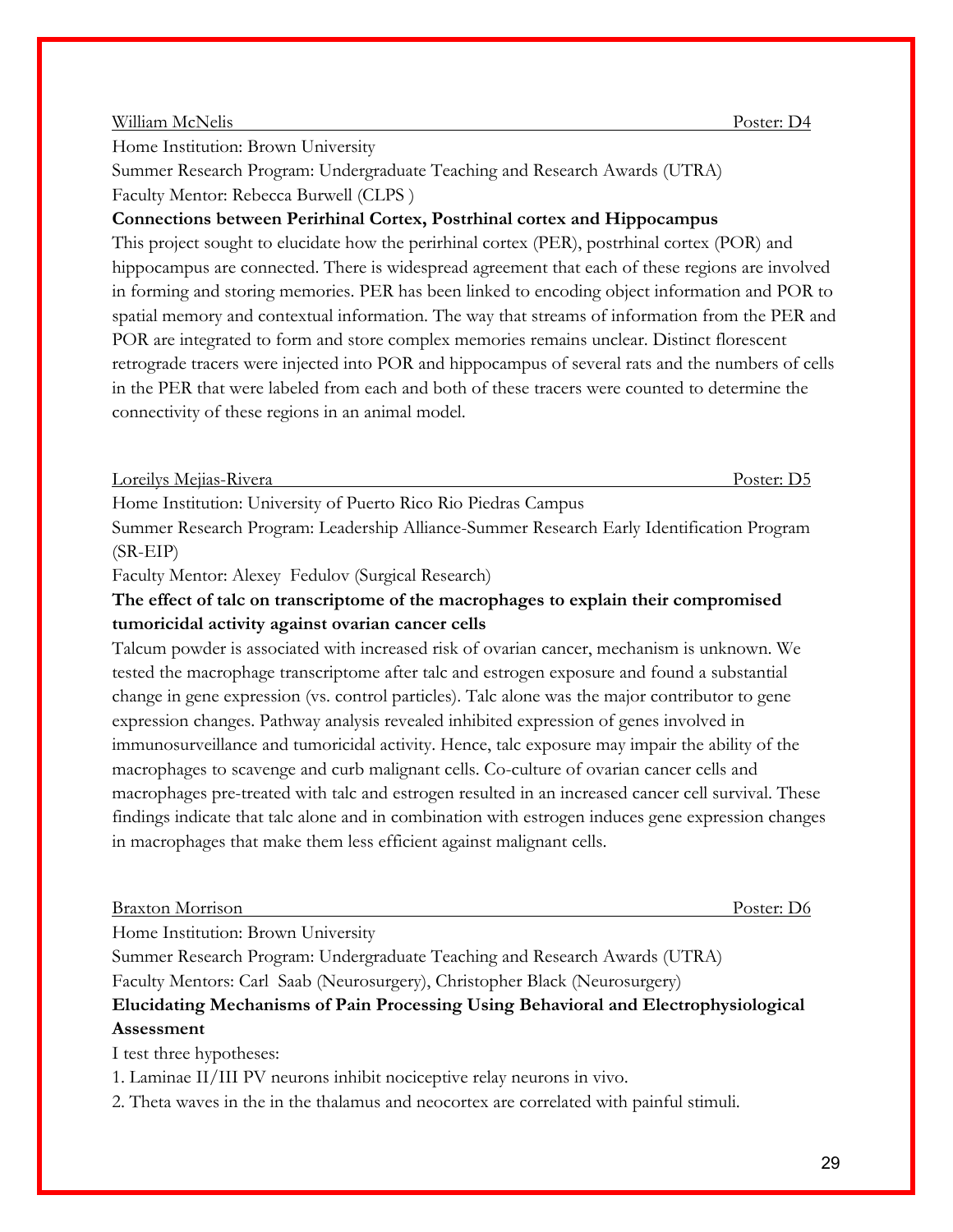### William McNelis **Poster:** D4

Home Institution: Brown University

Summer Research Program: Undergraduate Teaching and Research Awards (UTRA) Faculty Mentor: Rebecca Burwell (CLPS )

# **Connections between Perirhinal Cortex, Postrhinal cortex and Hippocampus**

This project sought to elucidate how the perirhinal cortex (PER), postrhinal cortex (POR) and hippocampus are connected. There is widespread agreement that each of these regions are involved in forming and storing memories. PER has been linked to encoding object information and POR to spatial memory and contextual information. The way that streams of information from the PER and POR are integrated to form and store complex memories remains unclear. Distinct florescent retrograde tracers were injected into POR and hippocampus of several rats and the numbers of cells in the PER that were labeled from each and both of these tracers were counted to determine the connectivity of these regions in an animal model.

Loreilys Mejias-Rivera Poster: D5

Home Institution: University of Puerto Rico Rio Piedras Campus

Summer Research Program: Leadership Alliance-Summer Research Early Identification Program (SR-EIP)

Faculty Mentor: Alexey Fedulov (Surgical Research)

# **The effect of talc on transcriptome of the macrophages to explain their compromised tumoricidal activity against ovarian cancer cells**

Talcum powder is associated with increased risk of ovarian cancer, mechanism is unknown. We tested the macrophage transcriptome after talc and estrogen exposure and found a substantial change in gene expression (vs. control particles). Talc alone was the major contributor to gene expression changes. Pathway analysis revealed inhibited expression of genes involved in immunosurveillance and tumoricidal activity. Hence, talc exposure may impair the ability of the macrophages to scavenge and curb malignant cells. Co-culture of ovarian cancer cells and macrophages pre-treated with talc and estrogen resulted in an increased cancer cell survival. These findings indicate that talc alone and in combination with estrogen induces gene expression changes in macrophages that make them less efficient against malignant cells.

#### Braxton Morrison Poster: D6

Home Institution: Brown University

Summer Research Program: Undergraduate Teaching and Research Awards (UTRA) Faculty Mentors: Carl Saab (Neurosurgery), Christopher Black (Neurosurgery)

# **Elucidating Mechanisms of Pain Processing Using Behavioral and Electrophysiological Assessment**

I test three hypotheses:

- 1. Laminae II/III PV neurons inhibit nociceptive relay neurons in vivo.
- 2. Theta waves in the in the thalamus and neocortex are correlated with painful stimuli.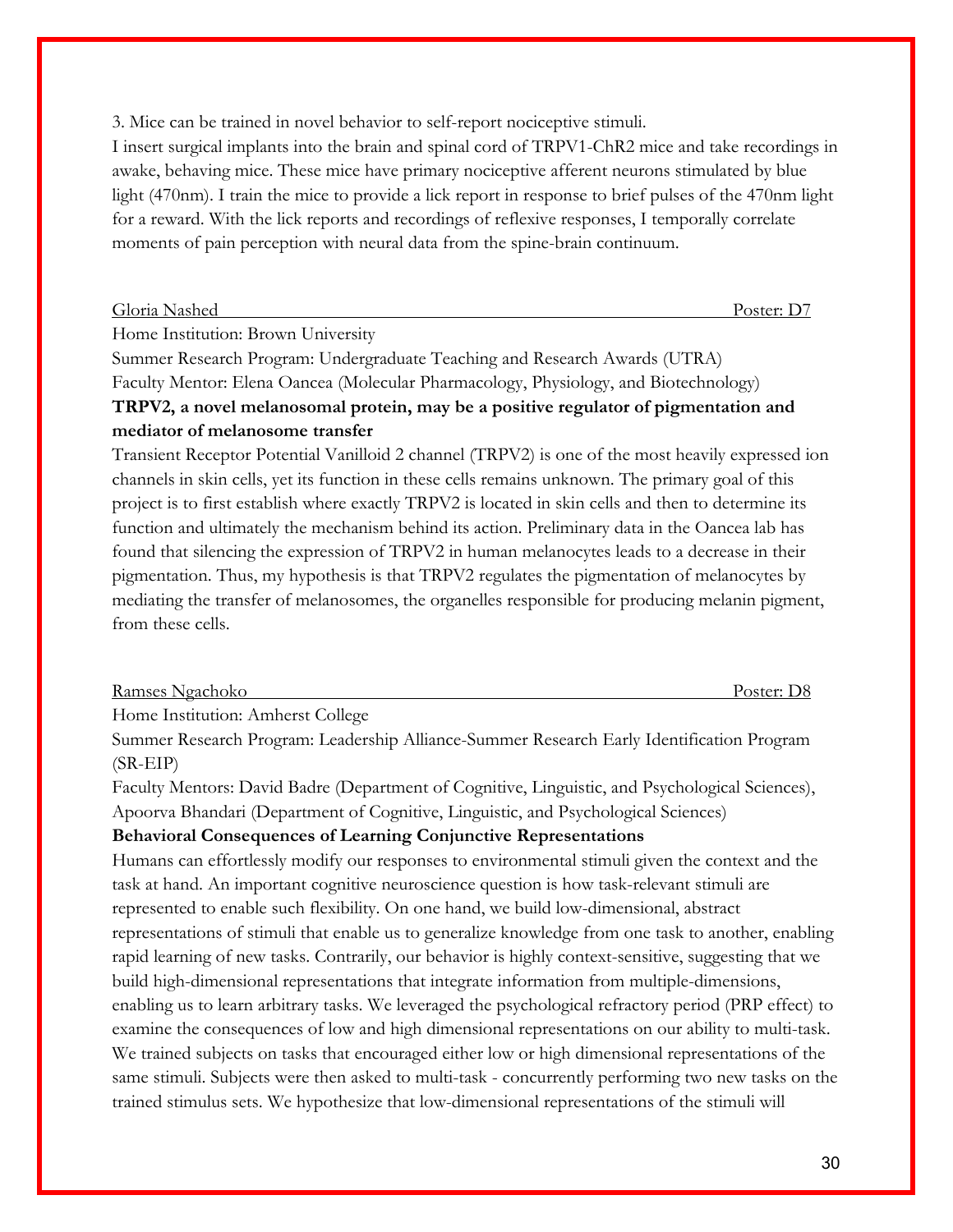3. Mice can be trained in novel behavior to self-report nociceptive stimuli.

I insert surgical implants into the brain and spinal cord of TRPV1-ChR2 mice and take recordings in awake, behaving mice. These mice have primary nociceptive afferent neurons stimulated by blue light (470nm). I train the mice to provide a lick report in response to brief pulses of the 470nm light for a reward. With the lick reports and recordings of reflexive responses, I temporally correlate moments of pain perception with neural data from the spine-brain continuum.

| Gloria Nashed | Poster: |
|---------------|---------|
|               |         |

Home Institution: Brown University

Summer Research Program: Undergraduate Teaching and Research Awards (UTRA) Faculty Mentor: Elena Oancea (Molecular Pharmacology, Physiology, and Biotechnology) **TRPV2, a novel melanosomal protein, may be a positive regulator of pigmentation and mediator of melanosome transfer**

Transient Receptor Potential Vanilloid 2 channel (TRPV2) is one of the most heavily expressed ion channels in skin cells, yet its function in these cells remains unknown. The primary goal of this project is to first establish where exactly TRPV2 is located in skin cells and then to determine its function and ultimately the mechanism behind its action. Preliminary data in the Oancea lab has found that silencing the expression of TRPV2 in human melanocytes leads to a decrease in their pigmentation. Thus, my hypothesis is that TRPV2 regulates the pigmentation of melanocytes by mediating the transfer of melanosomes, the organelles responsible for producing melanin pigment, from these cells.

| Ramses Ngachoko | Poster: |
|-----------------|---------|
|                 |         |

Home Institution: Amherst College

Summer Research Program: Leadership Alliance-Summer Research Early Identification Program (SR-EIP)

Faculty Mentors: David Badre (Department of Cognitive, Linguistic, and Psychological Sciences), Apoorva Bhandari (Department of Cognitive, Linguistic, and Psychological Sciences)

## **Behavioral Consequences of Learning Conjunctive Representations**

Humans can effortlessly modify our responses to environmental stimuli given the context and the task at hand. An important cognitive neuroscience question is how task-relevant stimuli are represented to enable such flexibility. On one hand, we build low-dimensional, abstract representations of stimuli that enable us to generalize knowledge from one task to another, enabling rapid learning of new tasks. Contrarily, our behavior is highly context-sensitive, suggesting that we build high-dimensional representations that integrate information from multiple-dimensions, enabling us to learn arbitrary tasks. We leveraged the psychological refractory period (PRP effect) to examine the consequences of low and high dimensional representations on our ability to multi-task. We trained subjects on tasks that encouraged either low or high dimensional representations of the same stimuli. Subjects were then asked to multi-task - concurrently performing two new tasks on the trained stimulus sets. We hypothesize that low-dimensional representations of the stimuli will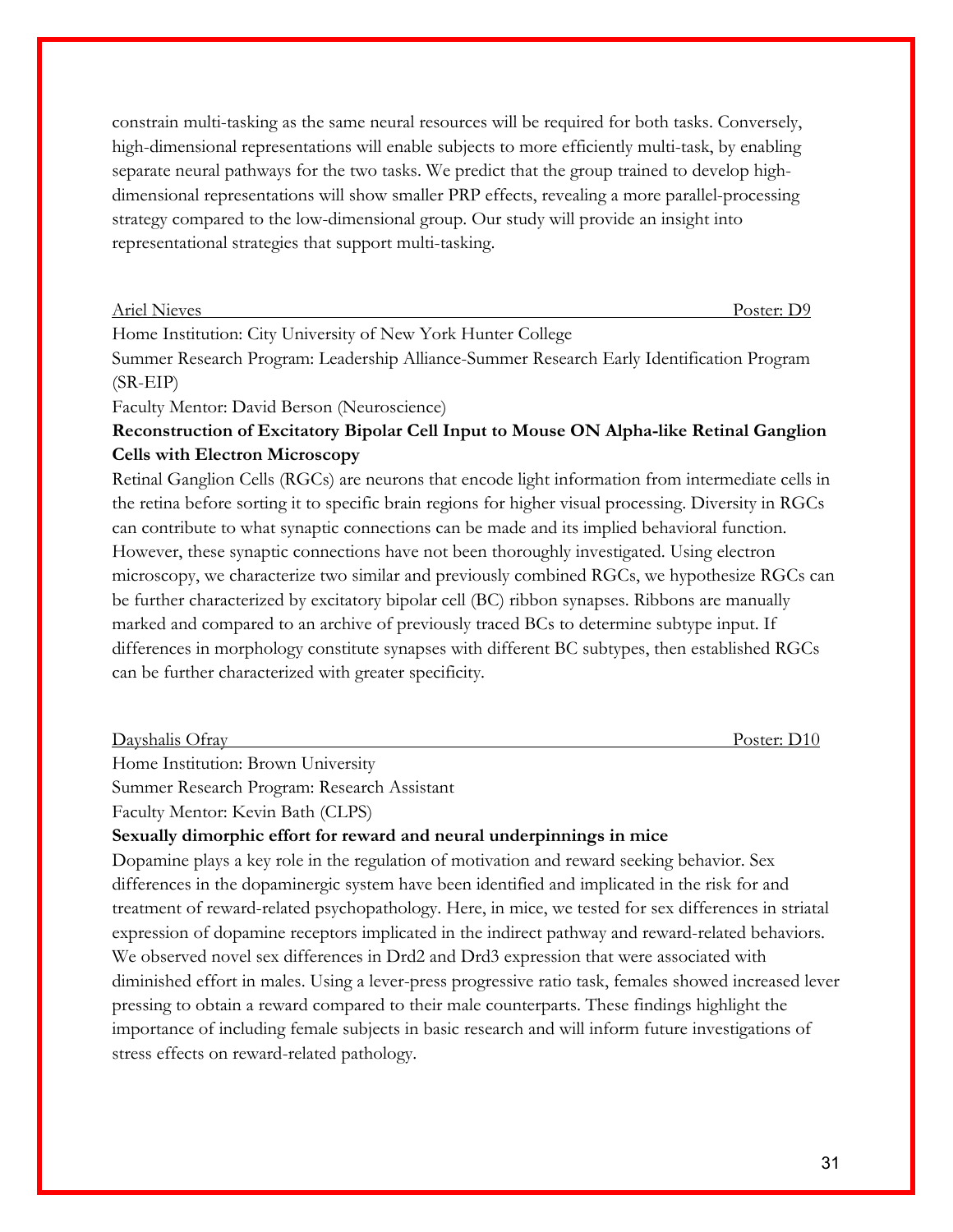constrain multi-tasking as the same neural resources will be required for both tasks. Conversely, high-dimensional representations will enable subjects to more efficiently multi-task, by enabling separate neural pathways for the two tasks. We predict that the group trained to develop highdimensional representations will show smaller PRP effects, revealing a more parallel-processing strategy compared to the low-dimensional group. Our study will provide an insight into representational strategies that support multi-tasking.

Home Institution: City University of New York Hunter College

Summer Research Program: Leadership Alliance-Summer Research Early Identification Program (SR-EIP)

Faculty Mentor: David Berson (Neuroscience)

# **Reconstruction of Excitatory Bipolar Cell Input to Mouse ON Alpha-like Retinal Ganglion Cells with Electron Microscopy**

Retinal Ganglion Cells (RGCs) are neurons that encode light information from intermediate cells in the retina before sorting it to specific brain regions for higher visual processing. Diversity in RGCs can contribute to what synaptic connections can be made and its implied behavioral function. However, these synaptic connections have not been thoroughly investigated. Using electron microscopy, we characterize two similar and previously combined RGCs, we hypothesize RGCs can be further characterized by excitatory bipolar cell (BC) ribbon synapses. Ribbons are manually marked and compared to an archive of previously traced BCs to determine subtype input. If differences in morphology constitute synapses with different BC subtypes, then established RGCs can be further characterized with greater specificity.

Dayshalis Ofray Poster: D10

Home Institution: Brown University

Summer Research Program: Research Assistant

Faculty Mentor: Kevin Bath (CLPS)

**Sexually dimorphic effort for reward and neural underpinnings in mice**

Dopamine plays a key role in the regulation of motivation and reward seeking behavior. Sex differences in the dopaminergic system have been identified and implicated in the risk for and treatment of reward-related psychopathology. Here, in mice, we tested for sex differences in striatal expression of dopamine receptors implicated in the indirect pathway and reward-related behaviors. We observed novel sex differences in Drd2 and Drd3 expression that were associated with diminished effort in males. Using a lever-press progressive ratio task, females showed increased lever pressing to obtain a reward compared to their male counterparts. These findings highlight the importance of including female subjects in basic research and will inform future investigations of stress effects on reward-related pathology.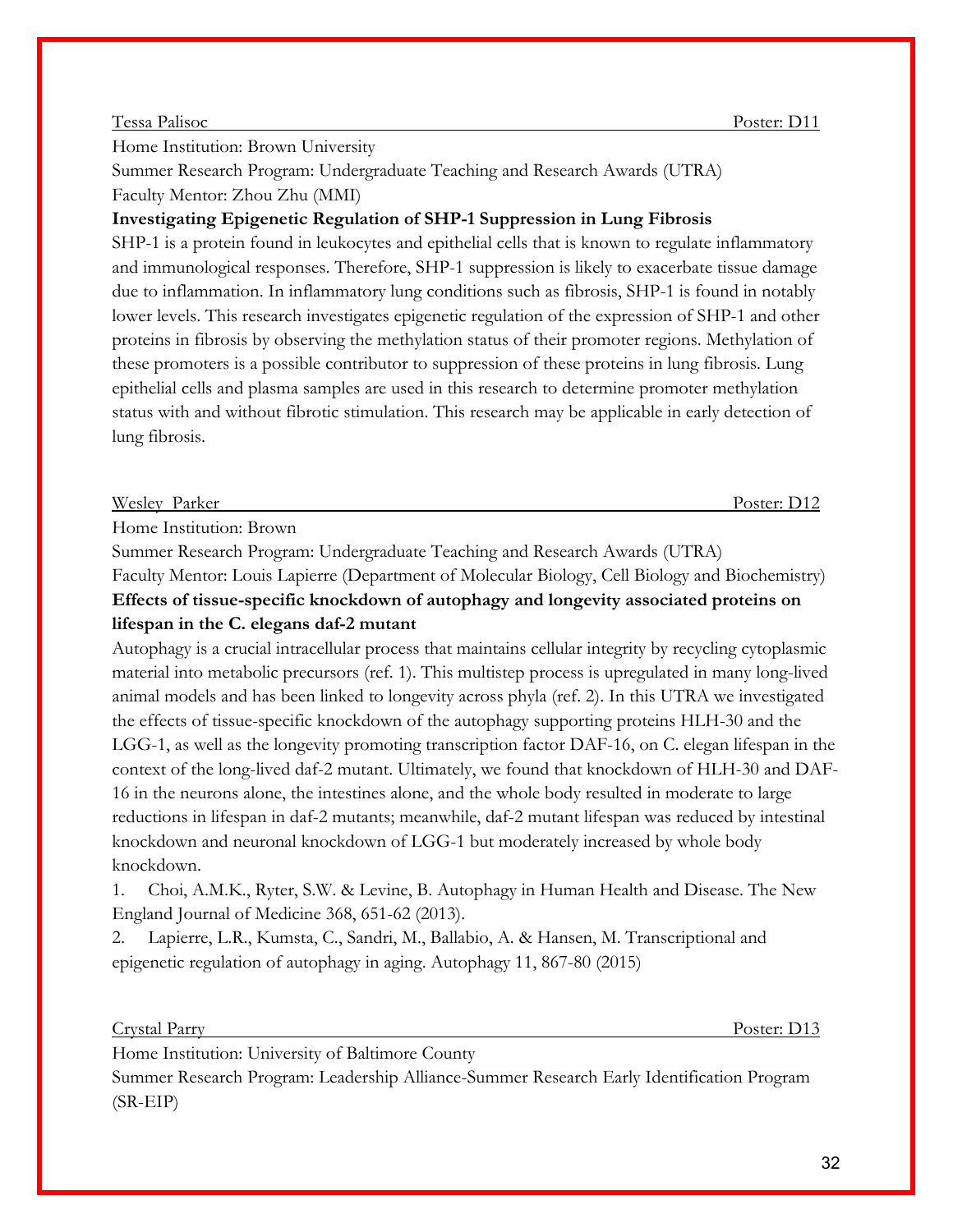#### Tessa Palisoc Poster: D11

Home Institution: Brown University

Summer Research Program: Undergraduate Teaching and Research Awards (UTRA) Faculty Mentor: Zhou Zhu (MMI)

### **Investigating Epigenetic Regulation of SHP-1 Suppression in Lung Fibrosis**

SHP-1 is a protein found in leukocytes and epithelial cells that is known to regulate inflammatory and immunological responses. Therefore, SHP-1 suppression is likely to exacerbate tissue damage due to inflammation. In inflammatory lung conditions such as fibrosis, SHP-1 is found in notably lower levels. This research investigates epigenetic regulation of the expression of SHP-1 and other proteins in fibrosis by observing the methylation status of their promoter regions. Methylation of these promoters is a possible contributor to suppression of these proteins in lung fibrosis. Lung epithelial cells and plasma samples are used in this research to determine promoter methylation status with and without fibrotic stimulation. This research may be applicable in early detection of lung fibrosis.

#### Wesley Parker Poster: D12

Home Institution: Brown

Summer Research Program: Undergraduate Teaching and Research Awards (UTRA)

Faculty Mentor: Louis Lapierre (Department of Molecular Biology, Cell Biology and Biochemistry) **Effects of tissue-specific knockdown of autophagy and longevity associated proteins on lifespan in the C. elegans daf-2 mutant** 

Autophagy is a crucial intracellular process that maintains cellular integrity by recycling cytoplasmic material into metabolic precursors (ref. 1). This multistep process is upregulated in many long-lived animal models and has been linked to longevity across phyla (ref. 2). In this UTRA we investigated the effects of tissue-specific knockdown of the autophagy supporting proteins HLH-30 and the LGG-1, as well as the longevity promoting transcription factor DAF-16, on C. elegan lifespan in the context of the long-lived daf-2 mutant. Ultimately, we found that knockdown of HLH-30 and DAF-16 in the neurons alone, the intestines alone, and the whole body resulted in moderate to large reductions in lifespan in daf-2 mutants; meanwhile, daf-2 mutant lifespan was reduced by intestinal knockdown and neuronal knockdown of LGG-1 but moderately increased by whole body knockdown.

1. Choi, A.M.K., Ryter, S.W. & Levine, B. Autophagy in Human Health and Disease. The New England Journal of Medicine 368, 651-62 (2013).

2. Lapierre, L.R., Kumsta, C., Sandri, M., Ballabio, A. & Hansen, M. Transcriptional and epigenetic regulation of autophagy in aging. Autophagy 11, 867-80 (2015)

#### Crystal Parry Poster: D13

Home Institution: University of Baltimore County

Summer Research Program: Leadership Alliance-Summer Research Early Identification Program (SR-EIP)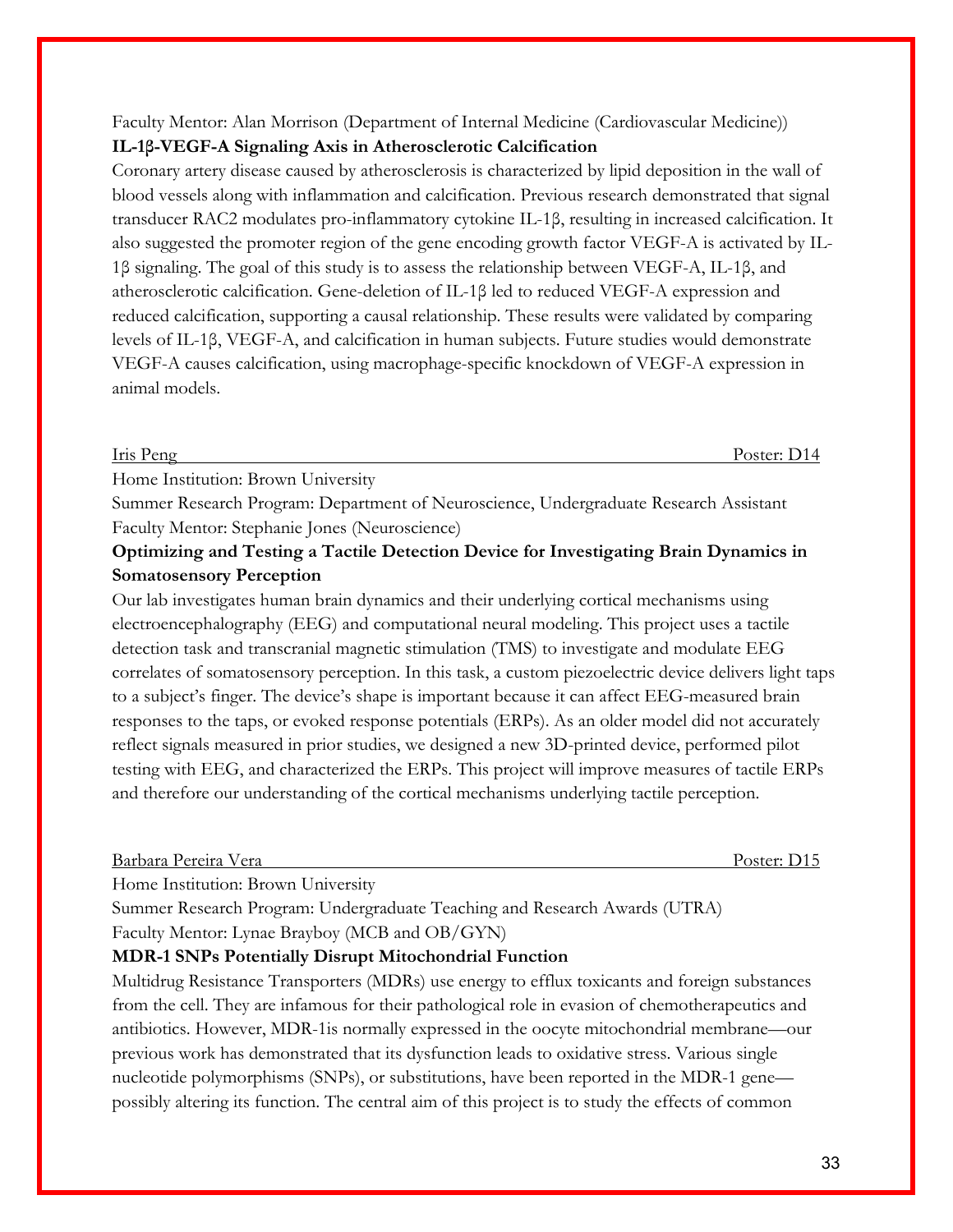# Faculty Mentor: Alan Morrison (Department of Internal Medicine (Cardiovascular Medicine)) **IL-1β-VEGF-A Signaling Axis in Atherosclerotic Calcification**

Coronary artery disease caused by atherosclerosis is characterized by lipid deposition in the wall of blood vessels along with inflammation and calcification. Previous research demonstrated that signal transducer RAC2 modulates pro-inflammatory cytokine IL-1β, resulting in increased calcification. It also suggested the promoter region of the gene encoding growth factor VEGF-A is activated by IL-1β signaling. The goal of this study is to assess the relationship between VEGF-A, IL-1β, and atherosclerotic calcification. Gene-deletion of IL-1β led to reduced VEGF-A expression and reduced calcification, supporting a causal relationship. These results were validated by comparing levels of IL-1β, VEGF-A, and calcification in human subjects. Future studies would demonstrate VEGF-A causes calcification, using macrophage-specific knockdown of VEGF-A expression in animal models.

Iris Peng Poster: D14

Home Institution: Brown University

Summer Research Program: Department of Neuroscience, Undergraduate Research Assistant Faculty Mentor: Stephanie Jones (Neuroscience)

# **Optimizing and Testing a Tactile Detection Device for Investigating Brain Dynamics in Somatosensory Perception**

Our lab investigates human brain dynamics and their underlying cortical mechanisms using electroencephalography (EEG) and computational neural modeling. This project uses a tactile detection task and transcranial magnetic stimulation (TMS) to investigate and modulate EEG correlates of somatosensory perception. In this task, a custom piezoelectric device delivers light taps to a subject's finger. The device's shape is important because it can affect EEG-measured brain responses to the taps, or evoked response potentials (ERPs). As an older model did not accurately reflect signals measured in prior studies, we designed a new 3D-printed device, performed pilot testing with EEG, and characterized the ERPs. This project will improve measures of tactile ERPs and therefore our understanding of the cortical mechanisms underlying tactile perception.

### Barbara Pereira Vera Poster: D15

Home Institution: Brown University

Summer Research Program: Undergraduate Teaching and Research Awards (UTRA) Faculty Mentor: Lynae Brayboy (MCB and OB/GYN)

#### **MDR-1 SNPs Potentially Disrupt Mitochondrial Function**

Multidrug Resistance Transporters (MDRs) use energy to efflux toxicants and foreign substances from the cell. They are infamous for their pathological role in evasion of chemotherapeutics and antibiotics. However, MDR-1is normally expressed in the oocyte mitochondrial membrane—our previous work has demonstrated that its dysfunction leads to oxidative stress. Various single nucleotide polymorphisms (SNPs), or substitutions, have been reported in the MDR-1 gene possibly altering its function. The central aim of this project is to study the effects of common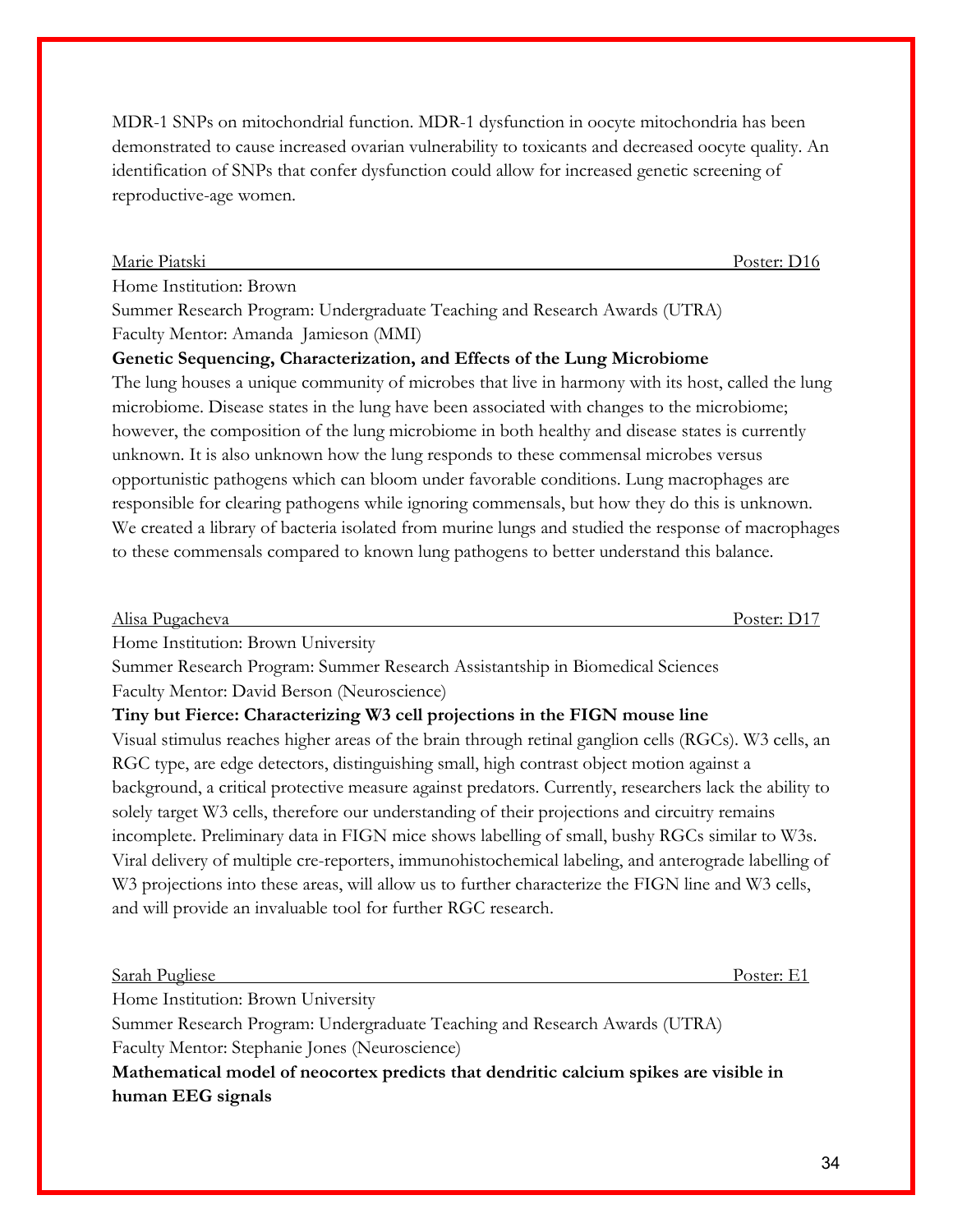MDR-1 SNPs on mitochondrial function. MDR-1 dysfunction in oocyte mitochondria has been demonstrated to cause increased ovarian vulnerability to toxicants and decreased oocyte quality. An identification of SNPs that confer dysfunction could allow for increased genetic screening of reproductive-age women.

### Marie Piatski Poster: D16

Home Institution: Brown

Summer Research Program: Undergraduate Teaching and Research Awards (UTRA) Faculty Mentor: Amanda Jamieson (MMI)

# **Genetic Sequencing, Characterization, and Effects of the Lung Microbiome**

The lung houses a unique community of microbes that live in harmony with its host, called the lung microbiome. Disease states in the lung have been associated with changes to the microbiome; however, the composition of the lung microbiome in both healthy and disease states is currently unknown. It is also unknown how the lung responds to these commensal microbes versus opportunistic pathogens which can bloom under favorable conditions. Lung macrophages are responsible for clearing pathogens while ignoring commensals, but how they do this is unknown. We created a library of bacteria isolated from murine lungs and studied the response of macrophages to these commensals compared to known lung pathogens to better understand this balance.

| Alisa P   | Poster: |
|-----------|---------|
| Pugacheva | ້       |
|           |         |

Home Institution: Brown University

Summer Research Program: Summer Research Assistantship in Biomedical Sciences Faculty Mentor: David Berson (Neuroscience)

## **Tiny but Fierce: Characterizing W3 cell projections in the FIGN mouse line**

Visual stimulus reaches higher areas of the brain through retinal ganglion cells (RGCs). W3 cells, an RGC type, are edge detectors, distinguishing small, high contrast object motion against a background, a critical protective measure against predators. Currently, researchers lack the ability to solely target W3 cells, therefore our understanding of their projections and circuitry remains incomplete. Preliminary data in FIGN mice shows labelling of small, bushy RGCs similar to W3s. Viral delivery of multiple cre-reporters, immunohistochemical labeling, and anterograde labelling of W<sub>3</sub> projections into these areas, will allow us to further characterize the FIGN line and W<sub>3</sub> cells, and will provide an invaluable tool for further RGC research.

|    | Sarah Pugliese |  |        |      |  |  | $\sim$ $\sim$ $\sim$ $\sim$ $\sim$ |
|----|----------------|--|--------|------|--|--|------------------------------------|
| __ | $\sim$         |  | $\sim$ | $ -$ |  |  |                                    |

Home Institution: Brown University

Summer Research Program: Undergraduate Teaching and Research Awards (UTRA) Faculty Mentor: Stephanie Jones (Neuroscience)

**Mathematical model of neocortex predicts that dendritic calcium spikes are visible in human EEG signals**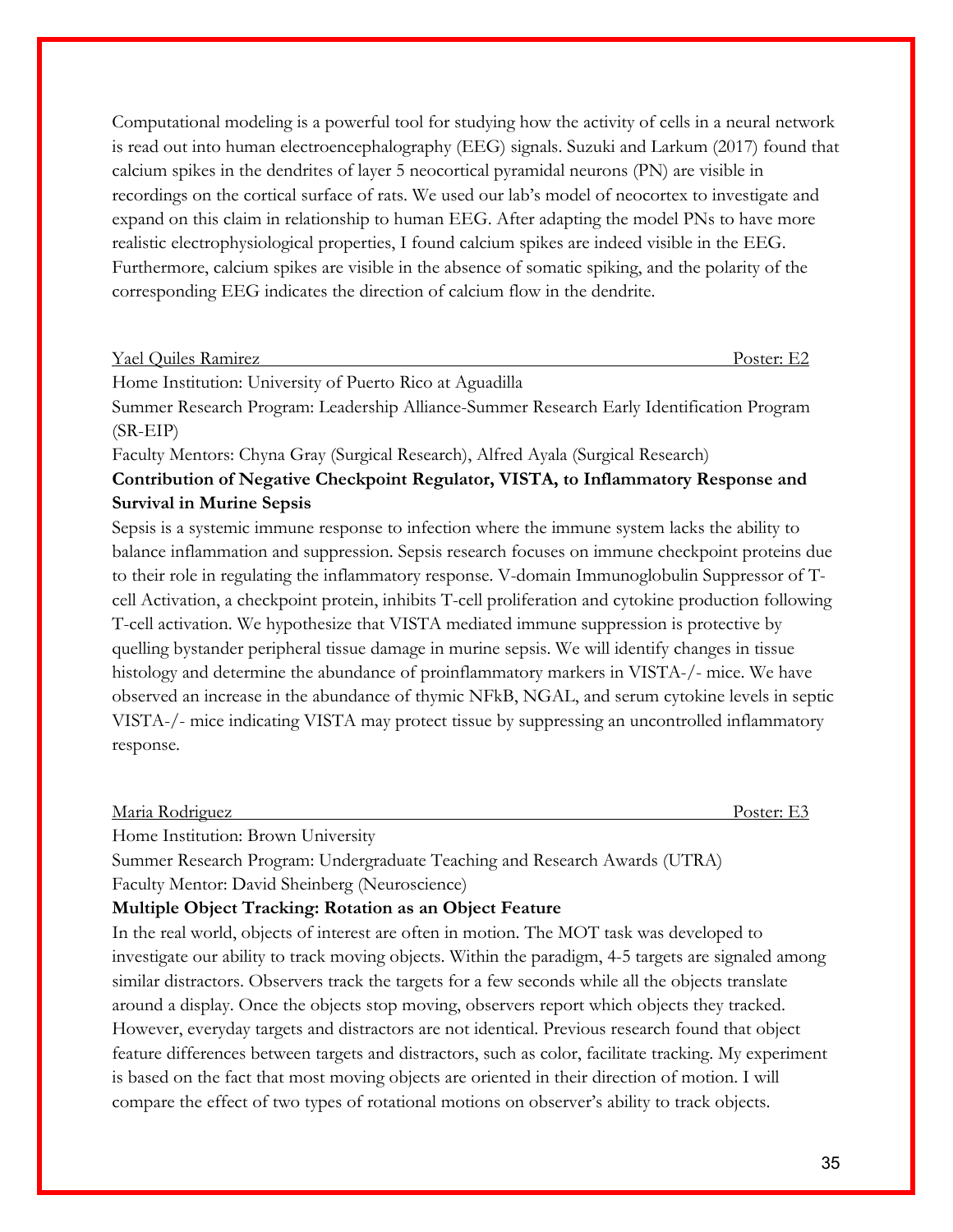Computational modeling is a powerful tool for studying how the activity of cells in a neural network is read out into human electroencephalography (EEG) signals. Suzuki and Larkum (2017) found that calcium spikes in the dendrites of layer 5 neocortical pyramidal neurons (PN) are visible in recordings on the cortical surface of rats. We used our lab's model of neocortex to investigate and expand on this claim in relationship to human EEG. After adapting the model PNs to have more realistic electrophysiological properties, I found calcium spikes are indeed visible in the EEG. Furthermore, calcium spikes are visible in the absence of somatic spiking, and the polarity of the corresponding EEG indicates the direction of calcium flow in the dendrite.

| Yael Quiles Ramirez                                      | Poster: E2 |
|----------------------------------------------------------|------------|
| Home Institution: University of Puerto Rico at Aguadilla |            |

Summer Research Program: Leadership Alliance-Summer Research Early Identification Program (SR-EIP)

Faculty Mentors: Chyna Gray (Surgical Research), Alfred Ayala (Surgical Research)

# **Contribution of Negative Checkpoint Regulator, VISTA, to Inflammatory Response and Survival in Murine Sepsis**

Sepsis is a systemic immune response to infection where the immune system lacks the ability to balance inflammation and suppression. Sepsis research focuses on immune checkpoint proteins due to their role in regulating the inflammatory response. V-domain Immunoglobulin Suppressor of Tcell Activation, a checkpoint protein, inhibits T-cell proliferation and cytokine production following T-cell activation. We hypothesize that VISTA mediated immune suppression is protective by quelling bystander peripheral tissue damage in murine sepsis. We will identify changes in tissue histology and determine the abundance of proinflammatory markers in VISTA-/- mice. We have observed an increase in the abundance of thymic NFkB, NGAL, and serum cytokine levels in septic VISTA-/- mice indicating VISTA may protect tissue by suppressing an uncontrolled inflammatory response.

Maria Rodriguez Poster: E3

Home Institution: Brown University

Summer Research Program: Undergraduate Teaching and Research Awards (UTRA)

Faculty Mentor: David Sheinberg (Neuroscience)

## **Multiple Object Tracking: Rotation as an Object Feature**

In the real world, objects of interest are often in motion. The MOT task was developed to investigate our ability to track moving objects. Within the paradigm, 4-5 targets are signaled among similar distractors. Observers track the targets for a few seconds while all the objects translate around a display. Once the objects stop moving, observers report which objects they tracked. However, everyday targets and distractors are not identical. Previous research found that object feature differences between targets and distractors, such as color, facilitate tracking. My experiment is based on the fact that most moving objects are oriented in their direction of motion. I will compare the effect of two types of rotational motions on observer's ability to track objects.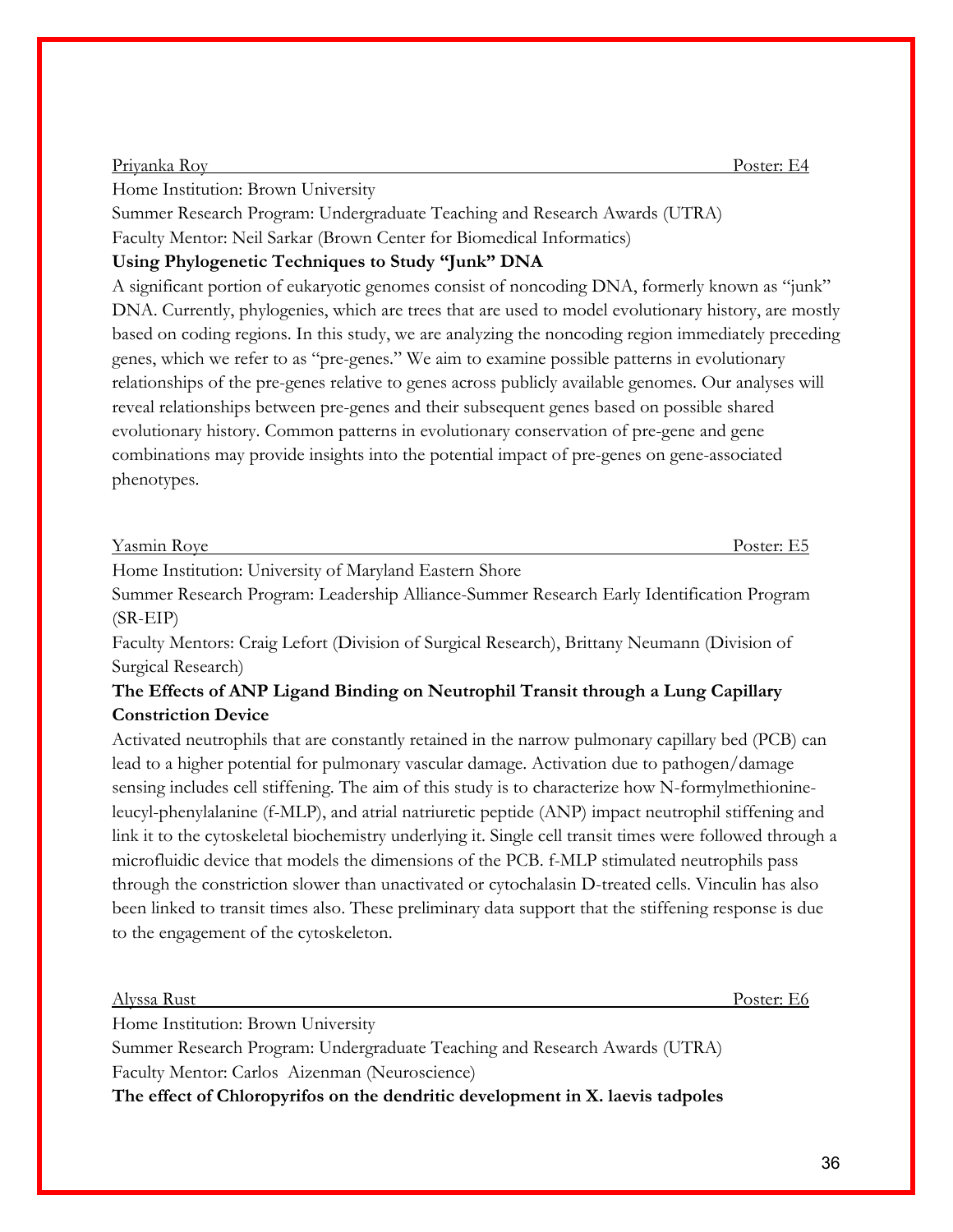Home Institution: Brown University

Summer Research Program: Undergraduate Teaching and Research Awards (UTRA)

Faculty Mentor: Neil Sarkar (Brown Center for Biomedical Informatics)

# **Using Phylogenetic Techniques to Study "Junk" DNA**

A significant portion of eukaryotic genomes consist of noncoding DNA, formerly known as "junk" DNA. Currently, phylogenies, which are trees that are used to model evolutionary history, are mostly based on coding regions. In this study, we are analyzing the noncoding region immediately preceding genes, which we refer to as "pre-genes." We aim to examine possible patterns in evolutionary relationships of the pre-genes relative to genes across publicly available genomes. Our analyses will reveal relationships between pre-genes and their subsequent genes based on possible shared evolutionary history. Common patterns in evolutionary conservation of pre-gene and gene combinations may provide insights into the potential impact of pre-genes on gene-associated phenotypes.

| V <sub>o</sub> cm <sub>i</sub><br>$\overline{\phantom{a}}$<br>r asmir<br>K OVA<br>11111<br>t av<br>. |                                           |     |  |
|------------------------------------------------------------------------------------------------------|-------------------------------------------|-----|--|
|                                                                                                      | $\sim$ $\sim$ $\sim$ $\sim$ $\sim$ $\sim$ | - - |  |

Home Institution: University of Maryland Eastern Shore

Summer Research Program: Leadership Alliance-Summer Research Early Identification Program (SR-EIP)

Faculty Mentors: Craig Lefort (Division of Surgical Research), Brittany Neumann (Division of Surgical Research)

# **The Effects of ANP Ligand Binding on Neutrophil Transit through a Lung Capillary Constriction Device**

Activated neutrophils that are constantly retained in the narrow pulmonary capillary bed (PCB) can lead to a higher potential for pulmonary vascular damage. Activation due to pathogen/damage sensing includes cell stiffening. The aim of this study is to characterize how N-formylmethionineleucyl-phenylalanine (f-MLP), and atrial natriuretic peptide (ANP) impact neutrophil stiffening and link it to the cytoskeletal biochemistry underlying it. Single cell transit times were followed through a microfluidic device that models the dimensions of the PCB. f-MLP stimulated neutrophils pass through the constriction slower than unactivated or cytochalasin D-treated cells. Vinculin has also been linked to transit times also. These preliminary data support that the stiffening response is due to the engagement of the cytoskeleton.

| <u>Alyssa Rust</u>                                                             | Poster: E6 |  |  |  |
|--------------------------------------------------------------------------------|------------|--|--|--|
| Home Institution: Brown University                                             |            |  |  |  |
| Summer Research Program: Undergraduate Teaching and Research Awards (UTRA)     |            |  |  |  |
| Faculty Mentor: Carlos Aizenman (Neuroscience)                                 |            |  |  |  |
| The effect of Chloropyrifos on the dendritic development in X. laevis tadpoles |            |  |  |  |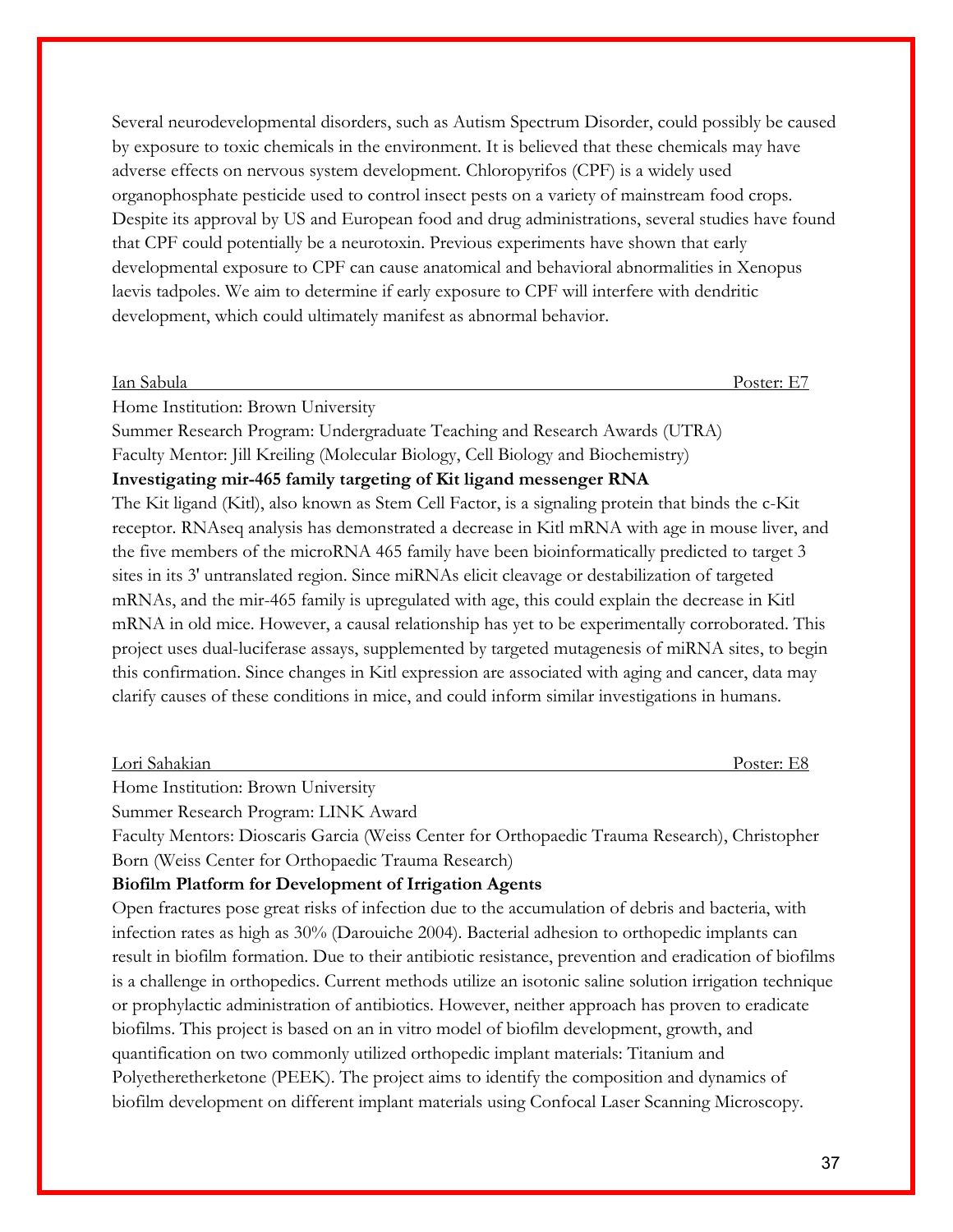Several neurodevelopmental disorders, such as Autism Spectrum Disorder, could possibly be caused by exposure to toxic chemicals in the environment. It is believed that these chemicals may have adverse effects on nervous system development. Chloropyrifos (CPF) is a widely used organophosphate pesticide used to control insect pests on a variety of mainstream food crops. Despite its approval by US and European food and drug administrations, several studies have found that CPF could potentially be a neurotoxin. Previous experiments have shown that early developmental exposure to CPF can cause anatomical and behavioral abnormalities in Xenopus laevis tadpoles. We aim to determine if early exposure to CPF will interfere with dendritic development, which could ultimately manifest as abnormal behavior.

#### Ian Sabula Poster: E7

Home Institution: Brown University

Summer Research Program: Undergraduate Teaching and Research Awards (UTRA) Faculty Mentor: Jill Kreiling (Molecular Biology, Cell Biology and Biochemistry) **Investigating mir-465 family targeting of Kit ligand messenger RNA** The Kit ligand (Kitl), also known as Stem Cell Factor, is a signaling protein that binds the c-Kit receptor. RNAseq analysis has demonstrated a decrease in Kitl mRNA with age in mouse liver, and the five members of the microRNA 465 family have been bioinformatically predicted to target 3 sites in its 3' untranslated region. Since miRNAs elicit cleavage or destabilization of targeted mRNAs, and the mir-465 family is upregulated with age, this could explain the decrease in Kitl mRNA in old mice. However, a causal relationship has yet to be experimentally corroborated. This project uses dual-luciferase assays, supplemented by targeted mutagenesis of miRNA sites, to begin

this confirmation. Since changes in Kitl expression are associated with aging and cancer, data may clarify causes of these conditions in mice, and could inform similar investigations in humans.

| Lori Sahakian |  |  |
|---------------|--|--|
| $\sim$        |  |  |

Home Institution: Brown University

Summer Research Program: LINK Award

Faculty Mentors: Dioscaris Garcia (Weiss Center for Orthopaedic Trauma Research), Christopher Born (Weiss Center for Orthopaedic Trauma Research)

#### **Biofilm Platform for Development of Irrigation Agents**

Open fractures pose great risks of infection due to the accumulation of debris and bacteria, with infection rates as high as 30% (Darouiche 2004). Bacterial adhesion to orthopedic implants can result in biofilm formation. Due to their antibiotic resistance, prevention and eradication of biofilms is a challenge in orthopedics. Current methods utilize an isotonic saline solution irrigation technique or prophylactic administration of antibiotics. However, neither approach has proven to eradicate biofilms. This project is based on an in vitro model of biofilm development, growth, and quantification on two commonly utilized orthopedic implant materials: Titanium and Polyetheretherketone (PEEK). The project aims to identify the composition and dynamics of biofilm development on different implant materials using Confocal Laser Scanning Microscopy.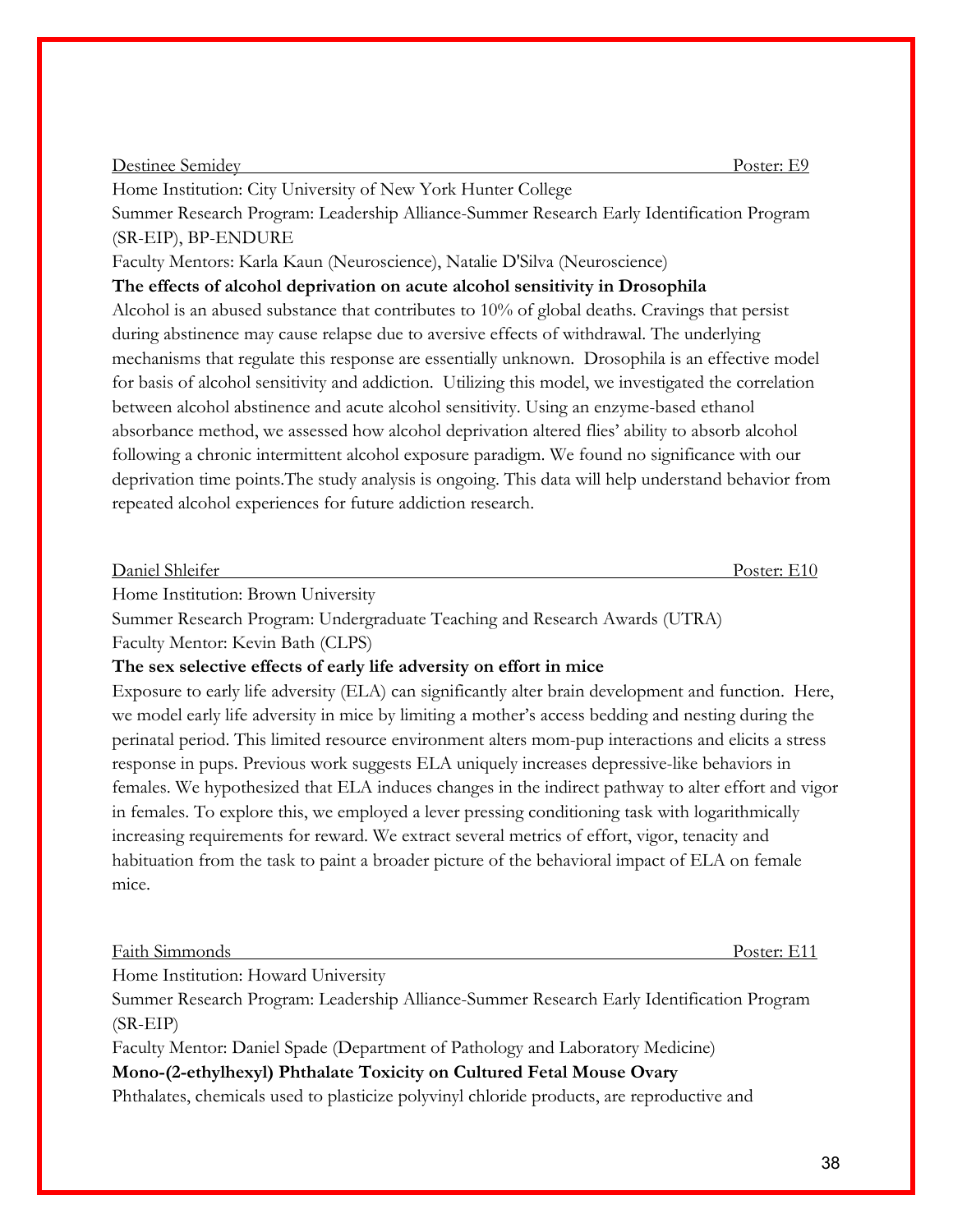Poster: E11

38

### Destinee Semidey Poster: E9

Home Institution: City University of New York Hunter College

Summer Research Program: Leadership Alliance-Summer Research Early Identification Program (SR-EIP), BP-ENDURE

Faculty Mentors: Karla Kaun (Neuroscience), Natalie D'Silva (Neuroscience)

**The effects of alcohol deprivation on acute alcohol sensitivity in Drosophila**

Alcohol is an abused substance that contributes to  $10\%$  of global deaths. Cravings that persist during abstinence may cause relapse due to aversive effects of withdrawal. The underlying mechanisms that regulate this response are essentially unknown. Drosophila is an effective model for basis of alcohol sensitivity and addiction. Utilizing this model, we investigated the correlation between alcohol abstinence and acute alcohol sensitivity. Using an enzyme-based ethanol absorbance method, we assessed how alcohol deprivation altered flies' ability to absorb alcohol following a chronic intermittent alcohol exposure paradigm. We found no significance with our deprivation time points.The study analysis is ongoing. This data will help understand behavior from repeated alcohol experiences for future addiction research.

Home Institution: Brown University

Summer Research Program: Undergraduate Teaching and Research Awards (UTRA)

Faculty Mentor: Kevin Bath (CLPS)

### **The sex selective effects of early life adversity on effort in mice**

Exposure to early life adversity (ELA) can significantly alter brain development and function. Here, we model early life adversity in mice by limiting a mother's access bedding and nesting during the perinatal period. This limited resource environment alters mom-pup interactions and elicits a stress response in pups. Previous work suggests ELA uniquely increases depressive-like behaviors in females. We hypothesized that ELA induces changes in the indirect pathway to alter effort and vigor in females. To explore this, we employed a lever pressing conditioning task with logarithmically increasing requirements for reward. We extract several metrics of effort, vigor, tenacity and habituation from the task to paint a broader picture of the behavioral impact of ELA on female mice.

Home Institution: Howard University

Summer Research Program: Leadership Alliance-Summer Research Early Identification Program (SR-EIP)

Faculty Mentor: Daniel Spade (Department of Pathology and Laboratory Medicine)

### **Mono-(2-ethylhexyl) Phthalate Toxicity on Cultured Fetal Mouse Ovary**

Phthalates, chemicals used to plasticize polyvinyl chloride products, are reproductive and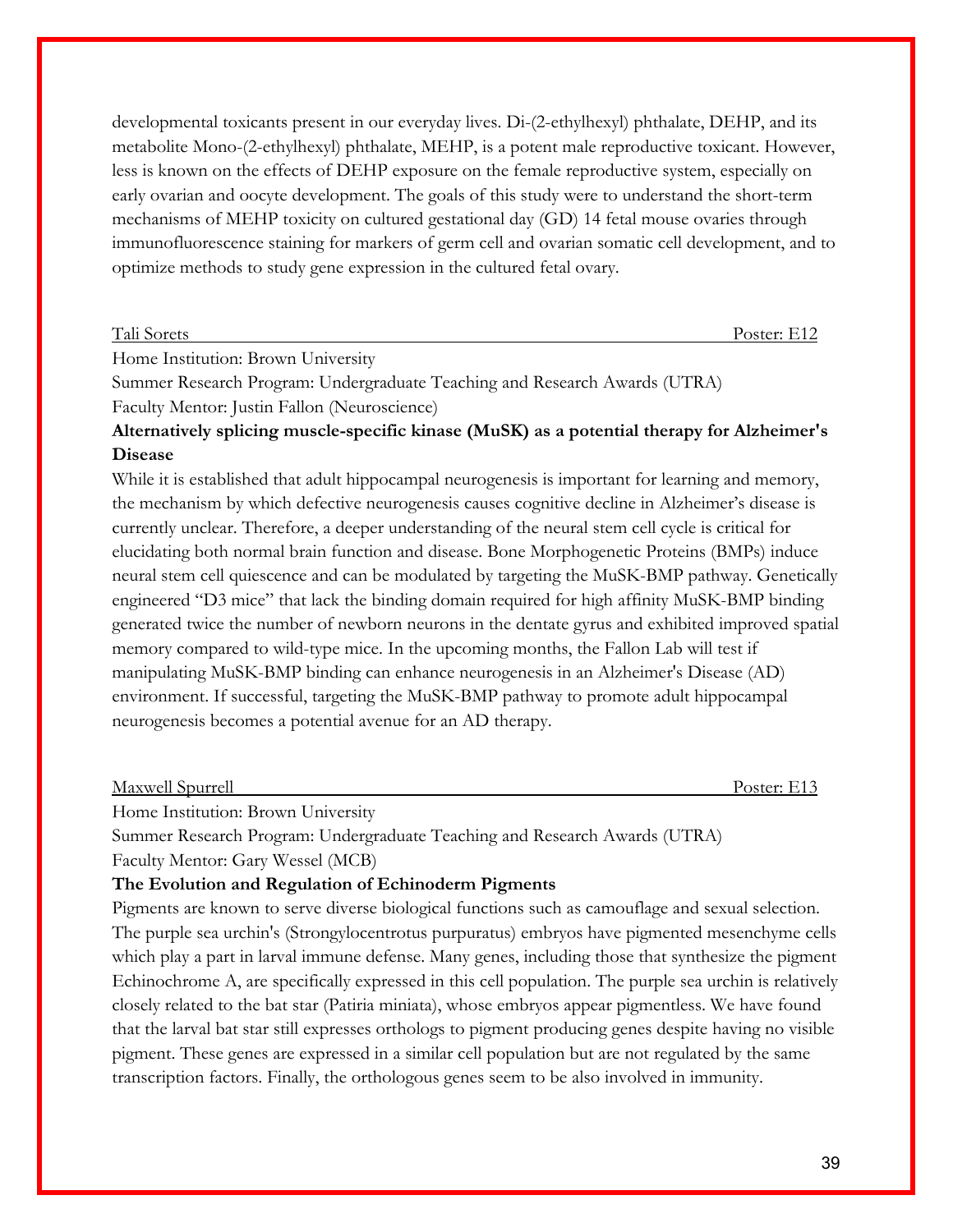developmental toxicants present in our everyday lives. Di-(2-ethylhexyl) phthalate, DEHP, and its metabolite Mono-(2-ethylhexyl) phthalate, MEHP, is a potent male reproductive toxicant. However, less is known on the effects of DEHP exposure on the female reproductive system, especially on early ovarian and oocyte development. The goals of this study were to understand the short-term mechanisms of MEHP toxicity on cultured gestational day (GD) 14 fetal mouse ovaries through immunofluorescence staining for markers of germ cell and ovarian somatic cell development, and to optimize methods to study gene expression in the cultured fetal ovary.

Tali Sorets Poster: E12

Home Institution: Brown University

Summer Research Program: Undergraduate Teaching and Research Awards (UTRA)

Faculty Mentor: Justin Fallon (Neuroscience)

### **Alternatively splicing muscle-specific kinase (MuSK) as a potential therapy for Alzheimer's Disease**

While it is established that adult hippocampal neurogenesis is important for learning and memory, the mechanism by which defective neurogenesis causes cognitive decline in Alzheimer's disease is currently unclear. Therefore, a deeper understanding of the neural stem cell cycle is critical for elucidating both normal brain function and disease. Bone Morphogenetic Proteins (BMPs) induce neural stem cell quiescence and can be modulated by targeting the MuSK-BMP pathway. Genetically engineered "D3 mice" that lack the binding domain required for high affinity MuSK-BMP binding generated twice the number of newborn neurons in the dentate gyrus and exhibited improved spatial memory compared to wild-type mice. In the upcoming months, the Fallon Lab will test if manipulating MuSK-BMP binding can enhance neurogenesis in an Alzheimer's Disease (AD) environment. If successful, targeting the MuSK-BMP pathway to promote adult hippocampal neurogenesis becomes a potential avenue for an AD therapy.

| Maxwell Spurrell | Poster: E13 |
|------------------|-------------|
|                  |             |

Home Institution: Brown University

Summer Research Program: Undergraduate Teaching and Research Awards (UTRA)

Faculty Mentor: Gary Wessel (MCB)

#### **The Evolution and Regulation of Echinoderm Pigments**

Pigments are known to serve diverse biological functions such as camouflage and sexual selection. The purple sea urchin's (Strongylocentrotus purpuratus) embryos have pigmented mesenchyme cells which play a part in larval immune defense. Many genes, including those that synthesize the pigment Echinochrome A, are specifically expressed in this cell population. The purple sea urchin is relatively closely related to the bat star (Patiria miniata), whose embryos appear pigmentless. We have found that the larval bat star still expresses orthologs to pigment producing genes despite having no visible pigment. These genes are expressed in a similar cell population but are not regulated by the same transcription factors. Finally, the orthologous genes seem to be also involved in immunity.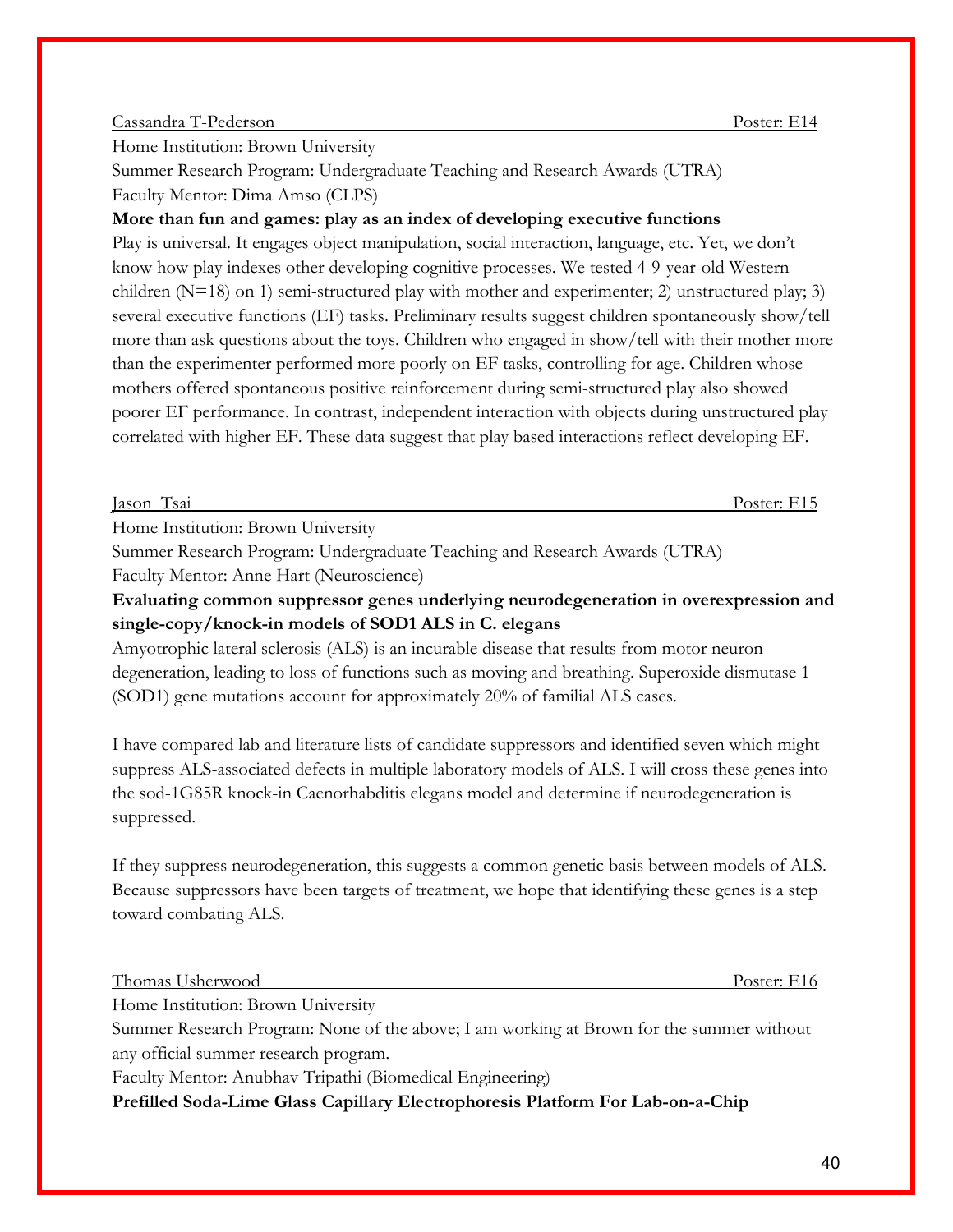#### Cassandra T-Pederson Poster: E14

Home Institution: Brown University

Summer Research Program: Undergraduate Teaching and Research Awards (UTRA) Faculty Mentor: Dima Amso (CLPS)

### **More than fun and games: play as an index of developing executive functions**

Play is universal. It engages object manipulation, social interaction, language, etc. Yet, we don't know how play indexes other developing cognitive processes. We tested 4-9-year-old Western children ( $N=18$ ) on 1) semi-structured play with mother and experimenter; 2) unstructured play; 3) several executive functions (EF) tasks. Preliminary results suggest children spontaneously show/tell more than ask questions about the toys. Children who engaged in show/tell with their mother more than the experimenter performed more poorly on EF tasks, controlling for age. Children whose mothers offered spontaneous positive reinforcement during semi-structured play also showed poorer EF performance. In contrast, independent interaction with objects during unstructured play correlated with higher EF. These data suggest that play based interactions reflect developing EF.

Jason Tsai Poster: E15

Home Institution: Brown University

Summer Research Program: Undergraduate Teaching and Research Awards (UTRA) Faculty Mentor: Anne Hart (Neuroscience)

**Evaluating common suppressor genes underlying neurodegeneration in overexpression and single-copy/knock-in models of SOD1 ALS in C. elegans**

Amyotrophic lateral sclerosis (ALS) is an incurable disease that results from motor neuron degeneration, leading to loss of functions such as moving and breathing. Superoxide dismutase 1 (SOD1) gene mutations account for approximately 20% of familial ALS cases.

I have compared lab and literature lists of candidate suppressors and identified seven which might suppress ALS-associated defects in multiple laboratory models of ALS. I will cross these genes into the sod-1G85R knock-in Caenorhabditis elegans model and determine if neurodegeneration is suppressed.

If they suppress neurodegeneration, this suggests a common genetic basis between models of ALS. Because suppressors have been targets of treatment, we hope that identifying these genes is a step toward combating ALS.

Thomas Usherwood Poster: E16

Home Institution: Brown University

Summer Research Program: None of the above; I am working at Brown for the summer without any official summer research program.

Faculty Mentor: Anubhav Tripathi (Biomedical Engineering)

**Prefilled Soda-Lime Glass Capillary Electrophoresis Platform For Lab-on-a-Chip**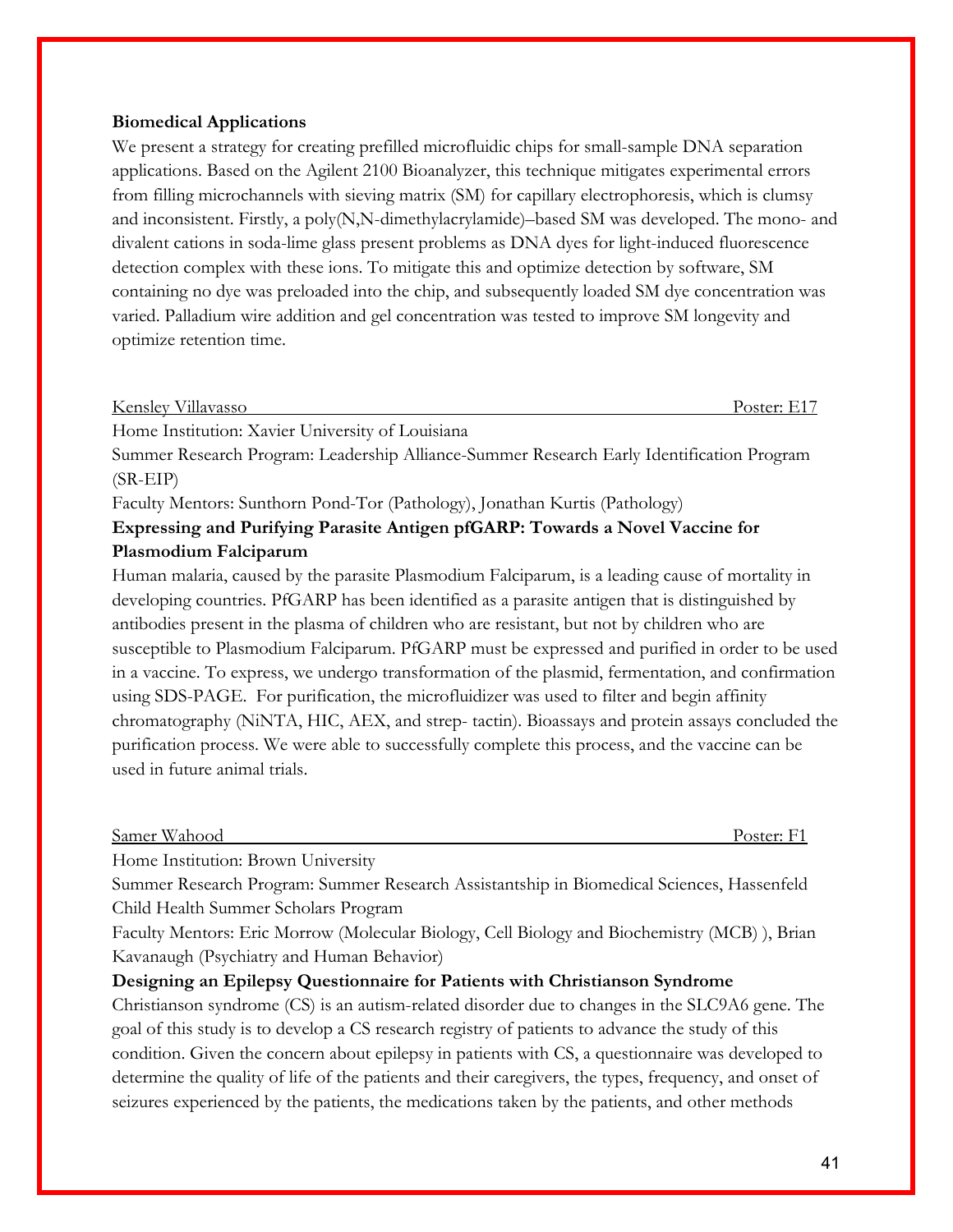#### **Biomedical Applications**

We present a strategy for creating prefilled microfluidic chips for small-sample DNA separation applications. Based on the Agilent 2100 Bioanalyzer, this technique mitigates experimental errors from filling microchannels with sieving matrix (SM) for capillary electrophoresis, which is clumsy and inconsistent. Firstly, a poly(N,N-dimethylacrylamide)–based SM was developed. The mono- and divalent cations in soda-lime glass present problems as DNA dyes for light-induced fluorescence detection complex with these ions. To mitigate this and optimize detection by software, SM containing no dye was preloaded into the chip, and subsequently loaded SM dye concentration was varied. Palladium wire addition and gel concentration was tested to improve SM longevity and optimize retention time.

#### Kensley Villavasso Poster: E17

Home Institution: Xavier University of Louisiana

Summer Research Program: Leadership Alliance-Summer Research Early Identification Program (SR-EIP)

Faculty Mentors: Sunthorn Pond-Tor (Pathology), Jonathan Kurtis (Pathology)

### **Expressing and Purifying Parasite Antigen pfGARP: Towards a Novel Vaccine for Plasmodium Falciparum**

Human malaria, caused by the parasite Plasmodium Falciparum, is a leading cause of mortality in developing countries. PfGARP has been identified as a parasite antigen that is distinguished by antibodies present in the plasma of children who are resistant, but not by children who are susceptible to Plasmodium Falciparum. PfGARP must be expressed and purified in order to be used in a vaccine. To express, we undergo transformation of the plasmid, fermentation, and confirmation using SDS-PAGE. For purification, the microfluidizer was used to filter and begin affinity chromatography (NiNTA, HIC, AEX, and strep- tactin). Bioassays and protein assays concluded the purification process. We were able to successfully complete this process, and the vaccine can be used in future animal trials.

| $\sim$<br><b>XX77</b><br>Samer<br>Wahood | Poster.<br>I OSILI.<br>. |
|------------------------------------------|--------------------------|
|                                          |                          |

Home Institution: Brown University

Summer Research Program: Summer Research Assistantship in Biomedical Sciences, Hassenfeld Child Health Summer Scholars Program

Faculty Mentors: Eric Morrow (Molecular Biology, Cell Biology and Biochemistry (MCB) ), Brian Kavanaugh (Psychiatry and Human Behavior)

#### **Designing an Epilepsy Questionnaire for Patients with Christianson Syndrome**

Christianson syndrome (CS) is an autism-related disorder due to changes in the SLC9A6 gene. The goal of this study is to develop a CS research registry of patients to advance the study of this condition. Given the concern about epilepsy in patients with CS, a questionnaire was developed to determine the quality of life of the patients and their caregivers, the types, frequency, and onset of seizures experienced by the patients, the medications taken by the patients, and other methods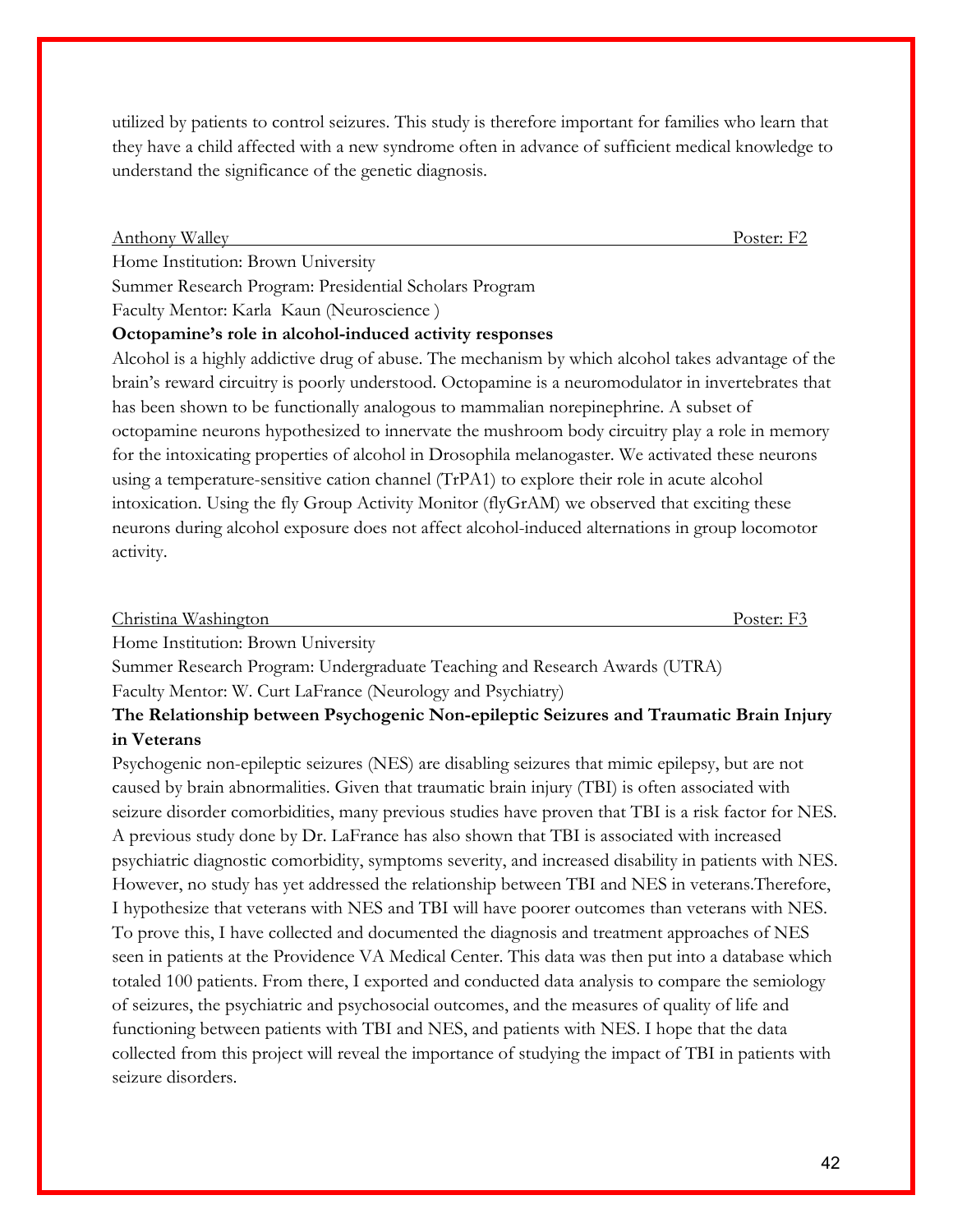utilized by patients to control seizures. This study is therefore important for families who learn that they have a child affected with a new syndrome often in advance of sufficient medical knowledge to understand the significance of the genetic diagnosis.

| <b>Anthony Walley</b>                                                                               | Poster: F2 |
|-----------------------------------------------------------------------------------------------------|------------|
| Home Institution: Brown University                                                                  |            |
| Summer Research Program: Presidential Scholars Program                                              |            |
| Faculty Mentor: Karla Kaun (Neuroscience)                                                           |            |
| Octopamine's role in alcohol-induced activity responses                                             |            |
| Alcohol is a highly addictive drug of abuse. The mechanism by which alcohol takes advantage of the  |            |
| brain's reward circuitry is poorly understood. Octopamine is a neuromodulator in invertebrates that |            |
| has been shown to be functionally analogous to mammalian norepinephrine. A subset of                |            |
| octopamine neurons hypothesized to innervate the mushroom body circuitry play a role in memory      |            |
| for the intoxicating properties of alcohol in Drosophila melanogaster. We activated these neurons   |            |
| using a temperature-sensitive cation channel (TrPA1) to explore their role in acute alcohol         |            |
| intoxication. Using the fly Group Activity Monitor (flyGrAM) we observed that exciting these        |            |
| neurons during alcohol exposure does not affect alcohol-induced alternations in group locomotor     |            |
| activity.                                                                                           |            |

|     | Christina Washington | "∩ster" |
|-----|----------------------|---------|
| TT. | .<br>.               |         |

Home Institution: Brown University

Summer Research Program: Undergraduate Teaching and Research Awards (UTRA) Faculty Mentor: W. Curt LaFrance (Neurology and Psychiatry)

### **The Relationship between Psychogenic Non-epileptic Seizures and Traumatic Brain Injury in Veterans**

Psychogenic non-epileptic seizures (NES) are disabling seizures that mimic epilepsy, but are not caused by brain abnormalities. Given that traumatic brain injury (TBI) is often associated with seizure disorder comorbidities, many previous studies have proven that TBI is a risk factor for NES. A previous study done by Dr. LaFrance has also shown that TBI is associated with increased psychiatric diagnostic comorbidity, symptoms severity, and increased disability in patients with NES. However, no study has yet addressed the relationship between TBI and NES in veterans.Therefore, I hypothesize that veterans with NES and TBI will have poorer outcomes than veterans with NES. To prove this, I have collected and documented the diagnosis and treatment approaches of NES seen in patients at the Providence VA Medical Center. This data was then put into a database which totaled 100 patients. From there, I exported and conducted data analysis to compare the semiology of seizures, the psychiatric and psychosocial outcomes, and the measures of quality of life and functioning between patients with TBI and NES, and patients with NES. I hope that the data collected from this project will reveal the importance of studying the impact of TBI in patients with seizure disorders.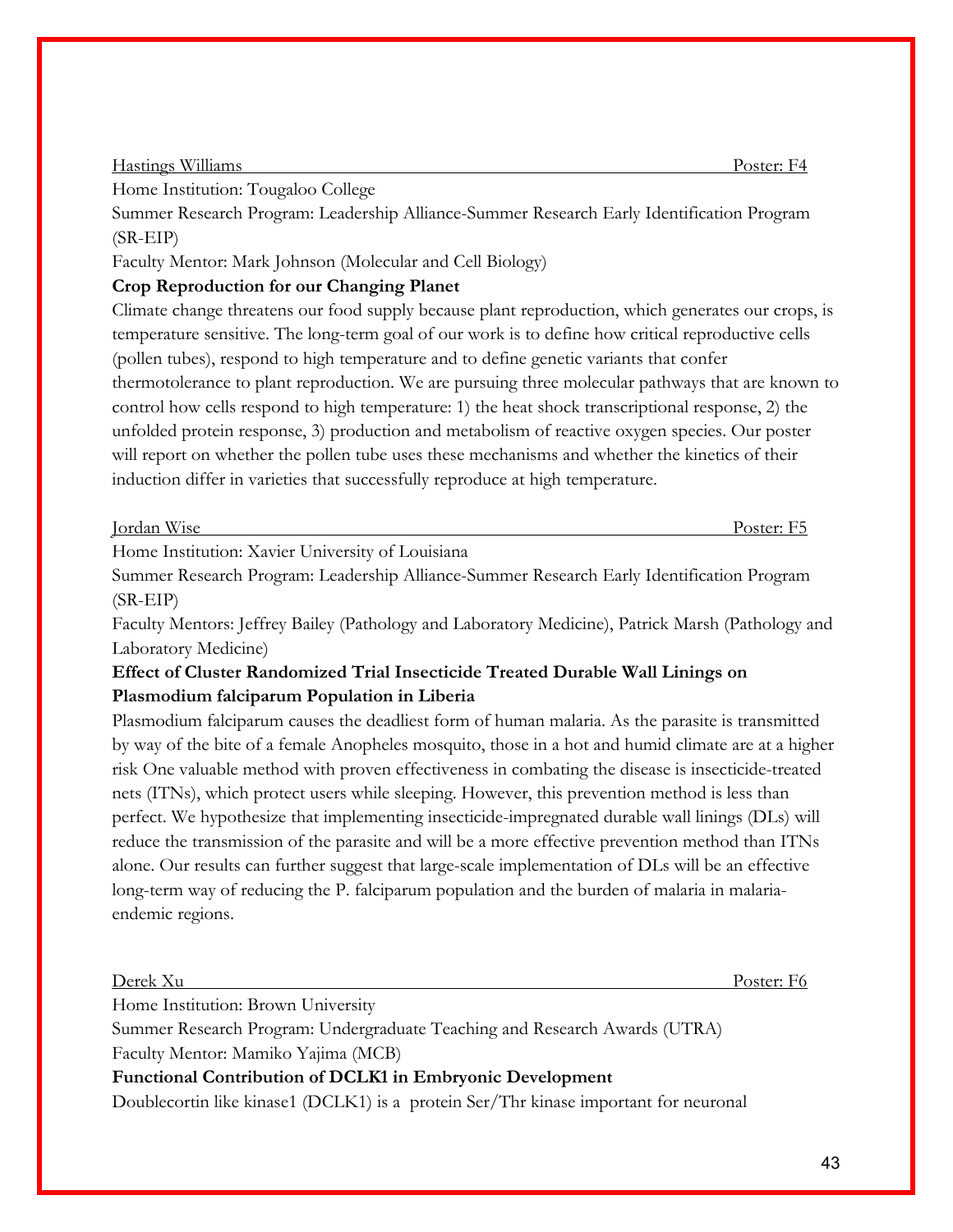Home Institution: Tougaloo College

Summer Research Program: Leadership Alliance-Summer Research Early Identification Program (SR-EIP)

Faculty Mentor: Mark Johnson (Molecular and Cell Biology)

### **Crop Reproduction for our Changing Planet**

Climate change threatens our food supply because plant reproduction, which generates our crops, is temperature sensitive. The long-term goal of our work is to define how critical reproductive cells (pollen tubes), respond to high temperature and to define genetic variants that confer thermotolerance to plant reproduction. We are pursuing three molecular pathways that are known to control how cells respond to high temperature: 1) the heat shock transcriptional response, 2) the unfolded protein response, 3) production and metabolism of reactive oxygen species. Our poster will report on whether the pollen tube uses these mechanisms and whether the kinetics of their induction differ in varieties that successfully reproduce at high temperature.

| <b>TTTT</b><br>T.<br>W <sub>1</sub> se<br>Tordan | ____<br>Poster:<br>OSILL. |
|--------------------------------------------------|---------------------------|
|                                                  |                           |

Home Institution: Xavier University of Louisiana

Summer Research Program: Leadership Alliance-Summer Research Early Identification Program (SR-EIP)

Faculty Mentors: Jeffrey Bailey (Pathology and Laboratory Medicine), Patrick Marsh (Pathology and Laboratory Medicine)

### **Effect of Cluster Randomized Trial Insecticide Treated Durable Wall Linings on Plasmodium falciparum Population in Liberia**

Plasmodium falciparum causes the deadliest form of human malaria. As the parasite is transmitted by way of the bite of a female Anopheles mosquito, those in a hot and humid climate are at a higher risk One valuable method with proven effectiveness in combating the disease is insecticide-treated nets (ITNs), which protect users while sleeping. However, this prevention method is less than perfect. We hypothesize that implementing insecticide-impregnated durable wall linings (DLs) will reduce the transmission of the parasite and will be a more effective prevention method than ITNs alone. Our results can further suggest that large-scale implementation of DLs will be an effective long-term way of reducing the P. falciparum population and the burden of malaria in malariaendemic regions.

Derek Xu Poster: F6

Home Institution: Brown University

Summer Research Program: Undergraduate Teaching and Research Awards (UTRA)

Faculty Mentor: Mamiko Yajima (MCB)

### **Functional Contribution of DCLK1 in Embryonic Development**

Doublecortin like kinase1 (DCLK1) is a protein Ser/Thr kinase important for neuronal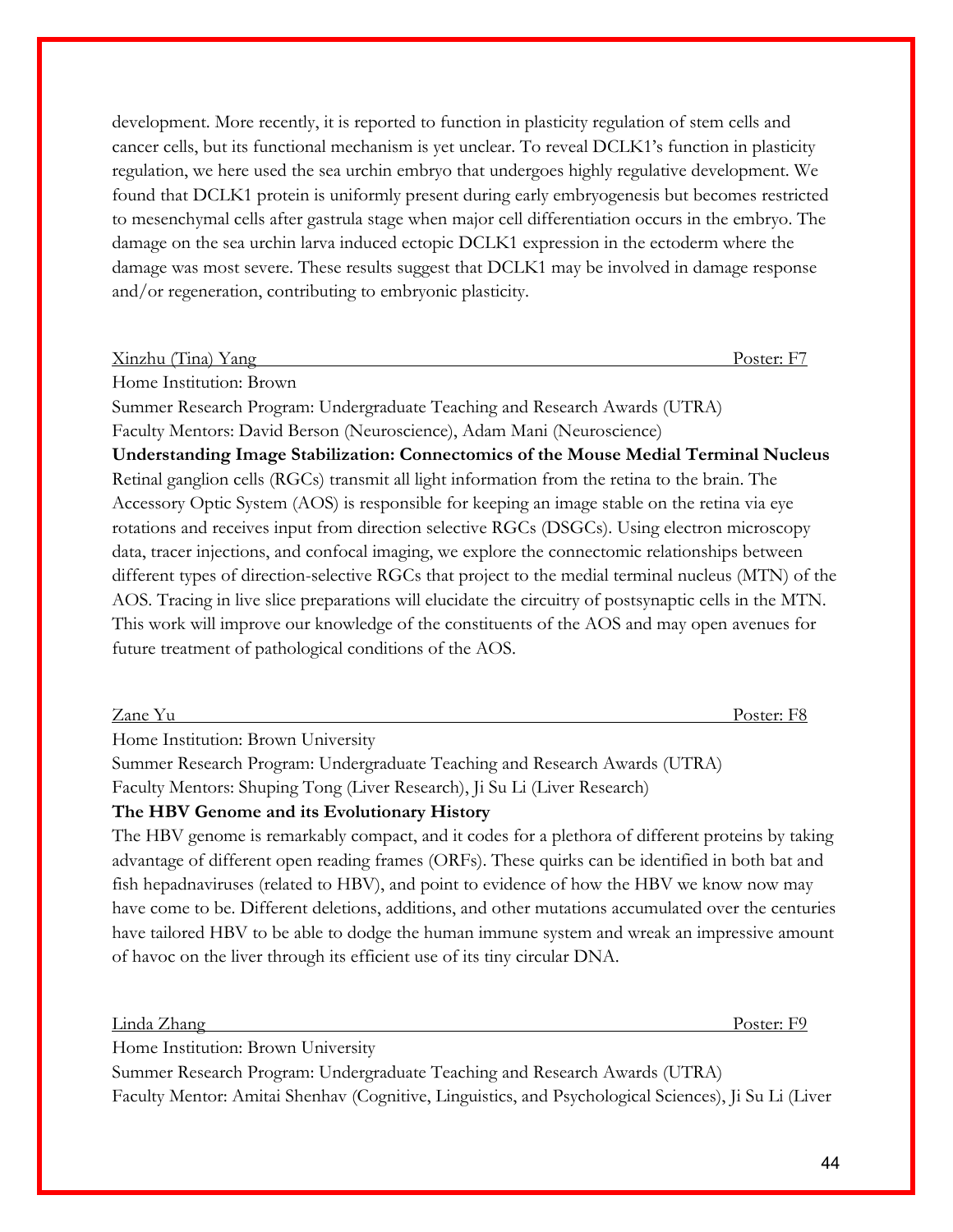development. More recently, it is reported to function in plasticity regulation of stem cells and cancer cells, but its functional mechanism is yet unclear. To reveal DCLK1's function in plasticity regulation, we here used the sea urchin embryo that undergoes highly regulative development. We found that DCLK1 protein is uniformly present during early embryogenesis but becomes restricted to mesenchymal cells after gastrula stage when major cell differentiation occurs in the embryo. The damage on the sea urchin larva induced ectopic DCLK1 expression in the ectoderm where the damage was most severe. These results suggest that DCLK1 may be involved in damage response and/or regeneration, contributing to embryonic plasticity.

| Xinzhu | $1$ ina) | - -<br>y ang | $\text{Voster: } \Delta$ | $-$ |
|--------|----------|--------------|--------------------------|-----|
|        |          |              |                          |     |

Home Institution: Brown

Summer Research Program: Undergraduate Teaching and Research Awards (UTRA) Faculty Mentors: David Berson (Neuroscience), Adam Mani (Neuroscience) **Understanding Image Stabilization: Connectomics of the Mouse Medial Terminal Nucleus** Retinal ganglion cells (RGCs) transmit all light information from the retina to the brain. The Accessory Optic System (AOS) is responsible for keeping an image stable on the retina via eye rotations and receives input from direction selective RGCs (DSGCs). Using electron microscopy data, tracer injections, and confocal imaging, we explore the connectomic relationships between different types of direction-selective RGCs that project to the medial terminal nucleus (MTN) of the AOS. Tracing in live slice preparations will elucidate the circuitry of postsynaptic cells in the MTN. This work will improve our knowledge of the constituents of the AOS and may open avenues for future treatment of pathological conditions of the AOS.

Zane Yu Poster: F8

Home Institution: Brown University

Summer Research Program: Undergraduate Teaching and Research Awards (UTRA) Faculty Mentors: Shuping Tong (Liver Research), Ji Su Li (Liver Research)

### **The HBV Genome and its Evolutionary History**

The HBV genome is remarkably compact, and it codes for a plethora of different proteins by taking advantage of different open reading frames (ORFs). These quirks can be identified in both bat and fish hepadnaviruses (related to HBV), and point to evidence of how the HBV we know now may have come to be. Different deletions, additions, and other mutations accumulated over the centuries have tailored HBV to be able to dodge the human immune system and wreak an impressive amount of havoc on the liver through its efficient use of its tiny circular DNA.

Linda Zhang Poster: F9

Home Institution: Brown University

Summer Research Program: Undergraduate Teaching and Research Awards (UTRA) Faculty Mentor: Amitai Shenhav (Cognitive, Linguistics, and Psychological Sciences), Ji Su Li (Liver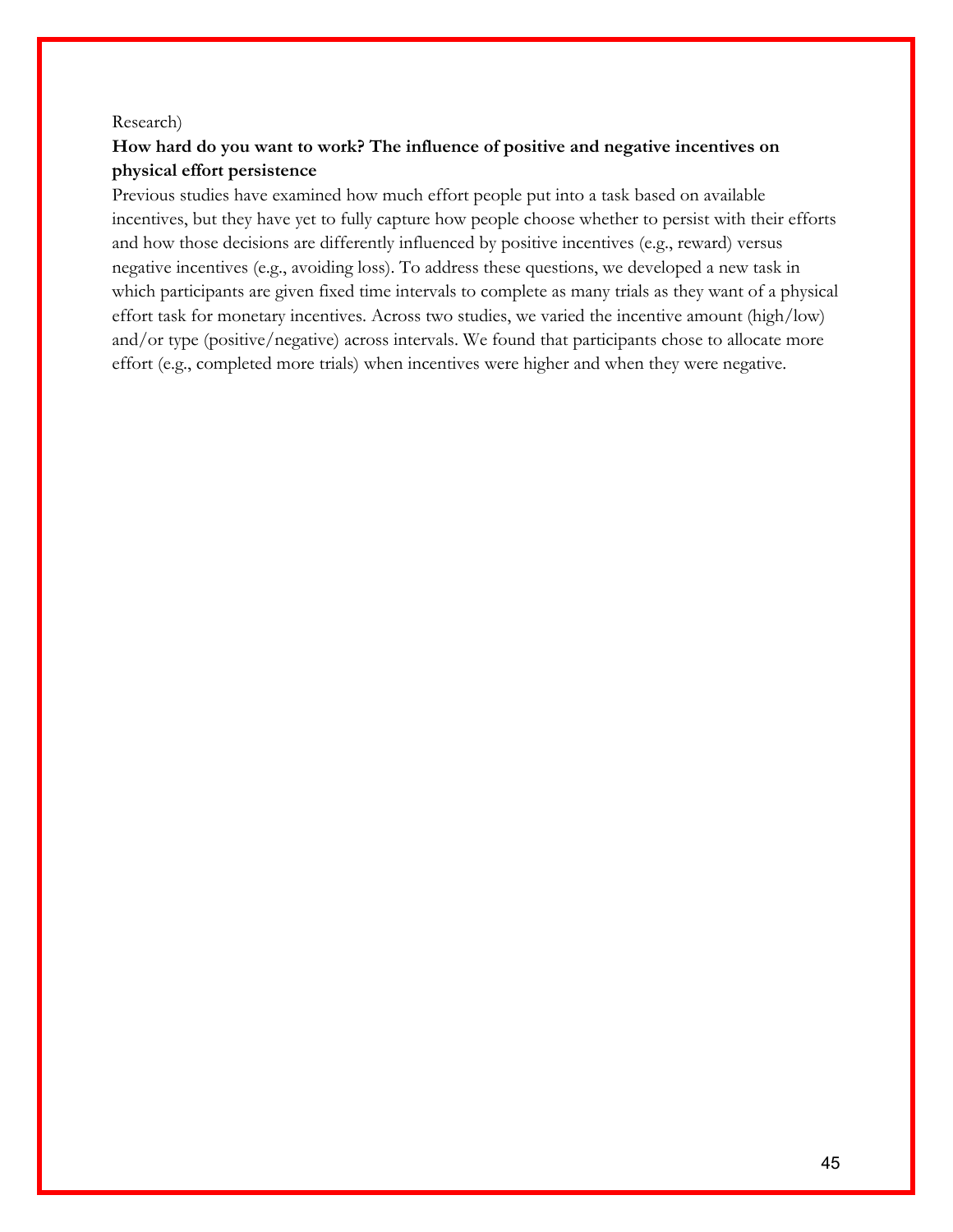#### Research)

### **How hard do you want to work? The influence of positive and negative incentives on physical effort persistence**

Previous studies have examined how much effort people put into a task based on available incentives, but they have yet to fully capture how people choose whether to persist with their efforts and how those decisions are differently influenced by positive incentives (e.g., reward) versus negative incentives (e.g., avoiding loss). To address these questions, we developed a new task in which participants are given fixed time intervals to complete as many trials as they want of a physical effort task for monetary incentives. Across two studies, we varied the incentive amount (high/low) and/or type (positive/negative) across intervals. We found that participants chose to allocate more effort (e.g., completed more trials) when incentives were higher and when they were negative.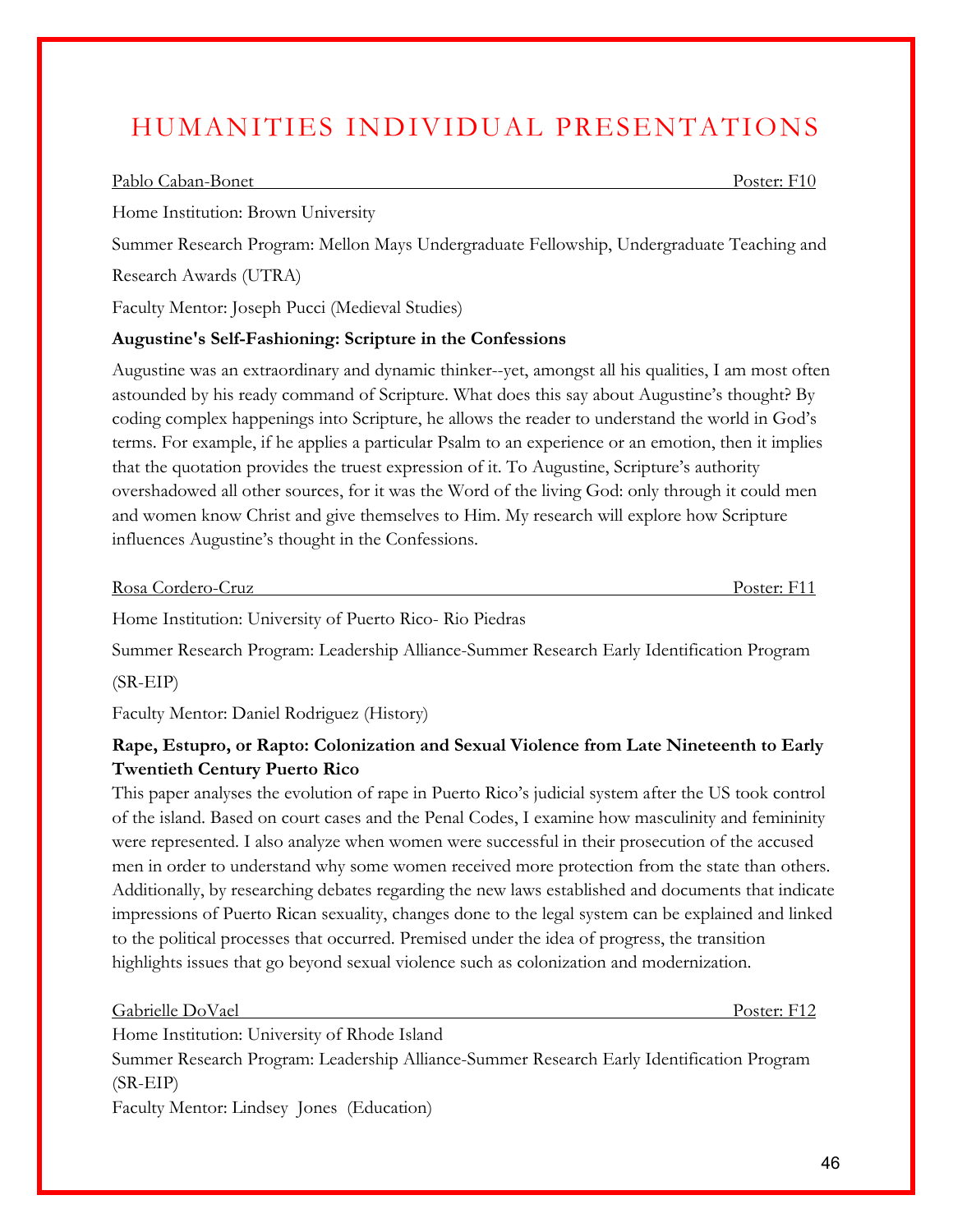# HUMANITIES INDIVIDUAL PRESENTATIONS

#### Pablo Caban-Bonet Poster: F10

Home Institution: Brown University

Summer Research Program: Mellon Mays Undergraduate Fellowship, Undergraduate Teaching and Research Awards (UTRA)

Faculty Mentor: Joseph Pucci (Medieval Studies)

#### **Augustine's Self-Fashioning: Scripture in the Confessions**

Augustine was an extraordinary and dynamic thinker--yet, amongst all his qualities, I am most often astounded by his ready command of Scripture. What does this say about Augustine's thought? By coding complex happenings into Scripture, he allows the reader to understand the world in God's terms. For example, if he applies a particular Psalm to an experience or an emotion, then it implies that the quotation provides the truest expression of it. To Augustine, Scripture's authority overshadowed all other sources, for it was the Word of the living God: only through it could men and women know Christ and give themselves to Him. My research will explore how Scripture influences Augustine's thought in the Confessions.

| Rosa Cordero-Cruz | Poster: F11 |
|-------------------|-------------|
|                   |             |

Home Institution: University of Puerto Rico- Rio Piedras

Summer Research Program: Leadership Alliance-Summer Research Early Identification Program

(SR-EIP)

Faculty Mentor: Daniel Rodriguez (History)

### **Rape, Estupro, or Rapto: Colonization and Sexual Violence from Late Nineteenth to Early Twentieth Century Puerto Rico**

This paper analyses the evolution of rape in Puerto Rico's judicial system after the US took control of the island. Based on court cases and the Penal Codes, I examine how masculinity and femininity were represented. I also analyze when women were successful in their prosecution of the accused men in order to understand why some women received more protection from the state than others. Additionally, by researching debates regarding the new laws established and documents that indicate impressions of Puerto Rican sexuality, changes done to the legal system can be explained and linked to the political processes that occurred. Premised under the idea of progress, the transition highlights issues that go beyond sexual violence such as colonization and modernization.

Gabrielle DoVael Poster: F12

Home Institution: University of Rhode Island Summer Research Program: Leadership Alliance-Summer Research Early Identification Program (SR-EIP) Faculty Mentor: Lindsey Jones (Education)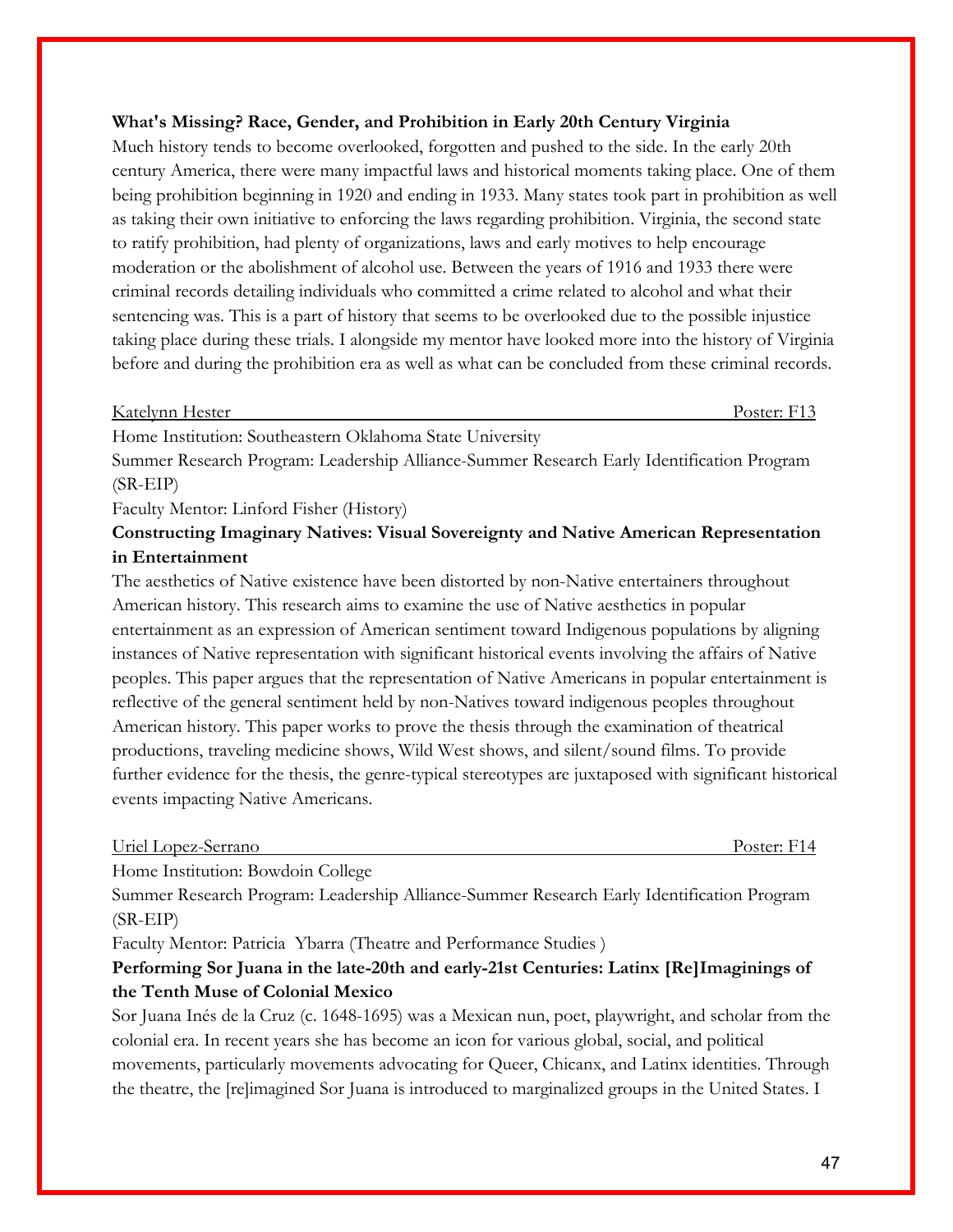### **What's Missing? Race, Gender, and Prohibition in Early 20th Century Virginia**

Much history tends to become overlooked, forgotten and pushed to the side. In the early 20th century America, there were many impactful laws and historical moments taking place. One of them being prohibition beginning in 1920 and ending in 1933. Many states took part in prohibition as well as taking their own initiative to enforcing the laws regarding prohibition. Virginia, the second state to ratify prohibition, had plenty of organizations, laws and early motives to help encourage moderation or the abolishment of alcohol use. Between the years of 1916 and 1933 there were criminal records detailing individuals who committed a crime related to alcohol and what their sentencing was. This is a part of history that seems to be overlooked due to the possible injustice taking place during these trials. I alongside my mentor have looked more into the history of Virginia before and during the prohibition era as well as what can be concluded from these criminal records.

| Katelynn Hester | Poster: 1 |
|-----------------|-----------|
|                 |           |

Home Institution: Southeastern Oklahoma State University

Summer Research Program: Leadership Alliance-Summer Research Early Identification Program (SR-EIP)

Faculty Mentor: Linford Fisher (History)

### **Constructing Imaginary Natives: Visual Sovereignty and Native American Representation in Entertainment**

The aesthetics of Native existence have been distorted by non-Native entertainers throughout American history. This research aims to examine the use of Native aesthetics in popular entertainment as an expression of American sentiment toward Indigenous populations by aligning instances of Native representation with significant historical events involving the affairs of Native peoples. This paper argues that the representation of Native Americans in popular entertainment is reflective of the general sentiment held by non-Natives toward indigenous peoples throughout American history. This paper works to prove the thesis through the examination of theatrical productions, traveling medicine shows, Wild West shows, and silent/sound films. To provide further evidence for the thesis, the genre-typical stereotypes are juxtaposed with significant historical events impacting Native Americans.

| Uriel Lopez-Serrano |  |
|---------------------|--|
|---------------------|--|

Poster: F14

Home Institution: Bowdoin College

Summer Research Program: Leadership Alliance-Summer Research Early Identification Program (SR-EIP)

Faculty Mentor: Patricia Ybarra (Theatre and Performance Studies )

### **Performing Sor Juana in the late-20th and early-21st Centuries: Latinx [Re]Imaginings of the Tenth Muse of Colonial Mexico**

Sor Juana Inés de la Cruz (c. 1648-1695) was a Mexican nun, poet, playwright, and scholar from the colonial era. In recent years she has become an icon for various global, social, and political movements, particularly movements advocating for Queer, Chicanx, and Latinx identities. Through the theatre, the [re]imagined Sor Juana is introduced to marginalized groups in the United States. I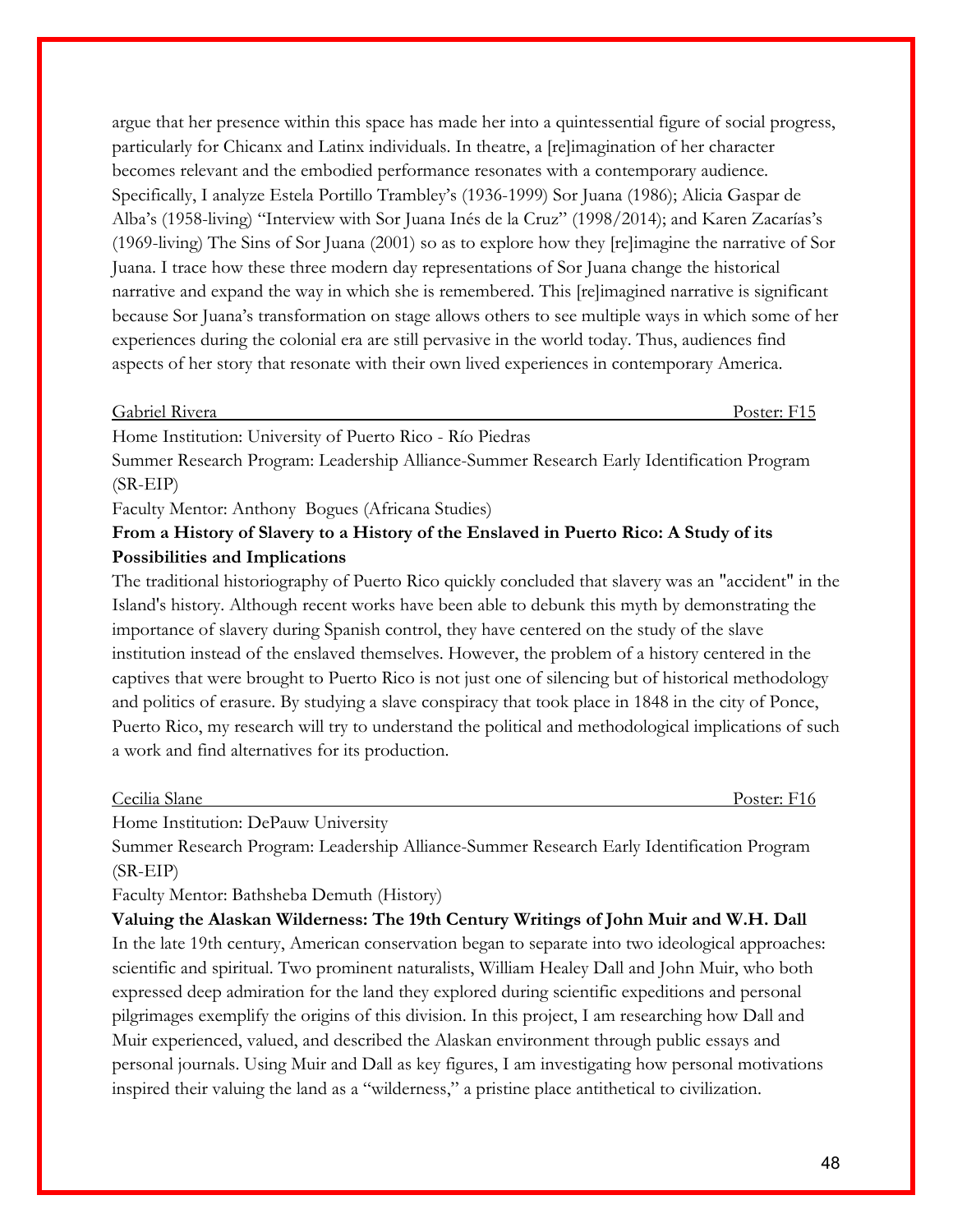argue that her presence within this space has made her into a quintessential figure of social progress, particularly for Chicanx and Latinx individuals. In theatre, a [re]imagination of her character becomes relevant and the embodied performance resonates with a contemporary audience. Specifically, I analyze Estela Portillo Trambley's (1936-1999) Sor Juana (1986); Alicia Gaspar de Alba's (1958-living) "Interview with Sor Juana Inés de la Cruz" (1998/2014); and Karen Zacarías's (1969-living) The Sins of Sor Juana (2001) so as to explore how they [re]imagine the narrative of Sor Juana. I trace how these three modern day representations of Sor Juana change the historical narrative and expand the way in which she is remembered. This [re]imagined narrative is significant because Sor Juana's transformation on stage allows others to see multiple ways in which some of her experiences during the colonial era are still pervasive in the world today. Thus, audiences find aspects of her story that resonate with their own lived experiences in contemporary America.

| $\sqrt{2}$<br>$\overline{\phantom{a}}$<br>Gabriel Kivera | Poster:<br>. |
|----------------------------------------------------------|--------------|
|                                                          |              |

Home Institution: University of Puerto Rico - Río Piedras

Summer Research Program: Leadership Alliance-Summer Research Early Identification Program (SR-EIP)

Faculty Mentor: Anthony Bogues (Africana Studies)

### **From a History of Slavery to a History of the Enslaved in Puerto Rico: A Study of its Possibilities and Implications**

The traditional historiography of Puerto Rico quickly concluded that slavery was an "accident" in the Island's history. Although recent works have been able to debunk this myth by demonstrating the importance of slavery during Spanish control, they have centered on the study of the slave institution instead of the enslaved themselves. However, the problem of a history centered in the captives that were brought to Puerto Rico is not just one of silencing but of historical methodology and politics of erasure. By studying a slave conspiracy that took place in 1848 in the city of Ponce, Puerto Rico, my research will try to understand the political and methodological implications of such a work and find alternatives for its production.

#### Cecilia Slane Poster: F16

Home Institution: DePauw University

Summer Research Program: Leadership Alliance-Summer Research Early Identification Program (SR-EIP)

Faculty Mentor: Bathsheba Demuth (History)

**Valuing the Alaskan Wilderness: The 19th Century Writings of John Muir and W.H. Dall** In the late 19th century, American conservation began to separate into two ideological approaches: scientific and spiritual. Two prominent naturalists, William Healey Dall and John Muir, who both expressed deep admiration for the land they explored during scientific expeditions and personal pilgrimages exemplify the origins of this division. In this project, I am researching how Dall and Muir experienced, valued, and described the Alaskan environment through public essays and personal journals. Using Muir and Dall as key figures, I am investigating how personal motivations inspired their valuing the land as a "wilderness," a pristine place antithetical to civilization.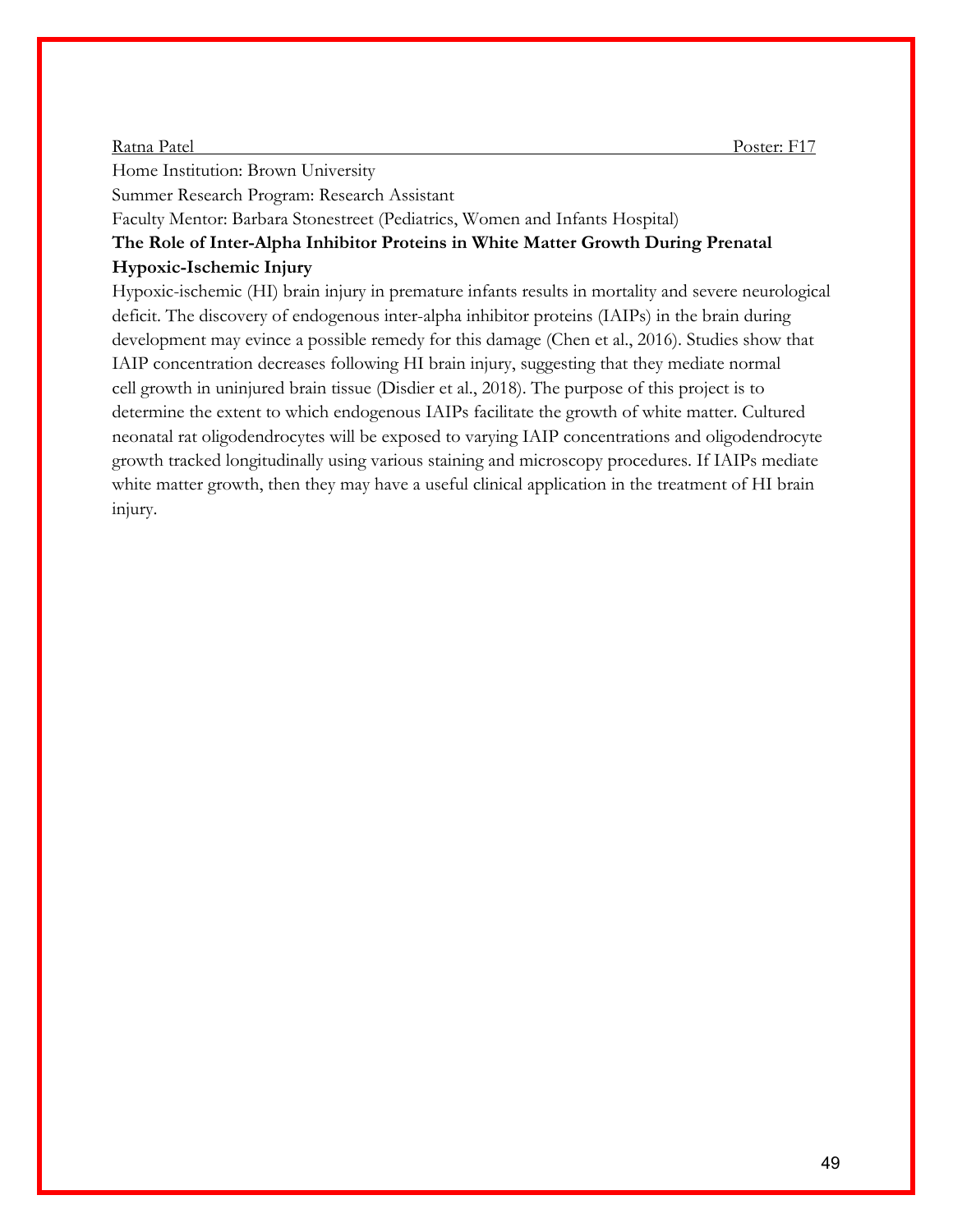#### Ratna Patel Poster: F17

Home Institution: Brown University

Summer Research Program: Research Assistant

Faculty Mentor: Barbara Stonestreet (Pediatrics, Women and Infants Hospital)

**The Role of Inter-Alpha Inhibitor Proteins in White Matter Growth During Prenatal Hypoxic-Ischemic Injury** 

Hypoxic-ischemic (HI) brain injury in premature infants results in mortality and severe neurological deficit. The discovery of endogenous inter-alpha inhibitor proteins (IAIPs) in the brain during development may evince a possible remedy for this damage (Chen et al., 2016). Studies show that IAIP concentration decreases following HI brain injury, suggesting that they mediate normal cell growth in uninjured brain tissue (Disdier et al., 2018). The purpose of this project is to determine the extent to which endogenous IAIPs facilitate the growth of white matter. Cultured neonatal rat oligodendrocytes will be exposed to varying IAIP concentrations and oligodendrocyte growth tracked longitudinally using various staining and microscopy procedures. If IAIPs mediate white matter growth, then they may have a useful clinical application in the treatment of HI brain injury.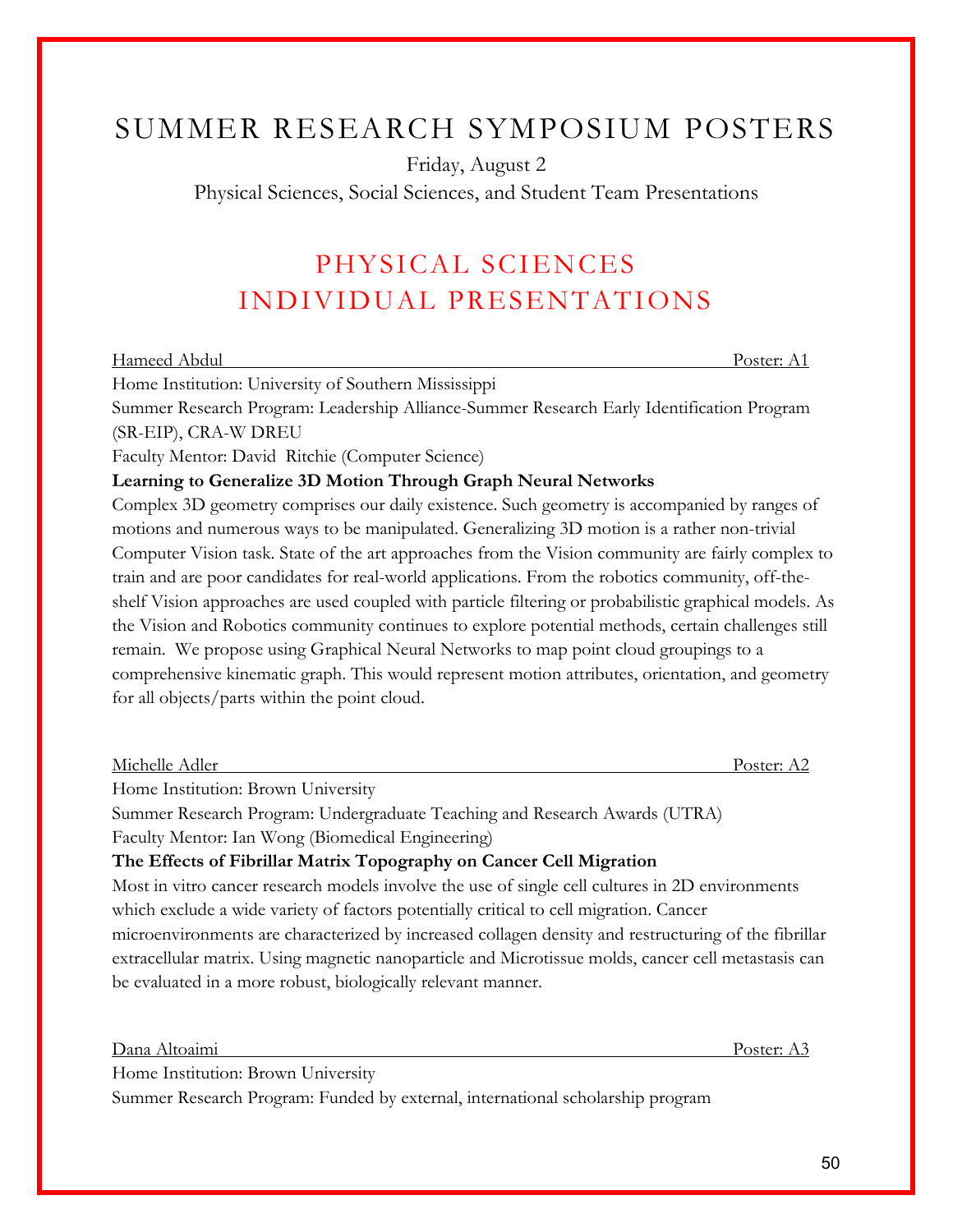# SUMMER RESEARCH SYMPOSIUM POSTERS

Friday, August 2

Physical Sciences, Social Sciences, and Student Team Presentations

# PHYSICAL SCIENCES INDIVIDUAL PRESENTATIONS

| Hameed Abdul |                                                                                                                                                                         |  |  |              |                                                                                                                                                                                                                                                                                                                                                                                                                                                                                            |  |  | Poster: A1 |  |
|--------------|-------------------------------------------------------------------------------------------------------------------------------------------------------------------------|--|--|--------------|--------------------------------------------------------------------------------------------------------------------------------------------------------------------------------------------------------------------------------------------------------------------------------------------------------------------------------------------------------------------------------------------------------------------------------------------------------------------------------------------|--|--|------------|--|
|              | Home Institution: University of Southern Mississippi                                                                                                                    |  |  |              |                                                                                                                                                                                                                                                                                                                                                                                                                                                                                            |  |  |            |  |
| $\alpha$ m   | $\mathbf{1} \mathbf{D}$ $\mathbf{1} \mathbf{I}$ $\mathbf{1} \mathbf{I}$ $\mathbf{1} \mathbf{I}$ $\mathbf{1} \mathbf{I}$ $\mathbf{1} \mathbf{I}$ $\mathbf{1} \mathbf{I}$ |  |  | $\mathbf{L}$ | $\blacksquare$ $\blacksquare$ $\blacksquare$ $\blacksquare$ $\blacksquare$ $\blacksquare$ $\blacksquare$ $\blacksquare$ $\blacksquare$ $\blacksquare$ $\blacksquare$ $\blacksquare$ $\blacksquare$ $\blacksquare$ $\blacksquare$ $\blacksquare$ $\blacksquare$ $\blacksquare$ $\blacksquare$ $\blacksquare$ $\blacksquare$ $\blacksquare$ $\blacksquare$ $\blacksquare$ $\blacksquare$ $\blacksquare$ $\blacksquare$ $\blacksquare$ $\blacksquare$ $\blacksquare$ $\blacksquare$ $\blacks$ |  |  |            |  |

Summer Research Program: Leadership Alliance-Summer Research Early Identification Program (SR-EIP), CRA-W DREU

Faculty Mentor: David Ritchie (Computer Science)

### **Learning to Generalize 3D Motion Through Graph Neural Networks**

Complex 3D geometry comprises our daily existence. Such geometry is accompanied by ranges of motions and numerous ways to be manipulated. Generalizing 3D motion is a rather non-trivial Computer Vision task. State of the art approaches from the Vision community are fairly complex to train and are poor candidates for real-world applications. From the robotics community, off-theshelf Vision approaches are used coupled with particle filtering or probabilistic graphical models. As the Vision and Robotics community continues to explore potential methods, certain challenges still remain. We propose using Graphical Neural Networks to map point cloud groupings to a comprehensive kinematic graph. This would represent motion attributes, orientation, and geometry for all objects/parts within the point cloud.

| Michelle Adler                                                                                       | Poster: A2 |
|------------------------------------------------------------------------------------------------------|------------|
| Home Institution: Brown University                                                                   |            |
| Summer Research Program: Undergraduate Teaching and Research Awards (UTRA)                           |            |
| Faculty Mentor: Ian Wong (Biomedical Engineering)                                                    |            |
| The Effects of Fibrillar Matrix Topography on Cancer Cell Migration                                  |            |
| Most in vitro cancer research models involve the use of single cell cultures in 2D environments      |            |
| which exclude a wide variety of factors potentially critical to cell migration. Cancer               |            |
| microenvironments are characterized by increased collagen density and restructuring of the fibrillar |            |
| extracellular matrix. Using magnetic nanoparticle and Microtissue molds, cancer cell metastasis can  |            |
| be evaluated in a more robust, biologically relevant manner.                                         |            |

|               | Poster:                  |
|---------------|--------------------------|
| Dana Altoaimi | <b><i><u>LAL</u></i></b> |
|               |                          |

Home Institution: Brown University

Summer Research Program: Funded by external, international scholarship program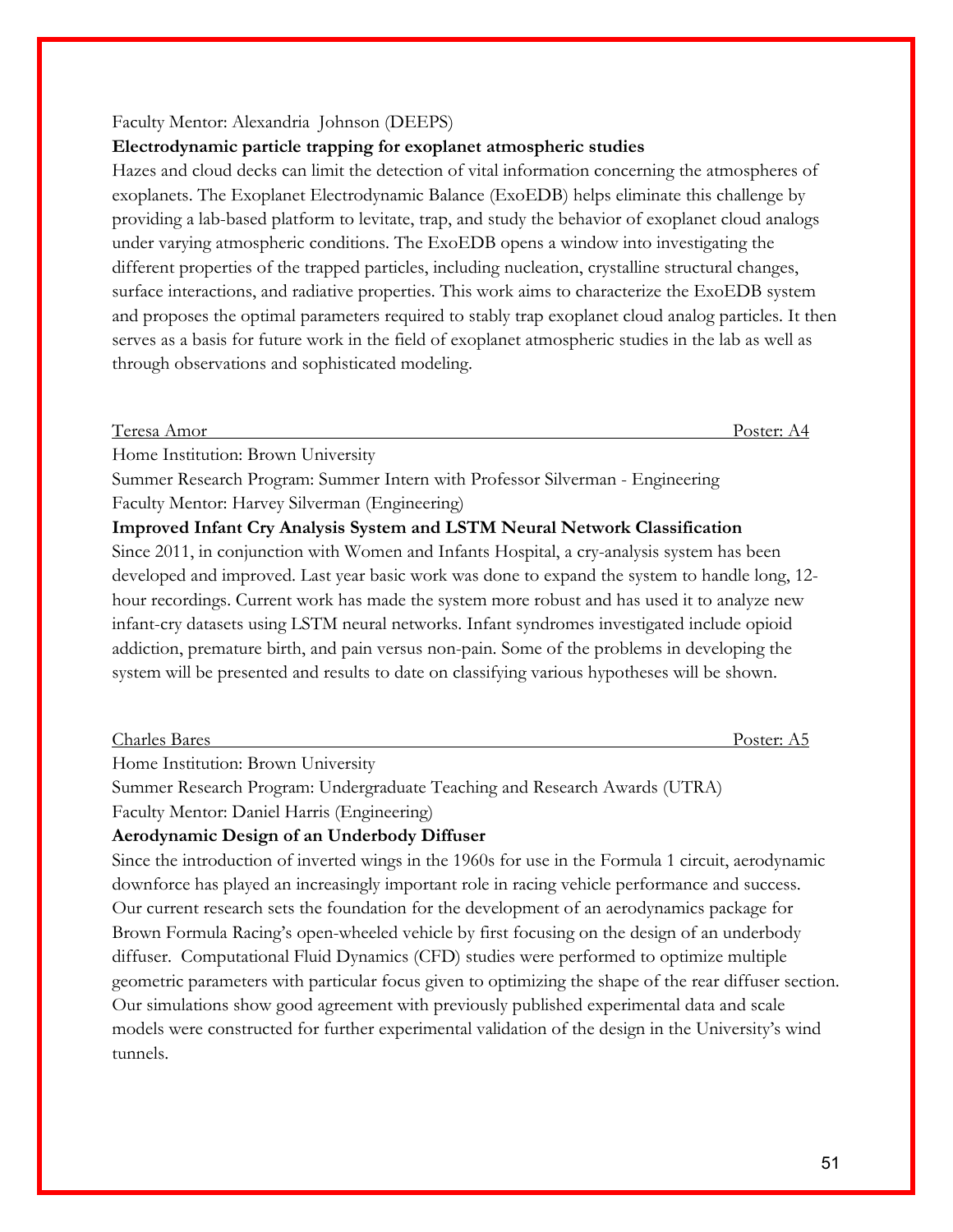#### Faculty Mentor: Alexandria Johnson (DEEPS)

#### **Electrodynamic particle trapping for exoplanet atmospheric studies**

Hazes and cloud decks can limit the detection of vital information concerning the atmospheres of exoplanets. The Exoplanet Electrodynamic Balance (ExoEDB) helps eliminate this challenge by providing a lab-based platform to levitate, trap, and study the behavior of exoplanet cloud analogs under varying atmospheric conditions. The ExoEDB opens a window into investigating the different properties of the trapped particles, including nucleation, crystalline structural changes, surface interactions, and radiative properties. This work aims to characterize the ExoEDB system and proposes the optimal parameters required to stably trap exoplanet cloud analog particles. It then serves as a basis for future work in the field of exoplanet atmospheric studies in the lab as well as through observations and sophisticated modeling.

| דד          |        | Poster: $A$ |
|-------------|--------|-------------|
| Teresa Amor | $\sim$ | .           |
|             |        |             |

Home Institution: Brown University

Summer Research Program: Summer Intern with Professor Silverman - Engineering Faculty Mentor: Harvey Silverman (Engineering)

### **Improved Infant Cry Analysis System and LSTM Neural Network Classification**

Since 2011, in conjunction with Women and Infants Hospital, a cry-analysis system has been developed and improved. Last year basic work was done to expand the system to handle long, 12 hour recordings. Current work has made the system more robust and has used it to analyze new infant-cry datasets using LSTM neural networks. Infant syndromes investigated include opioid addiction, premature birth, and pain versus non-pain. Some of the problems in developing the system will be presented and results to date on classifying various hypotheses will be shown.

| $\sim$ 1 | Jostan                   |
|----------|--------------------------|
| Charles  | osici.                   |
|          | $\overline{\phantom{a}}$ |
| Bares    | . .                      |
|          |                          |

Home Institution: Brown University

Summer Research Program: Undergraduate Teaching and Research Awards (UTRA) Faculty Mentor: Daniel Harris (Engineering)

#### **Aerodynamic Design of an Underbody Diffuser**

Since the introduction of inverted wings in the 1960s for use in the Formula 1 circuit, aerodynamic downforce has played an increasingly important role in racing vehicle performance and success. Our current research sets the foundation for the development of an aerodynamics package for Brown Formula Racing's open-wheeled vehicle by first focusing on the design of an underbody diffuser. Computational Fluid Dynamics (CFD) studies were performed to optimize multiple geometric parameters with particular focus given to optimizing the shape of the rear diffuser section. Our simulations show good agreement with previously published experimental data and scale models were constructed for further experimental validation of the design in the University's wind tunnels.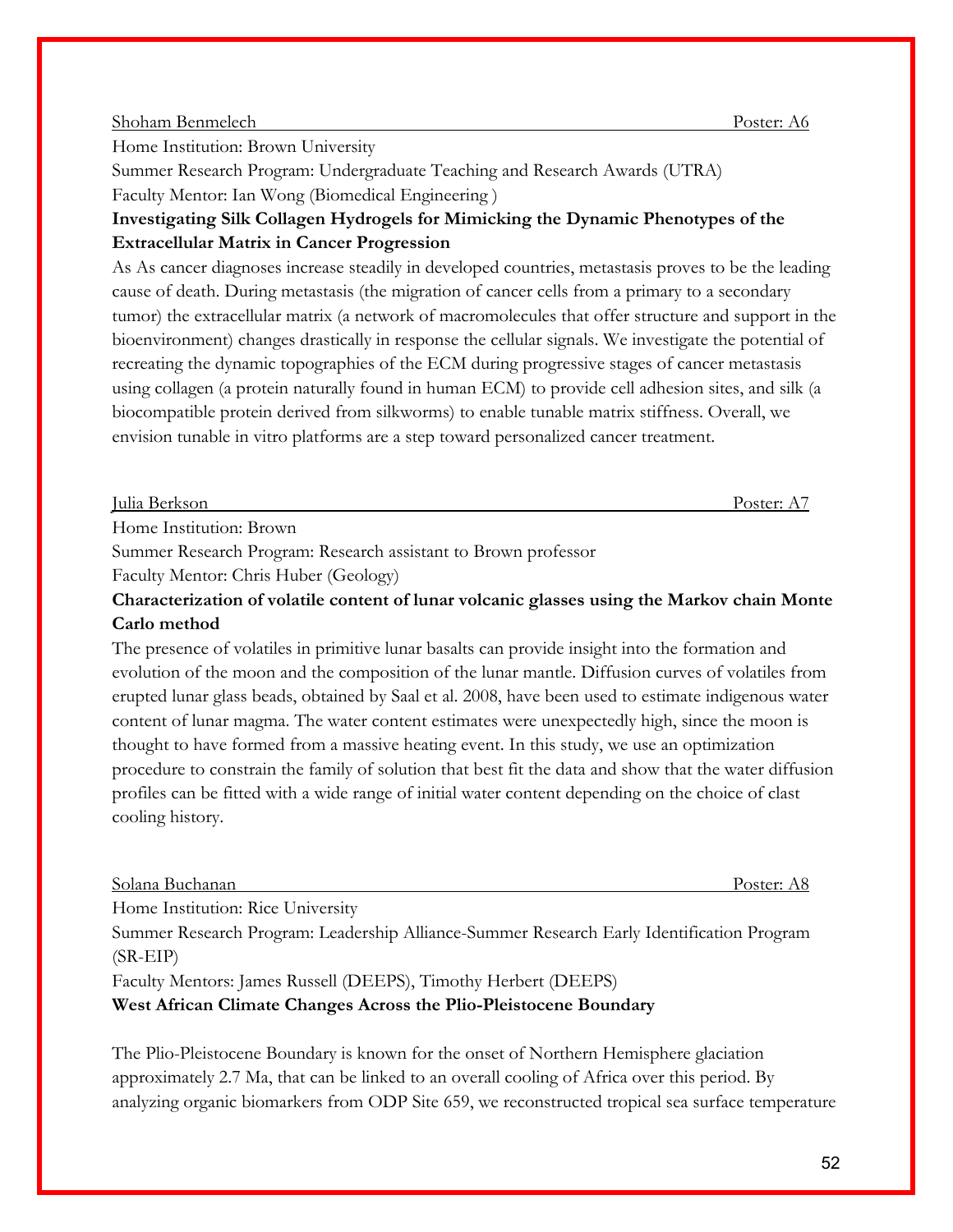#### Shoham Benmelech Poster: A6

Home Institution: Brown University

Summer Research Program: Undergraduate Teaching and Research Awards (UTRA) Faculty Mentor: Ian Wong (Biomedical Engineering )

### **Investigating Silk Collagen Hydrogels for Mimicking the Dynamic Phenotypes of the Extracellular Matrix in Cancer Progression**

As As cancer diagnoses increase steadily in developed countries, metastasis proves to be the leading cause of death. During metastasis (the migration of cancer cells from a primary to a secondary tumor) the extracellular matrix (a network of macromolecules that offer structure and support in the bioenvironment) changes drastically in response the cellular signals. We investigate the potential of recreating the dynamic topographies of the ECM during progressive stages of cancer metastasis using collagen (a protein naturally found in human ECM) to provide cell adhesion sites, and silk (a biocompatible protein derived from silkworms) to enable tunable matrix stiffness. Overall, we envision tunable in vitro platforms are a step toward personalized cancer treatment.

Julia Berkson Poster: A7

Home Institution: Brown

Summer Research Program: Research assistant to Brown professor

Faculty Mentor: Chris Huber (Geology)

### **Characterization of volatile content of lunar volcanic glasses using the Markov chain Monte Carlo method**

The presence of volatiles in primitive lunar basalts can provide insight into the formation and evolution of the moon and the composition of the lunar mantle. Diffusion curves of volatiles from erupted lunar glass beads, obtained by Saal et al. 2008, have been used to estimate indigenous water content of lunar magma. The water content estimates were unexpectedly high, since the moon is thought to have formed from a massive heating event. In this study, we use an optimization procedure to constrain the family of solution that best fit the data and show that the water diffusion profiles can be fitted with a wide range of initial water content depending on the choice of clast cooling history.

Solana Buchanan Poster: A8

Home Institution: Rice University

Summer Research Program: Leadership Alliance-Summer Research Early Identification Program (SR-EIP)

Faculty Mentors: James Russell (DEEPS), Timothy Herbert (DEEPS)

**West African Climate Changes Across the Plio-Pleistocene Boundary** 

The Plio-Pleistocene Boundary is known for the onset of Northern Hemisphere glaciation approximately 2.7 Ma, that can be linked to an overall cooling of Africa over this period. By analyzing organic biomarkers from ODP Site 659, we reconstructed tropical sea surface temperature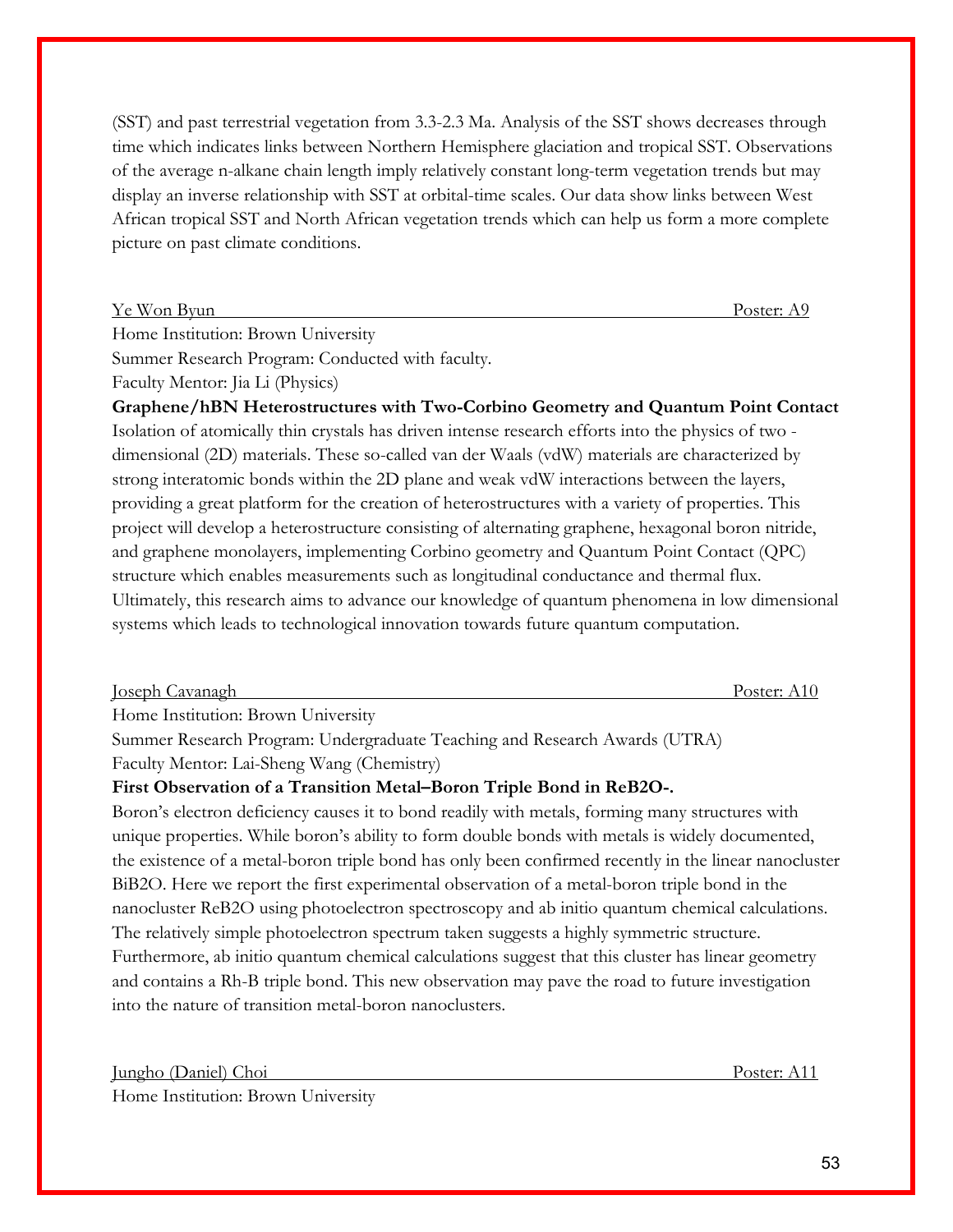(SST) and past terrestrial vegetation from 3.3-2.3 Ma. Analysis of the SST shows decreases through time which indicates links between Northern Hemisphere glaciation and tropical SST. Observations of the average n-alkane chain length imply relatively constant long-term vegetation trends but may display an inverse relationship with SST at orbital-time scales. Our data show links between West African tropical SST and North African vegetation trends which can help us form a more complete picture on past climate conditions.

Ye Won Byun Poster: A9

Home Institution: Brown University

Summer Research Program: Conducted with faculty.

Faculty Mentor: Jia Li (Physics)

**Graphene/hBN Heterostructures with Two-Corbino Geometry and Quantum Point Contact**  Isolation of atomically thin crystals has driven intense research efforts into the physics of two dimensional (2D) materials. These so-called van der Waals (vdW) materials are characterized by strong interatomic bonds within the 2D plane and weak vdW interactions between the layers, providing a great platform for the creation of heterostructures with a variety of properties. This project will develop a heterostructure consisting of alternating graphene, hexagonal boron nitride, and graphene monolayers, implementing Corbino geometry and Quantum Point Contact (QPC) structure which enables measurements such as longitudinal conductance and thermal flux. Ultimately, this research aims to advance our knowledge of quantum phenomena in low dimensional systems which leads to technological innovation towards future quantum computation.

| Joseph Cavanagh | $\mathbf{v}_{\text{Oster: A}}$ |
|-----------------|--------------------------------|
|                 |                                |

Home Institution: Brown University

Summer Research Program: Undergraduate Teaching and Research Awards (UTRA) Faculty Mentor: Lai-Sheng Wang (Chemistry)

### **First Observation of a Transition Metal–Boron Triple Bond in ReB2O-.**

Boron's electron deficiency causes it to bond readily with metals, forming many structures with unique properties. While boron's ability to form double bonds with metals is widely documented, the existence of a metal-boron triple bond has only been confirmed recently in the linear nanocluster BiB2O. Here we report the first experimental observation of a metal-boron triple bond in the nanocluster ReB2O using photoelectron spectroscopy and ab initio quantum chemical calculations. The relatively simple photoelectron spectrum taken suggests a highly symmetric structure. Furthermore, ab initio quantum chemical calculations suggest that this cluster has linear geometry and contains a Rh-B triple bond. This new observation may pave the road to future investigation into the nature of transition metal-boron nanoclusters.

Jungho (Daniel) Choi Poster: A11 Home Institution: Brown University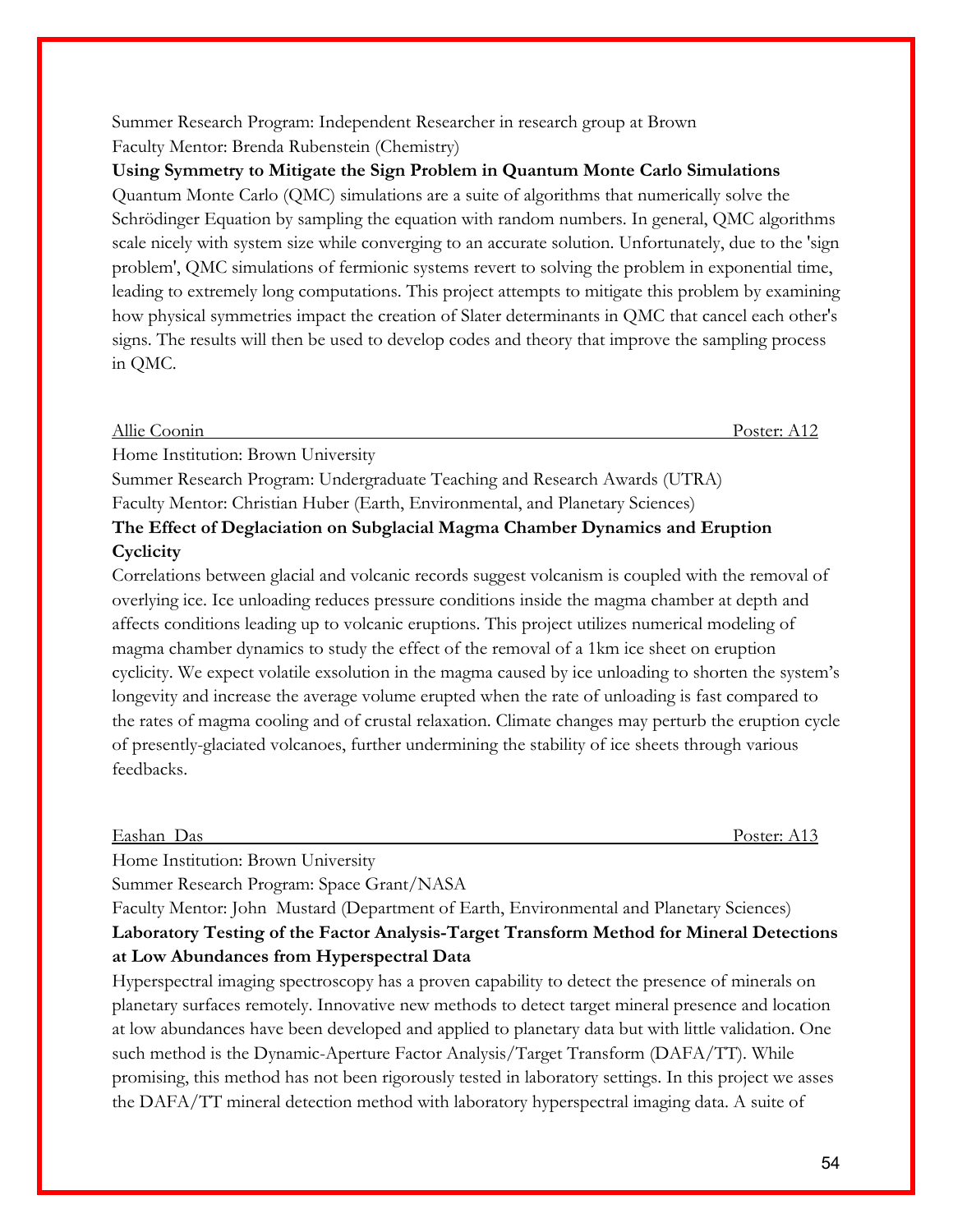Summer Research Program: Independent Researcher in research group at Brown Faculty Mentor: Brenda Rubenstein (Chemistry)

**Using Symmetry to Mitigate the Sign Problem in Quantum Monte Carlo Simulations** Quantum Monte Carlo (QMC) simulations are a suite of algorithms that numerically solve the Schrödinger Equation by sampling the equation with random numbers. In general, QMC algorithms scale nicely with system size while converging to an accurate solution. Unfortunately, due to the 'sign problem', QMC simulations of fermionic systems revert to solving the problem in exponential time, leading to extremely long computations. This project attempts to mitigate this problem by examining how physical symmetries impact the creation of Slater determinants in QMC that cancel each other's signs. The results will then be used to develop codes and theory that improve the sampling process in QMC.

Allie Coonin Poster: A12

Home Institution: Brown University

Summer Research Program: Undergraduate Teaching and Research Awards (UTRA) Faculty Mentor: Christian Huber (Earth, Environmental, and Planetary Sciences)

### **The Effect of Deglaciation on Subglacial Magma Chamber Dynamics and Eruption Cyclicity**

Correlations between glacial and volcanic records suggest volcanism is coupled with the removal of overlying ice. Ice unloading reduces pressure conditions inside the magma chamber at depth and affects conditions leading up to volcanic eruptions. This project utilizes numerical modeling of magma chamber dynamics to study the effect of the removal of a 1km ice sheet on eruption cyclicity. We expect volatile exsolution in the magma caused by ice unloading to shorten the system's longevity and increase the average volume erupted when the rate of unloading is fast compared to the rates of magma cooling and of crustal relaxation. Climate changes may perturb the eruption cycle of presently-glaciated volcanoes, further undermining the stability of ice sheets through various feedbacks.

Eashan Das Poster: A13

Home Institution: Brown University

Summer Research Program: Space Grant/NASA

### Faculty Mentor: John Mustard (Department of Earth, Environmental and Planetary Sciences) **Laboratory Testing of the Factor Analysis-Target Transform Method for Mineral Detections at Low Abundances from Hyperspectral Data**

Hyperspectral imaging spectroscopy has a proven capability to detect the presence of minerals on planetary surfaces remotely. Innovative new methods to detect target mineral presence and location at low abundances have been developed and applied to planetary data but with little validation. One such method is the Dynamic-Aperture Factor Analysis/Target Transform (DAFA/TT). While promising, this method has not been rigorously tested in laboratory settings. In this project we asses the DAFA/TT mineral detection method with laboratory hyperspectral imaging data. A suite of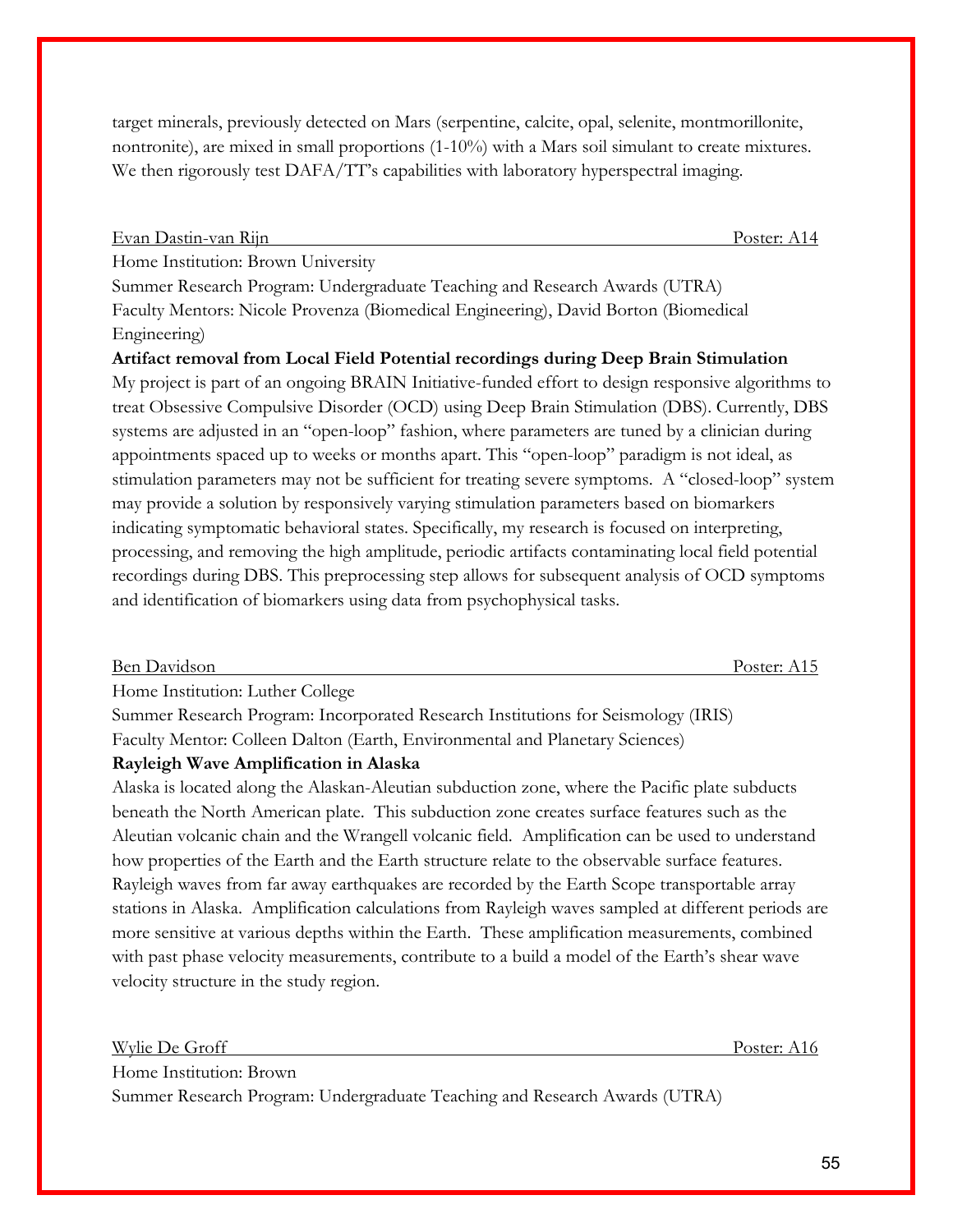target minerals, previously detected on Mars (serpentine, calcite, opal, selenite, montmorillonite, nontronite), are mixed in small proportions (1-10%) with a Mars soil simulant to create mixtures. We then rigorously test DAFA/TT's capabilities with laboratory hyperspectral imaging.

Evan Dastin-van Rijn Poster: A14

Home Institution: Brown University

Summer Research Program: Undergraduate Teaching and Research Awards (UTRA) Faculty Mentors: Nicole Provenza (Biomedical Engineering), David Borton (Biomedical Engineering)

**Artifact removal from Local Field Potential recordings during Deep Brain Stimulation** My project is part of an ongoing BRAIN Initiative-funded effort to design responsive algorithms to treat Obsessive Compulsive Disorder (OCD) using Deep Brain Stimulation (DBS). Currently, DBS systems are adjusted in an "open-loop" fashion, where parameters are tuned by a clinician during appointments spaced up to weeks or months apart. This "open-loop" paradigm is not ideal, as stimulation parameters may not be sufficient for treating severe symptoms. A "closed-loop" system may provide a solution by responsively varying stimulation parameters based on biomarkers indicating symptomatic behavioral states. Specifically, my research is focused on interpreting, processing, and removing the high amplitude, periodic artifacts contaminating local field potential recordings during DBS. This preprocessing step allows for subsequent analysis of OCD symptoms and identification of biomarkers using data from psychophysical tasks.

### Ben Davidson Poster: A15 Home Institution: Luther College

Summer Research Program: Incorporated Research Institutions for Seismology (IRIS) Faculty Mentor: Colleen Dalton (Earth, Environmental and Planetary Sciences)

### **Rayleigh Wave Amplification in Alaska**

Alaska is located along the Alaskan-Aleutian subduction zone, where the Pacific plate subducts beneath the North American plate. This subduction zone creates surface features such as the Aleutian volcanic chain and the Wrangell volcanic field. Amplification can be used to understand how properties of the Earth and the Earth structure relate to the observable surface features. Rayleigh waves from far away earthquakes are recorded by the Earth Scope transportable array stations in Alaska. Amplification calculations from Rayleigh waves sampled at different periods are more sensitive at various depths within the Earth. These amplification measurements, combined with past phase velocity measurements, contribute to a build a model of the Earth's shear wave velocity structure in the study region.

Wylie De Groff Poster: A16 Home Institution: Brown Summer Research Program: Undergraduate Teaching and Research Awards (UTRA)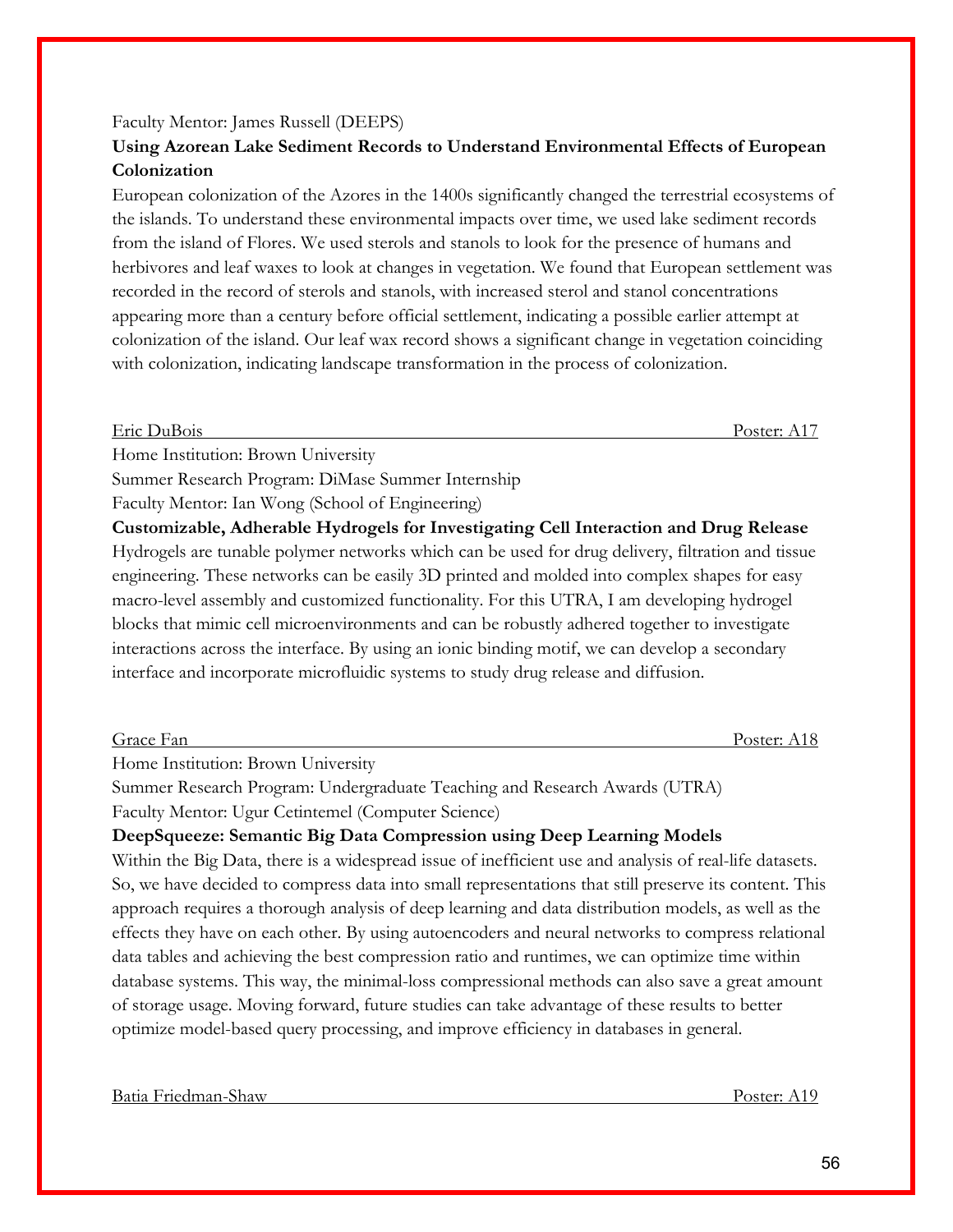#### Faculty Mentor: James Russell (DEEPS) **Using Azorean Lake Sediment Records to Understand Environmental Effects of European**

### **Colonization**

European colonization of the Azores in the 1400s significantly changed the terrestrial ecosystems of the islands. To understand these environmental impacts over time, we used lake sediment records from the island of Flores. We used sterols and stanols to look for the presence of humans and herbivores and leaf waxes to look at changes in vegetation. We found that European settlement was recorded in the record of sterols and stanols, with increased sterol and stanol concentrations appearing more than a century before official settlement, indicating a possible earlier attempt at colonization of the island. Our leaf wax record shows a significant change in vegetation coinciding with colonization, indicating landscape transformation in the process of colonization.

Eric DuBois Poster: A17

Home Institution: Brown University

Summer Research Program: DiMase Summer Internship

Faculty Mentor: Ian Wong (School of Engineering)

**Customizable, Adherable Hydrogels for Investigating Cell Interaction and Drug Release**  Hydrogels are tunable polymer networks which can be used for drug delivery, filtration and tissue engineering. These networks can be easily 3D printed and molded into complex shapes for easy macro-level assembly and customized functionality. For this UTRA, I am developing hydrogel blocks that mimic cell microenvironments and can be robustly adhered together to investigate interactions across the interface. By using an ionic binding motif, we can develop a secondary interface and incorporate microfluidic systems to study drug release and diffusion.

Grace Fan Poster: A18

Home Institution: Brown University

Summer Research Program: Undergraduate Teaching and Research Awards (UTRA) Faculty Mentor: Ugur Cetintemel (Computer Science)

## **DeepSqueeze: Semantic Big Data Compression using Deep Learning Models**

Within the Big Data, there is a widespread issue of inefficient use and analysis of real-life datasets. So, we have decided to compress data into small representations that still preserve its content. This approach requires a thorough analysis of deep learning and data distribution models, as well as the effects they have on each other. By using autoencoders and neural networks to compress relational data tables and achieving the best compression ratio and runtimes, we can optimize time within database systems. This way, the minimal-loss compressional methods can also save a great amount of storage usage. Moving forward, future studies can take advantage of these results to better optimize model-based query processing, and improve efficiency in databases in general.

Batia Friedman-Shaw Poster: A19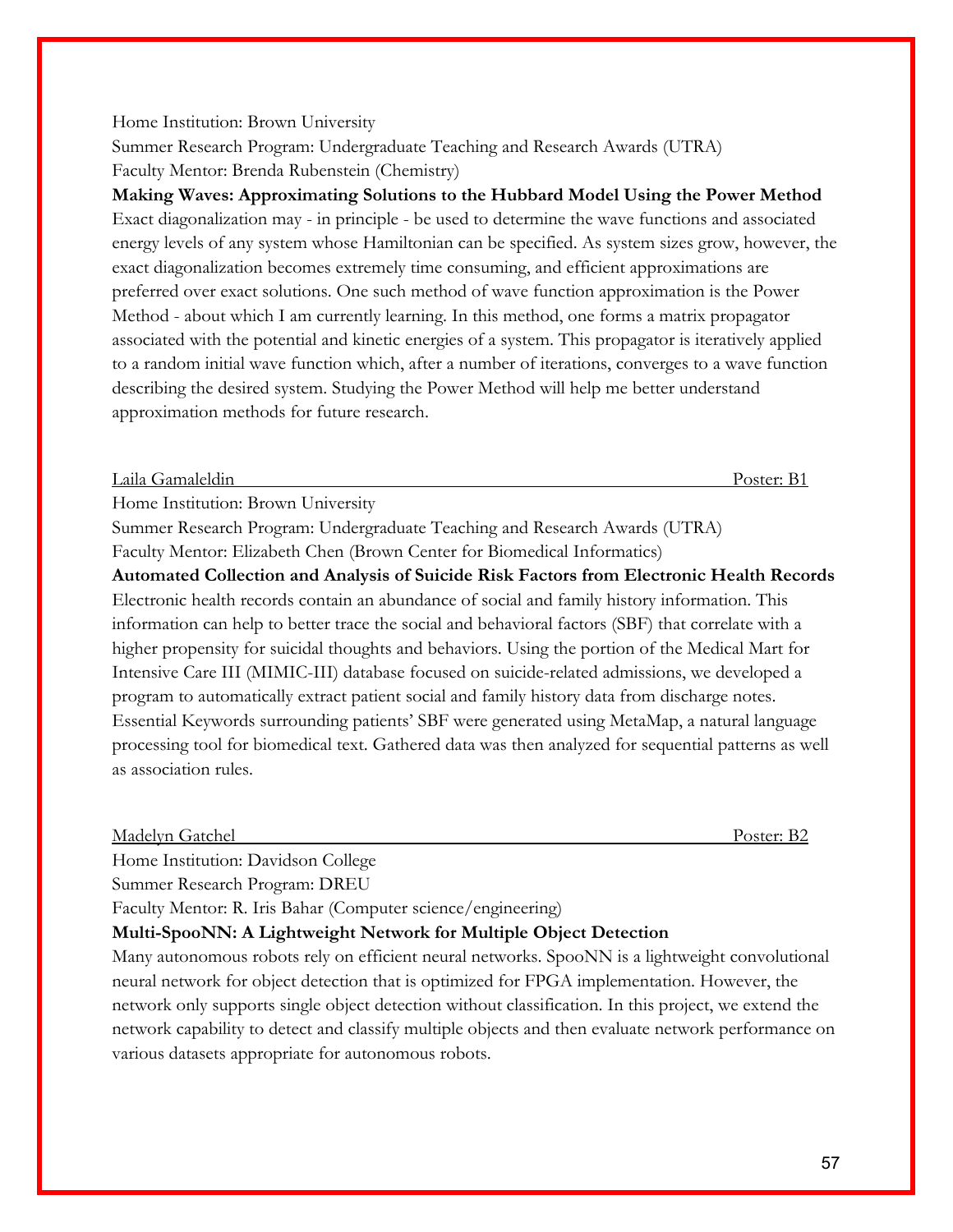### Home Institution: Brown University

Summer Research Program: Undergraduate Teaching and Research Awards (UTRA) Faculty Mentor: Brenda Rubenstein (Chemistry)

**Making Waves: Approximating Solutions to the Hubbard Model Using the Power Method** Exact diagonalization may - in principle - be used to determine the wave functions and associated energy levels of any system whose Hamiltonian can be specified. As system sizes grow, however, the exact diagonalization becomes extremely time consuming, and efficient approximations are preferred over exact solutions. One such method of wave function approximation is the Power Method - about which I am currently learning. In this method, one forms a matrix propagator associated with the potential and kinetic energies of a system. This propagator is iteratively applied to a random initial wave function which, after a number of iterations, converges to a wave function describing the desired system. Studying the Power Method will help me better understand approximation methods for future research.

Laila Gamaleldin Poster: B1

Home Institution: Brown University

Summer Research Program: Undergraduate Teaching and Research Awards (UTRA) Faculty Mentor: Elizabeth Chen (Brown Center for Biomedical Informatics)

**Automated Collection and Analysis of Suicide Risk Factors from Electronic Health Records** Electronic health records contain an abundance of social and family history information. This information can help to better trace the social and behavioral factors (SBF) that correlate with a higher propensity for suicidal thoughts and behaviors. Using the portion of the Medical Mart for Intensive Care III (MIMIC-III) database focused on suicide-related admissions, we developed a program to automatically extract patient social and family history data from discharge notes. Essential Keywords surrounding patients' SBF were generated using MetaMap, a natural language processing tool for biomedical text. Gathered data was then analyzed for sequential patterns as well as association rules.

Madelyn Gatchel Poster: B2

Home Institution: Davidson College

Summer Research Program: DREU

Faculty Mentor: R. Iris Bahar (Computer science/engineering)

### **Multi-SpooNN: A Lightweight Network for Multiple Object Detection**

Many autonomous robots rely on efficient neural networks. SpooNN is a lightweight convolutional neural network for object detection that is optimized for FPGA implementation. However, the network only supports single object detection without classification. In this project, we extend the network capability to detect and classify multiple objects and then evaluate network performance on various datasets appropriate for autonomous robots.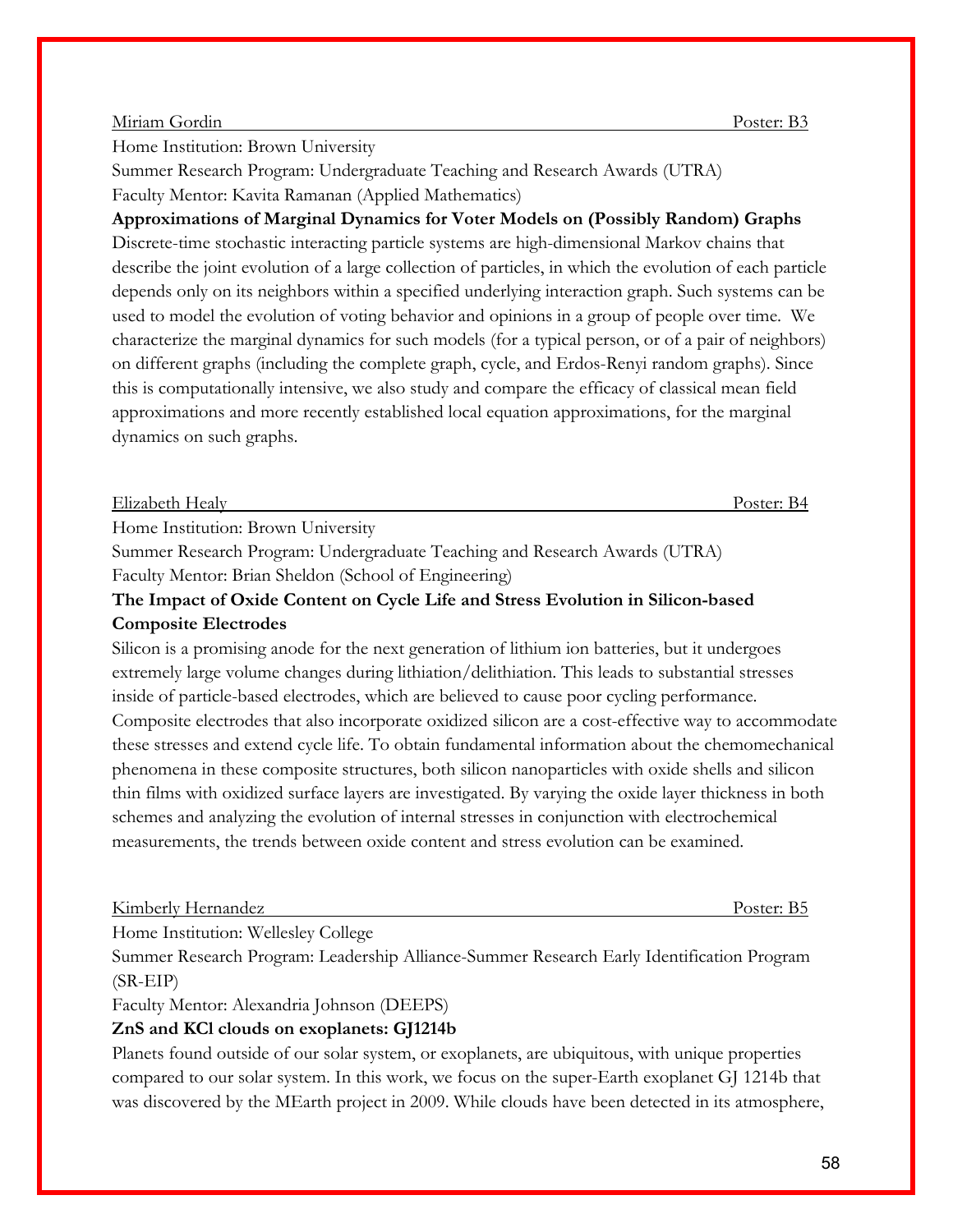#### Miriam Gordin Poster: B3

Home Institution: Brown University

Summer Research Program: Undergraduate Teaching and Research Awards (UTRA) Faculty Mentor: Kavita Ramanan (Applied Mathematics)

**Approximations of Marginal Dynamics for Voter Models on (Possibly Random) Graphs** Discrete-time stochastic interacting particle systems are high-dimensional Markov chains that describe the joint evolution of a large collection of particles, in which the evolution of each particle depends only on its neighbors within a specified underlying interaction graph. Such systems can be used to model the evolution of voting behavior and opinions in a group of people over time. We characterize the marginal dynamics for such models (for a typical person, or of a pair of neighbors) on different graphs (including the complete graph, cycle, and Erdos-Renyi random graphs). Since this is computationally intensive, we also study and compare the efficacy of classical mean field approximations and more recently established local equation approximations, for the marginal dynamics on such graphs.

### Elizabeth Healy Poster: B4

Home Institution: Brown University

Summer Research Program: Undergraduate Teaching and Research Awards (UTRA) Faculty Mentor: Brian Sheldon (School of Engineering)

### **The Impact of Oxide Content on Cycle Life and Stress Evolution in Silicon-based Composite Electrodes**

Silicon is a promising anode for the next generation of lithium ion batteries, but it undergoes extremely large volume changes during lithiation/delithiation. This leads to substantial stresses inside of particle-based electrodes, which are believed to cause poor cycling performance. Composite electrodes that also incorporate oxidized silicon are a cost-effective way to accommodate these stresses and extend cycle life. To obtain fundamental information about the chemomechanical phenomena in these composite structures, both silicon nanoparticles with oxide shells and silicon thin films with oxidized surface layers are investigated. By varying the oxide layer thickness in both schemes and analyzing the evolution of internal stresses in conjunction with electrochemical measurements, the trends between oxide content and stress evolution can be examined.

Kimberly Hernandez Poster: B5

Home Institution: Wellesley College

Summer Research Program: Leadership Alliance-Summer Research Early Identification Program (SR-EIP)

Faculty Mentor: Alexandria Johnson (DEEPS)

### **ZnS and KCl clouds on exoplanets: GJ1214b**

Planets found outside of our solar system, or exoplanets, are ubiquitous, with unique properties compared to our solar system. In this work, we focus on the super-Earth exoplanet GJ 1214b that was discovered by the MEarth project in 2009. While clouds have been detected in its atmosphere,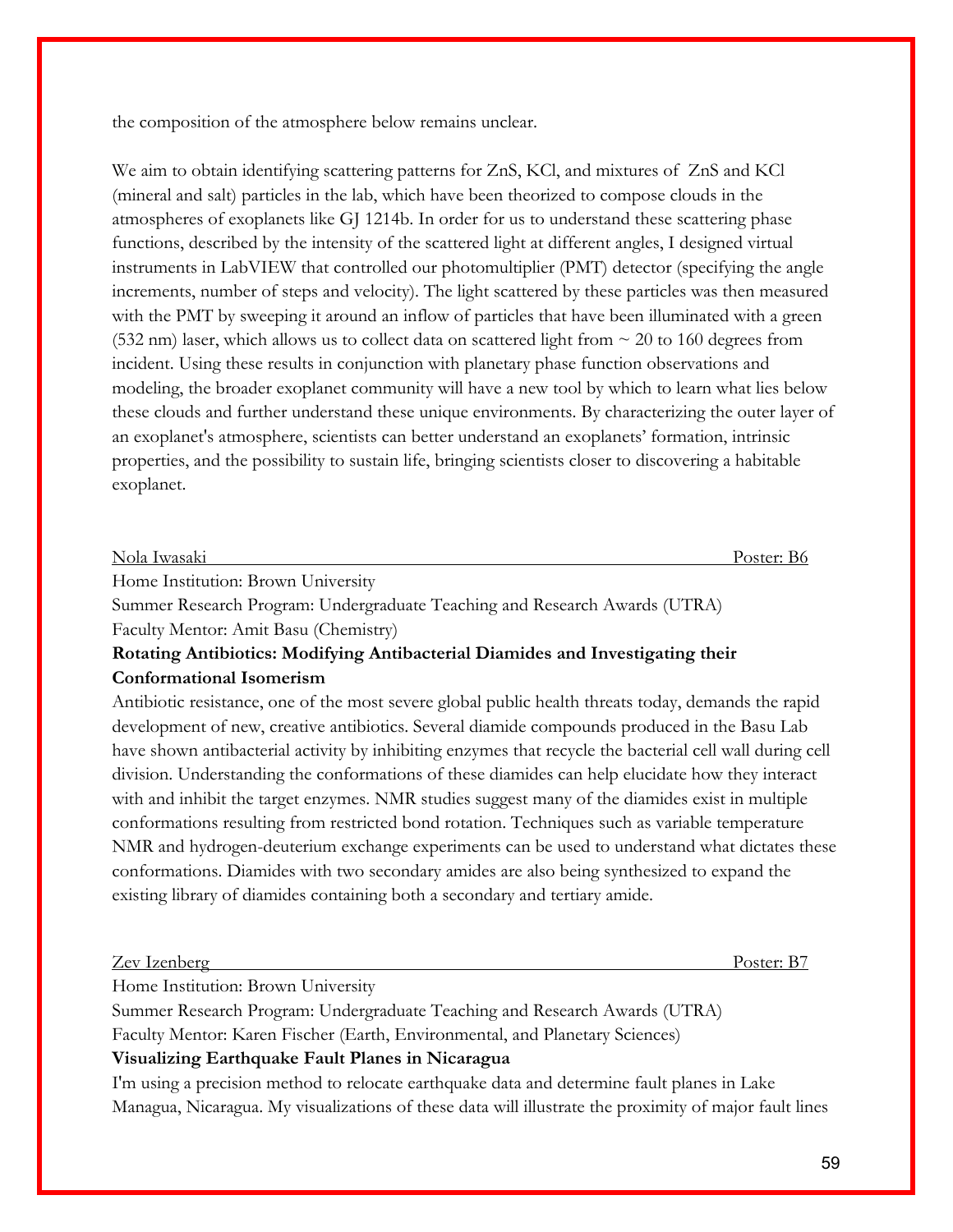the composition of the atmosphere below remains unclear.

We aim to obtain identifying scattering patterns for ZnS, KCl, and mixtures of ZnS and KCl (mineral and salt) particles in the lab, which have been theorized to compose clouds in the atmospheres of exoplanets like GJ 1214b. In order for us to understand these scattering phase functions, described by the intensity of the scattered light at different angles, I designed virtual instruments in LabVIEW that controlled our photomultiplier (PMT) detector (specifying the angle increments, number of steps and velocity). The light scattered by these particles was then measured with the PMT by sweeping it around an inflow of particles that have been illuminated with a green (532 nm) laser, which allows us to collect data on scattered light from  $\sim$  20 to 160 degrees from incident. Using these results in conjunction with planetary phase function observations and modeling, the broader exoplanet community will have a new tool by which to learn what lies below these clouds and further understand these unique environments. By characterizing the outer layer of an exoplanet's atmosphere, scientists can better understand an exoplanets' formation, intrinsic properties, and the possibility to sustain life, bringing scientists closer to discovering a habitable exoplanet.

| Nola Iwasaki                                                                                                                                                                                                                                                                                                                       |  |
|------------------------------------------------------------------------------------------------------------------------------------------------------------------------------------------------------------------------------------------------------------------------------------------------------------------------------------|--|
| $\mathbf{H}$ $\mathbf{H}$ $\mathbf{H}$ $\mathbf{H}$ $\mathbf{H}$ $\mathbf{H}$ $\mathbf{H}$ $\mathbf{H}$ $\mathbf{H}$ $\mathbf{H}$ $\mathbf{H}$ $\mathbf{H}$ $\mathbf{H}$ $\mathbf{H}$ $\mathbf{H}$ $\mathbf{H}$ $\mathbf{H}$ $\mathbf{H}$ $\mathbf{H}$ $\mathbf{H}$ $\mathbf{H}$ $\mathbf{H}$ $\mathbf{H}$ $\mathbf{H}$ $\mathbf{$ |  |

Home Institution: Brown University

Summer Research Program: Undergraduate Teaching and Research Awards (UTRA) Faculty Mentor: Amit Basu (Chemistry)

### **Rotating Antibiotics: Modifying Antibacterial Diamides and Investigating their Conformational Isomerism**

Antibiotic resistance, one of the most severe global public health threats today, demands the rapid development of new, creative antibiotics. Several diamide compounds produced in the Basu Lab have shown antibacterial activity by inhibiting enzymes that recycle the bacterial cell wall during cell division. Understanding the conformations of these diamides can help elucidate how they interact with and inhibit the target enzymes. NMR studies suggest many of the diamides exist in multiple conformations resulting from restricted bond rotation. Techniques such as variable temperature NMR and hydrogen-deuterium exchange experiments can be used to understand what dictates these conformations. Diamides with two secondary amides are also being synthesized to expand the existing library of diamides containing both a secondary and tertiary amide.

| $\sqrt{ }$<br>Zev Izenberg | Poster: |
|----------------------------|---------|
|                            |         |

Home Institution: Brown University

Summer Research Program: Undergraduate Teaching and Research Awards (UTRA) Faculty Mentor: Karen Fischer (Earth, Environmental, and Planetary Sciences) **Visualizing Earthquake Fault Planes in Nicaragua**

I'm using a precision method to relocate earthquake data and determine fault planes in Lake Managua, Nicaragua. My visualizations of these data will illustrate the proximity of major fault lines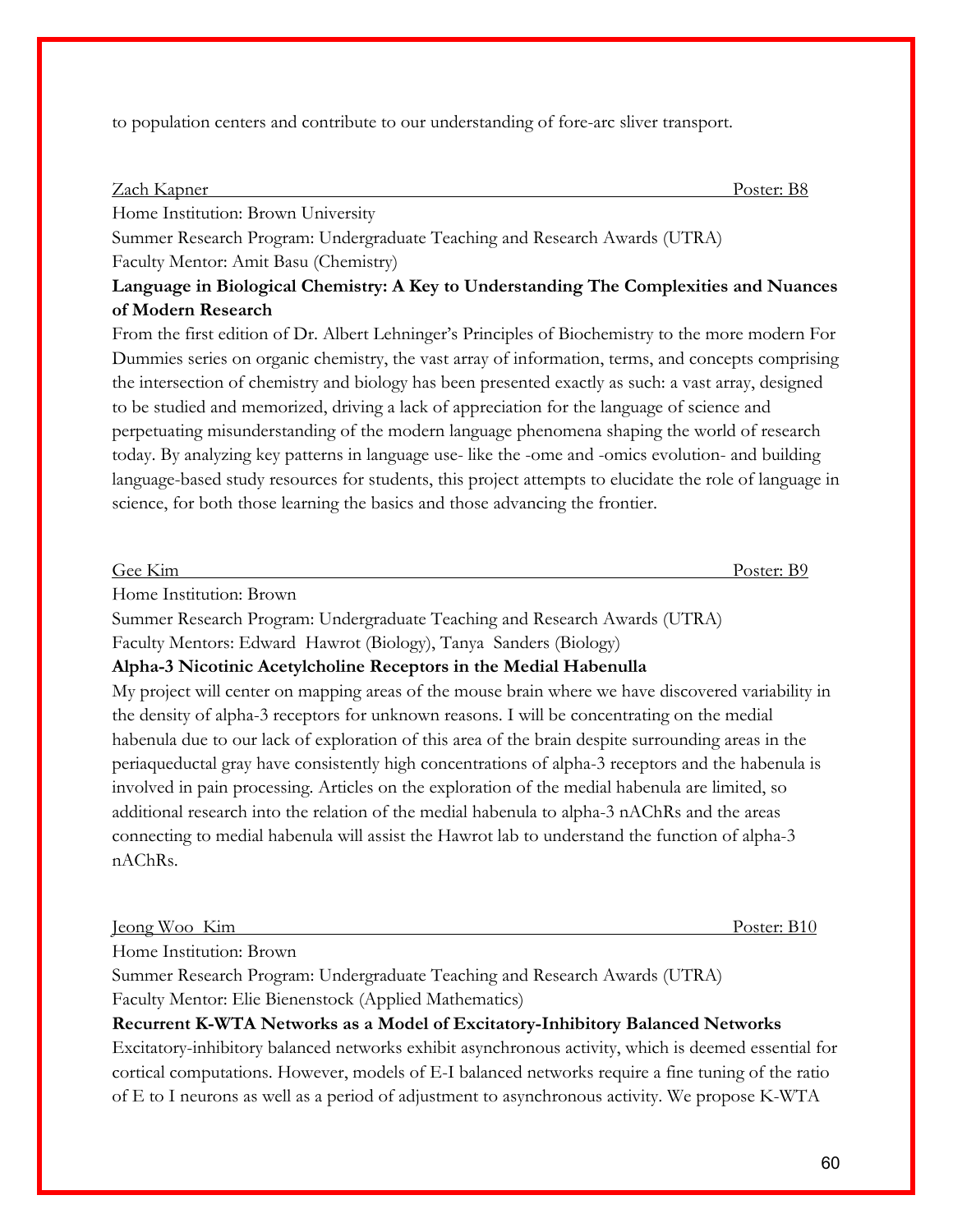to population centers and contribute to our understanding of fore-arc sliver transport.

#### Zach Kapner Poster: B8

Home Institution: Brown University

Summer Research Program: Undergraduate Teaching and Research Awards (UTRA) Faculty Mentor: Amit Basu (Chemistry)

### **Language in Biological Chemistry: A Key to Understanding The Complexities and Nuances of Modern Research**

From the first edition of Dr. Albert Lehninger's Principles of Biochemistry to the more modern For Dummies series on organic chemistry, the vast array of information, terms, and concepts comprising the intersection of chemistry and biology has been presented exactly as such: a vast array, designed to be studied and memorized, driving a lack of appreciation for the language of science and perpetuating misunderstanding of the modern language phenomena shaping the world of research today. By analyzing key patterns in language use- like the -ome and -omics evolution- and building language-based study resources for students, this project attempts to elucidate the role of language in science, for both those learning the basics and those advancing the frontier.

| Gee Kim                 | Poster: B9 |
|-------------------------|------------|
| Home Institution: Brown |            |

Summer Research Program: Undergraduate Teaching and Research Awards (UTRA)

Faculty Mentors: Edward Hawrot (Biology), Tanya Sanders (Biology)

### **Alpha-3 Nicotinic Acetylcholine Receptors in the Medial Habenulla**

My project will center on mapping areas of the mouse brain where we have discovered variability in the density of alpha-3 receptors for unknown reasons. I will be concentrating on the medial habenula due to our lack of exploration of this area of the brain despite surrounding areas in the periaqueductal gray have consistently high concentrations of alpha-3 receptors and the habenula is involved in pain processing. Articles on the exploration of the medial habenula are limited, so additional research into the relation of the medial habenula to alpha-3 nAChRs and the areas connecting to medial habenula will assist the Hawrot lab to understand the function of alpha-3 nAChRs.

Jeong Woo Kim Poster: B10

Home Institution: Brown

Summer Research Program: Undergraduate Teaching and Research Awards (UTRA) Faculty Mentor: Elie Bienenstock (Applied Mathematics)

### **Recurrent K-WTA Networks as a Model of Excitatory-Inhibitory Balanced Networks**

Excitatory-inhibitory balanced networks exhibit asynchronous activity, which is deemed essential for cortical computations. However, models of E-I balanced networks require a fine tuning of the ratio of E to I neurons as well as a period of adjustment to asynchronous activity. We propose K-WTA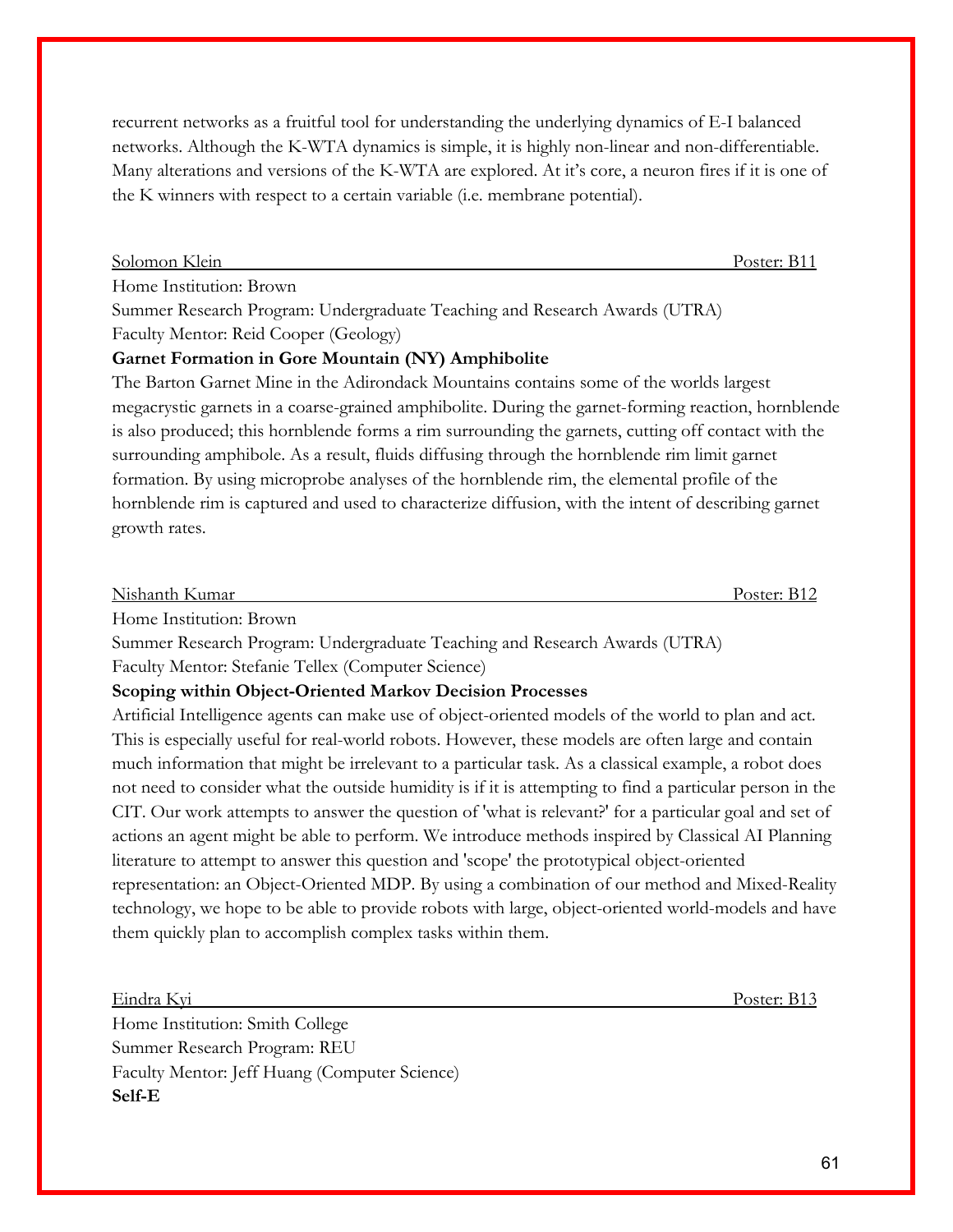recurrent networks as a fruitful tool for understanding the underlying dynamics of E-I balanced networks. Although the K-WTA dynamics is simple, it is highly non-linear and non-differentiable. Many alterations and versions of the K-WTA are explored. At it's core, a neuron fires if it is one of the K winners with respect to a certain variable (i.e. membrane potential).

Solomon Klein Poster: B11

Home Institution: Brown

Summer Research Program: Undergraduate Teaching and Research Awards (UTRA) Faculty Mentor: Reid Cooper (Geology)

### **Garnet Formation in Gore Mountain (NY) Amphibolite**

The Barton Garnet Mine in the Adirondack Mountains contains some of the worlds largest megacrystic garnets in a coarse-grained amphibolite. During the garnet-forming reaction, hornblende is also produced; this hornblende forms a rim surrounding the garnets, cutting off contact with the surrounding amphibole. As a result, fluids diffusing through the hornblende rim limit garnet formation. By using microprobe analyses of the hornblende rim, the elemental profile of the hornblende rim is captured and used to characterize diffusion, with the intent of describing garnet growth rates.

| Nishanth Kumar | Poster: B12 |
|----------------|-------------|
|                |             |

Home Institution: Brown

Summer Research Program: Undergraduate Teaching and Research Awards (UTRA)

Faculty Mentor: Stefanie Tellex (Computer Science)

### **Scoping within Object-Oriented Markov Decision Processes**

Artificial Intelligence agents can make use of object-oriented models of the world to plan and act. This is especially useful for real-world robots. However, these models are often large and contain much information that might be irrelevant to a particular task. As a classical example, a robot does not need to consider what the outside humidity is if it is attempting to find a particular person in the CIT. Our work attempts to answer the question of 'what is relevant?' for a particular goal and set of actions an agent might be able to perform. We introduce methods inspired by Classical AI Planning literature to attempt to answer this question and 'scope' the prototypical object-oriented representation: an Object-Oriented MDP. By using a combination of our method and Mixed-Reality technology, we hope to be able to provide robots with large, object-oriented world-models and have them quickly plan to accomplish complex tasks within them.

Eindra Kyi Poster: B13

Home Institution: Smith College Summer Research Program: REU Faculty Mentor: Jeff Huang (Computer Science) **Self-E**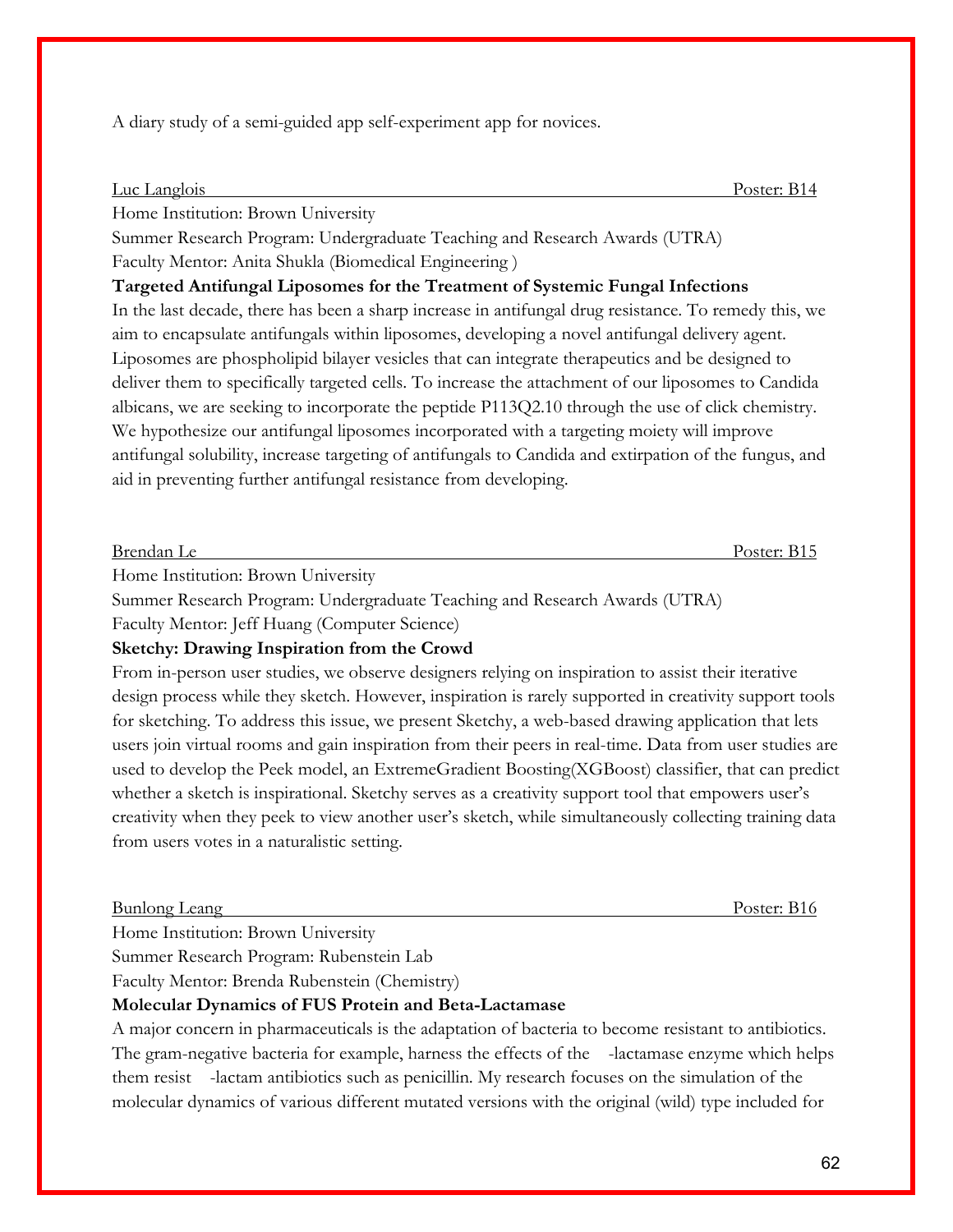A diary study of a semi-guided app self-experiment app for novices.

#### Luc Langlois Poster: B14

Home Institution: Brown University

Summer Research Program: Undergraduate Teaching and Research Awards (UTRA) Faculty Mentor: Anita Shukla (Biomedical Engineering )

**Targeted Antifungal Liposomes for the Treatment of Systemic Fungal Infections**

In the last decade, there has been a sharp increase in antifungal drug resistance. To remedy this, we aim to encapsulate antifungals within liposomes, developing a novel antifungal delivery agent. Liposomes are phospholipid bilayer vesicles that can integrate therapeutics and be designed to deliver them to specifically targeted cells. To increase the attachment of our liposomes to Candida albicans, we are seeking to incorporate the peptide P113Q2.10 through the use of click chemistry. We hypothesize our antifungal liposomes incorporated with a targeting moiety will improve antifungal solubility, increase targeting of antifungals to Candida and extirpation of the fungus, and aid in preventing further antifungal resistance from developing.

| Brendan Le | 'oster:<br>- 11 J |
|------------|-------------------|
|            |                   |

Home Institution: Brown University

Summer Research Program: Undergraduate Teaching and Research Awards (UTRA)

Faculty Mentor: Jeff Huang (Computer Science)

### **Sketchy: Drawing Inspiration from the Crowd**

From in-person user studies, we observe designers relying on inspiration to assist their iterative design process while they sketch. However, inspiration is rarely supported in creativity support tools for sketching. To address this issue, we present Sketchy, a web-based drawing application that lets users join virtual rooms and gain inspiration from their peers in real-time. Data from user studies are used to develop the Peek model, an ExtremeGradient Boosting(XGBoost) classifier, that can predict whether a sketch is inspirational. Sketchy serves as a creativity support tool that empowers user's creativity when they peek to view another user's sketch, while simultaneously collecting training data from users votes in a naturalistic setting.

#### Bunlong Leang Poster: B16

Home Institution: Brown University

Summer Research Program: Rubenstein Lab

Faculty Mentor: Brenda Rubenstein (Chemistry)

### **Molecular Dynamics of FUS Protein and Beta-Lactamase**

A major concern in pharmaceuticals is the adaptation of bacteria to become resistant to antibiotics. The gram-negative bacteria for example, harness the effects of the -lactamase enzyme which helps them resist -lactam antibiotics such as penicillin. My research focuses on the simulation of the molecular dynamics of various different mutated versions with the original (wild) type included for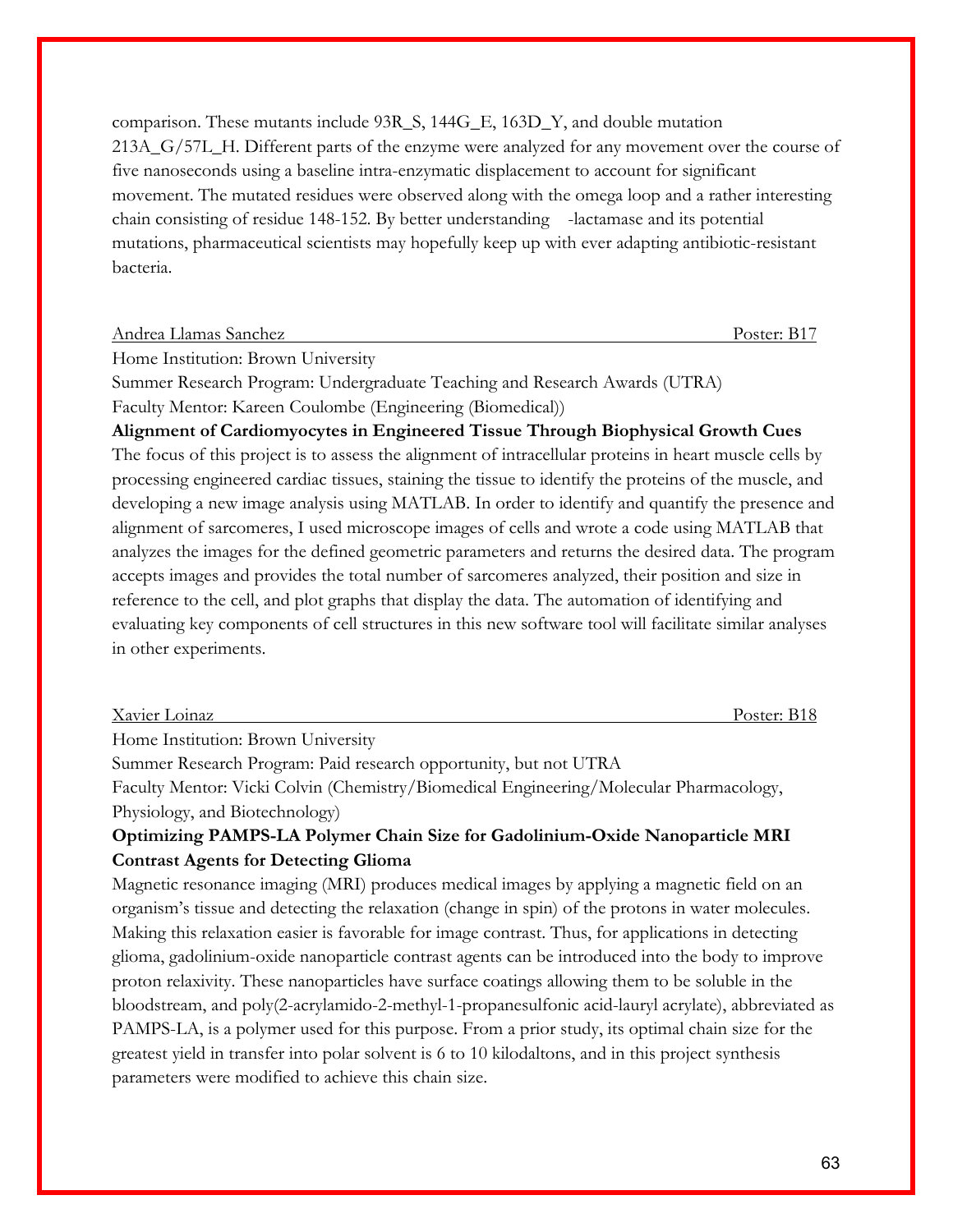comparison. These mutants include 93R\_S, 144G\_E, 163D\_Y, and double mutation 213A\_G/57L\_H. Different parts of the enzyme were analyzed for any movement over the course of five nanoseconds using a baseline intra-enzymatic displacement to account for significant movement. The mutated residues were observed along with the omega loop and a rather interesting chain consisting of residue 148-152. By better understanding -lactamase and its potential mutations, pharmaceutical scientists may hopefully keep up with ever adapting antibiotic-resistant bacteria.

| Andrea Llamas Sanchez | Poster: B <sub>1</sub> |
|-----------------------|------------------------|
|-----------------------|------------------------|

Home Institution: Brown University

Summer Research Program: Undergraduate Teaching and Research Awards (UTRA) Faculty Mentor: Kareen Coulombe (Engineering (Biomedical))

**Alignment of Cardiomyocytes in Engineered Tissue Through Biophysical Growth Cues** The focus of this project is to assess the alignment of intracellular proteins in heart muscle cells by processing engineered cardiac tissues, staining the tissue to identify the proteins of the muscle, and developing a new image analysis using MATLAB. In order to identify and quantify the presence and alignment of sarcomeres, I used microscope images of cells and wrote a code using MATLAB that analyzes the images for the defined geometric parameters and returns the desired data. The program accepts images and provides the total number of sarcomeres analyzed, their position and size in reference to the cell, and plot graphs that display the data. The automation of identifying and evaluating key components of cell structures in this new software tool will facilitate similar analyses in other experiments.

| Xavier Loinaz | Poster: |
|---------------|---------|
|               |         |

Home Institution: Brown University

Summer Research Program: Paid research opportunity, but not UTRA

Faculty Mentor: Vicki Colvin (Chemistry/Biomedical Engineering/Molecular Pharmacology, Physiology, and Biotechnology)

### **Optimizing PAMPS-LA Polymer Chain Size for Gadolinium-Oxide Nanoparticle MRI Contrast Agents for Detecting Glioma**

Magnetic resonance imaging (MRI) produces medical images by applying a magnetic field on an organism's tissue and detecting the relaxation (change in spin) of the protons in water molecules. Making this relaxation easier is favorable for image contrast. Thus, for applications in detecting glioma, gadolinium-oxide nanoparticle contrast agents can be introduced into the body to improve proton relaxivity. These nanoparticles have surface coatings allowing them to be soluble in the bloodstream, and poly(2-acrylamido-2-methyl-1-propanesulfonic acid-lauryl acrylate), abbreviated as PAMPS-LA, is a polymer used for this purpose. From a prior study, its optimal chain size for the greatest yield in transfer into polar solvent is 6 to 10 kilodaltons, and in this project synthesis parameters were modified to achieve this chain size.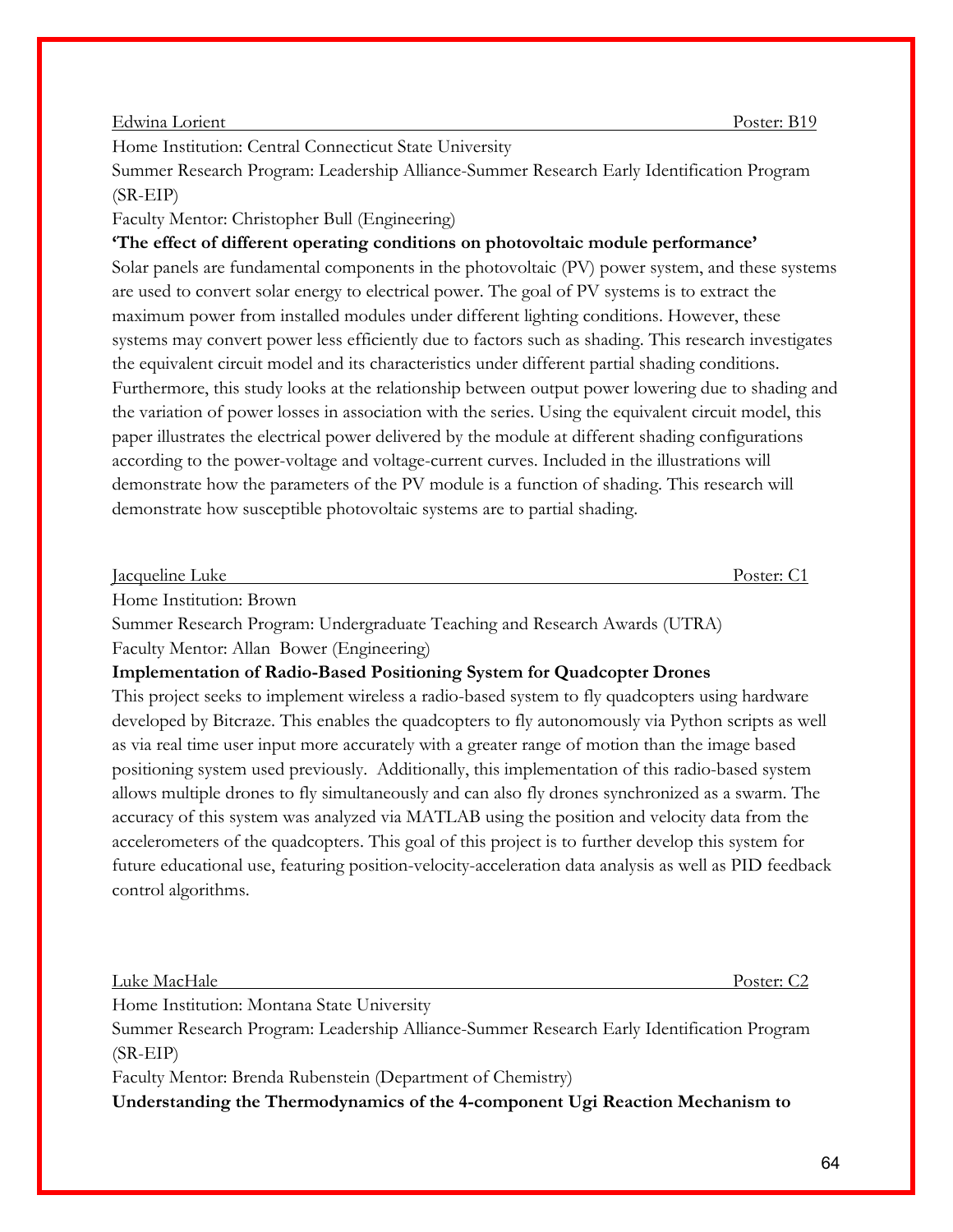#### Edwina Lorient Poster: B19

Home Institution: Central Connecticut State University

Summer Research Program: Leadership Alliance-Summer Research Early Identification Program (SR-EIP)

### Faculty Mentor: Christopher Bull (Engineering)

**'The effect of different operating conditions on photovoltaic module performance'**  Solar panels are fundamental components in the photovoltaic (PV) power system, and these systems are used to convert solar energy to electrical power. The goal of PV systems is to extract the maximum power from installed modules under different lighting conditions. However, these systems may convert power less efficiently due to factors such as shading. This research investigates the equivalent circuit model and its characteristics under different partial shading conditions. Furthermore, this study looks at the relationship between output power lowering due to shading and the variation of power losses in association with the series. Using the equivalent circuit model, this paper illustrates the electrical power delivered by the module at different shading configurations according to the power-voltage and voltage-current curves. Included in the illustrations will demonstrate how the parameters of the PV module is a function of shading. This research will demonstrate how susceptible photovoltaic systems are to partial shading.

| Jacqueline Luke | $\sqrt{2}$ |
|-----------------|------------|
|                 |            |

Home Institution: Brown

Summer Research Program: Undergraduate Teaching and Research Awards (UTRA) Faculty Mentor: Allan Bower (Engineering)

### **Implementation of Radio-Based Positioning System for Quadcopter Drones**

This project seeks to implement wireless a radio-based system to fly quadcopters using hardware developed by Bitcraze. This enables the quadcopters to fly autonomously via Python scripts as well as via real time user input more accurately with a greater range of motion than the image based positioning system used previously. Additionally, this implementation of this radio-based system allows multiple drones to fly simultaneously and can also fly drones synchronized as a swarm. The accuracy of this system was analyzed via MATLAB using the position and velocity data from the accelerometers of the quadcopters. This goal of this project is to further develop this system for future educational use, featuring position-velocity-acceleration data analysis as well as PID feedback control algorithms.

#### Luke MacHale Poster: C2

Home Institution: Montana State University

Summer Research Program: Leadership Alliance-Summer Research Early Identification Program (SR-EIP)

Faculty Mentor: Brenda Rubenstein (Department of Chemistry)

**Understanding the Thermodynamics of the 4-component Ugi Reaction Mechanism to**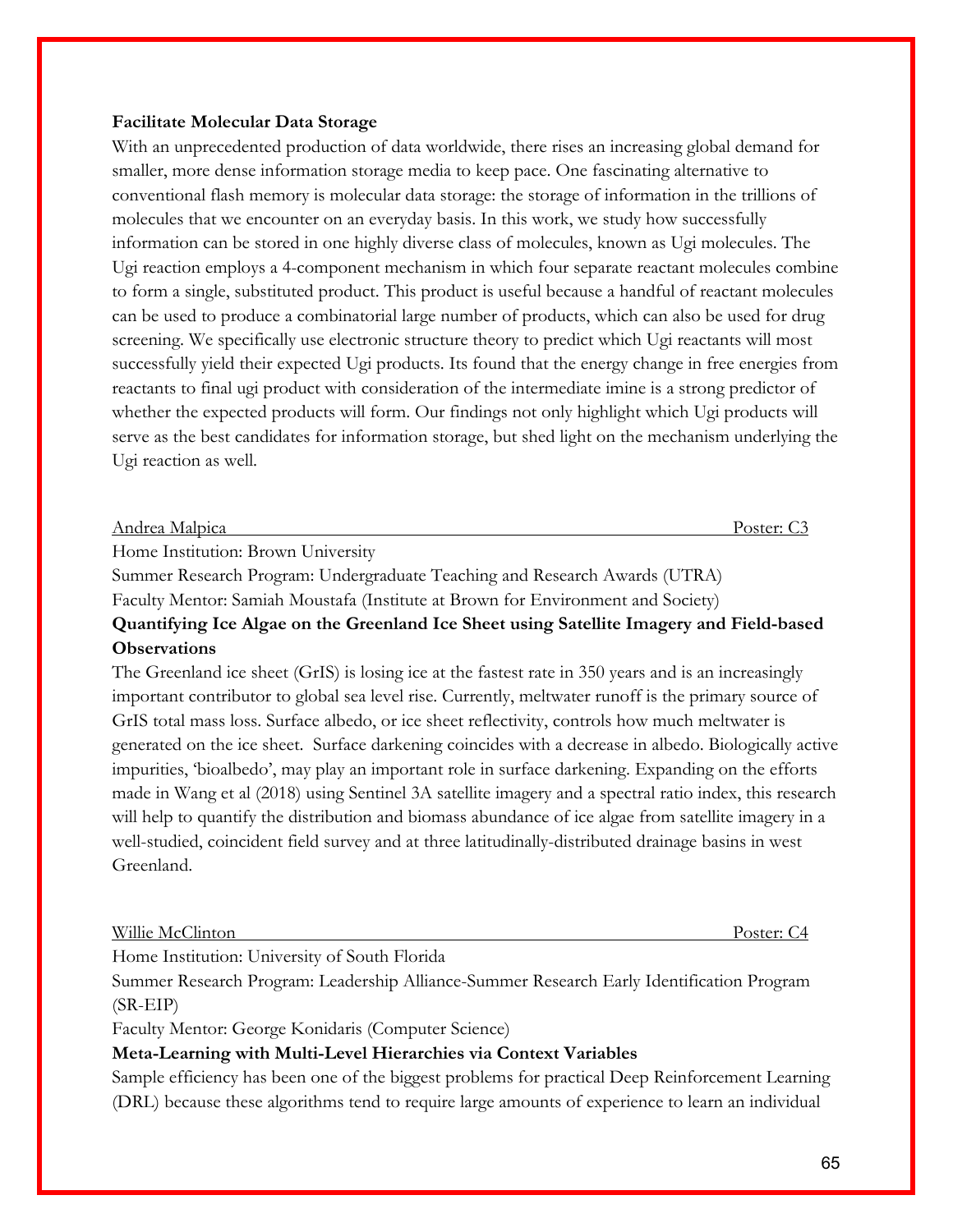#### **Facilitate Molecular Data Storage**

With an unprecedented production of data worldwide, there rises an increasing global demand for smaller, more dense information storage media to keep pace. One fascinating alternative to conventional flash memory is molecular data storage: the storage of information in the trillions of molecules that we encounter on an everyday basis. In this work, we study how successfully information can be stored in one highly diverse class of molecules, known as Ugi molecules. The Ugi reaction employs a 4-component mechanism in which four separate reactant molecules combine to form a single, substituted product. This product is useful because a handful of reactant molecules can be used to produce a combinatorial large number of products, which can also be used for drug screening. We specifically use electronic structure theory to predict which Ugi reactants will most successfully yield their expected Ugi products. Its found that the energy change in free energies from reactants to final ugi product with consideration of the intermediate imine is a strong predictor of whether the expected products will form. Our findings not only highlight which Ugi products will serve as the best candidates for information storage, but shed light on the mechanism underlying the Ugi reaction as well.

#### Andrea Malpica Poster: C3

Home Institution: Brown University

Summer Research Program: Undergraduate Teaching and Research Awards (UTRA) Faculty Mentor: Samiah Moustafa (Institute at Brown for Environment and Society) **Quantifying Ice Algae on the Greenland Ice Sheet using Satellite Imagery and Field-based Observations**

The Greenland ice sheet (GrIS) is losing ice at the fastest rate in 350 years and is an increasingly important contributor to global sea level rise. Currently, meltwater runoff is the primary source of GrIS total mass loss. Surface albedo, or ice sheet reflectivity, controls how much meltwater is generated on the ice sheet. Surface darkening coincides with a decrease in albedo. Biologically active impurities, 'bioalbedo', may play an important role in surface darkening. Expanding on the efforts made in Wang et al (2018) using Sentinel 3A satellite imagery and a spectral ratio index, this research will help to quantify the distribution and biomass abundance of ice algae from satellite imagery in a well-studied, coincident field survey and at three latitudinally-distributed drainage basins in west Greenland.

Willie McClinton Poster: C4

Home Institution: University of South Florida

Summer Research Program: Leadership Alliance-Summer Research Early Identification Program (SR-EIP)

Faculty Mentor: George Konidaris (Computer Science)

### **Meta-Learning with Multi-Level Hierarchies via Context Variables**

Sample efficiency has been one of the biggest problems for practical Deep Reinforcement Learning (DRL) because these algorithms tend to require large amounts of experience to learn an individual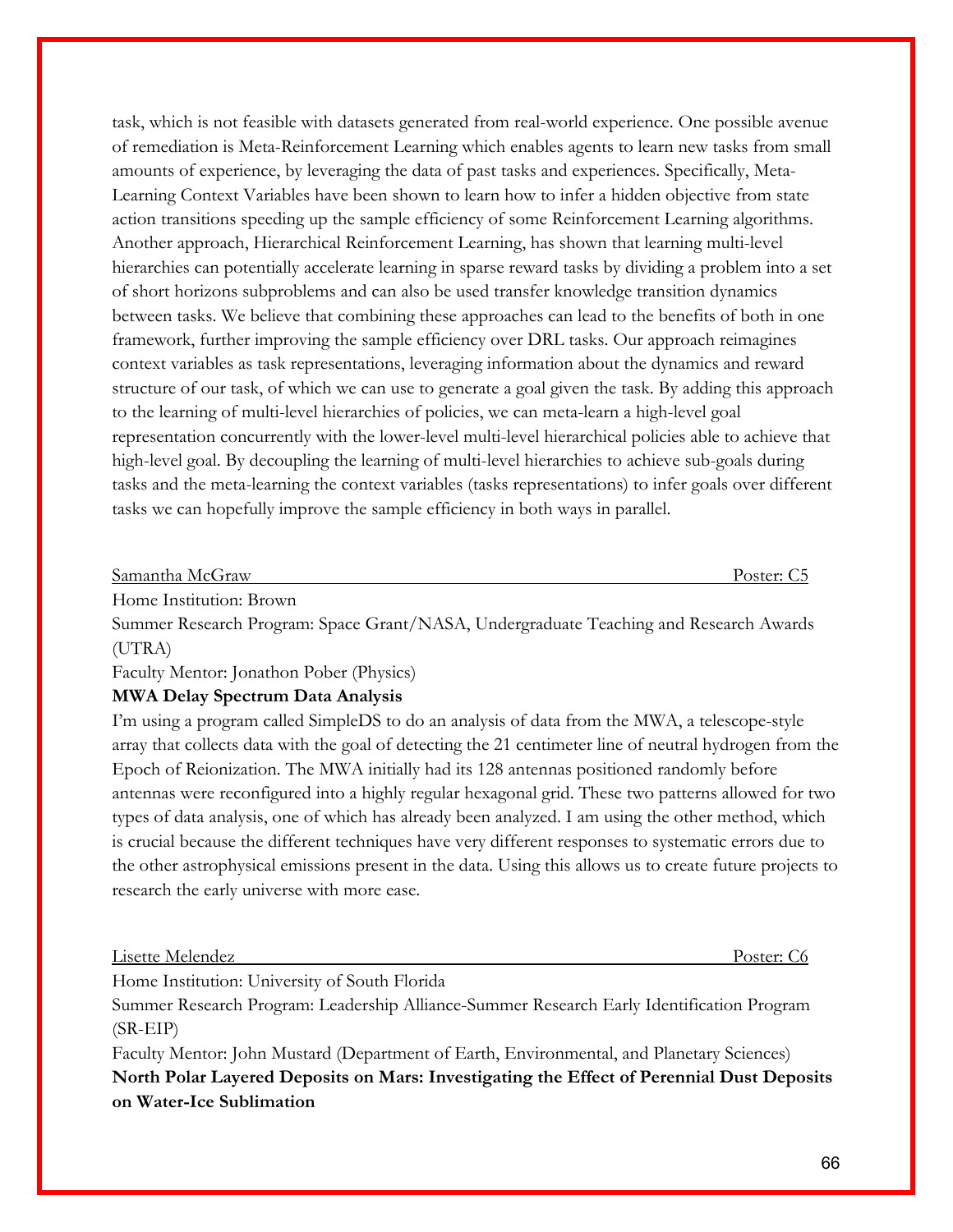task, which is not feasible with datasets generated from real-world experience. One possible avenue of remediation is Meta-Reinforcement Learning which enables agents to learn new tasks from small amounts of experience, by leveraging the data of past tasks and experiences. Specifically, Meta-Learning Context Variables have been shown to learn how to infer a hidden objective from state action transitions speeding up the sample efficiency of some Reinforcement Learning algorithms. Another approach, Hierarchical Reinforcement Learning, has shown that learning multi-level hierarchies can potentially accelerate learning in sparse reward tasks by dividing a problem into a set of short horizons subproblems and can also be used transfer knowledge transition dynamics between tasks. We believe that combining these approaches can lead to the benefits of both in one framework, further improving the sample efficiency over DRL tasks. Our approach reimagines context variables as task representations, leveraging information about the dynamics and reward structure of our task, of which we can use to generate a goal given the task. By adding this approach to the learning of multi-level hierarchies of policies, we can meta-learn a high-level goal representation concurrently with the lower-level multi-level hierarchical policies able to achieve that high-level goal. By decoupling the learning of multi-level hierarchies to achieve sub-goals during tasks and the meta-learning the context variables (tasks representations) to infer goals over different tasks we can hopefully improve the sample efficiency in both ways in parallel.

Samantha McGraw Poster: C5

Home Institution: Brown

Summer Research Program: Space Grant/NASA, Undergraduate Teaching and Research Awards (UTRA)

Faculty Mentor: Jonathon Pober (Physics)

#### **MWA Delay Spectrum Data Analysis**

I'm using a program called SimpleDS to do an analysis of data from the MWA, a telescope-style array that collects data with the goal of detecting the 21 centimeter line of neutral hydrogen from the Epoch of Reionization. The MWA initially had its 128 antennas positioned randomly before antennas were reconfigured into a highly regular hexagonal grid. These two patterns allowed for two types of data analysis, one of which has already been analyzed. I am using the other method, which is crucial because the different techniques have very different responses to systematic errors due to the other astrophysical emissions present in the data. Using this allows us to create future projects to research the early universe with more ease.

Lisette Melendez Poster: C6

Home Institution: University of South Florida

Summer Research Program: Leadership Alliance-Summer Research Early Identification Program (SR-EIP)

Faculty Mentor: John Mustard (Department of Earth, Environmental, and Planetary Sciences) **North Polar Layered Deposits on Mars: Investigating the Effect of Perennial Dust Deposits on Water-Ice Sublimation**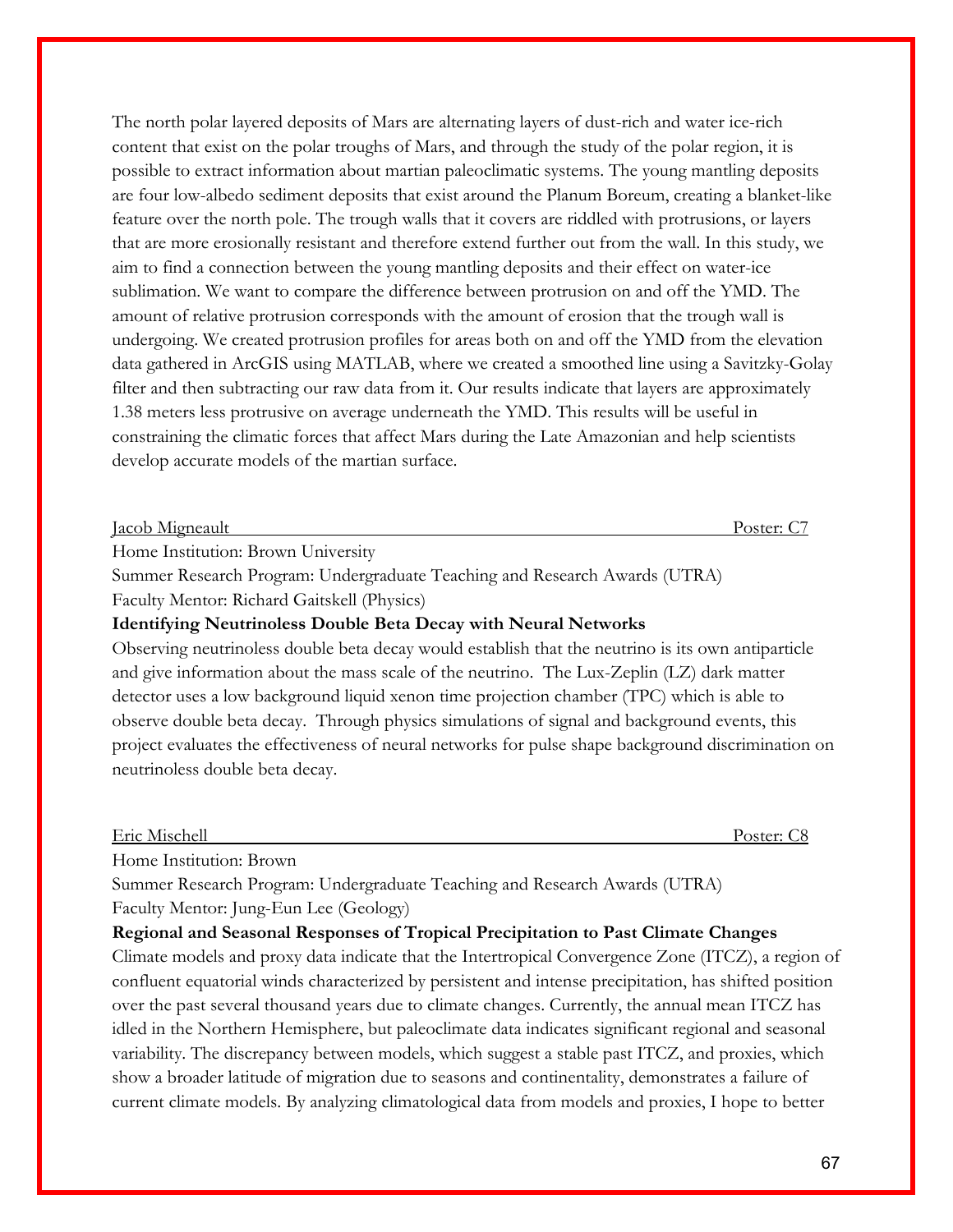The north polar layered deposits of Mars are alternating layers of dust-rich and water ice-rich content that exist on the polar troughs of Mars, and through the study of the polar region, it is possible to extract information about martian paleoclimatic systems. The young mantling deposits are four low-albedo sediment deposits that exist around the Planum Boreum, creating a blanket-like feature over the north pole. The trough walls that it covers are riddled with protrusions, or layers that are more erosionally resistant and therefore extend further out from the wall. In this study, we aim to find a connection between the young mantling deposits and their effect on water-ice sublimation. We want to compare the difference between protrusion on and off the YMD. The amount of relative protrusion corresponds with the amount of erosion that the trough wall is undergoing. We created protrusion profiles for areas both on and off the YMD from the elevation data gathered in ArcGIS using MATLAB, where we created a smoothed line using a Savitzky-Golay filter and then subtracting our raw data from it. Our results indicate that layers are approximately 1.38 meters less protrusive on average underneath the YMD. This results will be useful in constraining the climatic forces that affect Mars during the Late Amazonian and help scientists develop accurate models of the martian surface.

#### Jacob Migneault Poster: C7

Home Institution: Brown University

Summer Research Program: Undergraduate Teaching and Research Awards (UTRA) Faculty Mentor: Richard Gaitskell (Physics)

### **Identifying Neutrinoless Double Beta Decay with Neural Networks**

Observing neutrinoless double beta decay would establish that the neutrino is its own antiparticle and give information about the mass scale of the neutrino. The Lux-Zeplin (LZ) dark matter detector uses a low background liquid xenon time projection chamber (TPC) which is able to observe double beta decay. Through physics simulations of signal and background events, this project evaluates the effectiveness of neural networks for pulse shape background discrimination on neutrinoless double beta decay.

Eric Mischell Poster: C8

Home Institution: Brown

Summer Research Program: Undergraduate Teaching and Research Awards (UTRA) Faculty Mentor: Jung-Eun Lee (Geology)

### **Regional and Seasonal Responses of Tropical Precipitation to Past Climate Changes**

Climate models and proxy data indicate that the Intertropical Convergence Zone (ITCZ), a region of confluent equatorial winds characterized by persistent and intense precipitation, has shifted position over the past several thousand years due to climate changes. Currently, the annual mean ITCZ has idled in the Northern Hemisphere, but paleoclimate data indicates significant regional and seasonal variability. The discrepancy between models, which suggest a stable past ITCZ, and proxies, which show a broader latitude of migration due to seasons and continentality, demonstrates a failure of current climate models. By analyzing climatological data from models and proxies, I hope to better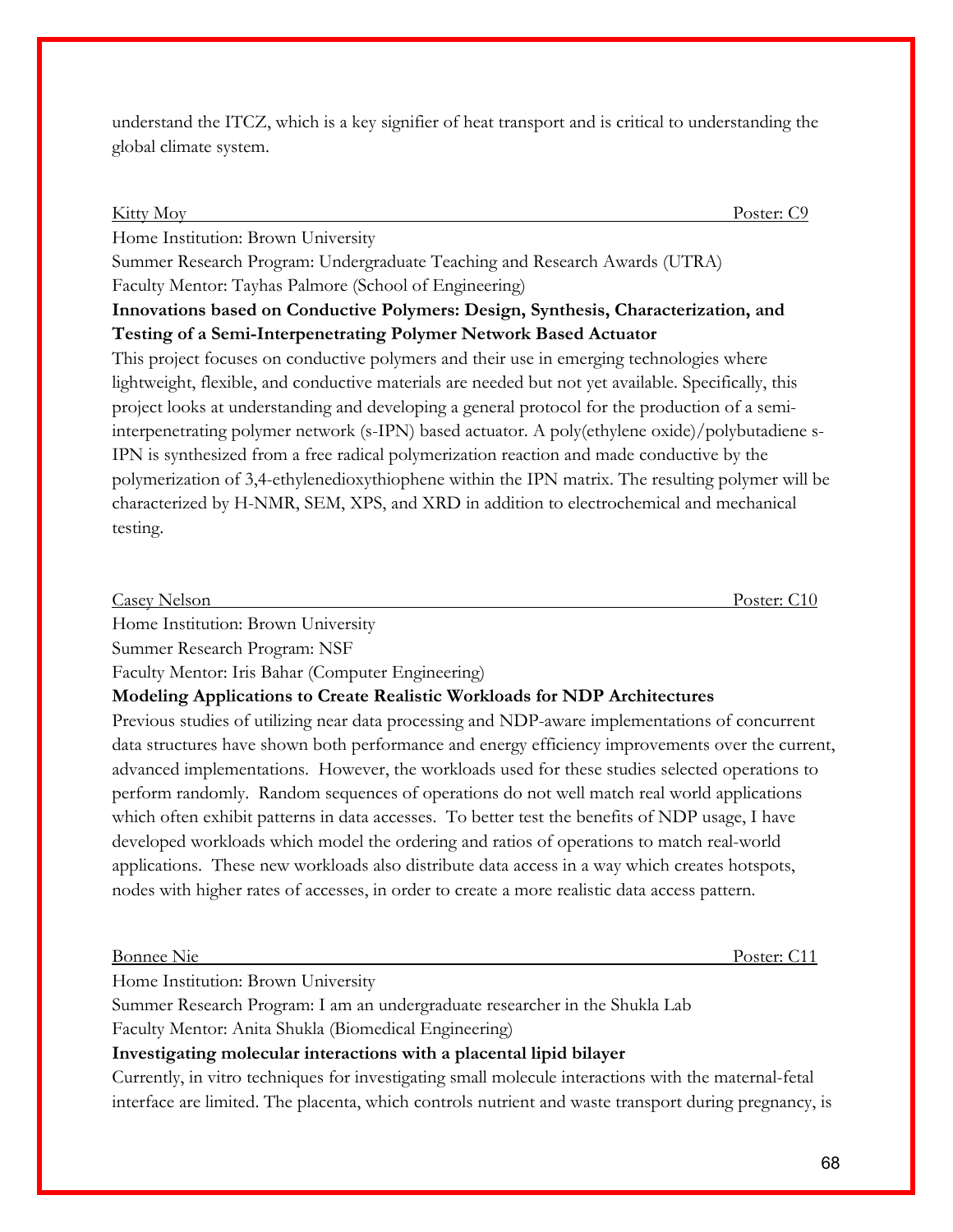understand the ITCZ, which is a key signifier of heat transport and is critical to understanding the global climate system.

| <b>Kitty Moy</b><br>Poster: C9                                                                       |
|------------------------------------------------------------------------------------------------------|
| Home Institution: Brown University                                                                   |
| Summer Research Program: Undergraduate Teaching and Research Awards (UTRA)                           |
| Faculty Mentor: Tayhas Palmore (School of Engineering)                                               |
| Innovations based on Conductive Polymers: Design, Synthesis, Characterization, and                   |
| Testing of a Semi-Interpenetrating Polymer Network Based Actuator                                    |
| This project focuses on conductive polymers and their use in emerging technologies where             |
| lightweight, flexible, and conductive materials are needed but not yet available. Specifically, this |
| project looks at understanding and developing a general protocol for the production of a semi-       |
| interpenetrating polymer network (s-IPN) based actuator. A poly(ethylene oxide)/polybutadiene s-     |
| IPN is synthesized from a free radical polymerization reaction and made conductive by the            |
| polymerization of 3,4-ethylenedioxythiophene within the IPN matrix. The resulting polymer will be    |
| characterized by H-NMR, SEM, XPS, and XRD in addition to electrochemical and mechanical              |
| testing.                                                                                             |

| Casey Nelson | the company of the company of the<br>ገፍፐዶተ |
|--------------|--------------------------------------------|
|              |                                            |

Home Institution: Brown University

Summer Research Program: NSF

Faculty Mentor: Iris Bahar (Computer Engineering)

**Modeling Applications to Create Realistic Workloads for NDP Architectures** 

Previous studies of utilizing near data processing and NDP-aware implementations of concurrent data structures have shown both performance and energy efficiency improvements over the current, advanced implementations. However, the workloads used for these studies selected operations to perform randomly. Random sequences of operations do not well match real world applications which often exhibit patterns in data accesses. To better test the benefits of NDP usage, I have developed workloads which model the ordering and ratios of operations to match real-world applications. These new workloads also distribute data access in a way which creates hotspots, nodes with higher rates of accesses, in order to create a more realistic data access pattern.

### Bonnee Nie Poster: C11

Home Institution: Brown University

Summer Research Program: I am an undergraduate researcher in the Shukla Lab Faculty Mentor: Anita Shukla (Biomedical Engineering)

### **Investigating molecular interactions with a placental lipid bilayer**

Currently, in vitro techniques for investigating small molecule interactions with the maternal-fetal interface are limited. The placenta, which controls nutrient and waste transport during pregnancy, is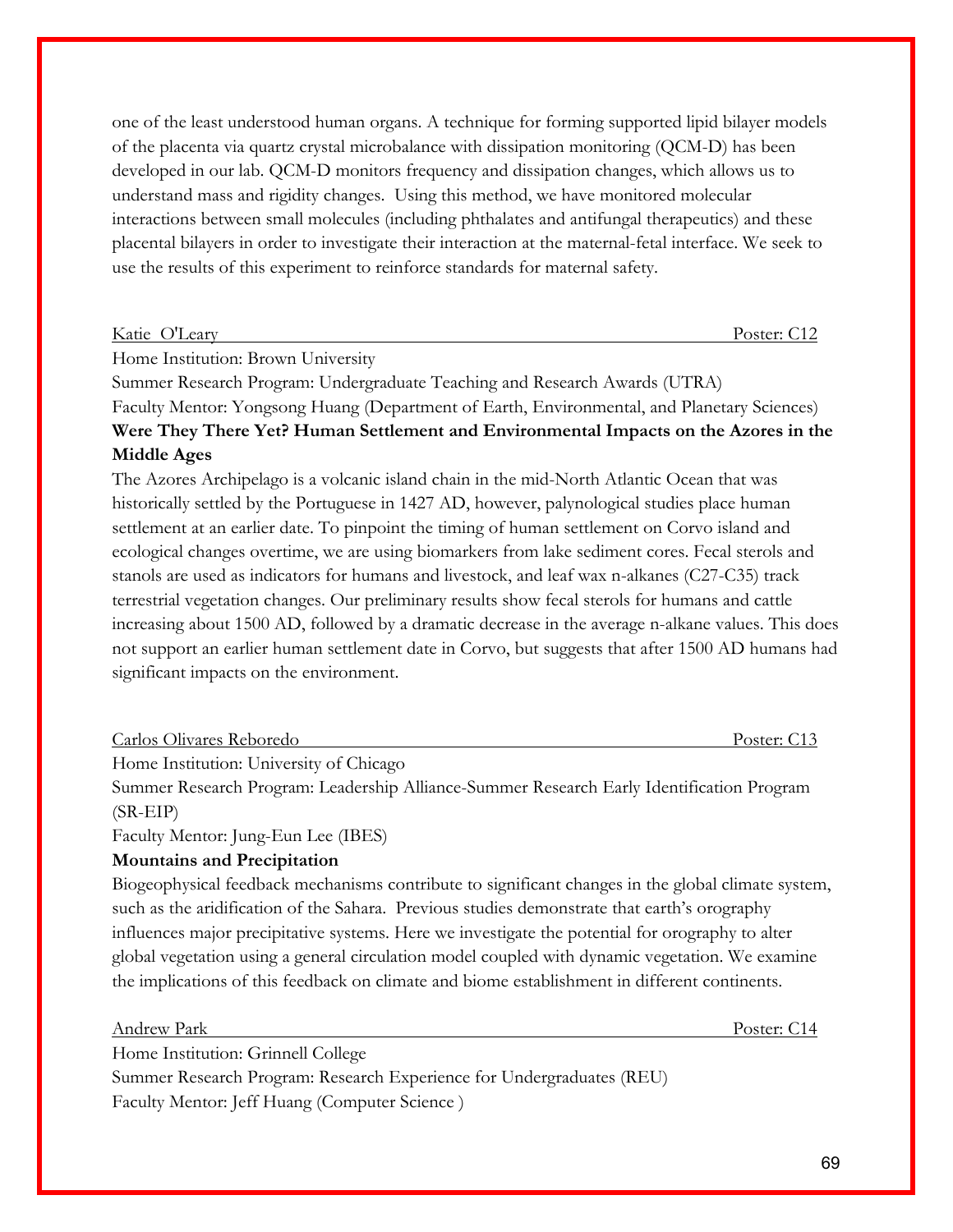one of the least understood human organs. A technique for forming supported lipid bilayer models of the placenta via quartz crystal microbalance with dissipation monitoring (QCM-D) has been developed in our lab. QCM-D monitors frequency and dissipation changes, which allows us to understand mass and rigidity changes. Using this method, we have monitored molecular interactions between small molecules (including phthalates and antifungal therapeutics) and these placental bilayers in order to investigate their interaction at the maternal-fetal interface. We seek to use the results of this experiment to reinforce standards for maternal safety.

| Katie O'Leary | Poster: C12 |
|---------------|-------------|

Home Institution: Brown University

Summer Research Program: Undergraduate Teaching and Research Awards (UTRA) Faculty Mentor: Yongsong Huang (Department of Earth, Environmental, and Planetary Sciences) **Were They There Yet? Human Settlement and Environmental Impacts on the Azores in the Middle Ages**

The Azores Archipelago is a volcanic island chain in the mid-North Atlantic Ocean that was historically settled by the Portuguese in 1427 AD, however, palynological studies place human settlement at an earlier date. To pinpoint the timing of human settlement on Corvo island and ecological changes overtime, we are using biomarkers from lake sediment cores. Fecal sterols and stanols are used as indicators for humans and livestock, and leaf wax n-alkanes (C27-C35) track terrestrial vegetation changes. Our preliminary results show fecal sterols for humans and cattle increasing about 1500 AD, followed by a dramatic decrease in the average n-alkane values. This does not support an earlier human settlement date in Corvo, but suggests that after 1500 AD humans had significant impacts on the environment.

| Carlos Olivares Reboredo | Poster: C13 |
|--------------------------|-------------|
|                          |             |

Home Institution: University of Chicago

Summer Research Program: Leadership Alliance-Summer Research Early Identification Program (SR-EIP)

Faculty Mentor: Jung-Eun Lee (IBES)

### **Mountains and Precipitation**

Biogeophysical feedback mechanisms contribute to significant changes in the global climate system, such as the aridification of the Sahara. Previous studies demonstrate that earth's orography influences major precipitative systems. Here we investigate the potential for orography to alter global vegetation using a general circulation model coupled with dynamic vegetation. We examine the implications of this feedback on climate and biome establishment in different continents.

Andrew Park Poster: C14 Home Institution: Grinnell College Summer Research Program: Research Experience for Undergraduates (REU) Faculty Mentor: Jeff Huang (Computer Science )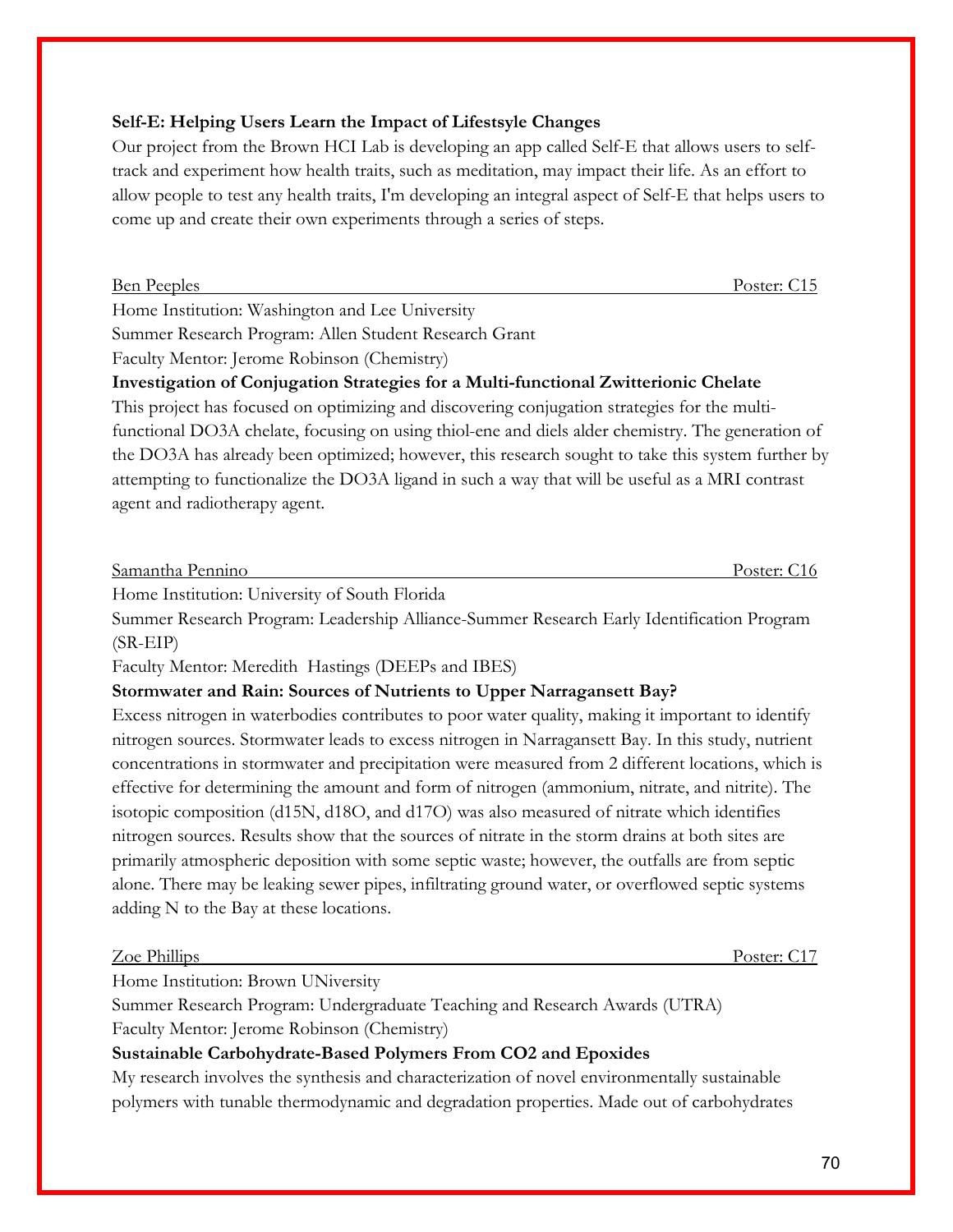### **Self-E: Helping Users Learn the Impact of Lifestsyle Changes**

Our project from the Brown HCI Lab is developing an app called Self-E that allows users to selftrack and experiment how health traits, such as meditation, may impact their life. As an effort to allow people to test any health traits, I'm developing an integral aspect of Self-E that helps users to come up and create their own experiments through a series of steps.

Ben Peeples Poster: C15

Home Institution: Washington and Lee University

Summer Research Program: Allen Student Research Grant

Faculty Mentor: Jerome Robinson (Chemistry)

**Investigation of Conjugation Strategies for a Multi-functional Zwitterionic Chelate**

This project has focused on optimizing and discovering conjugation strategies for the multifunctional DO3A chelate, focusing on using thiol-ene and diels alder chemistry. The generation of the DO3A has already been optimized; however, this research sought to take this system further by attempting to functionalize the DO3A ligand in such a way that will be useful as a MRI contrast agent and radiotherapy agent.

Samantha Pennino Poster: C16

Home Institution: University of South Florida

Summer Research Program: Leadership Alliance-Summer Research Early Identification Program (SR-EIP)

Faculty Mentor: Meredith Hastings (DEEPs and IBES)

### **Stormwater and Rain: Sources of Nutrients to Upper Narragansett Bay?**

Excess nitrogen in waterbodies contributes to poor water quality, making it important to identify nitrogen sources. Stormwater leads to excess nitrogen in Narragansett Bay. In this study, nutrient concentrations in stormwater and precipitation were measured from 2 different locations, which is effective for determining the amount and form of nitrogen (ammonium, nitrate, and nitrite). The isotopic composition (d15N, d18O, and d17O) was also measured of nitrate which identifies nitrogen sources. Results show that the sources of nitrate in the storm drains at both sites are primarily atmospheric deposition with some septic waste; however, the outfalls are from septic alone. There may be leaking sewer pipes, infiltrating ground water, or overflowed septic systems adding N to the Bay at these locations.

| Zoe Phillips                       | Poster: C1/ |
|------------------------------------|-------------|
| Home Institution: Brown UNiversity |             |

Summer Research Program: Undergraduate Teaching and Research Awards (UTRA) Faculty Mentor: Jerome Robinson (Chemistry)

### **Sustainable Carbohydrate-Based Polymers From CO2 and Epoxides**

My research involves the synthesis and characterization of novel environmentally sustainable polymers with tunable thermodynamic and degradation properties. Made out of carbohydrates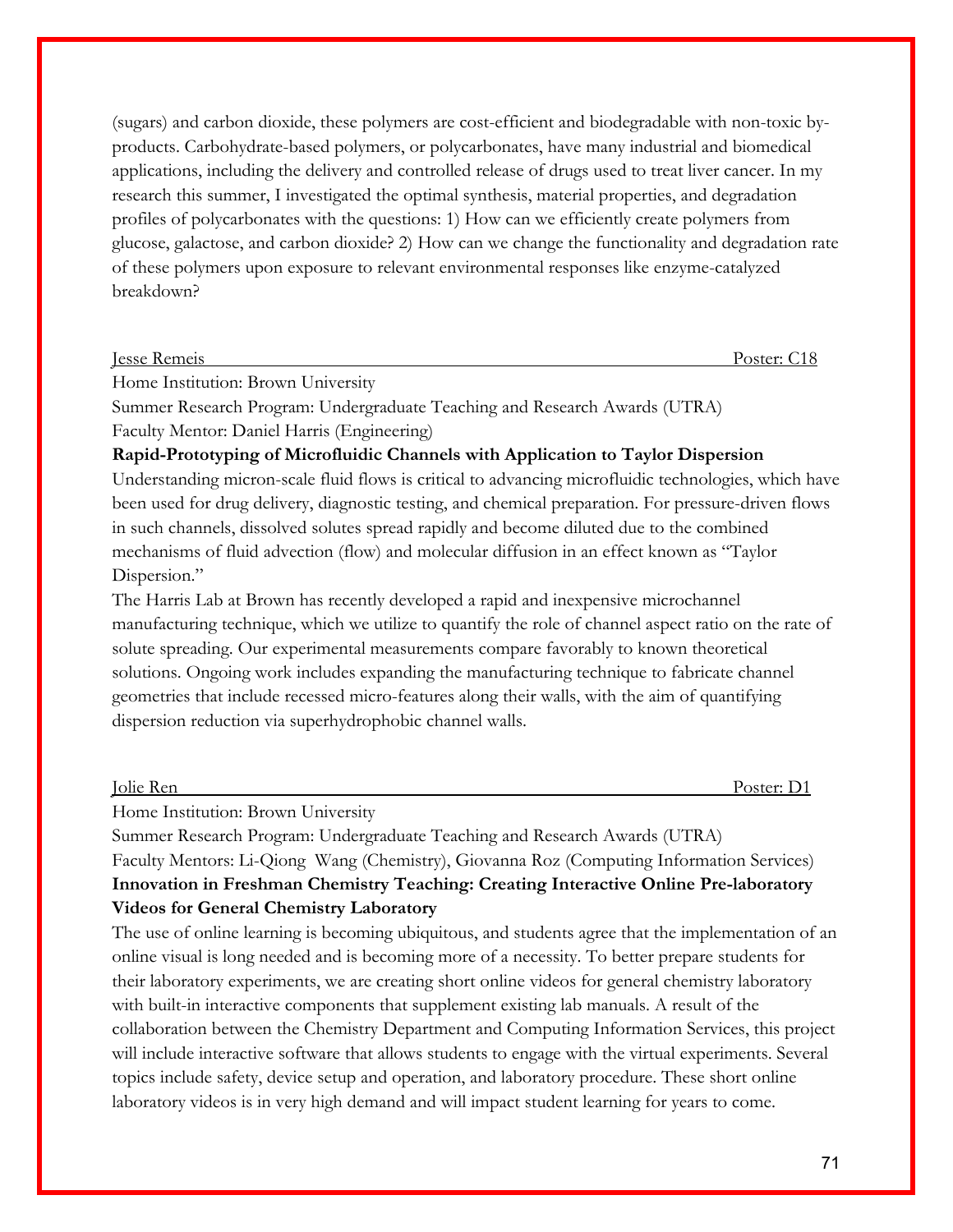(sugars) and carbon dioxide, these polymers are cost-efficient and biodegradable with non-toxic byproducts. Carbohydrate-based polymers, or polycarbonates, have many industrial and biomedical applications, including the delivery and controlled release of drugs used to treat liver cancer. In my research this summer, I investigated the optimal synthesis, material properties, and degradation profiles of polycarbonates with the questions: 1) How can we efficiently create polymers from glucose, galactose, and carbon dioxide? 2) How can we change the functionality and degradation rate of these polymers upon exposure to relevant environmental responses like enzyme-catalyzed breakdown?

| <b>Jesse Remeis</b>                | Poster: C18 |
|------------------------------------|-------------|
| Home Institution: Brown University |             |

Summer Research Program: Undergraduate Teaching and Research Awards (UTRA) Faculty Mentor: Daniel Harris (Engineering)

**Rapid-Prototyping of Microfluidic Channels with Application to Taylor Dispersion** Understanding micron-scale fluid flows is critical to advancing microfluidic technologies, which have been used for drug delivery, diagnostic testing, and chemical preparation. For pressure-driven flows in such channels, dissolved solutes spread rapidly and become diluted due to the combined mechanisms of fluid advection (flow) and molecular diffusion in an effect known as "Taylor Dispersion."

The Harris Lab at Brown has recently developed a rapid and inexpensive microchannel manufacturing technique, which we utilize to quantify the role of channel aspect ratio on the rate of solute spreading. Our experimental measurements compare favorably to known theoretical solutions. Ongoing work includes expanding the manufacturing technique to fabricate channel geometries that include recessed micro-features along their walls, with the aim of quantifying dispersion reduction via superhydrophobic channel walls.

Jolie Ren Poster: D1

Home Institution: Brown University

Summer Research Program: Undergraduate Teaching and Research Awards (UTRA) Faculty Mentors: Li-Qiong Wang (Chemistry), Giovanna Roz (Computing Information Services) **Innovation in Freshman Chemistry Teaching: Creating Interactive Online Pre-laboratory Videos for General Chemistry Laboratory**

The use of online learning is becoming ubiquitous, and students agree that the implementation of an online visual is long needed and is becoming more of a necessity. To better prepare students for their laboratory experiments, we are creating short online videos for general chemistry laboratory with built-in interactive components that supplement existing lab manuals. A result of the collaboration between the Chemistry Department and Computing Information Services, this project will include interactive software that allows students to engage with the virtual experiments. Several topics include safety, device setup and operation, and laboratory procedure. These short online laboratory videos is in very high demand and will impact student learning for years to come.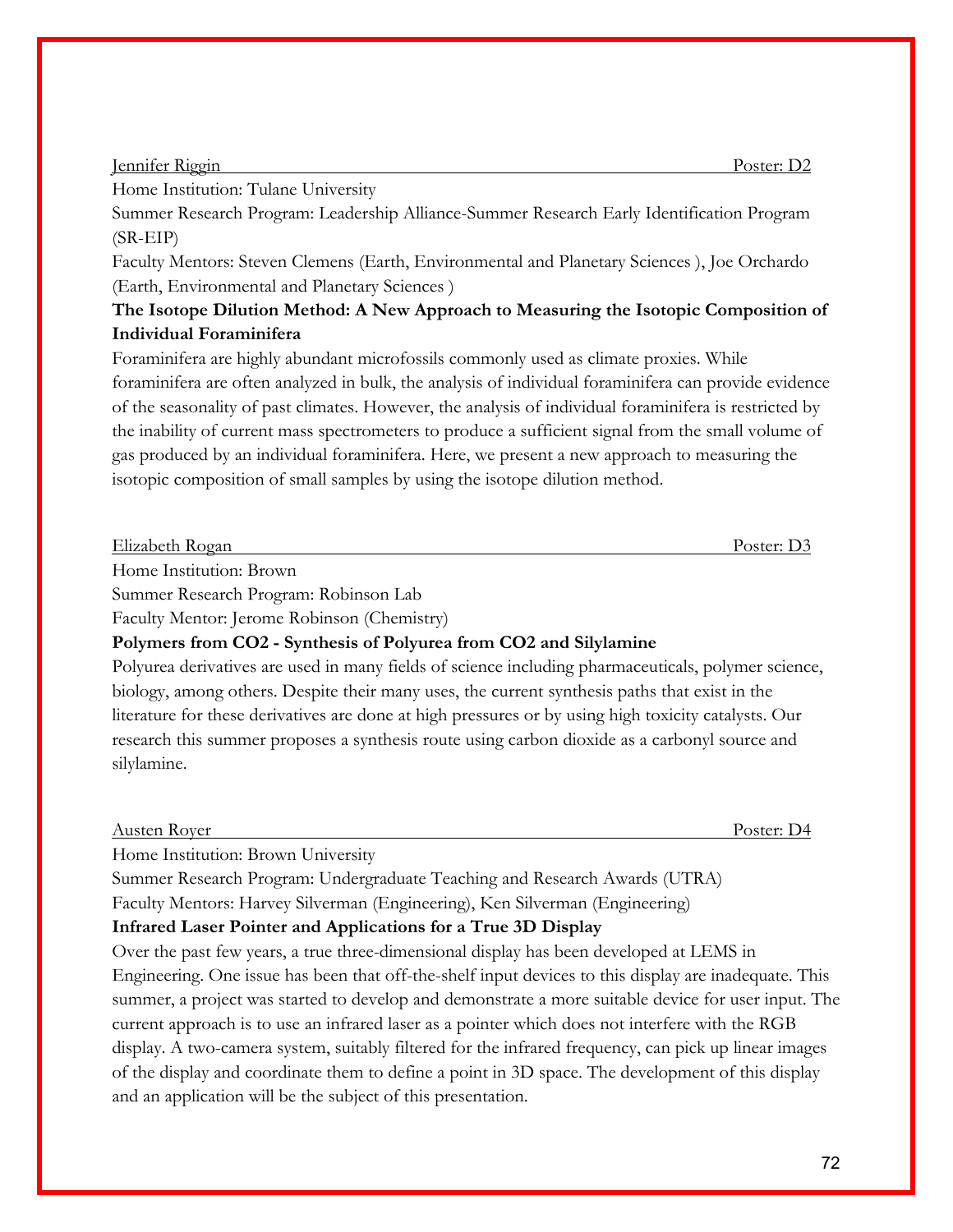#### Jennifer Riggin Poster: D2

Home Institution: Tulane University

Summer Research Program: Leadership Alliance-Summer Research Early Identification Program (SR-EIP)

Faculty Mentors: Steven Clemens (Earth, Environmental and Planetary Sciences ), Joe Orchardo (Earth, Environmental and Planetary Sciences )

### **The Isotope Dilution Method: A New Approach to Measuring the Isotopic Composition of Individual Foraminifera**

Foraminifera are highly abundant microfossils commonly used as climate proxies. While foraminifera are often analyzed in bulk, the analysis of individual foraminifera can provide evidence of the seasonality of past climates. However, the analysis of individual foraminifera is restricted by the inability of current mass spectrometers to produce a sufficient signal from the small volume of gas produced by an individual foraminifera. Here, we present a new approach to measuring the isotopic composition of small samples by using the isotope dilution method.

| Elizabeth Rogan                               | ∠oster∙ |
|-----------------------------------------------|---------|
| TT.<br>$\mathbf{r}$ . The set of $\mathbf{r}$ |         |

Home Institution: Brown

Summer Research Program: Robinson Lab

Faculty Mentor: Jerome Robinson (Chemistry)

**Polymers from CO2 - Synthesis of Polyurea from CO2 and Silylamine**

Polyurea derivatives are used in many fields of science including pharmaceuticals, polymer science, biology, among others. Despite their many uses, the current synthesis paths that exist in the literature for these derivatives are done at high pressures or by using high toxicity catalysts. Our research this summer proposes a synthesis route using carbon dioxide as a carbonyl source and silylamine.

| $\overline{\phantom{a}}$<br>Austen Rover | $\overline{\phantom{a}}$<br>Poster:<br>. . |
|------------------------------------------|--------------------------------------------|
|                                          |                                            |

Home Institution: Brown University

Summer Research Program: Undergraduate Teaching and Research Awards (UTRA) Faculty Mentors: Harvey Silverman (Engineering), Ken Silverman (Engineering)

### **Infrared Laser Pointer and Applications for a True 3D Display**

Over the past few years, a true three-dimensional display has been developed at LEMS in Engineering. One issue has been that off-the-shelf input devices to this display are inadequate. This summer, a project was started to develop and demonstrate a more suitable device for user input. The current approach is to use an infrared laser as a pointer which does not interfere with the RGB display. A two-camera system, suitably filtered for the infrared frequency, can pick up linear images of the display and coordinate them to define a point in 3D space. The development of this display and an application will be the subject of this presentation.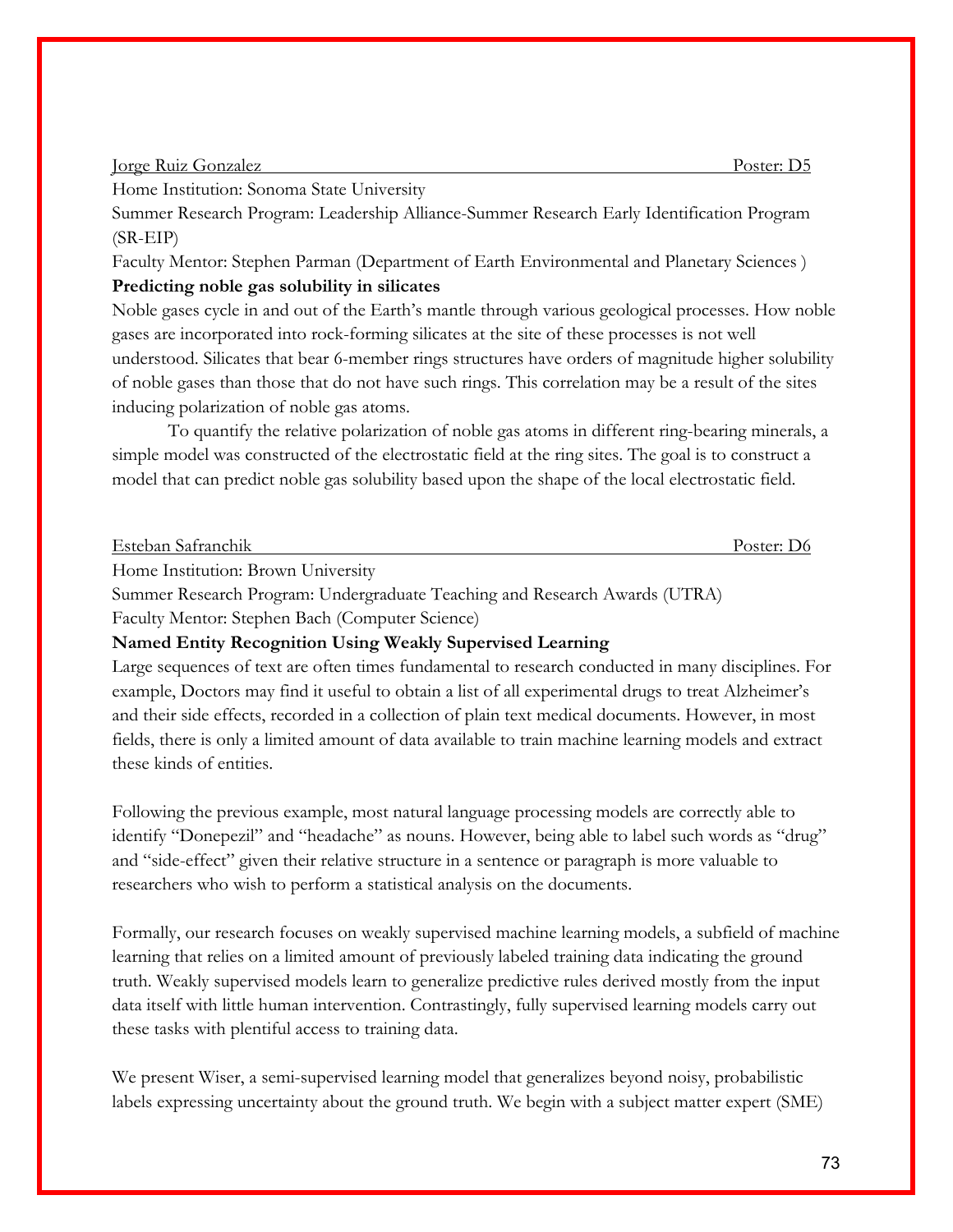#### Jorge Ruiz Gonzalez Poster: D5

Home Institution: Sonoma State University

Summer Research Program: Leadership Alliance-Summer Research Early Identification Program (SR-EIP)

Faculty Mentor: Stephen Parman (Department of Earth Environmental and Planetary Sciences ) **Predicting noble gas solubility in silicates**

Noble gases cycle in and out of the Earth's mantle through various geological processes. How noble gases are incorporated into rock-forming silicates at the site of these processes is not well understood. Silicates that bear 6-member rings structures have orders of magnitude higher solubility of noble gases than those that do not have such rings. This correlation may be a result of the sites inducing polarization of noble gas atoms.

 To quantify the relative polarization of noble gas atoms in different ring-bearing minerals, a simple model was constructed of the electrostatic field at the ring sites. The goal is to construct a model that can predict noble gas solubility based upon the shape of the local electrostatic field.

| Esteban Safranchik              | Poster: D6 |
|---------------------------------|------------|
| $H = \{x_1, x_2, \ldots, x_n\}$ |            |

Home Institution: Brown University

Summer Research Program: Undergraduate Teaching and Research Awards (UTRA)

Faculty Mentor: Stephen Bach (Computer Science)

#### **Named Entity Recognition Using Weakly Supervised Learning**

Large sequences of text are often times fundamental to research conducted in many disciplines. For example, Doctors may find it useful to obtain a list of all experimental drugs to treat Alzheimer's and their side effects, recorded in a collection of plain text medical documents. However, in most fields, there is only a limited amount of data available to train machine learning models and extract these kinds of entities.

Following the previous example, most natural language processing models are correctly able to identify "Donepezil" and "headache" as nouns. However, being able to label such words as "drug" and "side-effect" given their relative structure in a sentence or paragraph is more valuable to researchers who wish to perform a statistical analysis on the documents.

Formally, our research focuses on weakly supervised machine learning models, a subfield of machine learning that relies on a limited amount of previously labeled training data indicating the ground truth. Weakly supervised models learn to generalize predictive rules derived mostly from the input data itself with little human intervention. Contrastingly, fully supervised learning models carry out these tasks with plentiful access to training data.

We present Wiser, a semi-supervised learning model that generalizes beyond noisy, probabilistic labels expressing uncertainty about the ground truth. We begin with a subject matter expert (SME)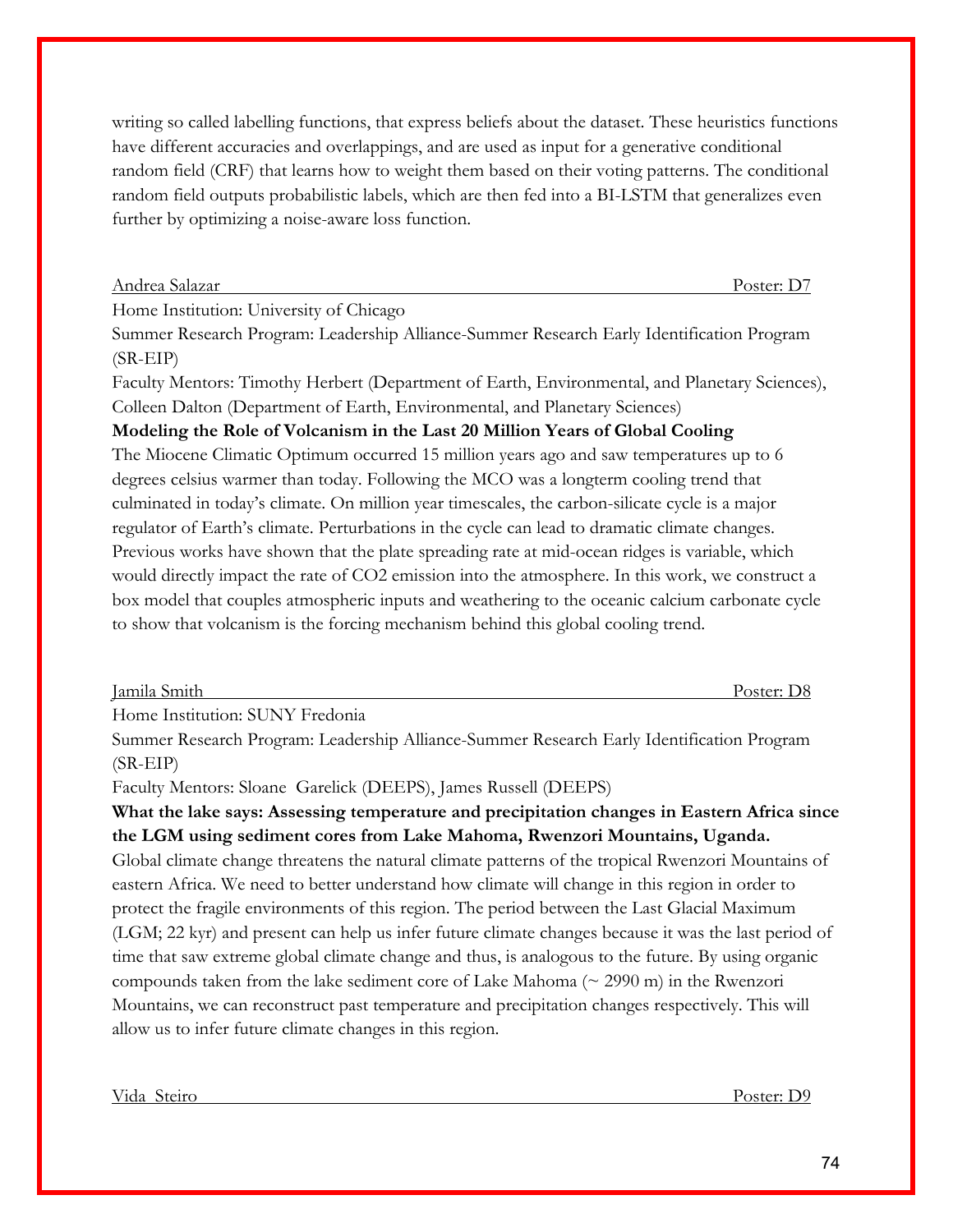writing so called labelling functions, that express beliefs about the dataset. These heuristics functions have different accuracies and overlappings, and are used as input for a generative conditional random field (CRF) that learns how to weight them based on their voting patterns. The conditional random field outputs probabilistic labels, which are then fed into a BI-LSTM that generalizes even further by optimizing a noise-aware loss function.

Andrea Salazar Poster: D7

Home Institution: University of Chicago

Summer Research Program: Leadership Alliance-Summer Research Early Identification Program (SR-EIP)

Faculty Mentors: Timothy Herbert (Department of Earth, Environmental, and Planetary Sciences), Colleen Dalton (Department of Earth, Environmental, and Planetary Sciences)

## **Modeling the Role of Volcanism in the Last 20 Million Years of Global Cooling**

The Miocene Climatic Optimum occurred 15 million years ago and saw temperatures up to 6 degrees celsius warmer than today. Following the MCO was a longterm cooling trend that culminated in today's climate. On million year timescales, the carbon-silicate cycle is a major regulator of Earth's climate. Perturbations in the cycle can lead to dramatic climate changes. Previous works have shown that the plate spreading rate at mid-ocean ridges is variable, which would directly impact the rate of CO2 emission into the atmosphere. In this work, we construct a box model that couples atmospheric inputs and weathering to the oceanic calcium carbonate cycle to show that volcanism is the forcing mechanism behind this global cooling trend.

| Jamila Smith | --<br>.′∩ster* |
|--------------|----------------|
|              |                |

Home Institution: SUNY Fredonia

Summer Research Program: Leadership Alliance-Summer Research Early Identification Program (SR-EIP)

Faculty Mentors: Sloane Garelick (DEEPS), James Russell (DEEPS)

## **What the lake says: Assessing temperature and precipitation changes in Eastern Africa since the LGM using sediment cores from Lake Mahoma, Rwenzori Mountains, Uganda.** Global climate change threatens the natural climate patterns of the tropical Rwenzori Mountains of eastern Africa. We need to better understand how climate will change in this region in order to protect the fragile environments of this region. The period between the Last Glacial Maximum (LGM; 22 kyr) and present can help us infer future climate changes because it was the last period of time that saw extreme global climate change and thus, is analogous to the future. By using organic

compounds taken from the lake sediment core of Lake Mahoma ( $\sim$  2990 m) in the Rwenzori Mountains, we can reconstruct past temperature and precipitation changes respectively. This will allow us to infer future climate changes in this region.

Vida Steiro Poster: D9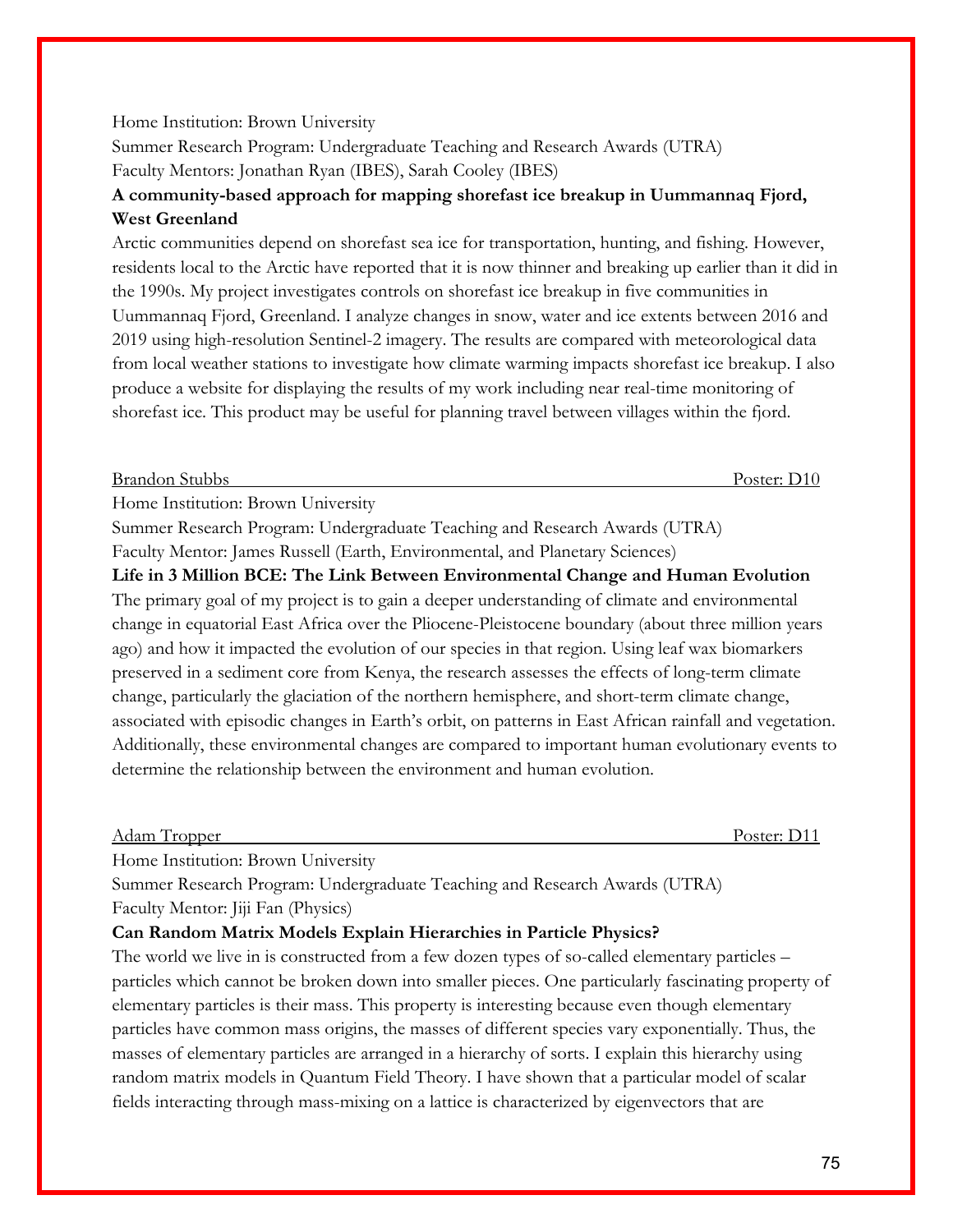#### Home Institution: Brown University

Summer Research Program: Undergraduate Teaching and Research Awards (UTRA) Faculty Mentors: Jonathan Ryan (IBES), Sarah Cooley (IBES)

## **A community-based approach for mapping shorefast ice breakup in Uummannaq Fjord, West Greenland**

Arctic communities depend on shorefast sea ice for transportation, hunting, and fishing. However, residents local to the Arctic have reported that it is now thinner and breaking up earlier than it did in the 1990s. My project investigates controls on shorefast ice breakup in five communities in Uummannaq Fjord, Greenland. I analyze changes in snow, water and ice extents between 2016 and 2019 using high-resolution Sentinel-2 imagery. The results are compared with meteorological data from local weather stations to investigate how climate warming impacts shorefast ice breakup. I also produce a website for displaying the results of my work including near real-time monitoring of shorefast ice. This product may be useful for planning travel between villages within the fjord.

#### Brandon Stubbs Poster: D10

Home Institution: Brown University

Summer Research Program: Undergraduate Teaching and Research Awards (UTRA) Faculty Mentor: James Russell (Earth, Environmental, and Planetary Sciences)

## **Life in 3 Million BCE: The Link Between Environmental Change and Human Evolution** The primary goal of my project is to gain a deeper understanding of climate and environmental change in equatorial East Africa over the Pliocene-Pleistocene boundary (about three million years ago) and how it impacted the evolution of our species in that region. Using leaf wax biomarkers preserved in a sediment core from Kenya, the research assesses the effects of long-term climate change, particularly the glaciation of the northern hemisphere, and short-term climate change, associated with episodic changes in Earth's orbit, on patterns in East African rainfall and vegetation. Additionally, these environmental changes are compared to important human evolutionary events to determine the relationship between the environment and human evolution.

#### Adam Tropper Poster: D11

Home Institution: Brown University

Summer Research Program: Undergraduate Teaching and Research Awards (UTRA) Faculty Mentor: Jiji Fan (Physics)

#### **Can Random Matrix Models Explain Hierarchies in Particle Physics?**

The world we live in is constructed from a few dozen types of so-called elementary particles – particles which cannot be broken down into smaller pieces. One particularly fascinating property of elementary particles is their mass. This property is interesting because even though elementary particles have common mass origins, the masses of different species vary exponentially. Thus, the masses of elementary particles are arranged in a hierarchy of sorts. I explain this hierarchy using random matrix models in Quantum Field Theory. I have shown that a particular model of scalar fields interacting through mass-mixing on a lattice is characterized by eigenvectors that are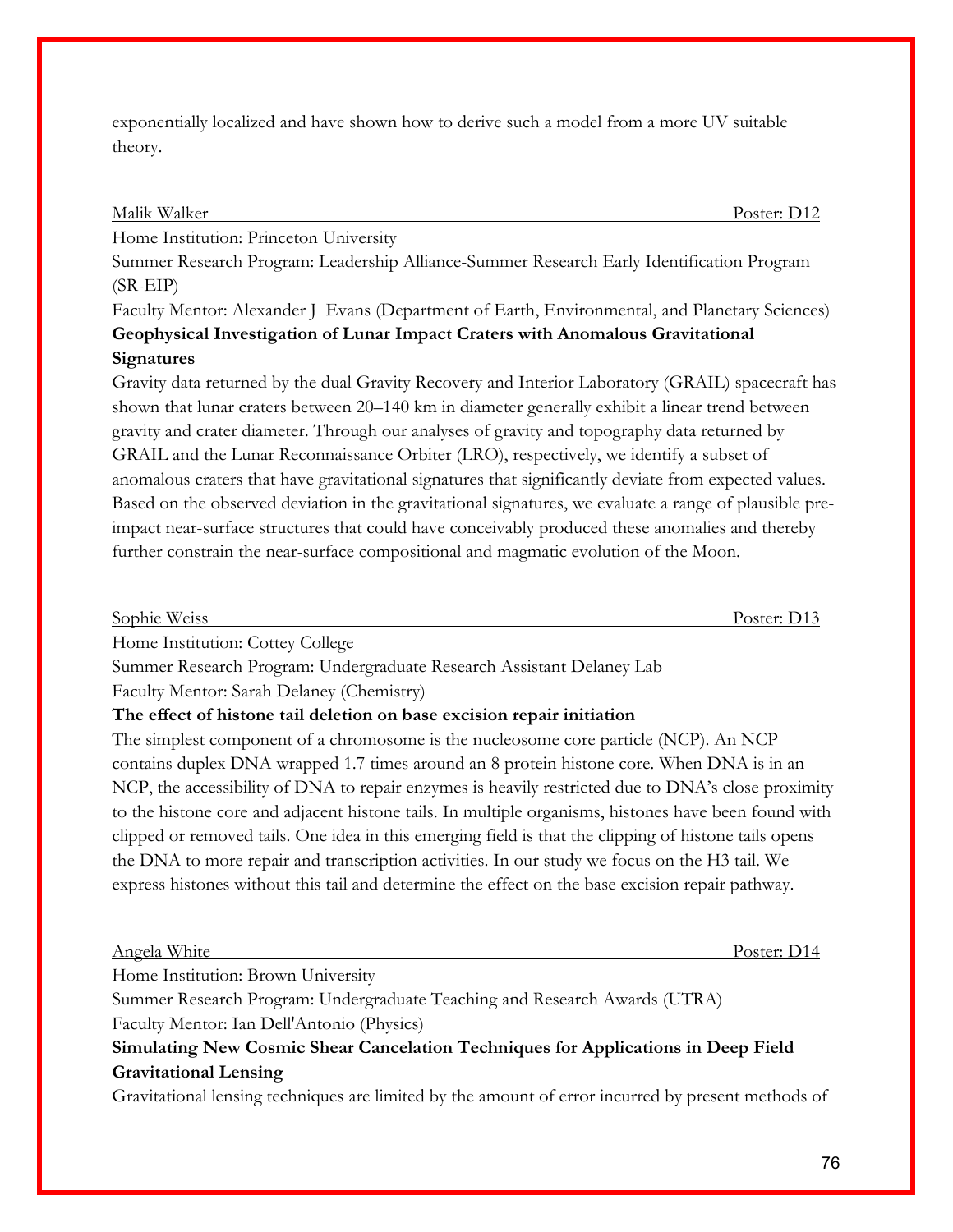exponentially localized and have shown how to derive such a model from a more UV suitable theory.

#### Malik Walker Poster: D12

Home Institution: Princeton University

Summer Research Program: Leadership Alliance-Summer Research Early Identification Program (SR-EIP)

Faculty Mentor: Alexander J Evans (Department of Earth, Environmental, and Planetary Sciences) **Geophysical Investigation of Lunar Impact Craters with Anomalous Gravitational Signatures**

## Gravity data returned by the dual Gravity Recovery and Interior Laboratory (GRAIL) spacecraft has shown that lunar craters between 20–140 km in diameter generally exhibit a linear trend between gravity and crater diameter. Through our analyses of gravity and topography data returned by GRAIL and the Lunar Reconnaissance Orbiter (LRO), respectively, we identify a subset of anomalous craters that have gravitational signatures that significantly deviate from expected values. Based on the observed deviation in the gravitational signatures, we evaluate a range of plausible preimpact near-surface structures that could have conceivably produced these anomalies and thereby further constrain the near-surface compositional and magmatic evolution of the Moon.

Sophie Weiss Poster: D13

Home Institution: Cottey College

Summer Research Program: Undergraduate Research Assistant Delaney Lab Faculty Mentor: Sarah Delaney (Chemistry)

## **The effect of histone tail deletion on base excision repair initiation**

The simplest component of a chromosome is the nucleosome core particle (NCP). An NCP contains duplex DNA wrapped 1.7 times around an 8 protein histone core. When DNA is in an NCP, the accessibility of DNA to repair enzymes is heavily restricted due to DNA's close proximity to the histone core and adjacent histone tails. In multiple organisms, histones have been found with clipped or removed tails. One idea in this emerging field is that the clipping of histone tails opens the DNA to more repair and transcription activities. In our study we focus on the H3 tail. We express histones without this tail and determine the effect on the base excision repair pathway.

#### Angela White Poster: D14

Home Institution: Brown University

Summer Research Program: Undergraduate Teaching and Research Awards (UTRA) Faculty Mentor: Ian Dell'Antonio (Physics)

**Simulating New Cosmic Shear Cancelation Techniques for Applications in Deep Field Gravitational Lensing**

Gravitational lensing techniques are limited by the amount of error incurred by present methods of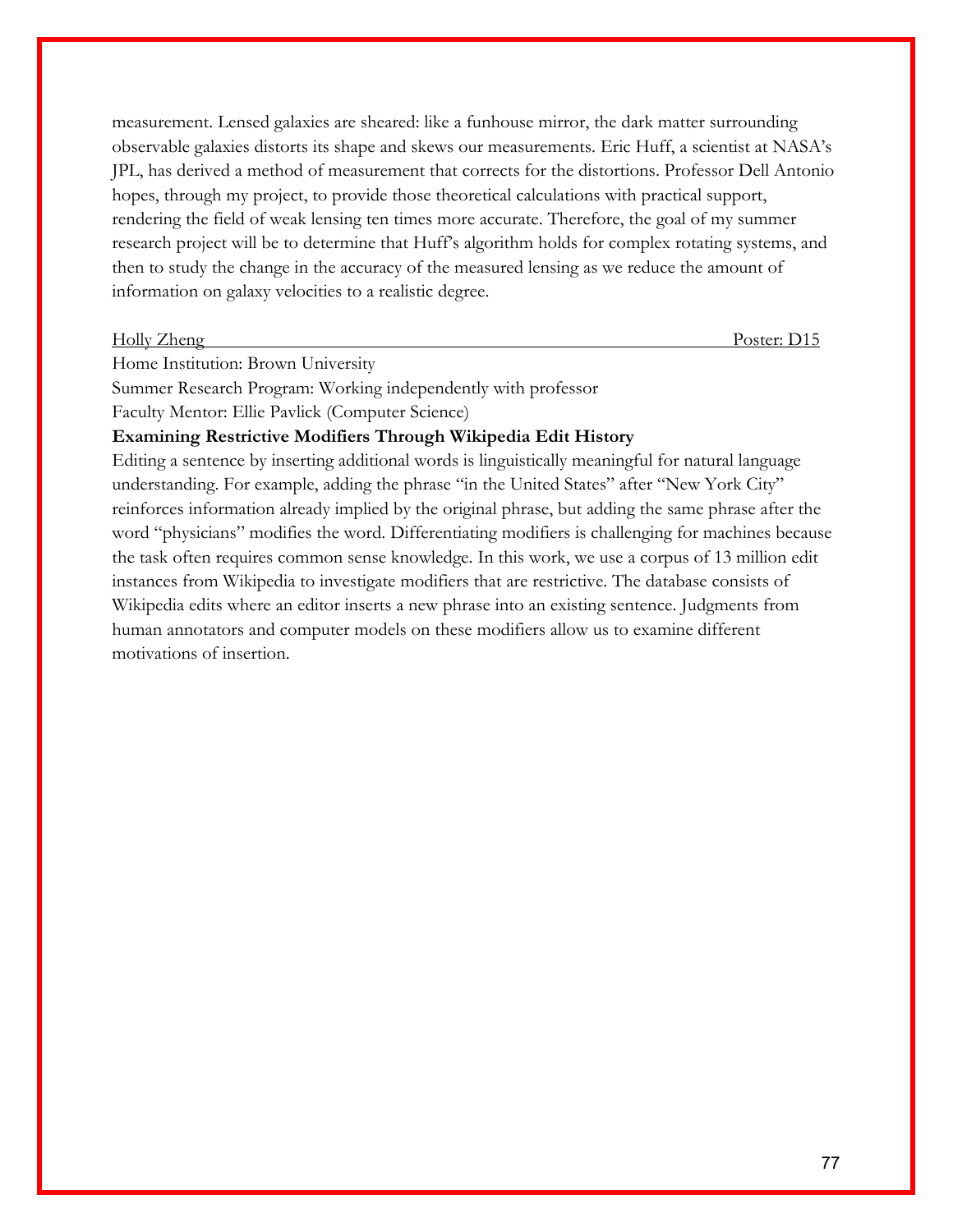measurement. Lensed galaxies are sheared: like a funhouse mirror, the dark matter surrounding observable galaxies distorts its shape and skews our measurements. Eric Huff, a scientist at NASA's JPL, has derived a method of measurement that corrects for the distortions. Professor Dell Antonio hopes, through my project, to provide those theoretical calculations with practical support, rendering the field of weak lensing ten times more accurate. Therefore, the goal of my summer research project will be to determine that Huff's algorithm holds for complex rotating systems, and then to study the change in the accuracy of the measured lensing as we reduce the amount of information on galaxy velocities to a realistic degree.

#### Holly Zheng Poster: D15

Home Institution: Brown University

Summer Research Program: Working independently with professor

Faculty Mentor: Ellie Pavlick (Computer Science)

#### **Examining Restrictive Modifiers Through Wikipedia Edit History**

Editing a sentence by inserting additional words is linguistically meaningful for natural language understanding. For example, adding the phrase "in the United States" after "New York City" reinforces information already implied by the original phrase, but adding the same phrase after the word "physicians" modifies the word. Differentiating modifiers is challenging for machines because the task often requires common sense knowledge. In this work, we use a corpus of 13 million edit instances from Wikipedia to investigate modifiers that are restrictive. The database consists of Wikipedia edits where an editor inserts a new phrase into an existing sentence. Judgments from human annotators and computer models on these modifiers allow us to examine different motivations of insertion.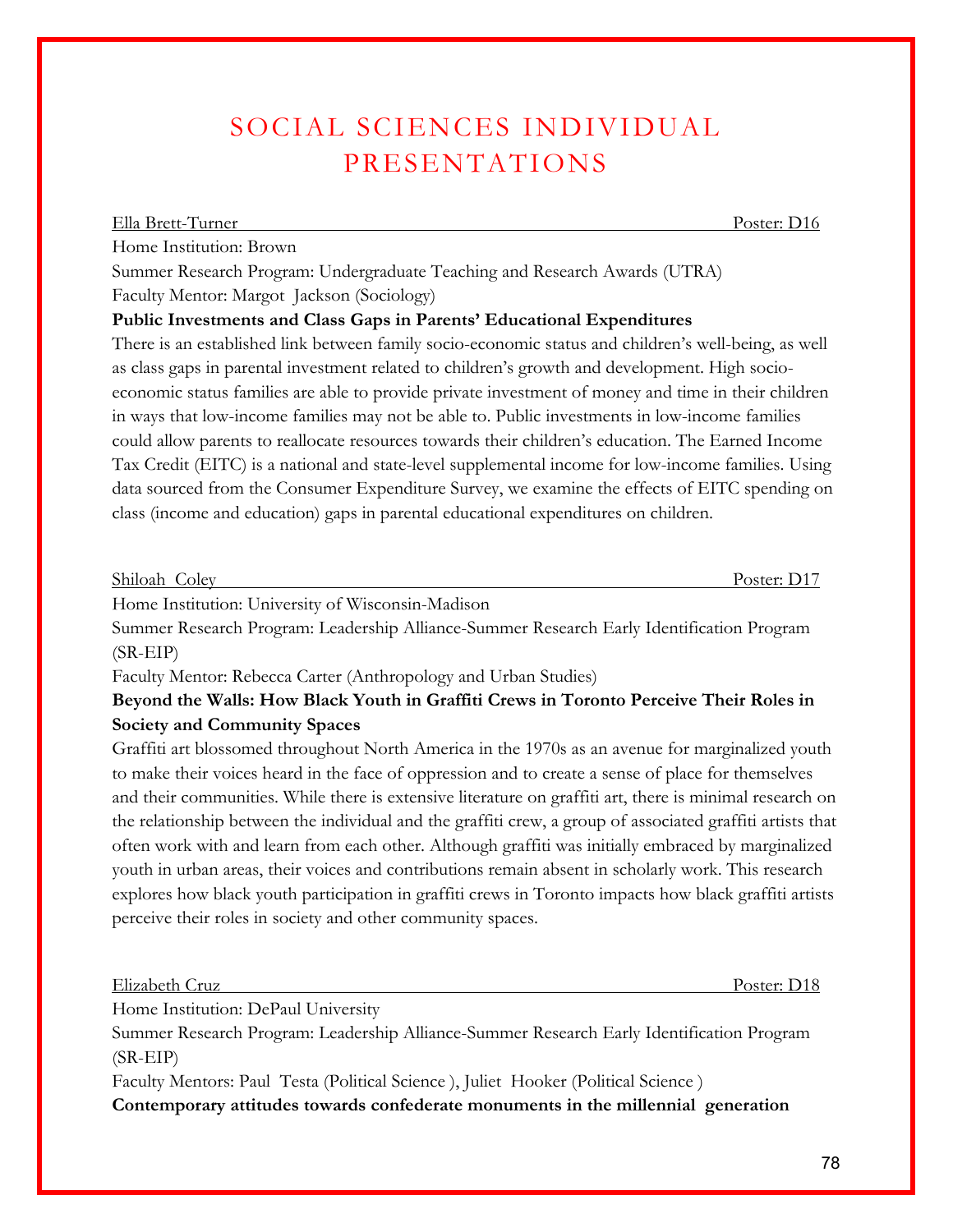# SOCIAL SCIENCES INDIVIDUAL PRESENTATIONS

Summer Research Program: Undergraduate Teaching and Research Awards (UTRA) Faculty Mentor: Margot Jackson (Sociology)

## **Public Investments and Class Gaps in Parents' Educational Expenditures**

There is an established link between family socio-economic status and children's well-being, as well as class gaps in parental investment related to children's growth and development. High socioeconomic status families are able to provide private investment of money and time in their children in ways that low-income families may not be able to. Public investments in low-income families could allow parents to reallocate resources towards their children's education. The Earned Income Tax Credit (EITC) is a national and state-level supplemental income for low-income families. Using data sourced from the Consumer Expenditure Survey, we examine the effects of EITC spending on class (income and education) gaps in parental educational expenditures on children.

Shiloah Coley Poster: D17

Home Institution: University of Wisconsin-Madison

Summer Research Program: Leadership Alliance-Summer Research Early Identification Program (SR-EIP)

Faculty Mentor: Rebecca Carter (Anthropology and Urban Studies)

## **Beyond the Walls: How Black Youth in Graffiti Crews in Toronto Perceive Their Roles in Society and Community Spaces**

Graffiti art blossomed throughout North America in the 1970s as an avenue for marginalized youth to make their voices heard in the face of oppression and to create a sense of place for themselves and their communities. While there is extensive literature on graffiti art, there is minimal research on the relationship between the individual and the graffiti crew, a group of associated graffiti artists that often work with and learn from each other. Although graffiti was initially embraced by marginalized youth in urban areas, their voices and contributions remain absent in scholarly work. This research explores how black youth participation in graffiti crews in Toronto impacts how black graffiti artists perceive their roles in society and other community spaces.

Elizabeth Cruz Poster: D18

Home Institution: DePaul University

Summer Research Program: Leadership Alliance-Summer Research Early Identification Program (SR-EIP)

Faculty Mentors: Paul Testa (Political Science ), Juliet Hooker (Political Science )

**Contemporary attitudes towards confederate monuments in the millennial generation**

Ella Brett-Turner Poster: D16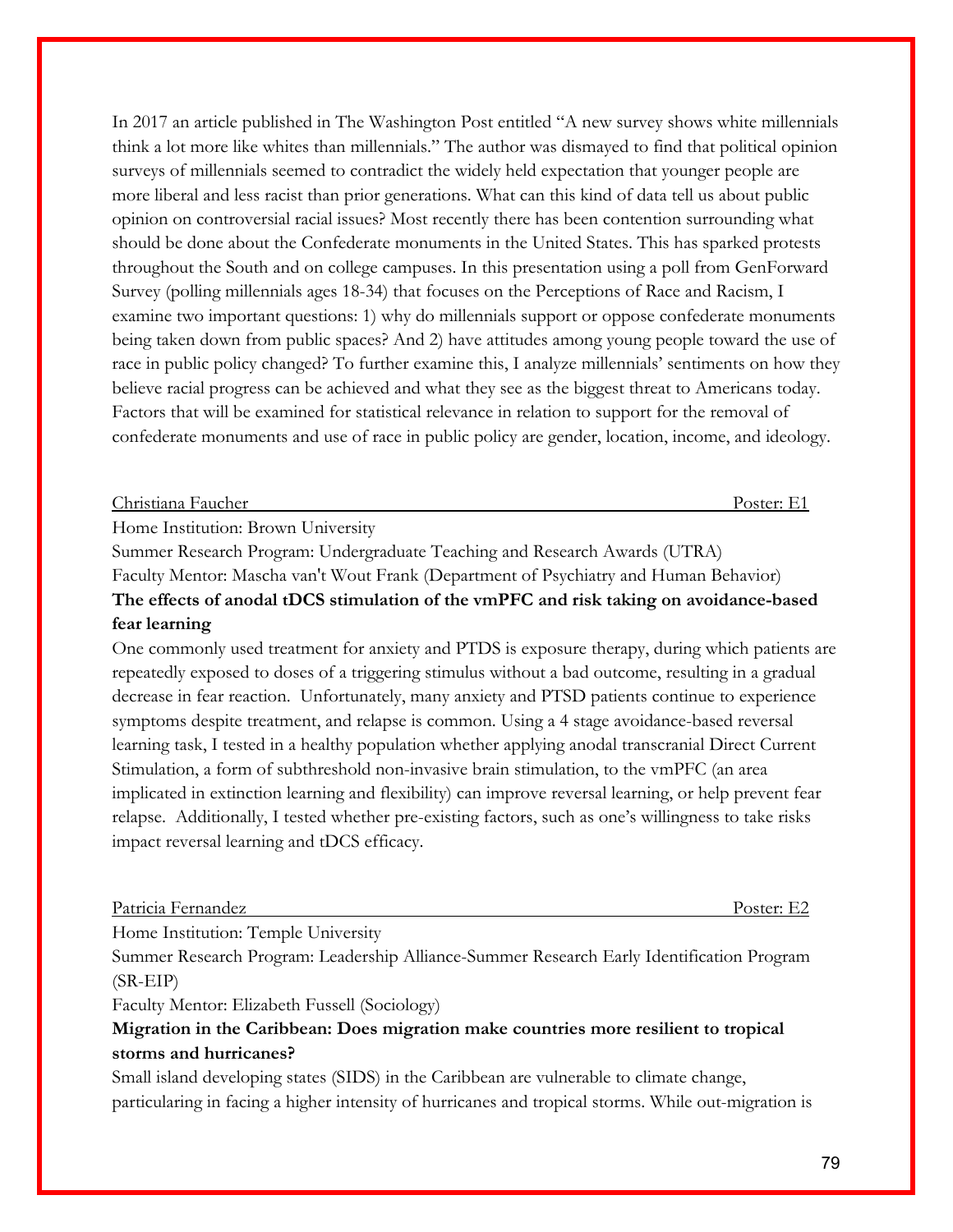In 2017 an article published in The Washington Post entitled "A new survey shows white millennials think a lot more like whites than millennials." The author was dismayed to find that political opinion surveys of millennials seemed to contradict the widely held expectation that younger people are more liberal and less racist than prior generations. What can this kind of data tell us about public opinion on controversial racial issues? Most recently there has been contention surrounding what should be done about the Confederate monuments in the United States. This has sparked protests throughout the South and on college campuses. In this presentation using a poll from GenForward Survey (polling millennials ages 18-34) that focuses on the Perceptions of Race and Racism, I examine two important questions: 1) why do millennials support or oppose confederate monuments being taken down from public spaces? And 2) have attitudes among young people toward the use of race in public policy changed? To further examine this, I analyze millennials' sentiments on how they believe racial progress can be achieved and what they see as the biggest threat to Americans today. Factors that will be examined for statistical relevance in relation to support for the removal of confederate monuments and use of race in public policy are gender, location, income, and ideology.

#### Christiana Faucher Poster: E1

Home Institution: Brown University

Summer Research Program: Undergraduate Teaching and Research Awards (UTRA)

Faculty Mentor: Mascha van't Wout Frank (Department of Psychiatry and Human Behavior) **The effects of anodal tDCS stimulation of the vmPFC and risk taking on avoidance-based fear learning**

One commonly used treatment for anxiety and PTDS is exposure therapy, during which patients are repeatedly exposed to doses of a triggering stimulus without a bad outcome, resulting in a gradual decrease in fear reaction. Unfortunately, many anxiety and PTSD patients continue to experience symptoms despite treatment, and relapse is common. Using a 4 stage avoidance-based reversal learning task, I tested in a healthy population whether applying anodal transcranial Direct Current Stimulation, a form of subthreshold non-invasive brain stimulation, to the vmPFC (an area implicated in extinction learning and flexibility) can improve reversal learning, or help prevent fear relapse. Additionally, I tested whether pre-existing factors, such as one's willingness to take risks impact reversal learning and tDCS efficacy.

#### Patricia Fernandez Poster: E2

Home Institution: Temple University

Summer Research Program: Leadership Alliance-Summer Research Early Identification Program (SR-EIP)

Faculty Mentor: Elizabeth Fussell (Sociology)

## **Migration in the Caribbean: Does migration make countries more resilient to tropical storms and hurricanes?**

Small island developing states (SIDS) in the Caribbean are vulnerable to climate change, particularing in facing a higher intensity of hurricanes and tropical storms. While out-migration is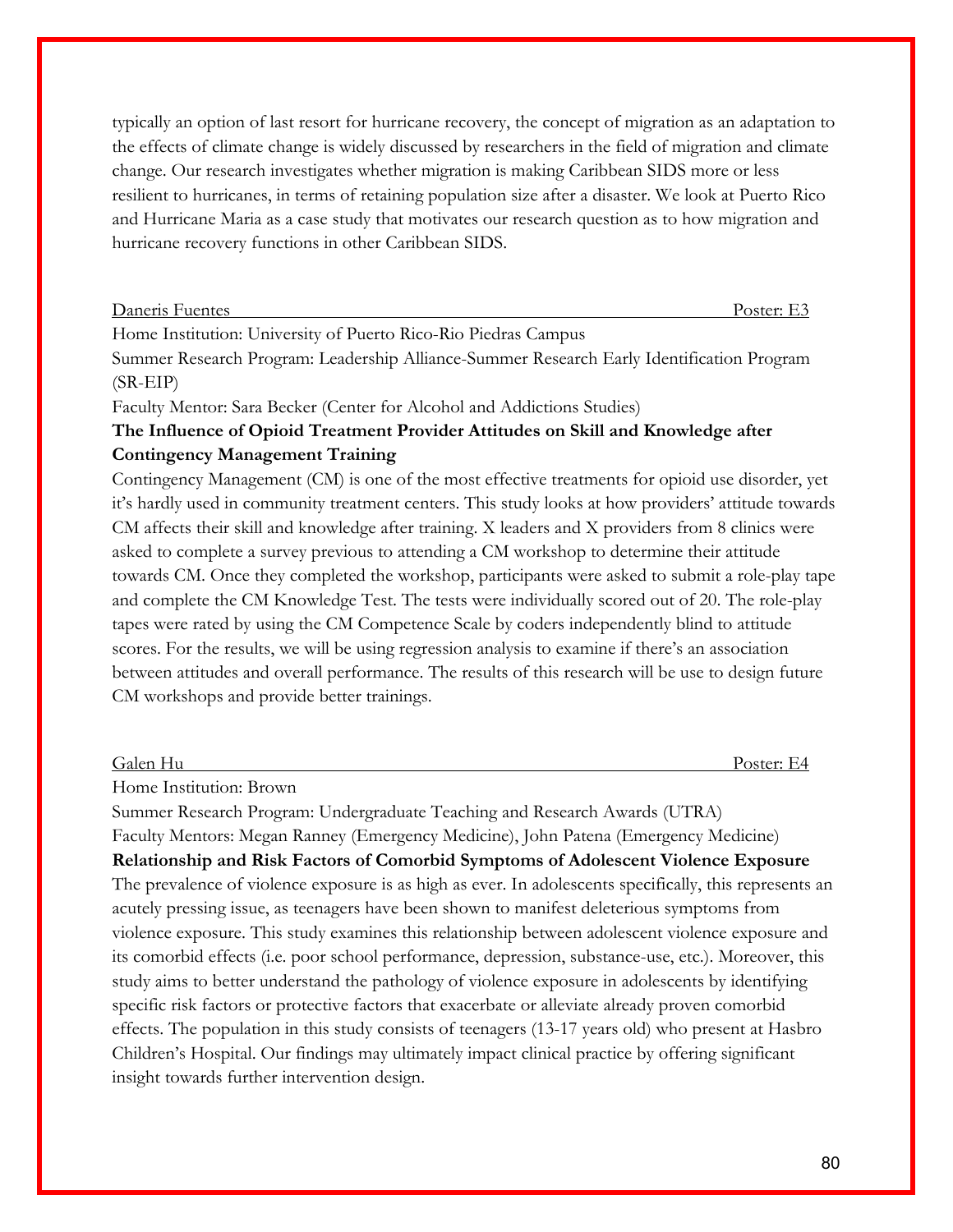typically an option of last resort for hurricane recovery, the concept of migration as an adaptation to the effects of climate change is widely discussed by researchers in the field of migration and climate change. Our research investigates whether migration is making Caribbean SIDS more or less resilient to hurricanes, in terms of retaining population size after a disaster. We look at Puerto Rico and Hurricane Maria as a case study that motivates our research question as to how migration and hurricane recovery functions in other Caribbean SIDS.

| Daneris Fuentes | Poster:<br><b>.</b> |
|-----------------|---------------------|
|                 |                     |

Home Institution: University of Puerto Rico-Rio Piedras Campus

Summer Research Program: Leadership Alliance-Summer Research Early Identification Program (SR-EIP)

Faculty Mentor: Sara Becker (Center for Alcohol and Addictions Studies)

## **The Influence of Opioid Treatment Provider Attitudes on Skill and Knowledge after Contingency Management Training**

Contingency Management (CM) is one of the most effective treatments for opioid use disorder, yet it's hardly used in community treatment centers. This study looks at how providers' attitude towards CM affects their skill and knowledge after training. X leaders and X providers from 8 clinics were asked to complete a survey previous to attending a CM workshop to determine their attitude towards CM. Once they completed the workshop, participants were asked to submit a role-play tape and complete the CM Knowledge Test. The tests were individually scored out of 20. The role-play tapes were rated by using the CM Competence Scale by coders independently blind to attitude scores. For the results, we will be using regression analysis to examine if there's an association between attitudes and overall performance. The results of this research will be use to design future CM workshops and provide better trainings.

Galen Hu Poster: E4

Home Institution: Brown

Summer Research Program: Undergraduate Teaching and Research Awards (UTRA) Faculty Mentors: Megan Ranney (Emergency Medicine), John Patena (Emergency Medicine) **Relationship and Risk Factors of Comorbid Symptoms of Adolescent Violence Exposure** The prevalence of violence exposure is as high as ever. In adolescents specifically, this represents an acutely pressing issue, as teenagers have been shown to manifest deleterious symptoms from violence exposure. This study examines this relationship between adolescent violence exposure and its comorbid effects (i.e. poor school performance, depression, substance-use, etc.). Moreover, this study aims to better understand the pathology of violence exposure in adolescents by identifying specific risk factors or protective factors that exacerbate or alleviate already proven comorbid effects. The population in this study consists of teenagers (13-17 years old) who present at Hasbro Children's Hospital. Our findings may ultimately impact clinical practice by offering significant insight towards further intervention design.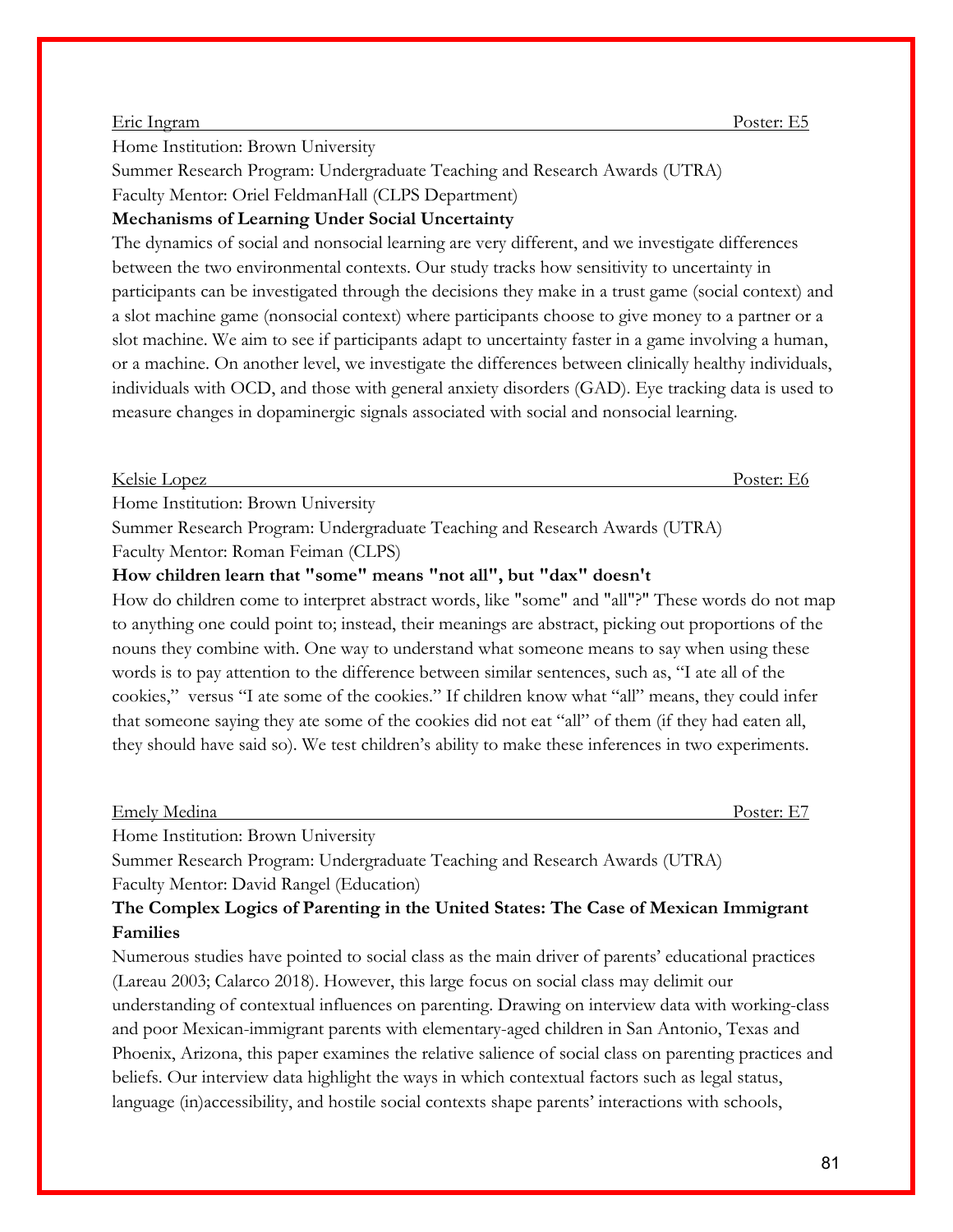#### Eric Ingram Poster: E5

Home Institution: Brown University

Summer Research Program: Undergraduate Teaching and Research Awards (UTRA) Faculty Mentor: Oriel FeldmanHall (CLPS Department)

#### **Mechanisms of Learning Under Social Uncertainty**

The dynamics of social and nonsocial learning are very different, and we investigate differences between the two environmental contexts. Our study tracks how sensitivity to uncertainty in participants can be investigated through the decisions they make in a trust game (social context) and a slot machine game (nonsocial context) where participants choose to give money to a partner or a slot machine. We aim to see if participants adapt to uncertainty faster in a game involving a human, or a machine. On another level, we investigate the differences between clinically healthy individuals, individuals with OCD, and those with general anxiety disorders (GAD). Eye tracking data is used to measure changes in dopaminergic signals associated with social and nonsocial learning.

Kelsie Lopez Poster: E6

Home Institution: Brown University

Summer Research Program: Undergraduate Teaching and Research Awards (UTRA)

Faculty Mentor: Roman Feiman (CLPS)

#### **How children learn that "some" means "not all", but "dax" doesn't**

How do children come to interpret abstract words, like "some" and "all"?" These words do not map to anything one could point to; instead, their meanings are abstract, picking out proportions of the nouns they combine with. One way to understand what someone means to say when using these words is to pay attention to the difference between similar sentences, such as, "I ate all of the cookies," versus "I ate some of the cookies." If children know what "all" means, they could infer that someone saying they ate some of the cookies did not eat "all" of them (if they had eaten all, they should have said so). We test children's ability to make these inferences in two experiments.

#### Emely Medina Poster: E7

Home Institution: Brown University

Summer Research Program: Undergraduate Teaching and Research Awards (UTRA) Faculty Mentor: David Rangel (Education)

## **The Complex Logics of Parenting in the United States: The Case of Mexican Immigrant Families**

Numerous studies have pointed to social class as the main driver of parents' educational practices (Lareau 2003; Calarco 2018). However, this large focus on social class may delimit our understanding of contextual influences on parenting. Drawing on interview data with working-class and poor Mexican-immigrant parents with elementary-aged children in San Antonio, Texas and Phoenix, Arizona, this paper examines the relative salience of social class on parenting practices and beliefs. Our interview data highlight the ways in which contextual factors such as legal status, language (in)accessibility, and hostile social contexts shape parents' interactions with schools,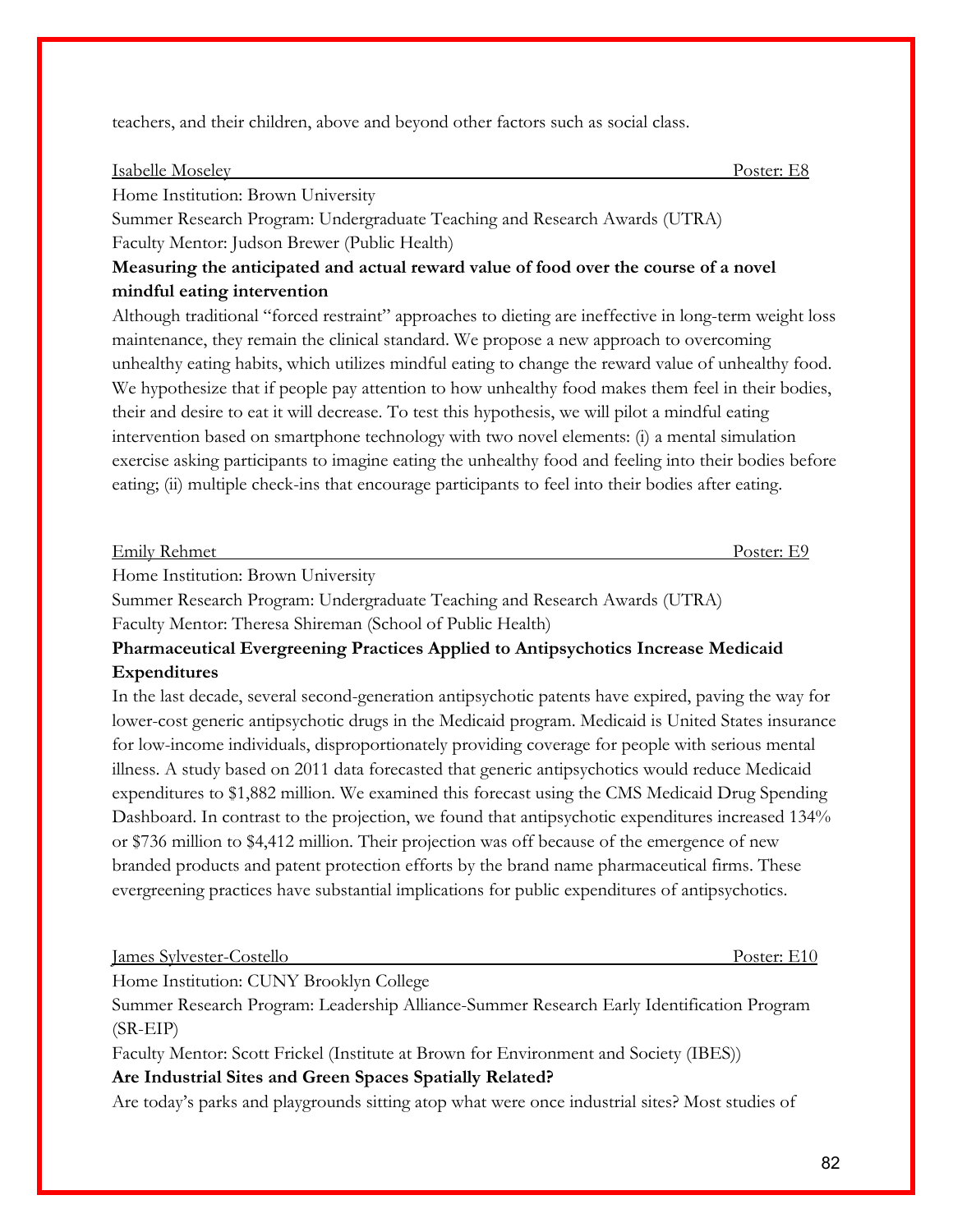teachers, and their children, above and beyond other factors such as social class.

#### Isabelle Moseley Poster: E8

Home Institution: Brown University

Summer Research Program: Undergraduate Teaching and Research Awards (UTRA) Faculty Mentor: Judson Brewer (Public Health)

## **Measuring the anticipated and actual reward value of food over the course of a novel mindful eating intervention**

Although traditional "forced restraint" approaches to dieting are ineffective in long-term weight loss maintenance, they remain the clinical standard. We propose a new approach to overcoming unhealthy eating habits, which utilizes mindful eating to change the reward value of unhealthy food. We hypothesize that if people pay attention to how unhealthy food makes them feel in their bodies, their and desire to eat it will decrease. To test this hypothesis, we will pilot a mindful eating intervention based on smartphone technology with two novel elements: (i) a mental simulation exercise asking participants to imagine eating the unhealthy food and feeling into their bodies before eating; (ii) multiple check-ins that encourage participants to feel into their bodies after eating.

| Emily Rehmet | $J$ octor $\cdot$ |
|--------------|-------------------|
|              |                   |
|              |                   |

Home Institution: Brown University

Summer Research Program: Undergraduate Teaching and Research Awards (UTRA) Faculty Mentor: Theresa Shireman (School of Public Health)

**Pharmaceutical Evergreening Practices Applied to Antipsychotics Increase Medicaid Expenditures**

In the last decade, several second-generation antipsychotic patents have expired, paving the way for lower-cost generic antipsychotic drugs in the Medicaid program. Medicaid is United States insurance for low-income individuals, disproportionately providing coverage for people with serious mental illness. A study based on 2011 data forecasted that generic antipsychotics would reduce Medicaid expenditures to \$1,882 million. We examined this forecast using the CMS Medicaid Drug Spending Dashboard. In contrast to the projection, we found that antipsychotic expenditures increased 134% or \$736 million to \$4,412 million. Their projection was off because of the emergence of new branded products and patent protection efforts by the brand name pharmaceutical firms. These evergreening practices have substantial implications for public expenditures of antipsychotics.

| <u>James Sylvester-Costello</u> |  |                                         |                                                                 |  |  |  |  |  |  |  | Poster: E10 |
|---------------------------------|--|-----------------------------------------|-----------------------------------------------------------------|--|--|--|--|--|--|--|-------------|
|                                 |  | Home Institution: CUNY Brooklyn College |                                                                 |  |  |  |  |  |  |  |             |
|                                 |  |                                         | $\mathbf{r}$ and $\mathbf{r}$ and $\mathbf{r}$ and $\mathbf{r}$ |  |  |  |  |  |  |  |             |

Summer Research Program: Leadership Alliance-Summer Research Early Identification Program (SR-EIP)

Faculty Mentor: Scott Frickel (Institute at Brown for Environment and Society (IBES)) **Are Industrial Sites and Green Spaces Spatially Related?**

Are today's parks and playgrounds sitting atop what were once industrial sites? Most studies of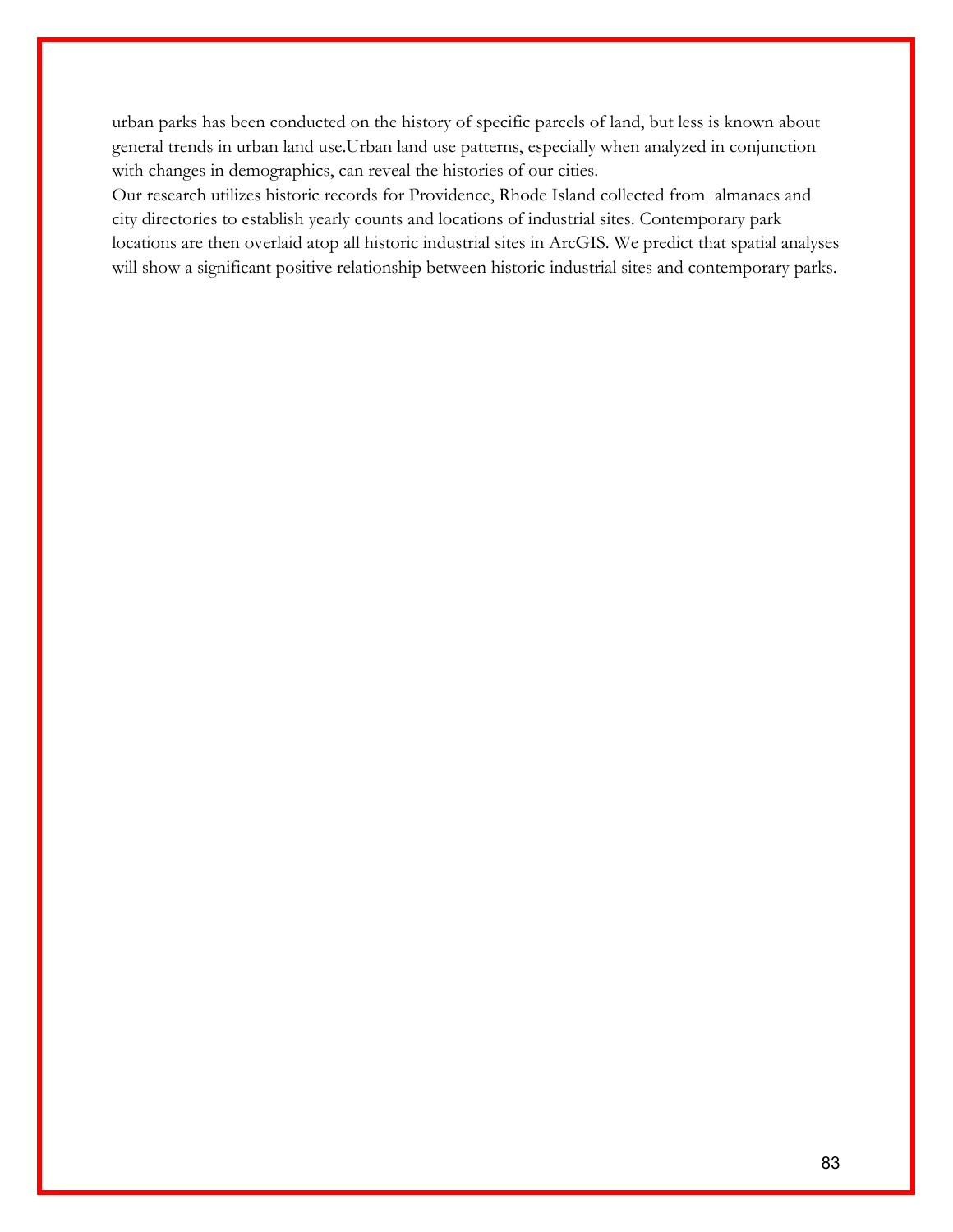urban parks has been conducted on the history of specific parcels of land, but less is known about general trends in urban land use.Urban land use patterns, especially when analyzed in conjunction with changes in demographics, can reveal the histories of our cities.

Our research utilizes historic records for Providence, Rhode Island collected from almanacs and city directories to establish yearly counts and locations of industrial sites. Contemporary park locations are then overlaid atop all historic industrial sites in ArcGIS. We predict that spatial analyses will show a significant positive relationship between historic industrial sites and contemporary parks.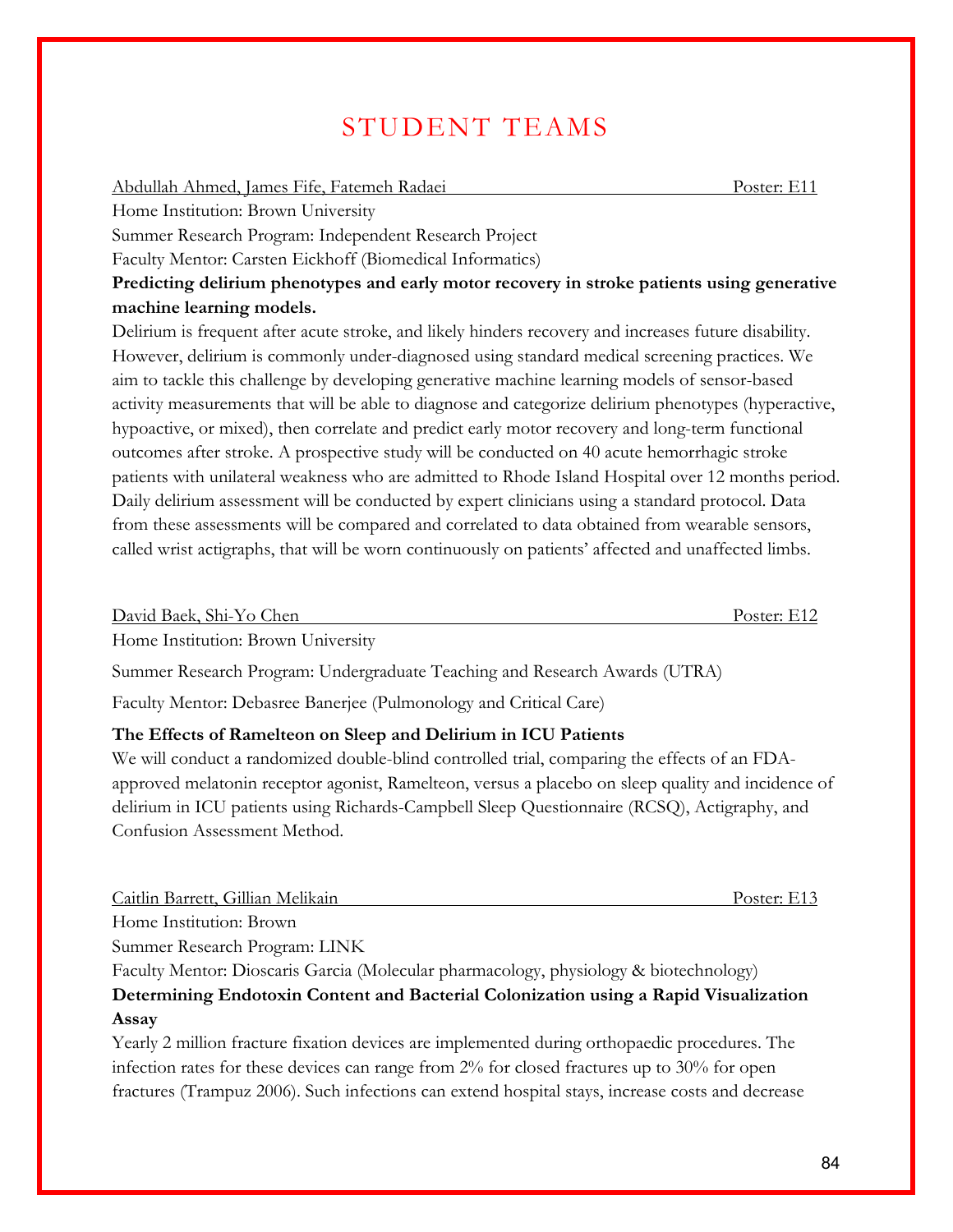## STUDENT TEAMS

#### Abdullah Ahmed, James Fife, Fatemeh Radaei Poster: E11

Home Institution: Brown University

Summer Research Program: Independent Research Project

Faculty Mentor: Carsten Eickhoff (Biomedical Informatics)

**Predicting delirium phenotypes and early motor recovery in stroke patients using generative machine learning models.**

Delirium is frequent after acute stroke, and likely hinders recovery and increases future disability. However, delirium is commonly under-diagnosed using standard medical screening practices. We aim to tackle this challenge by developing generative machine learning models of sensor-based activity measurements that will be able to diagnose and categorize delirium phenotypes (hyperactive, hypoactive, or mixed), then correlate and predict early motor recovery and long-term functional outcomes after stroke. A prospective study will be conducted on 40 acute hemorrhagic stroke patients with unilateral weakness who are admitted to Rhode Island Hospital over 12 months period. Daily delirium assessment will be conducted by expert clinicians using a standard protocol. Data from these assessments will be compared and correlated to data obtained from wearable sensors, called wrist actigraphs, that will be worn continuously on patients' affected and unaffected limbs.

David Baek, Shi-Yo Chen Poster: E12

Home Institution: Brown University

Summer Research Program: Undergraduate Teaching and Research Awards (UTRA)

Faculty Mentor: Debasree Banerjee (Pulmonology and Critical Care)

#### **The Effects of Ramelteon on Sleep and Delirium in ICU Patients**

We will conduct a randomized double-blind controlled trial, comparing the effects of an FDAapproved melatonin receptor agonist, Ramelteon, versus a placebo on sleep quality and incidence of delirium in ICU patients using Richards-Campbell Sleep Questionnaire (RCSQ), Actigraphy, and Confusion Assessment Method.

Caitlin Barrett, Gillian Melikain Poster: E13

Home Institution: Brown

Summer Research Program: LINK

Faculty Mentor: Dioscaris Garcia (Molecular pharmacology, physiology & biotechnology) **Determining Endotoxin Content and Bacterial Colonization using a Rapid Visualization Assay** 

Yearly 2 million fracture fixation devices are implemented during orthopaedic procedures. The infection rates for these devices can range from 2% for closed fractures up to 30% for open fractures (Trampuz 2006). Such infections can extend hospital stays, increase costs and decrease

84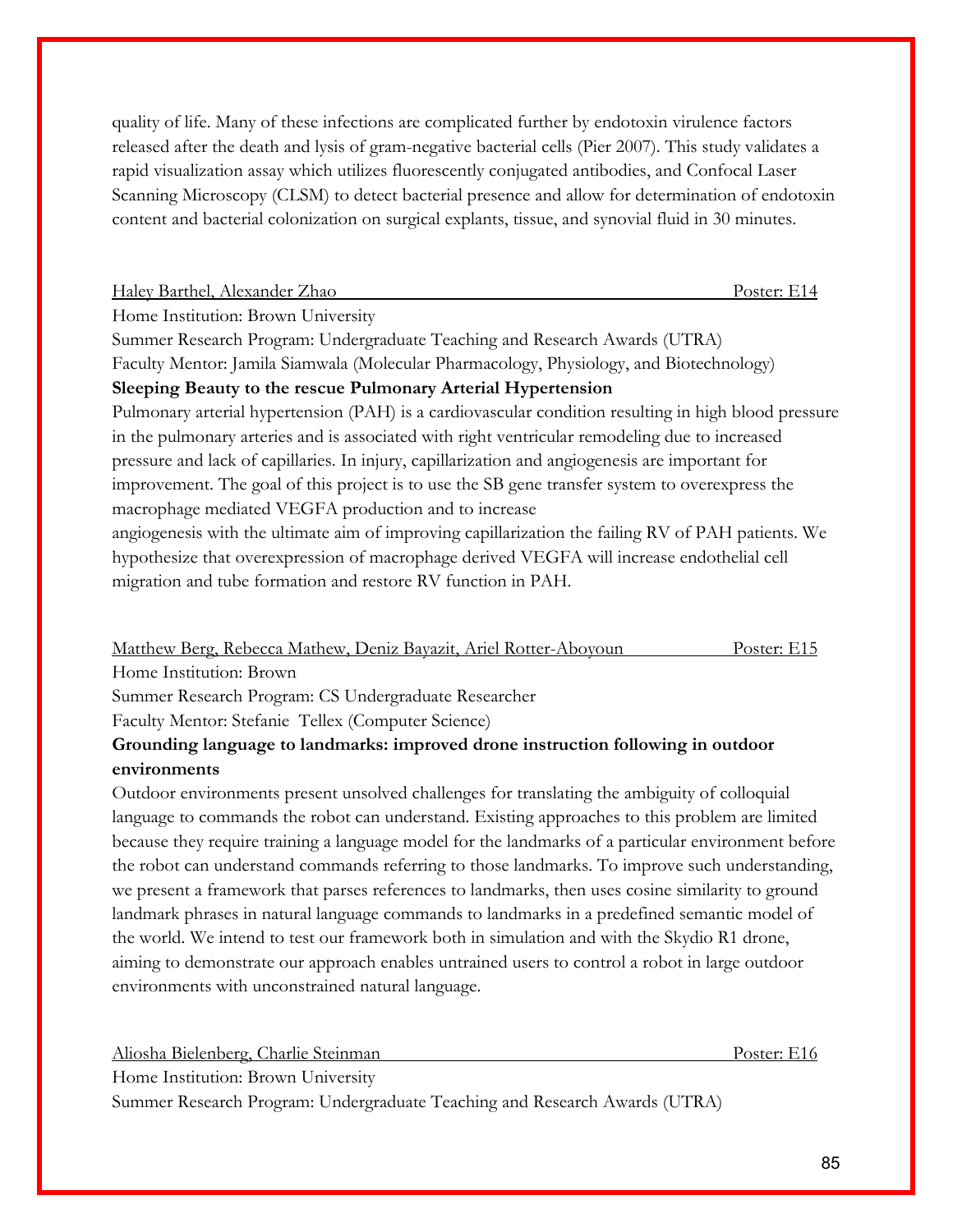quality of life. Many of these infections are complicated further by endotoxin virulence factors released after the death and lysis of gram-negative bacterial cells (Pier 2007). This study validates a rapid visualization assay which utilizes fluorescently conjugated antibodies, and Confocal Laser Scanning Microscopy (CLSM) to detect bacterial presence and allow for determination of endotoxin content and bacterial colonization on surgical explants, tissue, and synovial fluid in 30 minutes.

|  | Haley Barthel, Alexander Zhao |  |
|--|-------------------------------|--|
|  |                               |  |

Poster: E14

Home Institution: Brown University

Summer Research Program: Undergraduate Teaching and Research Awards (UTRA) Faculty Mentor: Jamila Siamwala (Molecular Pharmacology, Physiology, and Biotechnology) **Sleeping Beauty to the rescue Pulmonary Arterial Hypertension**

Pulmonary arterial hypertension (PAH) is a cardiovascular condition resulting in high blood pressure in the pulmonary arteries and is associated with right ventricular remodeling due to increased pressure and lack of capillaries. In injury, capillarization and angiogenesis are important for improvement. The goal of this project is to use the SB gene transfer system to overexpress the macrophage mediated VEGFA production and to increase

angiogenesis with the ultimate aim of improving capillarization the failing RV of PAH patients. We hypothesize that overexpression of macrophage derived VEGFA will increase endothelial cell migration and tube formation and restore RV function in PAH.

Matthew Berg, Rebecca Mathew, Deniz Bayazit, Ariel Rotter-Aboyoun Poster: E15 Home Institution: Brown

Summer Research Program: CS Undergraduate Researcher

Faculty Mentor: Stefanie Tellex (Computer Science)

## **Grounding language to landmarks: improved drone instruction following in outdoor environments**

Outdoor environments present unsolved challenges for translating the ambiguity of colloquial language to commands the robot can understand. Existing approaches to this problem are limited because they require training a language model for the landmarks of a particular environment before the robot can understand commands referring to those landmarks. To improve such understanding, we present a framework that parses references to landmarks, then uses cosine similarity to ground landmark phrases in natural language commands to landmarks in a predefined semantic model of the world. We intend to test our framework both in simulation and with the Skydio R1 drone, aiming to demonstrate our approach enables untrained users to control a robot in large outdoor environments with unconstrained natural language.

Aliosha Bielenberg, Charlie Steinman Poster: E16 Home Institution: Brown University Summer Research Program: Undergraduate Teaching and Research Awards (UTRA)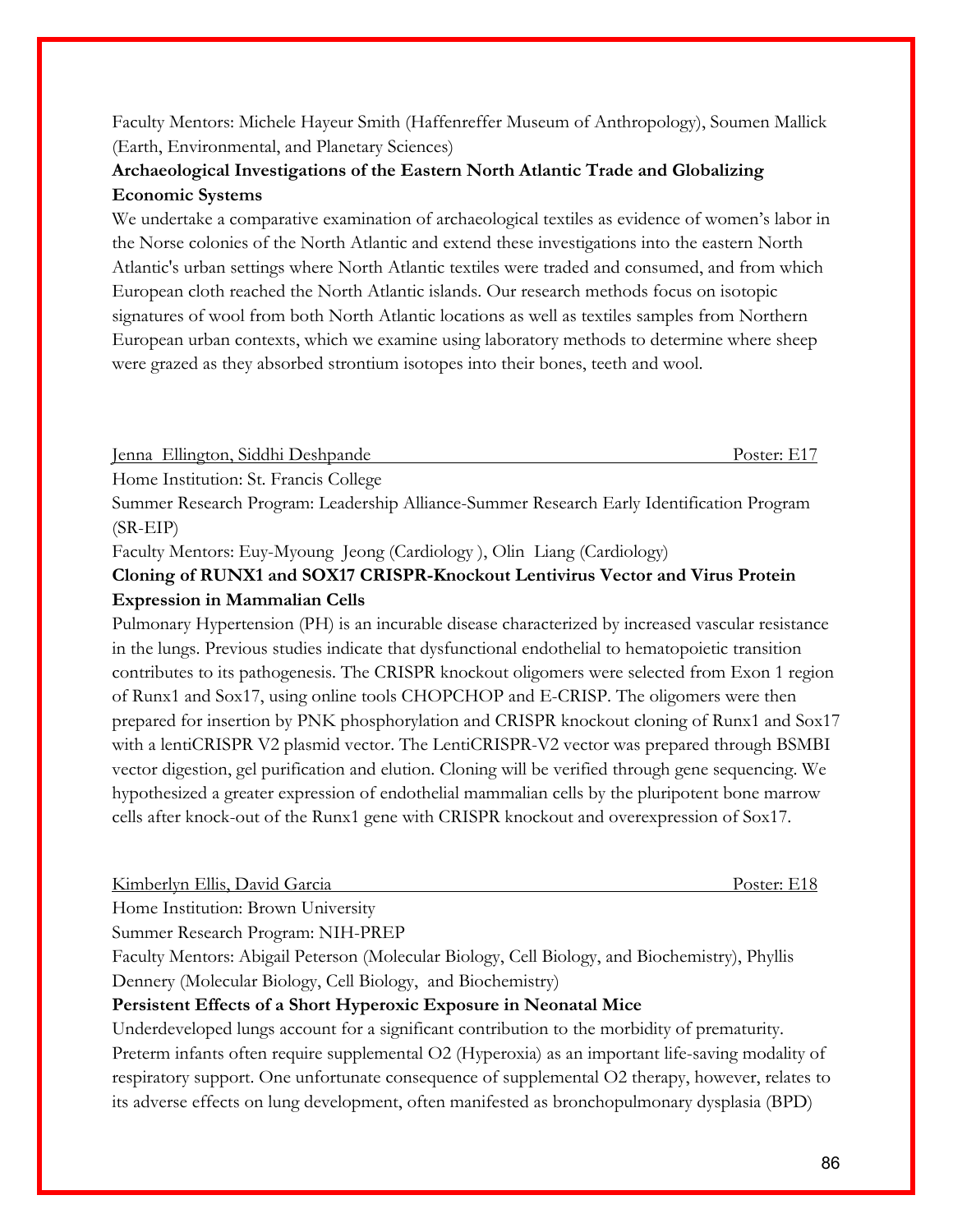Faculty Mentors: Michele Hayeur Smith (Haffenreffer Museum of Anthropology), Soumen Mallick (Earth, Environmental, and Planetary Sciences)

## **Archaeological Investigations of the Eastern North Atlantic Trade and Globalizing Economic Systems**

We undertake a comparative examination of archaeological textiles as evidence of women's labor in the Norse colonies of the North Atlantic and extend these investigations into the eastern North Atlantic's urban settings where North Atlantic textiles were traded and consumed, and from which European cloth reached the North Atlantic islands. Our research methods focus on isotopic signatures of wool from both North Atlantic locations as well as textiles samples from Northern European urban contexts, which we examine using laboratory methods to determine where sheep were grazed as they absorbed strontium isotopes into their bones, teeth and wool.

Jenna Ellington, Siddhi Deshpande Poster: E17

Home Institution: St. Francis College

Summer Research Program: Leadership Alliance-Summer Research Early Identification Program (SR-EIP)

Faculty Mentors: Euy-Myoung Jeong (Cardiology ), Olin Liang (Cardiology)

## **Cloning of RUNX1 and SOX17 CRISPR-Knockout Lentivirus Vector and Virus Protein Expression in Mammalian Cells**

Pulmonary Hypertension (PH) is an incurable disease characterized by increased vascular resistance in the lungs. Previous studies indicate that dysfunctional endothelial to hematopoietic transition contributes to its pathogenesis. The CRISPR knockout oligomers were selected from Exon 1 region of Runx1 and Sox17, using online tools CHOPCHOP and E-CRISP. The oligomers were then prepared for insertion by PNK phosphorylation and CRISPR knockout cloning of Runx1 and Sox17 with a lentiCRISPR V2 plasmid vector. The LentiCRISPR-V2 vector was prepared through BSMBI vector digestion, gel purification and elution. Cloning will be verified through gene sequencing. We hypothesized a greater expression of endothelial mammalian cells by the pluripotent bone marrow cells after knock-out of the Runx1 gene with CRISPR knockout and overexpression of Sox17.

| Kimberlyn Ellis, David Garcia | Poster: E18 |
|-------------------------------|-------------|
|                               |             |

Home Institution: Brown University

Summer Research Program: NIH-PREP

Faculty Mentors: Abigail Peterson (Molecular Biology, Cell Biology, and Biochemistry), Phyllis Dennery (Molecular Biology, Cell Biology, and Biochemistry)

## **Persistent Effects of a Short Hyperoxic Exposure in Neonatal Mice**

Underdeveloped lungs account for a significant contribution to the morbidity of prematurity. Preterm infants often require supplemental O2 (Hyperoxia) as an important life-saving modality of respiratory support. One unfortunate consequence of supplemental O2 therapy, however, relates to its adverse effects on lung development, often manifested as bronchopulmonary dysplasia (BPD)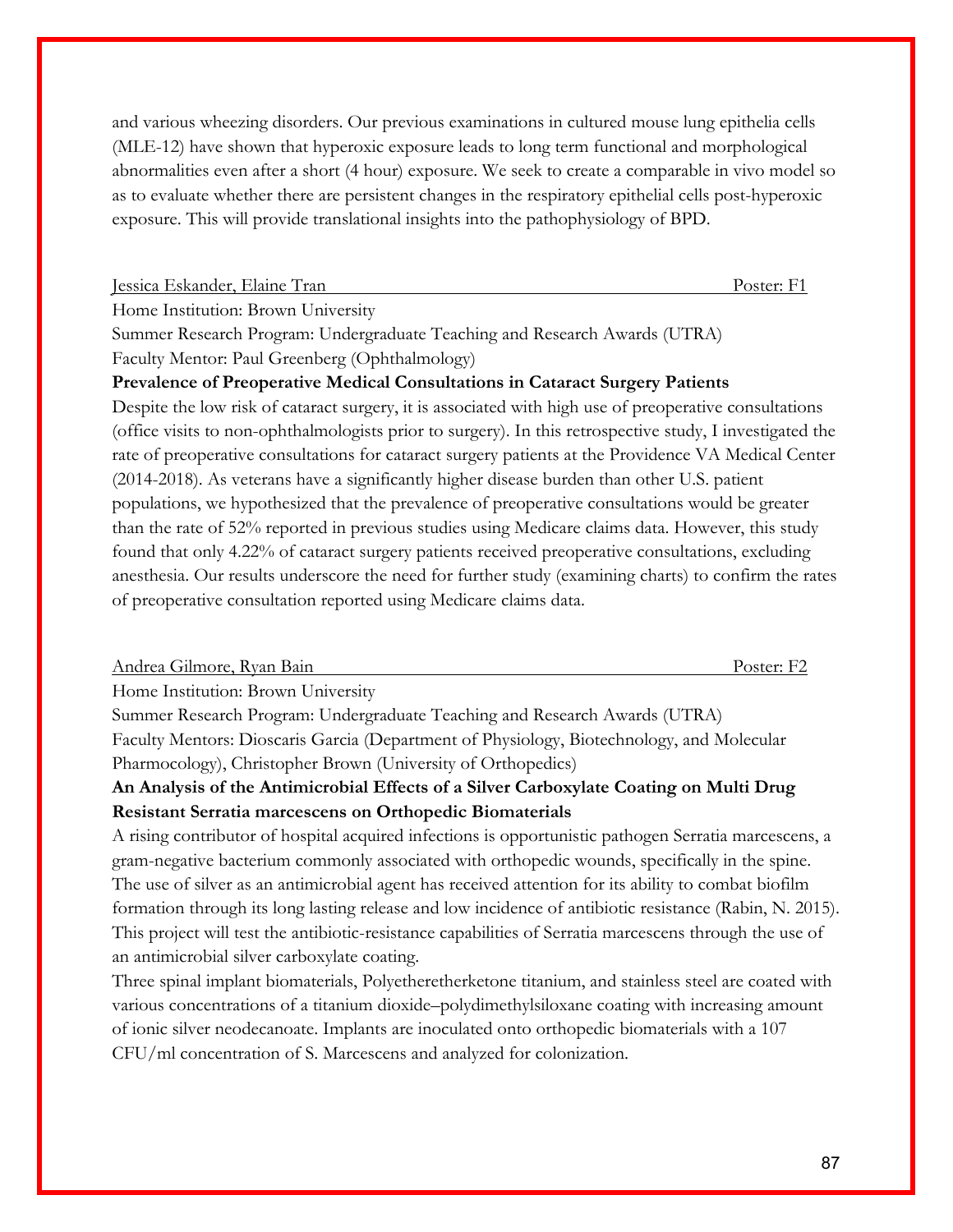and various wheezing disorders. Our previous examinations in cultured mouse lung epithelia cells (MLE-12) have shown that hyperoxic exposure leads to long term functional and morphological abnormalities even after a short (4 hour) exposure. We seek to create a comparable in vivo model so as to evaluate whether there are persistent changes in the respiratory epithelial cells post-hyperoxic exposure. This will provide translational insights into the pathophysiology of BPD.

#### Jessica Eskander, Elaine Tran Poster: F1

Home Institution: Brown University

Summer Research Program: Undergraduate Teaching and Research Awards (UTRA) Faculty Mentor: Paul Greenberg (Ophthalmology)

## **Prevalence of Preoperative Medical Consultations in Cataract Surgery Patients**

Despite the low risk of cataract surgery, it is associated with high use of preoperative consultations (office visits to non-ophthalmologists prior to surgery). In this retrospective study, I investigated the rate of preoperative consultations for cataract surgery patients at the Providence VA Medical Center (2014-2018). As veterans have a significantly higher disease burden than other U.S. patient populations, we hypothesized that the prevalence of preoperative consultations would be greater than the rate of 52% reported in previous studies using Medicare claims data. However, this study found that only 4.22% of cataract surgery patients received preoperative consultations, excluding anesthesia. Our results underscore the need for further study (examining charts) to confirm the rates of preoperative consultation reported using Medicare claims data.

| Andrea Gilmore, Ryan Bain          | Poster: F <sub>2</sub> |
|------------------------------------|------------------------|
| Home Institution: Brown University |                        |

Summer Research Program: Undergraduate Teaching and Research Awards (UTRA) Faculty Mentors: Dioscaris Garcia (Department of Physiology, Biotechnology, and Molecular Pharmocology), Christopher Brown (University of Orthopedics)

## **An Analysis of the Antimicrobial Effects of a Silver Carboxylate Coating on Multi Drug Resistant Serratia marcescens on Orthopedic Biomaterials**

A rising contributor of hospital acquired infections is opportunistic pathogen Serratia marcescens, a gram-negative bacterium commonly associated with orthopedic wounds, specifically in the spine. The use of silver as an antimicrobial agent has received attention for its ability to combat biofilm formation through its long lasting release and low incidence of antibiotic resistance (Rabin, N. 2015). This project will test the antibiotic-resistance capabilities of Serratia marcescens through the use of an antimicrobial silver carboxylate coating.

Three spinal implant biomaterials, Polyetheretherketone titanium, and stainless steel are coated with various concentrations of a titanium dioxide–polydimethylsiloxane coating with increasing amount of ionic silver neodecanoate. Implants are inoculated onto orthopedic biomaterials with a 107 CFU/ml concentration of S. Marcescens and analyzed for colonization.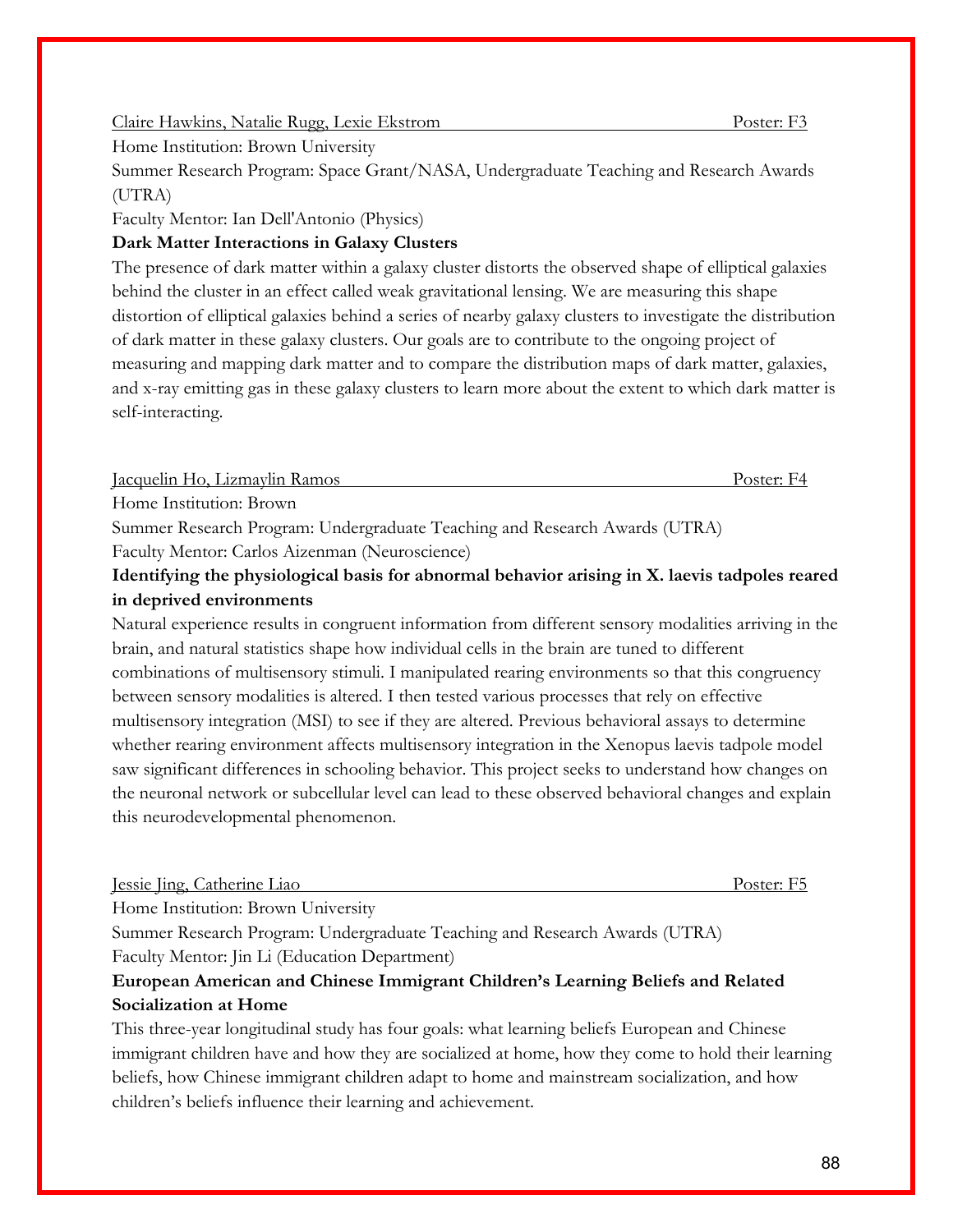#### Claire Hawkins, Natalie Rugg, Lexie Ekstrom Poster: F3

Home Institution: Brown University

Summer Research Program: Space Grant/NASA, Undergraduate Teaching and Research Awards (UTRA)

Faculty Mentor: Ian Dell'Antonio (Physics)

## **Dark Matter Interactions in Galaxy Clusters**

The presence of dark matter within a galaxy cluster distorts the observed shape of elliptical galaxies behind the cluster in an effect called weak gravitational lensing. We are measuring this shape distortion of elliptical galaxies behind a series of nearby galaxy clusters to investigate the distribution of dark matter in these galaxy clusters. Our goals are to contribute to the ongoing project of measuring and mapping dark matter and to compare the distribution maps of dark matter, galaxies, and x-ray emitting gas in these galaxy clusters to learn more about the extent to which dark matter is self-interacting.

Jacquelin Ho, Lizmaylin Ramos Poster: F4

Home Institution: Brown

Summer Research Program: Undergraduate Teaching and Research Awards (UTRA)

Faculty Mentor: Carlos Aizenman (Neuroscience)

## **Identifying the physiological basis for abnormal behavior arising in X. laevis tadpoles reared in deprived environments**

Natural experience results in congruent information from different sensory modalities arriving in the brain, and natural statistics shape how individual cells in the brain are tuned to different combinations of multisensory stimuli. I manipulated rearing environments so that this congruency between sensory modalities is altered. I then tested various processes that rely on effective multisensory integration (MSI) to see if they are altered. Previous behavioral assays to determine whether rearing environment affects multisensory integration in the Xenopus laevis tadpole model saw significant differences in schooling behavior. This project seeks to understand how changes on the neuronal network or subcellular level can lead to these observed behavioral changes and explain this neurodevelopmental phenomenon.

Jessie Jing, Catherine Liao Poster: F5

Home Institution: Brown University

Summer Research Program: Undergraduate Teaching and Research Awards (UTRA)

Faculty Mentor: Jin Li (Education Department)

## **European American and Chinese Immigrant Children's Learning Beliefs and Related Socialization at Home**

This three-year longitudinal study has four goals: what learning beliefs European and Chinese immigrant children have and how they are socialized at home, how they come to hold their learning beliefs, how Chinese immigrant children adapt to home and mainstream socialization, and how children's beliefs influence their learning and achievement.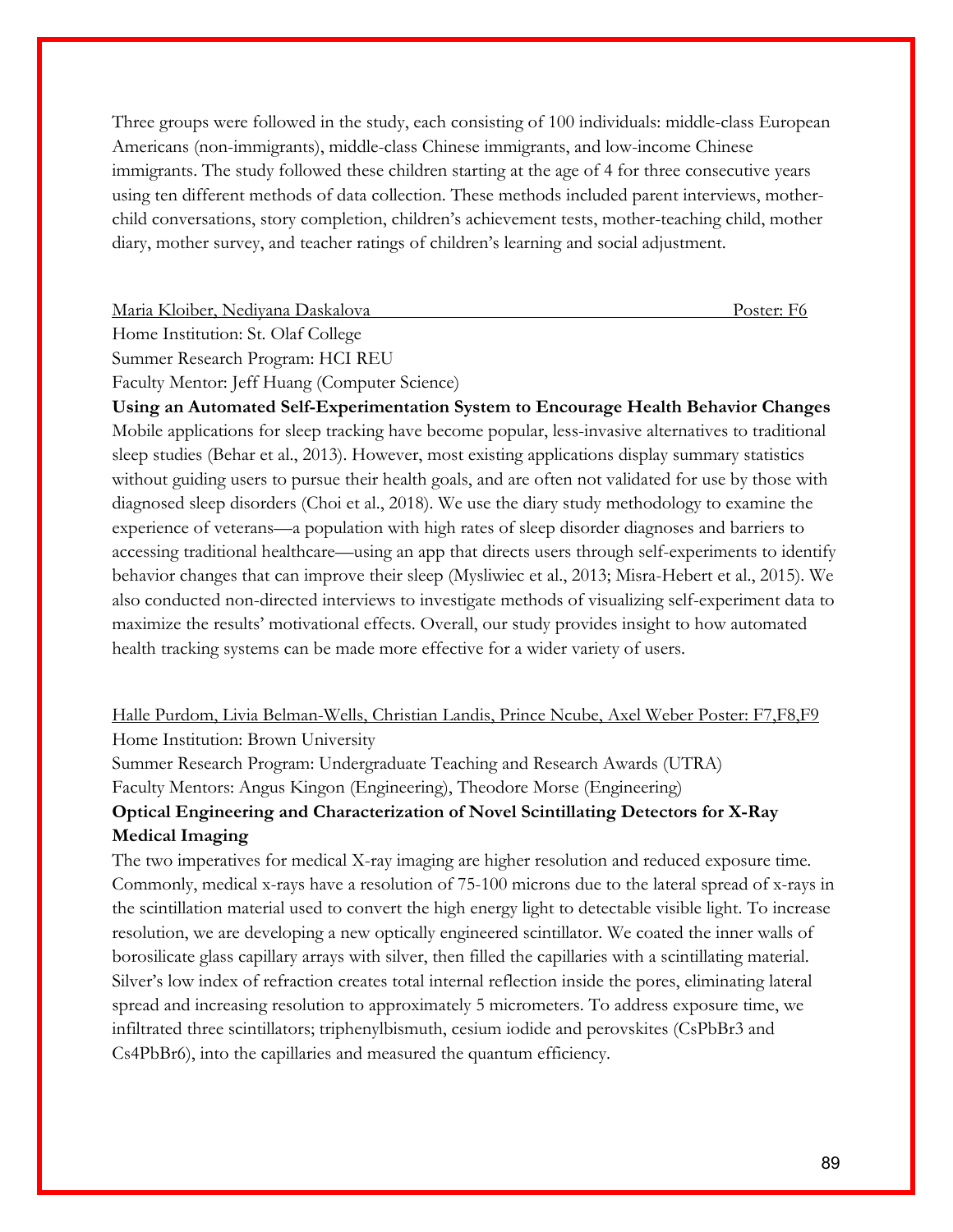Three groups were followed in the study, each consisting of 100 individuals: middle-class European Americans (non-immigrants), middle-class Chinese immigrants, and low-income Chinese immigrants. The study followed these children starting at the age of 4 for three consecutive years using ten different methods of data collection. These methods included parent interviews, motherchild conversations, story completion, children's achievement tests, mother-teaching child, mother diary, mother survey, and teacher ratings of children's learning and social adjustment.

Maria Kloiber, Nediyana Daskalova Poster: F6

Home Institution: St. Olaf College

Summer Research Program: HCI REU

Faculty Mentor: Jeff Huang (Computer Science)

**Using an Automated Self-Experimentation System to Encourage Health Behavior Changes** Mobile applications for sleep tracking have become popular, less-invasive alternatives to traditional sleep studies (Behar et al., 2013). However, most existing applications display summary statistics without guiding users to pursue their health goals, and are often not validated for use by those with diagnosed sleep disorders (Choi et al., 2018). We use the diary study methodology to examine the experience of veterans—a population with high rates of sleep disorder diagnoses and barriers to accessing traditional healthcare—using an app that directs users through self-experiments to identify behavior changes that can improve their sleep (Mysliwiec et al., 2013; Misra-Hebert et al., 2015). We also conducted non-directed interviews to investigate methods of visualizing self-experiment data to maximize the results' motivational effects. Overall, our study provides insight to how automated health tracking systems can be made more effective for a wider variety of users.

## Halle Purdom, Livia Belman-Wells, Christian Landis, Prince Ncube, Axel Weber Poster: F7,F8,F9 Home Institution: Brown University

Summer Research Program: Undergraduate Teaching and Research Awards (UTRA) Faculty Mentors: Angus Kingon (Engineering), Theodore Morse (Engineering)

# **Optical Engineering and Characterization of Novel Scintillating Detectors for X-Ray**

#### **Medical Imaging**

The two imperatives for medical X-ray imaging are higher resolution and reduced exposure time. Commonly, medical x-rays have a resolution of 75-100 microns due to the lateral spread of x-rays in the scintillation material used to convert the high energy light to detectable visible light. To increase resolution, we are developing a new optically engineered scintillator. We coated the inner walls of borosilicate glass capillary arrays with silver, then filled the capillaries with a scintillating material. Silver's low index of refraction creates total internal reflection inside the pores, eliminating lateral spread and increasing resolution to approximately 5 micrometers. To address exposure time, we infiltrated three scintillators; triphenylbismuth, cesium iodide and perovskites (CsPbBr3 and Cs4PbBr6), into the capillaries and measured the quantum efficiency.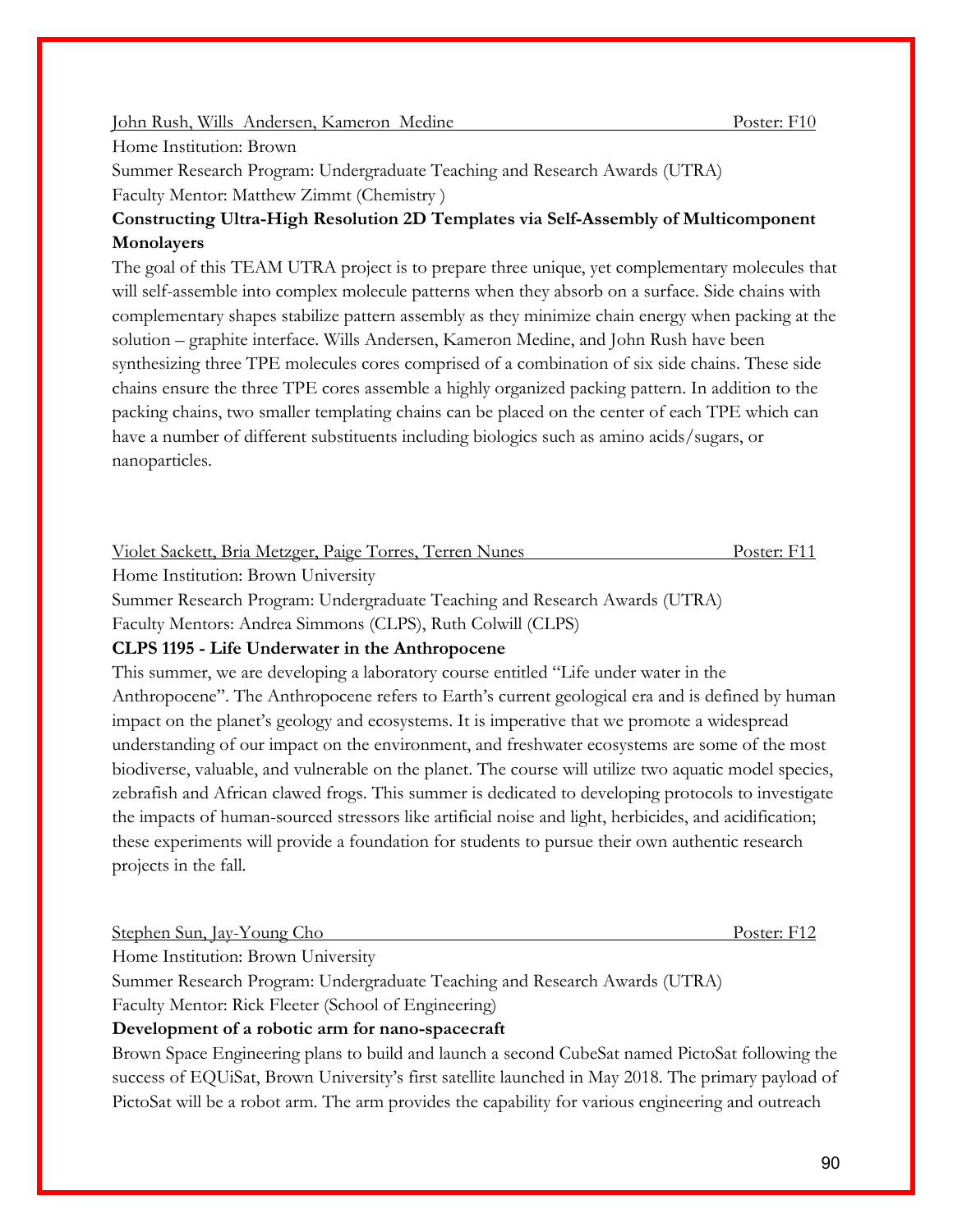#### John Rush, Wills Andersen, Kameron Medine Poster: F10

#### Home Institution: Brown

Summer Research Program: Undergraduate Teaching and Research Awards (UTRA) Faculty Mentor: Matthew Zimmt (Chemistry )

## **Constructing Ultra-High Resolution 2D Templates via Self-Assembly of Multicomponent Monolayers**

The goal of this TEAM UTRA project is to prepare three unique, yet complementary molecules that will self-assemble into complex molecule patterns when they absorb on a surface. Side chains with complementary shapes stabilize pattern assembly as they minimize chain energy when packing at the solution – graphite interface. Wills Andersen, Kameron Medine, and John Rush have been synthesizing three TPE molecules cores comprised of a combination of six side chains. These side chains ensure the three TPE cores assemble a highly organized packing pattern. In addition to the packing chains, two smaller templating chains can be placed on the center of each TPE which can have a number of different substituents including biologics such as amino acids/sugars, or nanoparticles.

Violet Sackett, Bria Metzger, Paige Torres, Terren Nunes Poster: F11

Home Institution: Brown University

Summer Research Program: Undergraduate Teaching and Research Awards (UTRA)

Faculty Mentors: Andrea Simmons (CLPS), Ruth Colwill (CLPS)

#### **CLPS 1195 - Life Underwater in the Anthropocene**

This summer, we are developing a laboratory course entitled "Life under water in the Anthropocene". The Anthropocene refers to Earth's current geological era and is defined by human impact on the planet's geology and ecosystems. It is imperative that we promote a widespread understanding of our impact on the environment, and freshwater ecosystems are some of the most biodiverse, valuable, and vulnerable on the planet. The course will utilize two aquatic model species, zebrafish and African clawed frogs. This summer is dedicated to developing protocols to investigate the impacts of human-sourced stressors like artificial noise and light, herbicides, and acidification; these experiments will provide a foundation for students to pursue their own authentic research projects in the fall.

| Poster: F12                                                                |
|----------------------------------------------------------------------------|
|                                                                            |
| Summer Research Program: Undergraduate Teaching and Research Awards (UTRA) |
|                                                                            |

Faculty Mentor: Rick Fleeter (School of Engineering)

## **Development of a robotic arm for nano-spacecraft**

Brown Space Engineering plans to build and launch a second CubeSat named PictoSat following the success of EQUiSat, Brown University's first satellite launched in May 2018. The primary payload of PictoSat will be a robot arm. The arm provides the capability for various engineering and outreach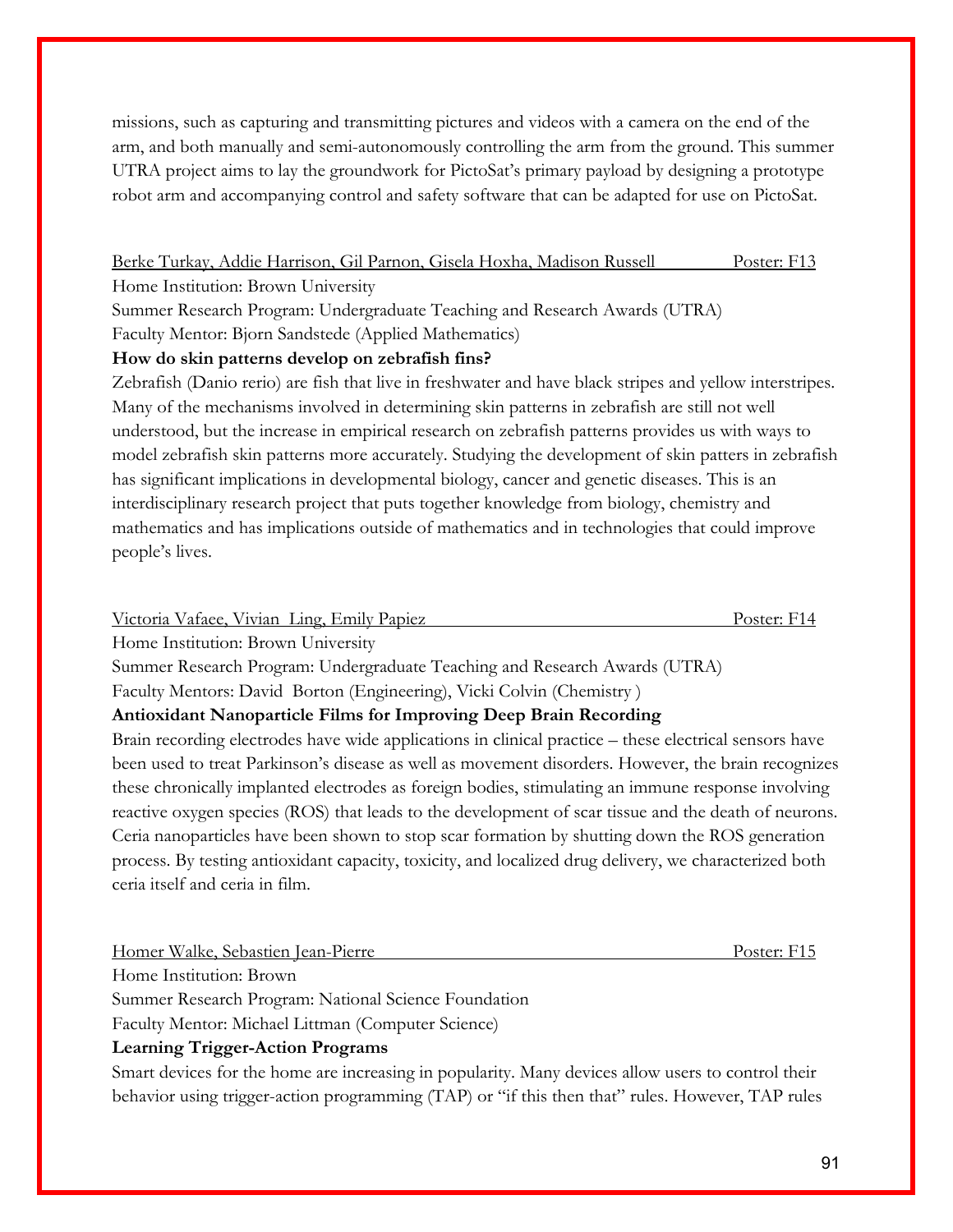missions, such as capturing and transmitting pictures and videos with a camera on the end of the arm, and both manually and semi-autonomously controlling the arm from the ground. This summer UTRA project aims to lay the groundwork for PictoSat's primary payload by designing a prototype robot arm and accompanying control and safety software that can be adapted for use on PictoSat.

Berke Turkay, Addie Harrison, Gil Parnon, Gisela Hoxha, Madison Russell Poster: F13

Home Institution: Brown University

Summer Research Program: Undergraduate Teaching and Research Awards (UTRA) Faculty Mentor: Bjorn Sandstede (Applied Mathematics)

**How do skin patterns develop on zebrafish fins?**

Zebrafish (Danio rerio) are fish that live in freshwater and have black stripes and yellow interstripes. Many of the mechanisms involved in determining skin patterns in zebrafish are still not well understood, but the increase in empirical research on zebrafish patterns provides us with ways to model zebrafish skin patterns more accurately. Studying the development of skin patters in zebrafish has significant implications in developmental biology, cancer and genetic diseases. This is an interdisciplinary research project that puts together knowledge from biology, chemistry and mathematics and has implications outside of mathematics and in technologies that could improve people's lives.

| Victoria Vafaee, Vivian Ling, Emily Papiez |  | Poster: F14 |
|--------------------------------------------|--|-------------|
|                                            |  |             |

Home Institution: Brown University

Summer Research Program: Undergraduate Teaching and Research Awards (UTRA) Faculty Mentors: David Borton (Engineering), Vicki Colvin (Chemistry )

## **Antioxidant Nanoparticle Films for Improving Deep Brain Recording**

Brain recording electrodes have wide applications in clinical practice – these electrical sensors have been used to treat Parkinson's disease as well as movement disorders. However, the brain recognizes these chronically implanted electrodes as foreign bodies, stimulating an immune response involving reactive oxygen species (ROS) that leads to the development of scar tissue and the death of neurons. Ceria nanoparticles have been shown to stop scar formation by shutting down the ROS generation process. By testing antioxidant capacity, toxicity, and localized drug delivery, we characterized both ceria itself and ceria in film.

Homer Walke, Sebastien Jean-Pierre Poster: F15

Home Institution: Brown

Summer Research Program: National Science Foundation

Faculty Mentor: Michael Littman (Computer Science)

## **Learning Trigger-Action Programs**

Smart devices for the home are increasing in popularity. Many devices allow users to control their behavior using trigger-action programming (TAP) or "if this then that" rules. However, TAP rules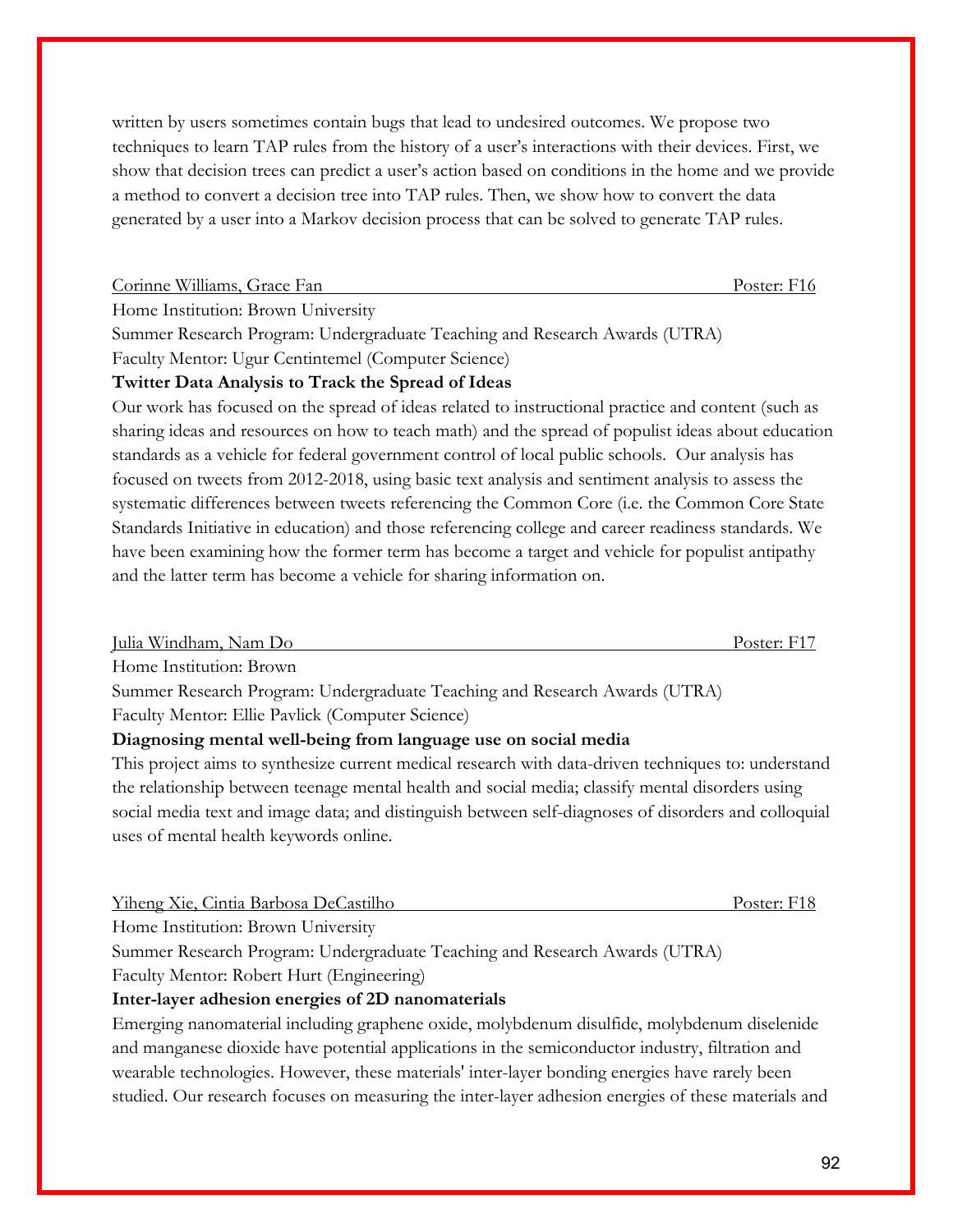written by users sometimes contain bugs that lead to undesired outcomes. We propose two techniques to learn TAP rules from the history of a user's interactions with their devices. First, we show that decision trees can predict a user's action based on conditions in the home and we provide a method to convert a decision tree into TAP rules. Then, we show how to convert the data generated by a user into a Markov decision process that can be solved to generate TAP rules.

Corinne Williams, Grace Fan **Poster: F16** Poster: F16

Home Institution: Brown University

Summer Research Program: Undergraduate Teaching and Research Awards (UTRA)

Faculty Mentor: Ugur Centintemel (Computer Science)

#### **Twitter Data Analysis to Track the Spread of Ideas**

Our work has focused on the spread of ideas related to instructional practice and content (such as sharing ideas and resources on how to teach math) and the spread of populist ideas about education standards as a vehicle for federal government control of local public schools. Our analysis has focused on tweets from 2012-2018, using basic text analysis and sentiment analysis to assess the systematic differences between tweets referencing the Common Core (i.e. the Common Core State Standards Initiative in education) and those referencing college and career readiness standards. We have been examining how the former term has become a target and vehicle for populist antipathy and the latter term has become a vehicle for sharing information on.

Julia Windham, Nam Do Poster: F17 Home Institution: Brown Summer Research Program: Undergraduate Teaching and Research Awards (UTRA) Faculty Mentor: Ellie Pavlick (Computer Science) **Diagnosing mental well-being from language use on social media** This project aims to synthesize current medical research with data-driven techniques to: understand the relationship between teenage mental health and social media; classify mental disorders using

social media text and image data; and distinguish between self-diagnoses of disorders and colloquial uses of mental health keywords online.

Yiheng Xie, Cintia Barbosa DeCastilho Poster: F18

Home Institution: Brown University

Summer Research Program: Undergraduate Teaching and Research Awards (UTRA)

Faculty Mentor: Robert Hurt (Engineering)

#### **Inter-layer adhesion energies of 2D nanomaterials**

Emerging nanomaterial including graphene oxide, molybdenum disulfide, molybdenum diselenide and manganese dioxide have potential applications in the semiconductor industry, filtration and wearable technologies. However, these materials' inter-layer bonding energies have rarely been studied. Our research focuses on measuring the inter-layer adhesion energies of these materials and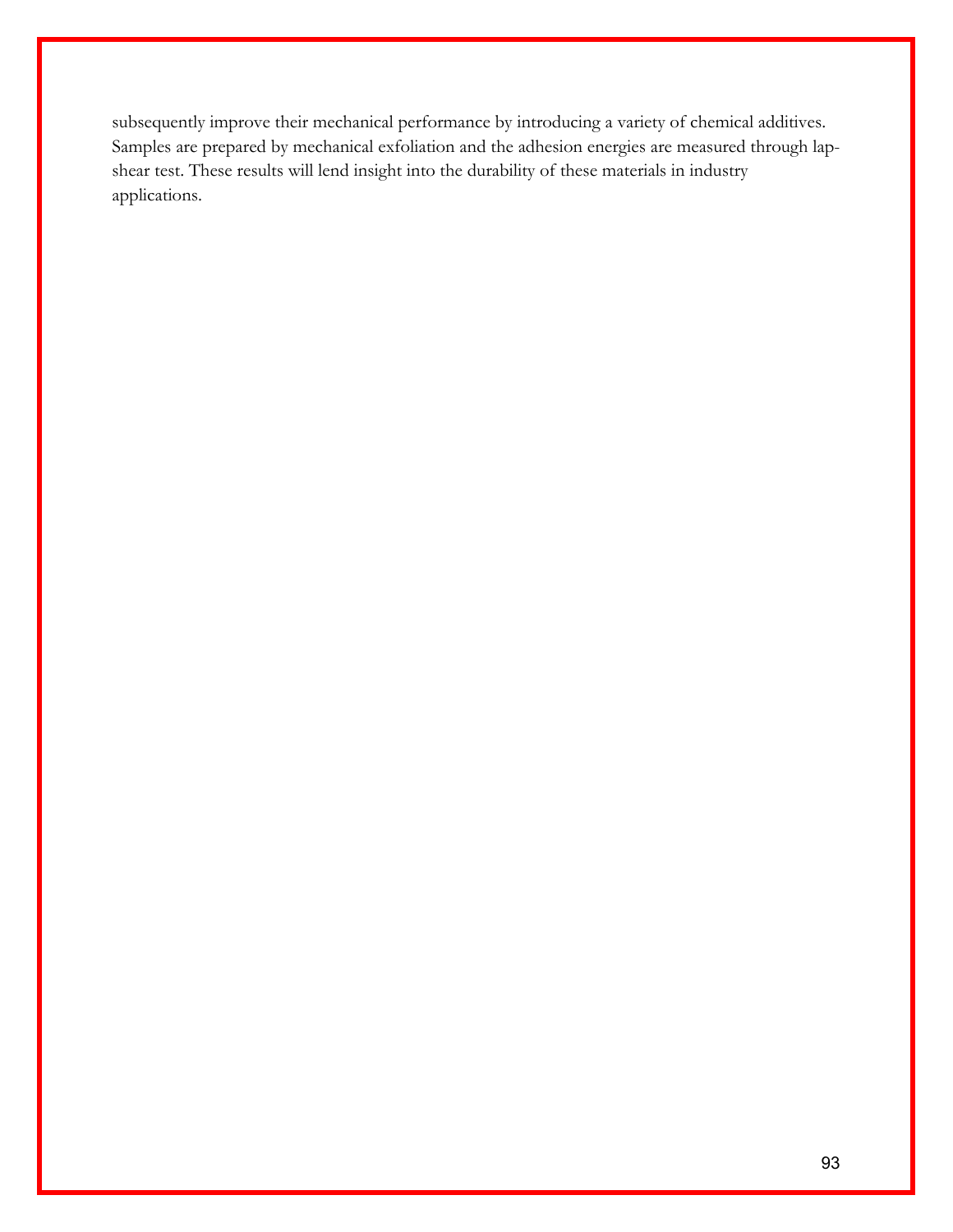subsequently improve their mechanical performance by introducing a variety of chemical additives. Samples are prepared by mechanical exfoliation and the adhesion energies are measured through lapshear test. These results will lend insight into the durability of these materials in industry applications.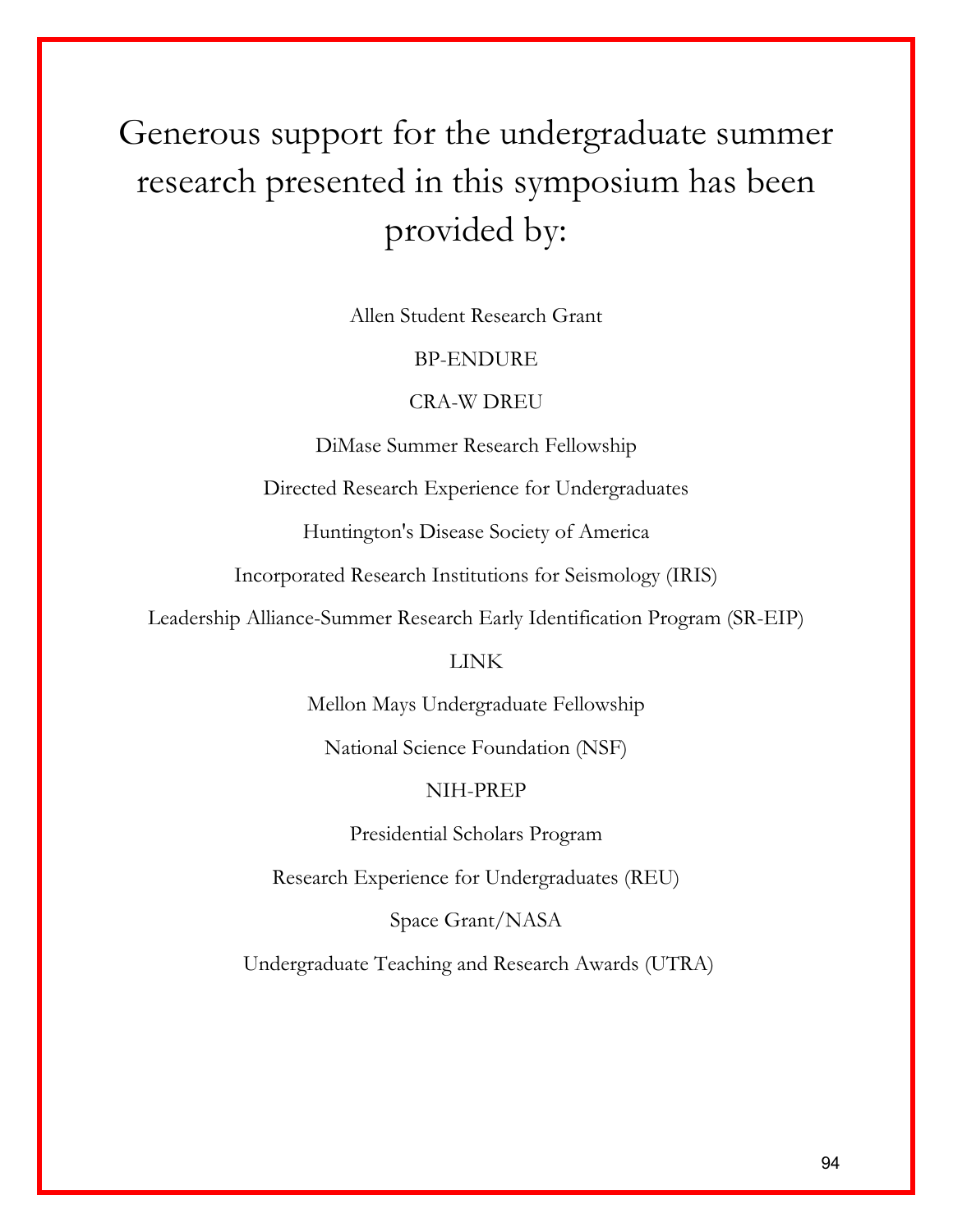# Generous support for the undergraduate summer research presented in this symposium has been provided by:

Allen Student Research Grant

## BP-ENDURE

## CRA-W DREU

DiMase Summer Research Fellowship

Directed Research Experience for Undergraduates

Huntington's Disease Society of America

Incorporated Research Institutions for Seismology (IRIS)

Leadership Alliance-Summer Research Early Identification Program (SR-EIP)

## LINK

Mellon Mays Undergraduate Fellowship

National Science Foundation (NSF)

## NIH-PREP

Presidential Scholars Program

Research Experience for Undergraduates (REU)

Space Grant/NASA

Undergraduate Teaching and Research Awards (UTRA)